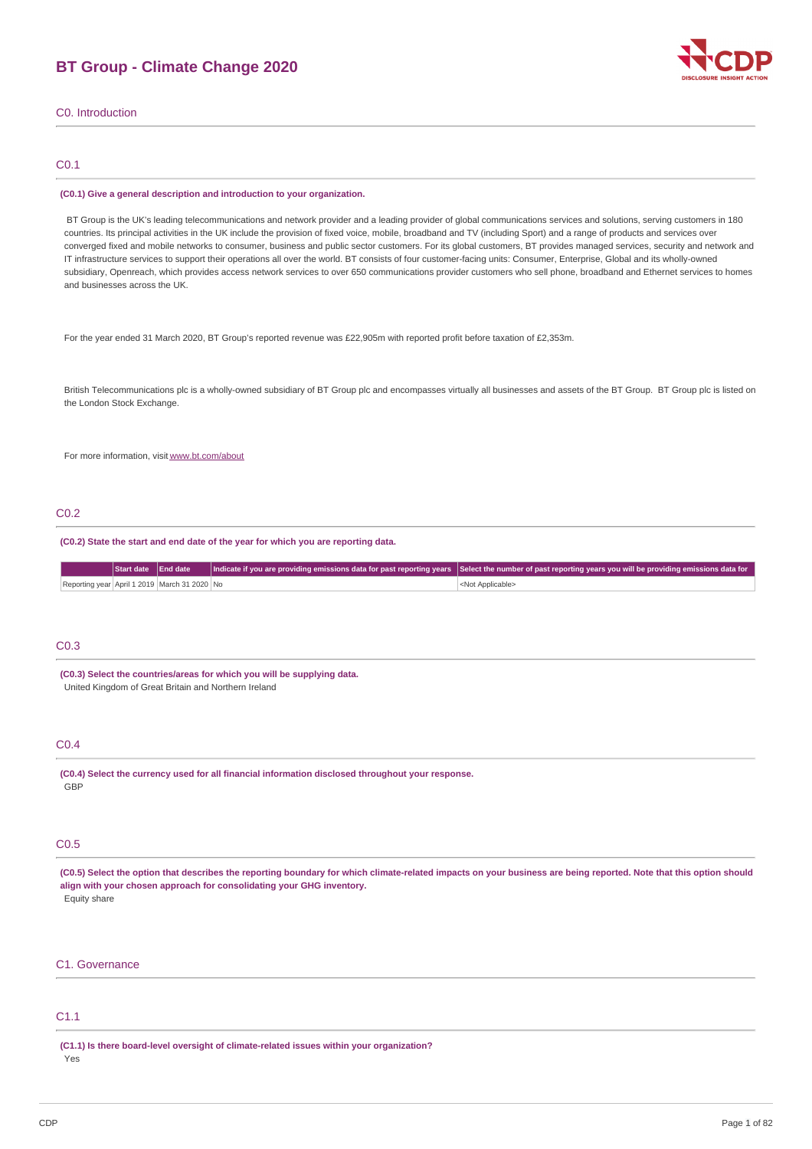# **BT Group - Climate Change 2020**



C0. Introduction

### C0.1

#### **(C0.1) Give a general description and introduction to your organization.**

BT Group is the UK's leading telecommunications and network provider and a leading provider of global communications services and solutions, serving customers in 180 countries. Its principal activities in the UK include the provision of fixed voice, mobile, broadband and TV (including Sport) and a range of products and services over converged fixed and mobile networks to consumer, business and public sector customers. For its global customers, BT provides managed services, security and network and IT infrastructure services to support their operations all over the world. BT consists of four customer-facing units: Consumer, Enterprise, Global and its wholly-owned subsidiary, Openreach, which provides access network services to over 650 communications provider customers who sell phone, broadband and Ethernet services to homes and businesses across the UK.

For the year ended 31 March 2020, BT Group's reported revenue was £22,905m with reported profit before taxation of £2,353m.

British Telecommunications plc is a wholly-owned subsidiary of BT Group plc and encompasses virtually all businesses and assets of the BT Group. BT Group plc is listed on the London Stock Exchange.

For more information, visit [www.bt.com/about](http://www.bt.com/about)

### C0.2

#### **(C0.2) State the start and end date of the year for which you are reporting data.**

|  |                                              | Start date End date Indicate if you are providing emissions data for past reporting years Select the number of past reporting years you will be providing emissions data for |
|--|----------------------------------------------|------------------------------------------------------------------------------------------------------------------------------------------------------------------------------|
|  | Reporting year April 1 2019 March 31 2020 No | <not applicable=""></not>                                                                                                                                                    |

### C0.3

**(C0.3) Select the countries/areas for which you will be supplying data.** United Kingdom of Great Britain and Northern Ireland

### $C<sub>0</sub>4$

**(C0.4) Select the currency used for all financial information disclosed throughout your response.** GBP

### C0.5

(C0.5) Select the option that describes the reporting boundary for which climate-related impacts on your business are being reported. Note that this option should **align with your chosen approach for consolidating your GHG inventory.** Equity share

### C1. Governance

## C1.1

**(C1.1) Is there board-level oversight of climate-related issues within your organization?** Yes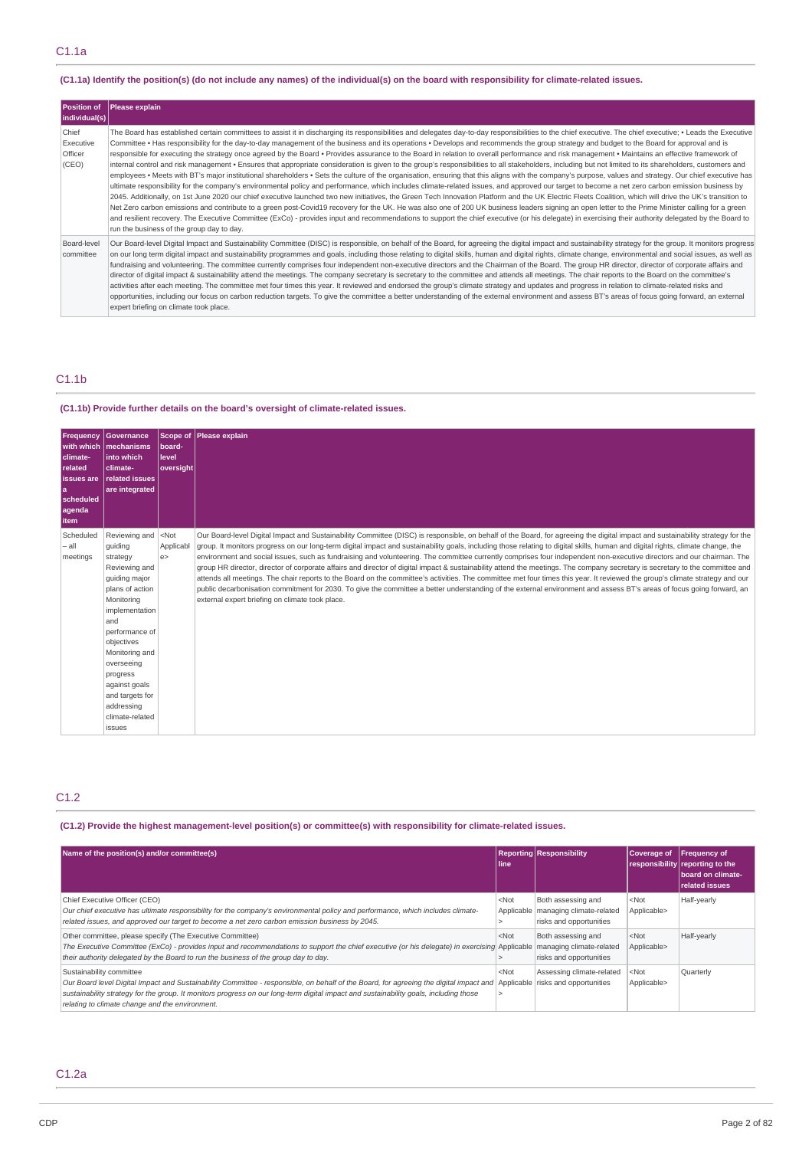### (C1.1a) Identify the position(s) (do not include any names) of the individual(s) on the board with responsibility for climate-related issues.

| <b>Position of</b><br> individual(s)   | <b>Please explain</b>                                                                                                                                                                                                                                                                                                                                                                                                                                                                                                                                                                                                                                                                                                                                                                                                                                                                                                                                                                                                                                                                                                                                                                                                                                                                                                                                                                                                                                                                                                                                                                                                                                                                                                                                                                                                                                                                                   |
|----------------------------------------|---------------------------------------------------------------------------------------------------------------------------------------------------------------------------------------------------------------------------------------------------------------------------------------------------------------------------------------------------------------------------------------------------------------------------------------------------------------------------------------------------------------------------------------------------------------------------------------------------------------------------------------------------------------------------------------------------------------------------------------------------------------------------------------------------------------------------------------------------------------------------------------------------------------------------------------------------------------------------------------------------------------------------------------------------------------------------------------------------------------------------------------------------------------------------------------------------------------------------------------------------------------------------------------------------------------------------------------------------------------------------------------------------------------------------------------------------------------------------------------------------------------------------------------------------------------------------------------------------------------------------------------------------------------------------------------------------------------------------------------------------------------------------------------------------------------------------------------------------------------------------------------------------------|
| Chief<br>Executive<br>Officer<br>(CEO) | The Board has established certain committees to assist it in discharging its responsibilities and delegates day-to-day responsibilities to the chief executive. The chief executive, • Leads the Executive<br>Committee • Has responsibility for the day-to-day management of the business and its operations • Develops and recommends the group strategy and budget to the Board for approval and is<br>responsible for executing the strategy once agreed by the Board · Provides assurance to the Board in relation to overall performance and risk management · Maintains an effective framework of<br>internal control and risk management • Ensures that appropriate consideration is given to the group's responsibilities to all stakeholders, including but not limited to its shareholders, customers and<br>employees • Meets with BT's major institutional shareholders • Sets the culture of the organisation, ensuring that this aligns with the company's purpose, values and strategy. Our chief executive has<br>ultimate responsibility for the company's environmental policy and performance, which includes climate-related issues, and approved our target to become a net zero carbon emission business by<br>2045. Additionally, on 1st June 2020 our chief executive launched two new initiatives, the Green Tech Innovation Platform and the UK Electric Fleets Coalition, which will drive the UK's transition to<br>Net Zero carbon emissions and contribute to a green post-Covid19 recovery for the UK. He was also one of 200 UK business leaders signing an open letter to the Prime Minister calling for a green<br>and resilient recovery. The Executive Committee (ExCo) - provides input and recommendations to support the chief executive (or his delegate) in exercising their authority delegated by the Board to<br>run the business of the group day to day. |
| Board-level<br>committee               | Our Board-level Digital Impact and Sustainability Committee (DISC) is responsible, on behalf of the Board, for agreeing the digital impact and sustainability strategy for the group. It monitors progress<br>on our long term digital impact and sustainability programmes and goals, including those relating to digital skills, human and digital rights, climate change, environmental and social issues, as well as<br>fundraising and volunteering. The committee currently comprises four independent non-executive directors and the Chairman of the Board. The group HR director, director of corporate affairs and<br>director of digital impact & sustainability attend the meetings. The company secretary is secretary to the committee and attends all meetings. The chair reports to the Board on the committee's<br>activities after each meeting. The committee met four times this year. It reviewed and endorsed the group's climate strategy and updates and progress in relation to climate-related risks and<br>opportunities, including our focus on carbon reduction targets. To give the committee a better understanding of the external environment and assess BT's areas of focus going forward, an external<br>expert briefing on climate took place.                                                                                                                                                                                                                                                                                                                                                                                                                                                                                                                                                                                                                      |

## C1.1b

## **(C1.1b) Provide further details on the board's oversight of climate-related issues.**

| <b>Frequency</b><br>climate-<br>related<br>l issues are<br>la.<br>scheduled<br>agenda<br><b>item</b> | Governance<br>with which   mechanisms<br>into which<br>climate-<br><b>related issues</b><br>are integrated                                                                                                                                                                                                                 | board-<br>level<br>oversight | Scope of Please explain                                                                                                                                                                                                                                                                                                                                                                                                                                                                                                                                                                                                                                                                                                                                                                                                                                                                                                                                                                                                                                                                                                                 |
|------------------------------------------------------------------------------------------------------|----------------------------------------------------------------------------------------------------------------------------------------------------------------------------------------------------------------------------------------------------------------------------------------------------------------------------|------------------------------|-----------------------------------------------------------------------------------------------------------------------------------------------------------------------------------------------------------------------------------------------------------------------------------------------------------------------------------------------------------------------------------------------------------------------------------------------------------------------------------------------------------------------------------------------------------------------------------------------------------------------------------------------------------------------------------------------------------------------------------------------------------------------------------------------------------------------------------------------------------------------------------------------------------------------------------------------------------------------------------------------------------------------------------------------------------------------------------------------------------------------------------------|
| Scheduled<br>- all<br>meetings                                                                       | Reviewing and <not<br>quiding<br/>strategy<br/>Reviewing and<br/>quiding major<br/>plans of action<br/>Monitorina<br/>implementation<br/>and<br/>performance of<br/>objectives<br/>Monitoring and<br/>overseeing<br/>progress<br/>against goals<br/>and targets for<br/>addressing<br/>climate-related<br/>issues</not<br> | Applicabl<br>e               | Our Board-level Digital Impact and Sustainability Committee (DISC) is responsible, on behalf of the Board, for agreeing the digital impact and sustainability strategy for the<br>group. It monitors progress on our long-term digital impact and sustainability goals, including those relating to digital skills, human and digital rights, climate change, the<br>environment and social issues, such as fundraising and volunteering. The committee currently comprises four independent non-executive directors and our chairman. The<br>group HR director, director of corporate affairs and director of digital impact & sustainability attend the meetings. The company secretary is secretary to the committee and<br>attends all meetings. The chair reports to the Board on the committee's activities. The committee met four times this year. It reviewed the group's climate strategy and our<br>public decarbonisation commitment for 2030. To give the committee a better understanding of the external environment and assess BT's areas of focus going forward, an<br>external expert briefing on climate took place. |

## C1.2

## **(C1.2) Provide the highest management-level position(s) or committee(s) with responsibility for climate-related issues.**

| Name of the position(s) and/or committee(s)                                                                                                                                                                                                                                                                                                                                                       | line    | <b>Reporting Responsibility</b>                                                        | Coverage of                     | <b>Frequency of</b><br>responsibility reporting to the<br>board on climate-<br>related issues |
|---------------------------------------------------------------------------------------------------------------------------------------------------------------------------------------------------------------------------------------------------------------------------------------------------------------------------------------------------------------------------------------------------|---------|----------------------------------------------------------------------------------------|---------------------------------|-----------------------------------------------------------------------------------------------|
| Chief Executive Officer (CEO)<br>Our chief executive has ultimate responsibility for the company's environmental policy and performance, which includes climate-<br>related issues, and approved our target to become a net zero carbon emission business by 2045.                                                                                                                                | $<$ Not | Both assessing and<br>Applicable   managing climate-related<br>risks and opportunities | <not<br>Applicable&gt;</not<br> | Half-yearly                                                                                   |
| Other committee, please specify (The Executive Committee)<br>The Executive Committee (ExCo) - provides input and recommendations to support the chief executive (or his delegate) in exercising Applicable<br>their authority delegated by the Board to run the business of the group day to day.                                                                                                 | $<$ Not | Both assessing and<br>managing climate-related<br>risks and opportunities              | $<$ Not<br>Applicable>          | Half-yearly                                                                                   |
| Sustainability committee<br>Our Board level Digital Impact and Sustainability Committee - responsible, on behalf of the Board, for agreeing the digital impact and Applicable risks and opportunities<br>sustainability strategy for the group. It monitors progress on our long-term digital impact and sustainability goals, including those<br>relating to climate change and the environment. | $<$ Not | Assessing climate-related                                                              | $<$ Not<br>Applicable>          | Quarterly                                                                                     |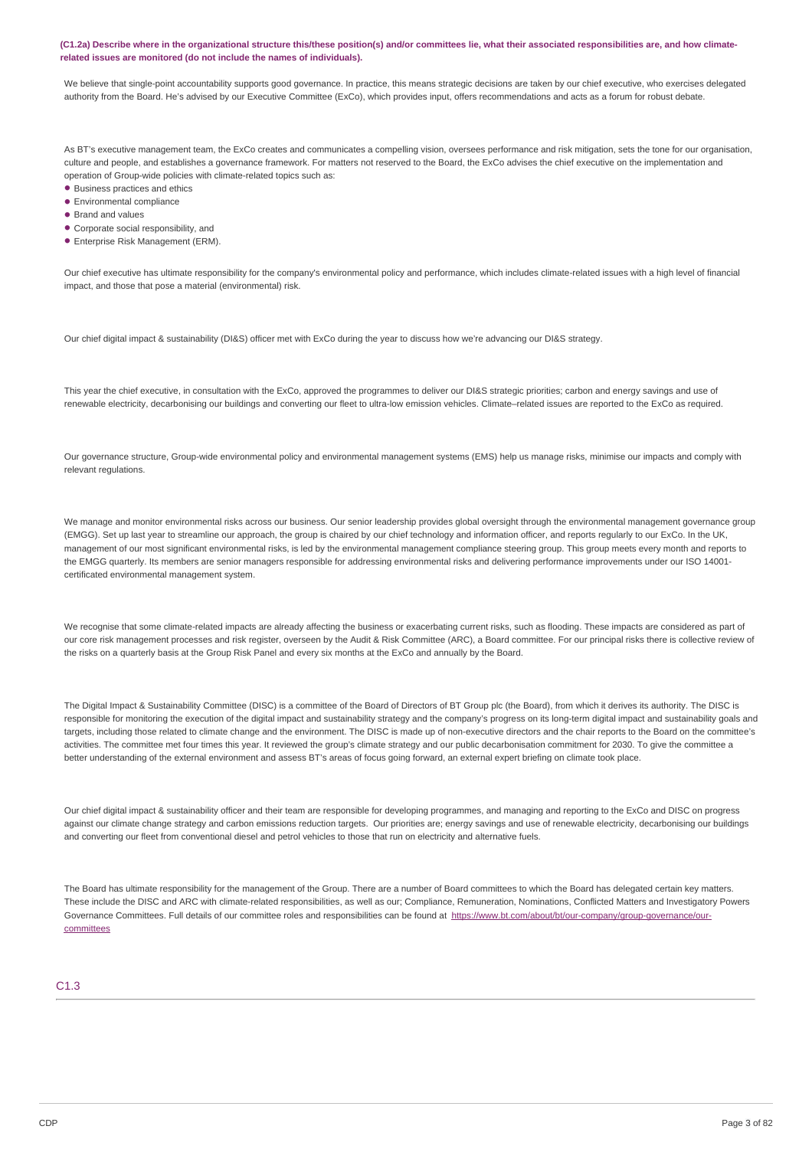#### (C1.2a) Describe where in the organizational structure this/these position(s) and/or committees lie, what their associated responsibilities are, and how climate**related issues are monitored (do not include the names of individuals).**

We believe that single-point accountability supports good governance. In practice, this means strategic decisions are taken by our chief executive, who exercises delegated authority from the Board. He's advised by our Executive Committee (ExCo), which provides input, offers recommendations and acts as a forum for robust debate.

As BT's executive management team, the ExCo creates and communicates a compelling vision, oversees performance and risk mitigation, sets the tone for our organisation, culture and people, and establishes a governance framework. For matters not reserved to the Board, the ExCo advises the chief executive on the implementation and operation of Group-wide policies with climate-related topics such as:

- Business practices and ethics
- Environmental compliance •
- Brand and values
- Corporate social responsibility, and •
- Enterprise Risk Management (ERM). •

Our chief executive has ultimate responsibility for the company's environmental policy and performance, which includes climate-related issues with a high level of financial impact, and those that pose a material (environmental) risk.

Our chief digital impact & sustainability (DI&S) officer met with ExCo during the year to discuss how we're advancing our DI&S strategy.

This year the chief executive, in consultation with the ExCo, approved the programmes to deliver our DI&S strategic priorities; carbon and energy savings and use of renewable electricity, decarbonising our buildings and converting our fleet to ultra-low emission vehicles. Climate–related issues are reported to the ExCo as required.

Our governance structure, Group-wide environmental policy and environmental management systems (EMS) help us manage risks, minimise our impacts and comply with relevant regulations.

We manage and monitor environmental risks across our business. Our senior leadership provides global oversight through the environmental management governance group (EMGG). Set up last year to streamline our approach, the group is chaired by our chief technology and information officer, and reports regularly to our ExCo. In the UK, management of our most significant environmental risks, is led by the environmental management compliance steering group. This group meets every month and reports to the EMGG quarterly. Its members are senior managers responsible for addressing environmental risks and delivering performance improvements under our ISO 14001 certificated environmental management system.

We recognise that some climate-related impacts are already affecting the business or exacerbating current risks, such as flooding. These impacts are considered as part of our core risk management processes and risk register, overseen by the Audit & Risk Committee (ARC), a Board committee. For our principal risks there is collective review of the risks on a quarterly basis at the Group Risk Panel and every six months at the ExCo and annually by the Board.

The Digital Impact & Sustainability Committee (DISC) is a committee of the Board of Directors of BT Group plc (the Board), from which it derives its authority. The DISC is responsible for monitoring the execution of the digital impact and sustainability strategy and the company's progress on its long-term digital impact and sustainability goals and targets, including those related to climate change and the environment. The DISC is made up of non-executive directors and the chair reports to the Board on the committee's activities. The committee met four times this year. It reviewed the group's climate strategy and our public decarbonisation commitment for 2030. To give the committee a better understanding of the external environment and assess BT's areas of focus going forward, an external expert briefing on climate took place.

Our chief digital impact & sustainability officer and their team are responsible for developing programmes, and managing and reporting to the ExCo and DISC on progress against our climate change strategy and carbon emissions reduction targets. Our priorities are; energy savings and use of renewable electricity, decarbonising our buildings and converting our fleet from conventional diesel and petrol vehicles to those that run on electricity and alternative fuels.

The Board has ultimate responsibility for the management of the Group. There are a number of Board committees to which the Board has delegated certain key matters. These include the DISC and ARC with climate-related responsibilities, as well as our; Compliance, Remuneration, Nominations, Conflicted Matters and Investigatory Powers Governance Committees. Full details of our committee roles and responsibilities can be found at [https://www.bt.com/about/bt/our-company/group-governance/our](https://www.bt.com/about/bt/our-company/group-governance/our-committees)committees

### C1.3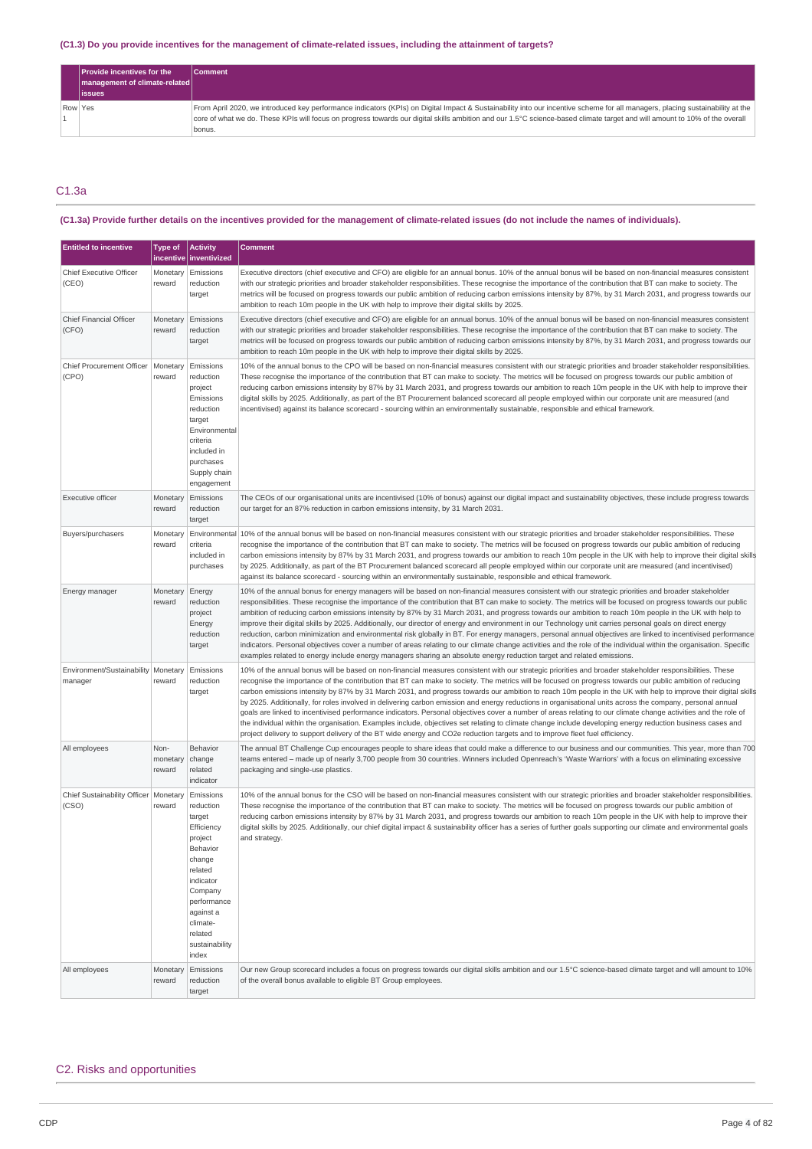### (C1.3) Do you provide incentives for the management of climate-related issues, including the attainment of targets?

|         | <b>Provide incentives for the</b><br>   management of climate-related | <b>Comment</b>                                                                                                                                                                |
|---------|-----------------------------------------------------------------------|-------------------------------------------------------------------------------------------------------------------------------------------------------------------------------|
|         | <b>issues</b>                                                         |                                                                                                                                                                               |
| Row Yes |                                                                       | From April 2020, we introduced key performance indicators (KPIs) on Digital Impact & Sustainability into our incentive scheme for all managers, placing sustainability at the |
|         |                                                                       | core of what we do. These KPIs will focus on progress towards our digital skills ambition and our 1.5°C science-based climate target and will amount to 10% of the overall    |
|         |                                                                       | bonus.                                                                                                                                                                        |

## C1.3a

## (C1.3a) Provide further details on the incentives provided for the management of climate-related issues (do not include the names of individuals).

| <b>Entitled to incentive</b>                     | <b>Type of</b>             | <b>Activity</b><br>incentive   inventivized                                                                                                                                                      | <b>Comment</b>                                                                                                                                                                                                                                                                                                                                                                                                                                                                                                                                                                                                                                                                                                                                                                                                                                                                                                                                                                                                                                                                                                     |
|--------------------------------------------------|----------------------------|--------------------------------------------------------------------------------------------------------------------------------------------------------------------------------------------------|--------------------------------------------------------------------------------------------------------------------------------------------------------------------------------------------------------------------------------------------------------------------------------------------------------------------------------------------------------------------------------------------------------------------------------------------------------------------------------------------------------------------------------------------------------------------------------------------------------------------------------------------------------------------------------------------------------------------------------------------------------------------------------------------------------------------------------------------------------------------------------------------------------------------------------------------------------------------------------------------------------------------------------------------------------------------------------------------------------------------|
| Chief Executive Officer<br>(CEO)                 | Monetary<br>reward         | Emissions<br>reduction<br>target                                                                                                                                                                 | Executive directors (chief executive and CFO) are eligible for an annual bonus. 10% of the annual bonus will be based on non-financial measures consistent<br>with our strategic priorities and broader stakeholder responsibilities. These recognise the importance of the contribution that BT can make to society. The<br>metrics will be focused on progress towards our public ambition of reducing carbon emissions intensity by 87%, by 31 March 2031, and progress towards our<br>ambition to reach 10m people in the UK with help to improve their digital skills by 2025.                                                                                                                                                                                                                                                                                                                                                                                                                                                                                                                                |
| Chief Financial Officer<br>(CFO)                 | Monetary<br>reward         | Emissions<br>reduction<br>target                                                                                                                                                                 | Executive directors (chief executive and CFO) are eligible for an annual bonus. 10% of the annual bonus will be based on non-financial measures consistent<br>with our strategic priorities and broader stakeholder responsibilities. These recognise the importance of the contribution that BT can make to society. The<br>metrics will be focused on progress towards our public ambition of reducing carbon emissions intensity by 87%, by 31 March 2031, and progress towards our<br>ambition to reach 10m people in the UK with help to improve their digital skills by 2025.                                                                                                                                                                                                                                                                                                                                                                                                                                                                                                                                |
| Chief Procurement Officer<br>(CPO)               | Monetary<br>reward         | Emissions<br>reduction<br>project<br>Emissions<br>reduction<br>target<br>Environmental<br>criteria<br>included in<br>purchases<br>Supply chain<br>engagement                                     | 10% of the annual bonus to the CPO will be based on non-financial measures consistent with our strategic priorities and broader stakeholder responsibilities.<br>These recognise the importance of the contribution that BT can make to society. The metrics will be focused on progress towards our public ambition of<br>reducing carbon emissions intensity by 87% by 31 March 2031, and progress towards our ambition to reach 10m people in the UK with help to improve their<br>digital skills by 2025. Additionally, as part of the BT Procurement balanced scorecard all people employed within our corporate unit are measured (and<br>incentivised) against its balance scorecard - sourcing within an environmentally sustainable, responsible and ethical framework.                                                                                                                                                                                                                                                                                                                                   |
| Executive officer                                | Monetary<br>reward         | Emissions<br>reduction<br>target                                                                                                                                                                 | The CEOs of our organisational units are incentivised (10% of bonus) against our digital impact and sustainability objectives, these include progress towards<br>our target for an 87% reduction in carbon emissions intensity, by 31 March 2031.                                                                                                                                                                                                                                                                                                                                                                                                                                                                                                                                                                                                                                                                                                                                                                                                                                                                  |
| Buyers/purchasers                                | Monetary<br>reward         | criteria<br>included in<br>purchases                                                                                                                                                             | Environmental 10% of the annual bonus will be based on non-financial measures consistent with our strategic priorities and broader stakeholder responsibilities. These<br>recognise the importance of the contribution that BT can make to society. The metrics will be focused on progress towards our public ambition of reducing<br>carbon emissions intensity by 87% by 31 March 2031, and progress towards our ambition to reach 10m people in the UK with help to improve their digital skills<br>by 2025. Additionally, as part of the BT Procurement balanced scorecard all people employed within our corporate unit are measured (and incentivised)<br>against its balance scorecard - sourcing within an environmentally sustainable, responsible and ethical framework.                                                                                                                                                                                                                                                                                                                                |
| Energy manager                                   | Monetary<br>reward         | Energy<br>reduction<br>project<br>Energy<br>reduction<br>target                                                                                                                                  | 10% of the annual bonus for energy managers will be based on non-financial measures consistent with our strategic priorities and broader stakeholder<br>responsibilities. These recognise the importance of the contribution that BT can make to society. The metrics will be focused on progress towards our public<br>ambition of reducing carbon emissions intensity by 87% by 31 March 2031, and progress towards our ambition to reach 10m people in the UK with help to<br>improve their digital skills by 2025. Additionally, our director of energy and environment in our Technology unit carries personal goals on direct energy<br>reduction, carbon minimization and environmental risk globally in BT. For energy managers, personal annual objectives are linked to incentivised performance<br>indicators. Personal objectives cover a number of areas relating to our climate change activities and the role of the individual within the organisation. Specific<br>examples related to energy include energy managers sharing an absolute energy reduction target and related emissions.          |
| Environment/Sustainability   Monetary<br>manager | reward                     | Emissions<br>reduction<br>target                                                                                                                                                                 | 10% of the annual bonus will be based on non-financial measures consistent with our strategic priorities and broader stakeholder responsibilities. These<br>recognise the importance of the contribution that BT can make to society. The metrics will be focused on progress towards our public ambition of reducing<br>carbon emissions intensity by 87% by 31 March 2031, and progress towards our ambition to reach 10m people in the UK with help to improve their digital skills<br>by 2025. Additionally, for roles involved in delivering carbon emission and energy reductions in organisational units across the company, personal annual<br>goals are linked to incentivised performance indicators. Personal objectives cover a number of areas relating to our climate change activities and the role of<br>the individual within the organisation. Examples include, objectives set relating to climate change include developing energy reduction business cases and<br>project delivery to support delivery of the BT wide energy and CO2e reduction targets and to improve fleet fuel efficiency. |
| All employees                                    | Non-<br>monetary<br>reward | Behavior<br>change<br>related<br>indicator                                                                                                                                                       | The annual BT Challenge Cup encourages people to share ideas that could make a difference to our business and our communities. This year, more than 700<br>teams entered – made up of nearly 3,700 people from 30 countries. Winners included Openreach's 'Waste Warriors' with a focus on eliminating excessive<br>packaging and single-use plastics.                                                                                                                                                                                                                                                                                                                                                                                                                                                                                                                                                                                                                                                                                                                                                             |
| Chief Sustainability Officer   Monetary<br>(CSO) | reward                     | Emissions<br>reduction<br>target<br>Efficiency<br>project<br>Behavior<br>change<br>related<br>indicator<br>Company<br>performance<br>against a<br>climate-<br>related<br>sustainability<br>index | 10% of the annual bonus for the CSO will be based on non-financial measures consistent with our strategic priorities and broader stakeholder responsibilities.<br>These recognise the importance of the contribution that BT can make to society. The metrics will be focused on progress towards our public ambition of<br>reducing carbon emissions intensity by 87% by 31 March 2031, and progress towards our ambition to reach 10m people in the UK with help to improve their<br>digital skills by 2025. Additionally, our chief digital impact & sustainability officer has a series of further goals supporting our climate and environmental goals<br>and strategy.                                                                                                                                                                                                                                                                                                                                                                                                                                       |
| All employees                                    | Monetary<br>reward         | Emissions<br>reduction<br>target                                                                                                                                                                 | Our new Group scorecard includes a focus on progress towards our digital skills ambition and our 1.5°C science-based climate target and will amount to 10%<br>of the overall bonus available to eligible BT Group employees.                                                                                                                                                                                                                                                                                                                                                                                                                                                                                                                                                                                                                                                                                                                                                                                                                                                                                       |

## C2. Risks and opportunities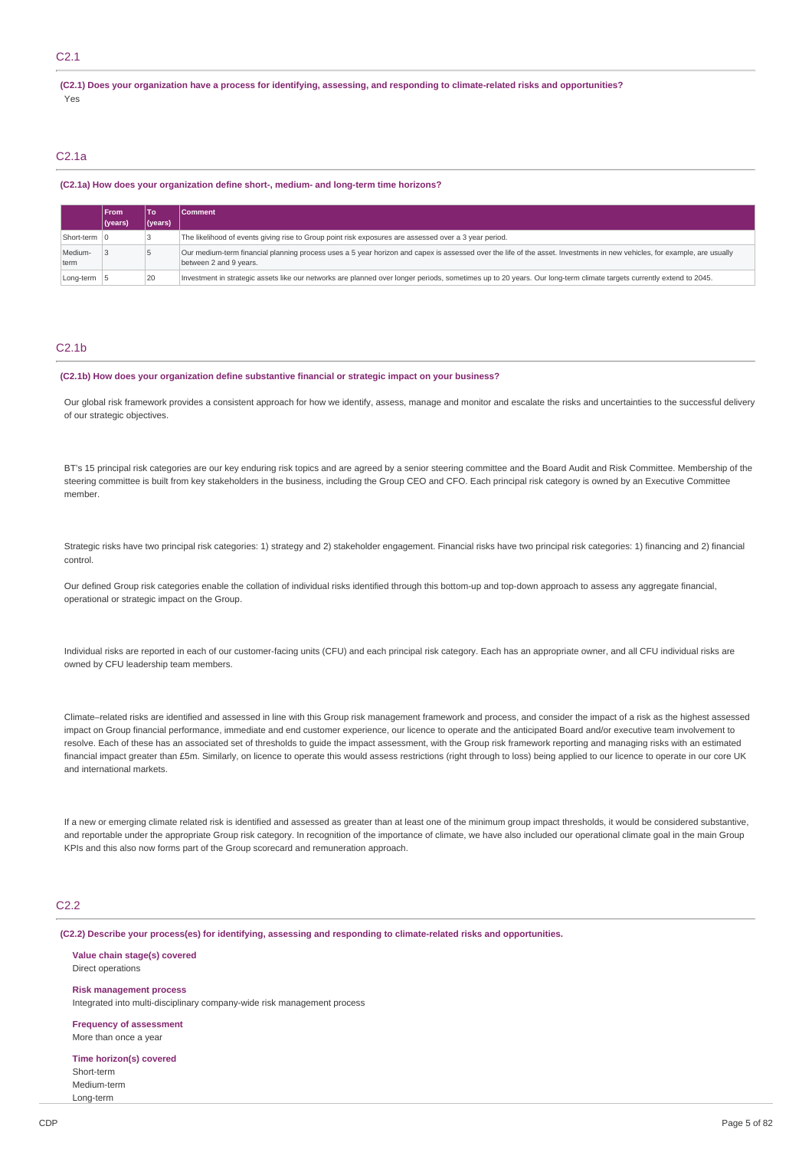### C2.1

(C2.1) Does your organization have a process for identifying, assessing, and responding to climate-related risks and opportunities? Yes

### C2.1a

#### **(C2.1a) How does your organization define short-, medium- and long-term time horizons?**

|                 | <b>From</b> | ∣ то'   | Comment                                                                                                                                                                                            |
|-----------------|-------------|---------|----------------------------------------------------------------------------------------------------------------------------------------------------------------------------------------------------|
|                 | $ $ (years) | (years) |                                                                                                                                                                                                    |
| Short-term 0    |             |         | The likelihood of events giving rise to Group point risk exposures are assessed over a 3 year period.                                                                                              |
| Medium-<br>term |             |         | Our medium-term financial planning process uses a 5 year horizon and capex is assessed over the life of the asset. Investments in new vehicles, for example, are usually<br>between 2 and 9 years. |
| Long-term 5     |             | 20      | Investment in strategic assets like our networks are planned over longer periods, sometimes up to 20 years. Our long-term climate targets currently extend to 2045.                                |

#### C2.1b

#### **(C2.1b) How does your organization define substantive financial or strategic impact on your business?**

Our global risk framework provides a consistent approach for how we identify, assess, manage and monitor and escalate the risks and uncertainties to the successful delivery of our strategic objectives.

BT's 15 principal risk categories are our key enduring risk topics and are agreed by a senior steering committee and the Board Audit and Risk Committee. Membership of the steering committee is built from key stakeholders in the business, including the Group CEO and CFO. Each principal risk category is owned by an Executive Committee member.

Strategic risks have two principal risk categories: 1) strategy and 2) stakeholder engagement. Financial risks have two principal risk categories: 1) financing and 2) financial control.

Our defined Group risk categories enable the collation of individual risks identified through this bottom-up and top-down approach to assess any aggregate financial, operational or strategic impact on the Group.

Individual risks are reported in each of our customer-facing units (CFU) and each principal risk category. Each has an appropriate owner, and all CFU individual risks are owned by CFU leadership team members.

Climate–related risks are identified and assessed in line with this Group risk management framework and process, and consider the impact of a risk as the highest assessed impact on Group financial performance, immediate and end customer experience, our licence to operate and the anticipated Board and/or executive team involvement to resolve. Each of these has an associated set of thresholds to guide the impact assessment, with the Group risk framework reporting and managing risks with an estimated financial impact greater than £5m. Similarly, on licence to operate this would assess restrictions (right through to loss) being applied to our licence to operate in our core UK and international markets.

If a new or emerging climate related risk is identified and assessed as greater than at least one of the minimum group impact thresholds, it would be considered substantive, and reportable under the appropriate Group risk category. In recognition of the importance of climate, we have also included our operational climate goal in the main Group KPIs and this also now forms part of the Group scorecard and remuneration approach.

### C2.2

**(C2.2) Describe your process(es) for identifying, assessing and responding to climate-related risks and opportunities.**

**Value chain stage(s) covered** Direct operations

**Risk management process** Integrated into multi-disciplinary company-wide risk management process

**Frequency of assessment** More than once a year

**Time horizon(s) covered** Short-term Medium-term Long-term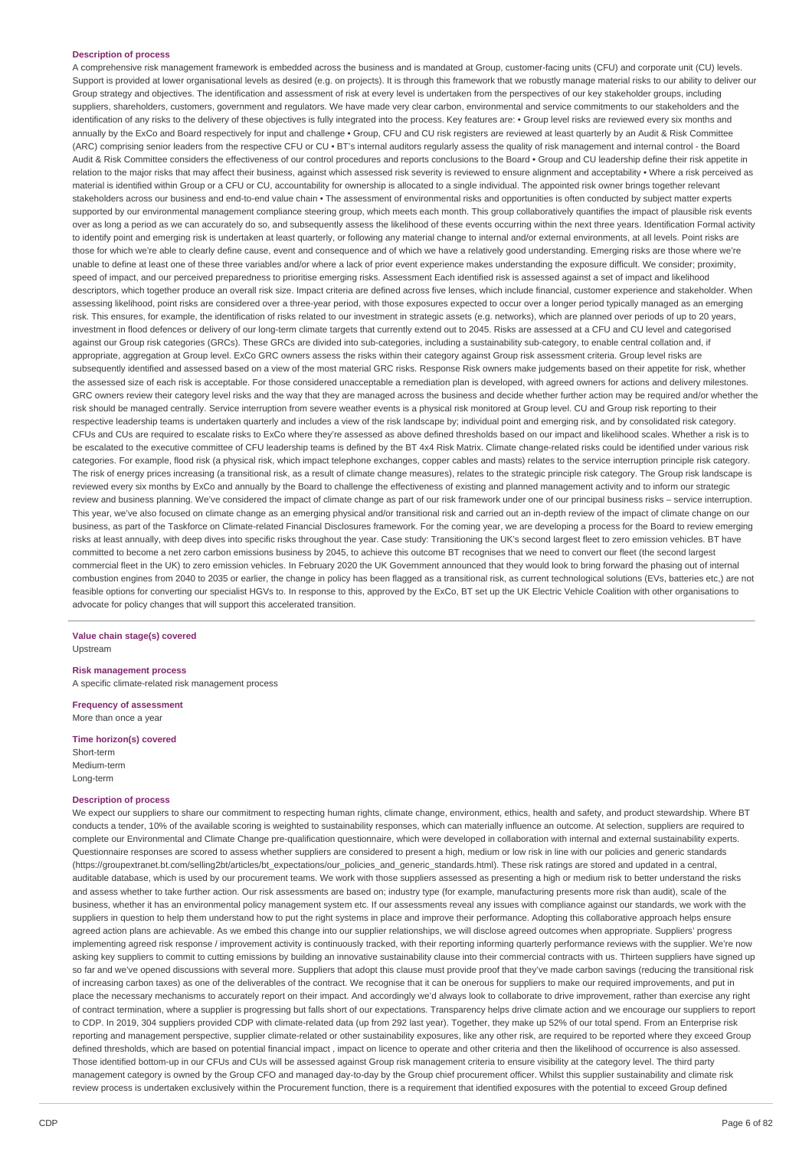### **Description of process**

A comprehensive risk management framework is embedded across the business and is mandated at Group, customer-facing units (CFU) and corporate unit (CU) levels. Support is provided at lower organisational levels as desired (e.g. on projects). It is through this framework that we robustly manage material risks to our ability to deliver our Group strategy and objectives. The identification and assessment of risk at every level is undertaken from the perspectives of our key stakeholder groups, including suppliers, shareholders, customers, government and regulators. We have made very clear carbon, environmental and service commitments to our stakeholders and the identification of any risks to the delivery of these objectives is fully integrated into the process. Key features are: • Group level risks are reviewed every six months and annually by the ExCo and Board respectively for input and challenge • Group, CFU and CU risk registers are reviewed at least quarterly by an Audit & Risk Committee (ARC) comprising senior leaders from the respective CFU or CU • BT's internal auditors regularly assess the quality of risk management and internal control - the Board Audit & Risk Committee considers the effectiveness of our control procedures and reports conclusions to the Board • Group and CU leadership define their risk appetite in relation to the major risks that may affect their business, against which assessed risk severity is reviewed to ensure alignment and acceptability • Where a risk perceived as material is identified within Group or a CFU or CU, accountability for ownership is allocated to a single individual. The appointed risk owner brings together relevant stakeholders across our business and end-to-end value chain • The assessment of environmental risks and opportunities is often conducted by subject matter experts supported by our environmental management compliance steering group, which meets each month. This group collaboratively quantifies the impact of plausible risk events over as long a period as we can accurately do so, and subsequently assess the likelihood of these events occurring within the next three years. Identification Formal activity to identify point and emerging risk is undertaken at least quarterly, or following any material change to internal and/or external environments, at all levels. Point risks are those for which we're able to clearly define cause, event and consequence and of which we have a relatively good understanding. Emerging risks are those where we're unable to define at least one of these three variables and/or where a lack of prior event experience makes understanding the exposure difficult. We consider; proximity, speed of impact, and our perceived preparedness to prioritise emerging risks. Assessment Each identified risk is assessed against a set of impact and likelihood descriptors, which together produce an overall risk size. Impact criteria are defined across five lenses, which include financial, customer experience and stakeholder. When assessing likelihood, point risks are considered over a three-year period, with those exposures expected to occur over a longer period typically managed as an emerging risk. This ensures, for example, the identification of risks related to our investment in strategic assets (e.g. networks), which are planned over periods of up to 20 years, investment in flood defences or delivery of our long-term climate targets that currently extend out to 2045. Risks are assessed at a CFU and CU level and categorised against our Group risk categories (GRCs). These GRCs are divided into sub-categories, including a sustainability sub-category, to enable central collation and, if appropriate, aggregation at Group level. ExCo GRC owners assess the risks within their category against Group risk assessment criteria. Group level risks are subsequently identified and assessed based on a view of the most material GRC risks. Response Risk owners make judgements based on their appetite for risk, whether the assessed size of each risk is acceptable. For those considered unacceptable a remediation plan is developed, with agreed owners for actions and delivery milestones. GRC owners review their category level risks and the way that they are managed across the business and decide whether further action may be required and/or whether the risk should be managed centrally. Service interruption from severe weather events is a physical risk monitored at Group level. CU and Group risk reporting to their respective leadership teams is undertaken quarterly and includes a view of the risk landscape by; individual point and emerging risk, and by consolidated risk category. CFUs and CUs are required to escalate risks to ExCo where they're assessed as above defined thresholds based on our impact and likelihood scales. Whether a risk is to be escalated to the executive committee of CFU leadership teams is defined by the BT 4x4 Risk Matrix. Climate change-related risks could be identified under various risk categories. For example, flood risk (a physical risk, which impact telephone exchanges, copper cables and masts) relates to the service interruption principle risk category. The risk of energy prices increasing (a transitional risk, as a result of climate change measures), relates to the strategic principle risk category. The Group risk landscape is reviewed every six months by ExCo and annually by the Board to challenge the effectiveness of existing and planned management activity and to inform our strategic review and business planning. We've considered the impact of climate change as part of our risk framework under one of our principal business risks – service interruption. This year, we've also focused on climate change as an emerging physical and/or transitional risk and carried out an in-depth review of the impact of climate change on our business, as part of the Taskforce on Climate-related Financial Disclosures framework. For the coming year, we are developing a process for the Board to review emerging risks at least annually, with deep dives into specific risks throughout the year. Case study: Transitioning the UK's second largest fleet to zero emission vehicles. BT have committed to become a net zero carbon emissions business by 2045, to achieve this outcome BT recognises that we need to convert our fleet (the second largest commercial fleet in the UK) to zero emission vehicles. In February 2020 the UK Government announced that they would look to bring forward the phasing out of internal combustion engines from 2040 to 2035 or earlier, the change in policy has been flagged as a transitional risk, as current technological solutions (EVs, batteries etc,) are not feasible options for converting our specialist HGVs to. In response to this, approved by the ExCo, BT set up the UK Electric Vehicle Coalition with other organisations to advocate for policy changes that will support this accelerated transition.

#### **Value chain stage(s) covered** Upstream

**Risk management process** A specific climate-related risk management process

**Frequency of assessment** More than once a year

**Time horizon(s) covered** Short-term Medium-term Long-term

#### **Description of process**

We expect our suppliers to share our commitment to respecting human rights, climate change, environment, ethics, health and safety, and product stewardship. Where BT conducts a tender, 10% of the available scoring is weighted to sustainability responses, which can materially influence an outcome. At selection, suppliers are required to complete our Environmental and Climate Change pre-qualification questionnaire, which were developed in collaboration with internal and external sustainability experts. Questionnaire responses are scored to assess whether suppliers are considered to present a high, medium or low risk in line with our policies and generic standards (https://groupextranet.bt.com/selling2bt/articles/bt\_expectations/our\_policies\_and\_generic\_standards.html). These risk ratings are stored and updated in a central, auditable database, which is used by our procurement teams. We work with those suppliers assessed as presenting a high or medium risk to better understand the risks and assess whether to take further action. Our risk assessments are based on; industry type (for example, manufacturing presents more risk than audit), scale of the business, whether it has an environmental policy management system etc. If our assessments reveal any issues with compliance against our standards, we work with the suppliers in question to help them understand how to put the right systems in place and improve their performance. Adopting this collaborative approach helps ensure agreed action plans are achievable. As we embed this change into our supplier relationships, we will disclose agreed outcomes when appropriate. Suppliers' progress implementing agreed risk response / improvement activity is continuously tracked, with their reporting informing quarterly performance reviews with the supplier. We're now asking key suppliers to commit to cutting emissions by building an innovative sustainability clause into their commercial contracts with us. Thirteen suppliers have signed up so far and we've opened discussions with several more. Suppliers that adopt this clause must provide proof that they've made carbon savings (reducing the transitional risk of increasing carbon taxes) as one of the deliverables of the contract. We recognise that it can be onerous for suppliers to make our required improvements, and put in place the necessary mechanisms to accurately report on their impact. And accordingly we'd always look to collaborate to drive improvement, rather than exercise any right of contract termination, where a supplier is progressing but falls short of our expectations. Transparency helps drive climate action and we encourage our suppliers to report to CDP. In 2019, 304 suppliers provided CDP with climate-related data (up from 292 last year). Together, they make up 52% of our total spend. From an Enterprise risk reporting and management perspective, supplier climate-related or other sustainability exposures, like any other risk, are required to be reported where they exceed Group defined thresholds, which are based on potential financial impact , impact on licence to operate and other criteria and then the likelihood of occurrence is also assessed. Those identified bottom-up in our CFUs and CUs will be assessed against Group risk management criteria to ensure visibility at the category level. The third party management category is owned by the Group CFO and managed day-to-day by the Group chief procurement officer. Whilst this supplier sustainability and climate risk review process is undertaken exclusively within the Procurement function, there is a requirement that identified exposures with the potential to exceed Group defined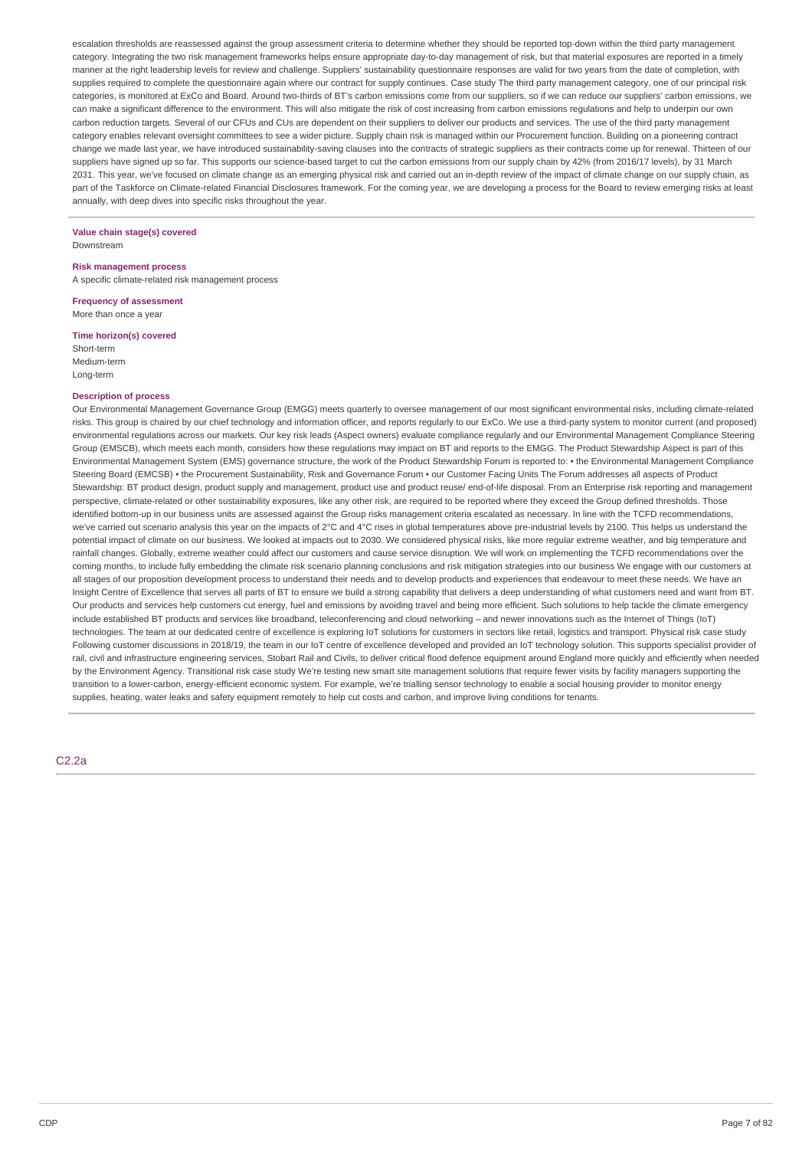escalation thresholds are reassessed against the group assessment criteria to determine whether they should be reported top-down within the third party management category. Integrating the two risk management frameworks helps ensure appropriate day-to-day management of risk, but that material exposures are reported in a timely manner at the right leadership levels for review and challenge. Suppliers' sustainability questionnaire responses are valid for two years from the date of completion, with supplies required to complete the questionnaire again where our contract for supply continues. Case study The third party management category, one of our principal risk categories, is monitored at ExCo and Board. Around two-thirds of BT's carbon emissions come from our suppliers, so if we can reduce our suppliers' carbon emissions, we can make a significant difference to the environment. This will also mitigate the risk of cost increasing from carbon emissions regulations and help to underpin our own carbon reduction targets. Several of our CFUs and CUs are dependent on their suppliers to deliver our products and services. The use of the third party management category enables relevant oversight committees to see a wider picture. Supply chain risk is managed within our Procurement function. Building on a pioneering contract change we made last year, we have introduced sustainability-saving clauses into the contracts of strategic suppliers as their contracts come up for renewal. Thirteen of our suppliers have signed up so far. This supports our science-based target to cut the carbon emissions from our supply chain by 42% (from 2016/17 levels), by 31 March 2031. This year, we've focused on climate change as an emerging physical risk and carried out an in-depth review of the impact of climate change on our supply chain, as part of the Taskforce on Climate-related Financial Disclosures framework. For the coming year, we are developing a process for the Board to review emerging risks at least annually, with deep dives into specific risks throughout the year.

#### **Value chain stage(s) covered** Downstream

#### **Risk management process**

A specific climate-related risk management process

**Frequency of assessment** More than once a year

#### **Time horizon(s) covered**

Short-term Medium-term Long-term

### **Description of process**

Our Environmental Management Governance Group (EMGG) meets quarterly to oversee management of our most significant environmental risks, including climate-related risks. This group is chaired by our chief technology and information officer, and reports regularly to our ExCo. We use a third-party system to monitor current (and proposed) environmental regulations across our markets. Our key risk leads (Aspect owners) evaluate compliance regularly and our Environmental Management Compliance Steering Group (EMSCB), which meets each month, considers how these regulations may impact on BT and reports to the EMGG. The Product Stewardship Aspect is part of this Environmental Management System (EMS) governance structure, the work of the Product Stewardship Forum is reported to: • the Environmental Management Compliance Steering Board (EMCSB) • the Procurement Sustainability, Risk and Governance Forum • our Customer Facing Units The Forum addresses all aspects of Product Stewardship: BT product design, product supply and management, product use and product reuse/ end-of-life disposal. From an Enterprise risk reporting and management perspective, climate-related or other sustainability exposures, like any other risk, are required to be reported where they exceed the Group defined thresholds. Those identified bottom-up in our business units are assessed against the Group risks management criteria escalated as necessary. In line with the TCFD recommendations, we've carried out scenario analysis this year on the impacts of 2°C and 4°C rises in global temperatures above pre-industrial levels by 2100. This helps us understand the potential impact of climate on our business. We looked at impacts out to 2030. We considered physical risks, like more regular extreme weather, and big temperature and rainfall changes. Globally, extreme weather could affect our customers and cause service disruption. We will work on implementing the TCFD recommendations over the coming months, to include fully embedding the climate risk scenario planning conclusions and risk mitigation strategies into our business We engage with our customers at all stages of our proposition development process to understand their needs and to develop products and experiences that endeavour to meet these needs. We have an Insight Centre of Excellence that serves all parts of BT to ensure we build a strong capability that delivers a deep understanding of what customers need and want from BT. Our products and services help customers cut energy, fuel and emissions by avoiding travel and being more efficient. Such solutions to help tackle the climate emergency include established BT products and services like broadband, teleconferencing and cloud networking – and newer innovations such as the Internet of Things (IoT) technologies. The team at our dedicated centre of excellence is exploring IoT solutions for customers in sectors like retail, logistics and transport. Physical risk case study Following customer discussions in 2018/19, the team in our IoT centre of excellence developed and provided an IoT technology solution. This supports specialist provider of rail, civil and infrastructure engineering services, Stobart Rail and Civils, to deliver critical flood defence equipment around England more quickly and efficiently when needed by the Environment Agency. Transitional risk case study We're testing new smart site management solutions that require fewer visits by facility managers supporting the transition to a lower-carbon, energy-efficient economic system. For example, we're trialling sensor technology to enable a social housing provider to monitor energy supplies, heating, water leaks and safety equipment remotely to help cut costs and carbon, and improve living conditions for tenants.

 $C2.2a$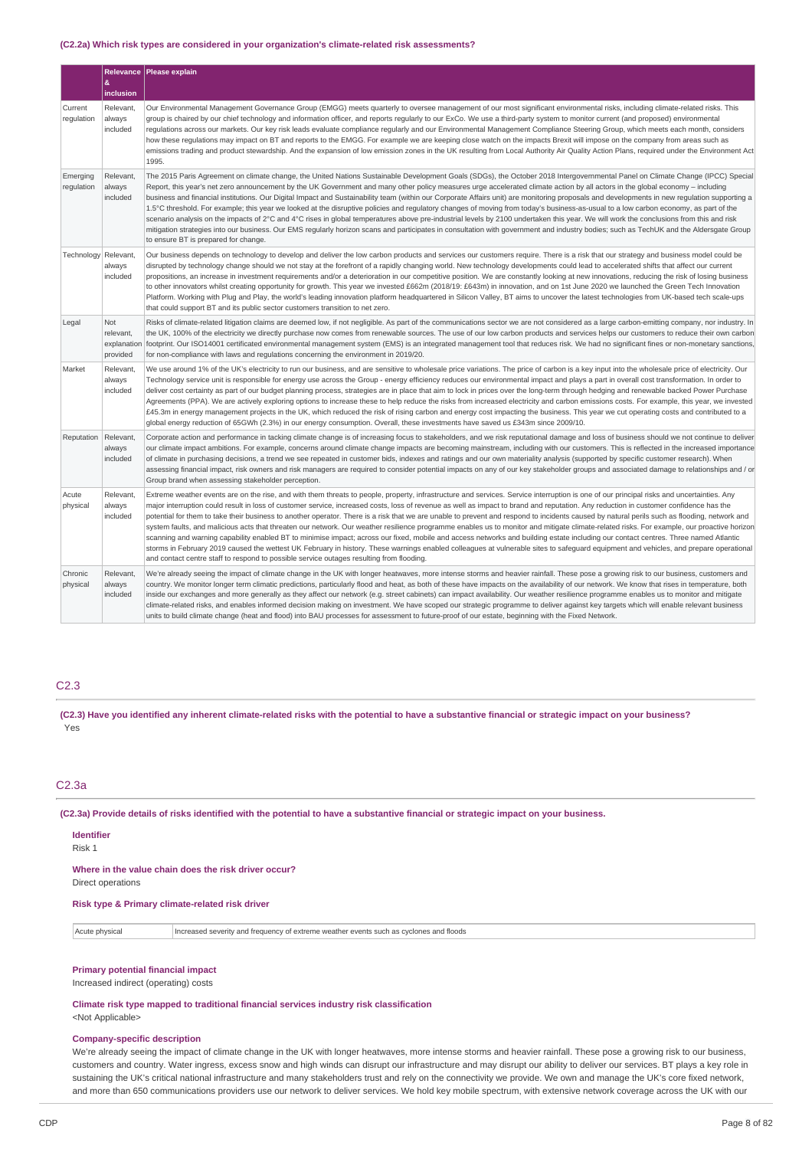#### **(C2.2a) Which risk types are considered in your organization's climate-related risk assessments?**

|                        | &                                           | Relevance   Please explain                                                                                                                                                                                                                                                                                                                                                                                                                                                                                                                                                                                                                                                                                                                                                                                                                                                                                                                                                                                                                                                                                                                                                                                                                                   |
|------------------------|---------------------------------------------|--------------------------------------------------------------------------------------------------------------------------------------------------------------------------------------------------------------------------------------------------------------------------------------------------------------------------------------------------------------------------------------------------------------------------------------------------------------------------------------------------------------------------------------------------------------------------------------------------------------------------------------------------------------------------------------------------------------------------------------------------------------------------------------------------------------------------------------------------------------------------------------------------------------------------------------------------------------------------------------------------------------------------------------------------------------------------------------------------------------------------------------------------------------------------------------------------------------------------------------------------------------|
|                        | inclusion                                   |                                                                                                                                                                                                                                                                                                                                                                                                                                                                                                                                                                                                                                                                                                                                                                                                                                                                                                                                                                                                                                                                                                                                                                                                                                                              |
| Current<br>requlation  | Relevant,<br>always<br>included             | Our Environmental Management Governance Group (EMGG) meets quarterly to oversee management of our most significant environmental risks, including climate-related risks. This<br>group is chaired by our chief technology and information officer, and reports regularly to our ExCo. We use a third-party system to monitor current (and proposed) environmental<br>requlations across our markets. Our key risk leads evaluate compliance reqularly and our Environmental Management Compliance Steering Group, which meets each month, considers<br>how these regulations may impact on BT and reports to the EMGG. For example we are keeping close watch on the impacts Brexit will impose on the company from areas such as<br>emissions trading and product stewardship. And the expansion of low emission zones in the UK resulting from Local Authority Air Quality Action Plans, required under the Environment Act<br>1995.                                                                                                                                                                                                                                                                                                                       |
| Emerging<br>regulation | Relevant,<br>always<br>included             | The 2015 Paris Agreement on climate change, the United Nations Sustainable Development Goals (SDGs), the October 2018 Intergovernmental Panel on Climate Change (IPCC) Special<br>Report, this year's net zero announcement by the UK Government and many other policy measures urge accelerated climate action by all actors in the global economy - including<br>business and financial institutions. Our Digital Impact and Sustainability team (within our Corporate Affairs unit) are monitoring proposals and developments in new regulation supporting a<br>1.5°C threshold. For example; this year we looked at the disruptive policies and requlatory changes of moving from today's business-as-usual to a low carbon economy, as part of the<br>scenario analysis on the impacts of 2°C and 4°C rises in global temperatures above pre-industrial levels by 2100 undertaken this year. We will work the conclusions from this and risk<br>mitigation strategies into our business. Our EMS regularly horizon scans and participates in consultation with government and industry bodies; such as TechUK and the Aldersgate Group<br>to ensure BT is prepared for change.                                                                          |
| Technology             | Relevant<br>always<br>included              | Our business depends on technology to develop and deliver the low carbon products and services our customers require. There is a risk that our strategy and business model could be<br>disrupted by technology change should we not stay at the forefront of a rapidly changing world. New technology developments could lead to accelerated shifts that affect our current<br>propositions, an increase in investment requirements and/or a deterioration in our competitive position. We are constantly looking at new innovations, reducing the risk of losing business<br>to other innovators whilst creating opportunity for growth. This year we invested £662m (2018/19: £643m) in innovation, and on 1st June 2020 we launched the Green Tech Innovation<br>Platform. Working with Plug and Play, the world's leading innovation platform headquartered in Silicon Valley, BT aims to uncover the latest technologies from UK-based tech scale-ups<br>that could support BT and its public sector customers transition to net zero.                                                                                                                                                                                                                  |
| Legal                  | Not<br>relevant,<br>explanation<br>provided | Risks of climate-related litigation claims are deemed low, if not negligible. As part of the communications sector we are not considered as a large carbon-emitting company, nor industry. In<br>the UK, 100% of the electricity we directly purchase now comes from renewable sources. The use of our low carbon products and services helps our customers to reduce their own carbon<br>footprint. Our ISO14001 certificated environmental management system (EMS) is an integrated management tool that reduces risk. We had no significant fines or non-monetary sanctions,<br>for non-compliance with laws and requlations concerning the environment in 2019/20.                                                                                                                                                                                                                                                                                                                                                                                                                                                                                                                                                                                       |
| Market                 | Relevant,<br>always<br>included             | We use around 1% of the UK's electricity to run our business, and are sensitive to wholesale price variations. The price of carbon is a key input into the wholesale price of electricity. Our<br>Technology service unit is responsible for energy use across the Group - energy efficiency reduces our environmental impact and plays a part in overall cost transformation. In order to<br>deliver cost certainty as part of our budget planning process, strategies are in place that aim to lock in prices over the long-term through hedging and renewable backed Power Purchase<br>Agreements (PPA). We are actively exploring options to increase these to help reduce the risks from increased electricity and carbon emissions costs. For example, this year, we invested<br>£45.3m in energy management projects in the UK, which reduced the risk of rising carbon and energy cost impacting the business. This year we cut operating costs and contributed to a<br>global energy reduction of 65GWh (2.3%) in our energy consumption. Overall, these investments have saved us £343m since 2009/10.                                                                                                                                             |
| Reputation             | Relevant,<br>always<br>included             | Corporate action and performance in tacking climate change is of increasing focus to stakeholders, and we risk reputational damage and loss of business should we not continue to deliver<br>our climate impact ambitions. For example, concerns around climate change impacts are becoming mainstream, including with our customers. This is reflected in the increased importance<br>of climate in purchasing decisions, a trend we see repeated in customer bids, indexes and ratings and our own materiality analysis (supported by specific customer research). When<br>assessing financial impact, risk owners and risk managers are required to consider potential impacts on any of our key stakeholder groups and associated damage to relationships and / or<br>Group brand when assessing stakeholder perception.                                                                                                                                                                                                                                                                                                                                                                                                                                 |
| Acute<br>physical      | Relevant,<br>always<br>included             | Extreme weather events are on the rise, and with them threats to people, property, infrastructure and services. Service interruption is one of our principal risks and uncertainties. Any<br>major interruption could result in loss of customer service, increased costs, loss of revenue as well as impact to brand and reputation. Any reduction in customer confidence has the<br>potential for them to take their business to another operator. There is a risk that we are unable to prevent and respond to incidents caused by natural perils such as flooding, network and<br>system faults, and malicious acts that threaten our network. Our weather resilience programme enables us to monitor and mitigate climate-related risks. For example, our proactive horizon<br>scanning and warning capability enabled BT to minimise impact; across our fixed, mobile and access networks and building estate including our contact centres. Three named Atlantic<br>storms in February 2019 caused the wettest UK February in history. These warnings enabled colleagues at vulnerable sites to safeguard equipment and vehicles, and prepare operational<br>and contact centre staff to respond to possible service outages resulting from flooding. |
| Chronic<br>physical    | Relevant,<br>always<br>included             | We're already seeing the impact of climate change in the UK with longer heatwaves, more intense storms and heavier rainfall. These pose a growing risk to our business, customers and<br>country. We monitor longer term climatic predictions, particularly flood and heat, as both of these have impacts on the availability of our network. We know that rises in temperature, both<br>inside our exchanges and more generally as they affect our network (e.g. street cabinets) can impact availability. Our weather resilience programme enables us to monitor and mitigate<br>climate-related risks, and enables informed decision making on investment. We have scoped our strategic programme to deliver against key targets which will enable relevant business<br>units to build climate change (heat and flood) into BAU processes for assessment to future-proof of our estate, beginning with the Fixed Network.                                                                                                                                                                                                                                                                                                                                 |

### C2.3

(C2.3) Have you identified any inherent climate-related risks with the potential to have a substantive financial or strategic impact on your business? Yes

### C2.3a

(C2.3a) Provide details of risks identified with the potential to have a substantive financial or strategic impact on your business.

#### **Identifier**

Risk 1

#### **Where in the value chain does the risk driver occur?**

Direct operations

### **Risk type & Primary climate-related risk driver**

Acute physical Increased severity and frequency of extreme weather events such as cyclones and floods

### **Primary potential financial impact**

Increased indirect (operating) costs

### **Climate risk type mapped to traditional financial services industry risk classification**

<Not Applicable>

## **Company-specific description**

We're already seeing the impact of climate change in the UK with longer heatwaves, more intense storms and heavier rainfall. These pose a growing risk to our business, customers and country. Water ingress, excess snow and high winds can disrupt our infrastructure and may disrupt our ability to deliver our services. BT plays a key role in sustaining the UK's critical national infrastructure and many stakeholders trust and rely on the connectivity we provide. We own and manage the UK's core fixed network, and more than 650 communications providers use our network to deliver services. We hold key mobile spectrum, with extensive network coverage across the UK with our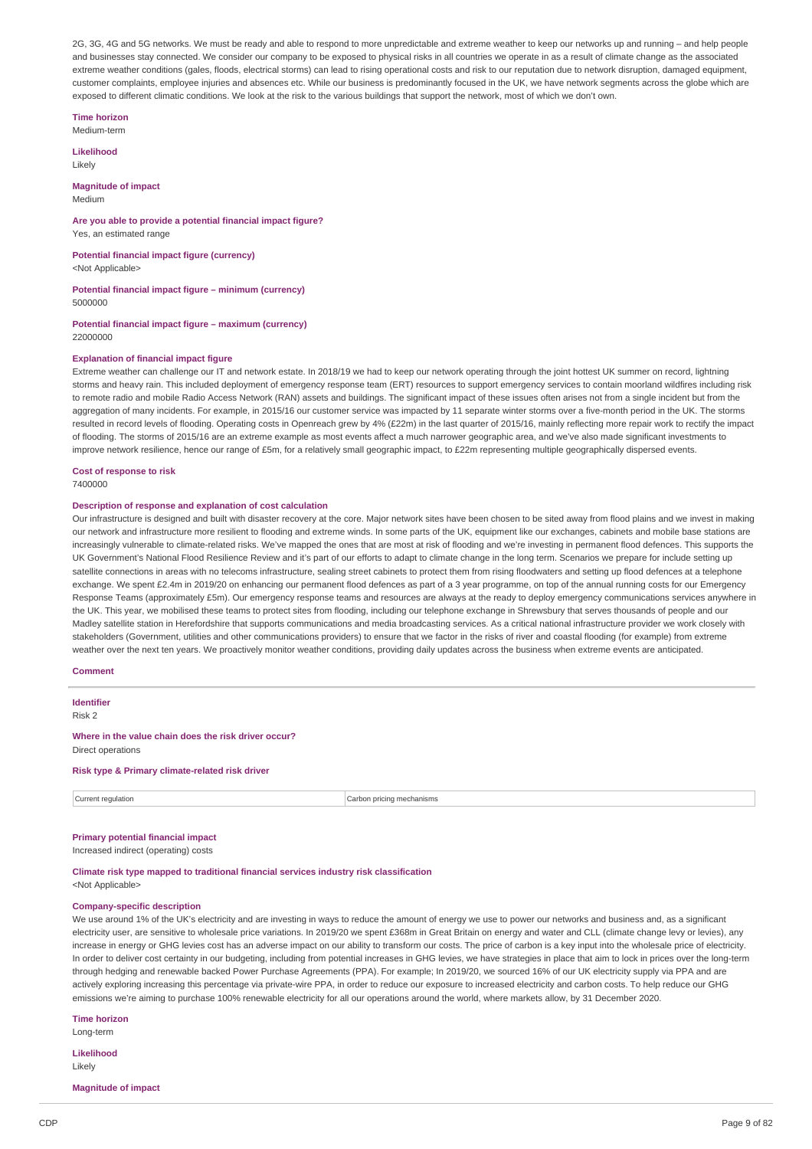2G, 3G, 4G and 5G networks. We must be ready and able to respond to more unpredictable and extreme weather to keep our networks up and running – and help people and businesses stay connected. We consider our company to be exposed to physical risks in all countries we operate in as a result of climate change as the associated extreme weather conditions (gales, floods, electrical storms) can lead to rising operational costs and risk to our reputation due to network disruption, damaged equipment, customer complaints, employee injuries and absences etc. While our business is predominantly focused in the UK, we have network segments across the globe which are exposed to different climatic conditions. We look at the risk to the various buildings that support the network, most of which we don't own.

**Time horizon** Medium-term

**Likelihood**

Likely

**Magnitude of impact** Medium

**Are you able to provide a potential financial impact figure?** Yes, an estimated range

**Potential financial impact figure (currency)** <Not Applicable>

**Potential financial impact figure – minimum (currency)**

5000000

**Potential financial impact figure – maximum (currency)** 22000000

### **Explanation of financial impact figure**

Extreme weather can challenge our IT and network estate. In 2018/19 we had to keep our network operating through the joint hottest UK summer on record, lightning storms and heavy rain. This included deployment of emergency response team (ERT) resources to support emergency services to contain moorland wildfires including risk to remote radio and mobile Radio Access Network (RAN) assets and buildings. The significant impact of these issues often arises not from a single incident but from the aggregation of many incidents. For example, in 2015/16 our customer service was impacted by 11 separate winter storms over a five-month period in the UK. The storms resulted in record levels of flooding. Operating costs in Openreach grew by 4% (£22m) in the last quarter of 2015/16, mainly reflecting more repair work to rectify the impact of flooding. The storms of 2015/16 are an extreme example as most events affect a much narrower geographic area, and we've also made significant investments to improve network resilience, hence our range of £5m, for a relatively small geographic impact, to £22m representing multiple geographically dispersed events.

**Cost of response to risk**

7400000

#### **Description of response and explanation of cost calculation**

Our infrastructure is designed and built with disaster recovery at the core. Major network sites have been chosen to be sited away from flood plains and we invest in making our network and infrastructure more resilient to flooding and extreme winds. In some parts of the UK, equipment like our exchanges, cabinets and mobile base stations are increasingly vulnerable to climate-related risks. We've mapped the ones that are most at risk of flooding and we're investing in permanent flood defences. This supports the UK Government's National Flood Resilience Review and it's part of our efforts to adapt to climate change in the long term. Scenarios we prepare for include setting up satellite connections in areas with no telecoms infrastructure, sealing street cabinets to protect them from rising floodwaters and setting up flood defences at a telephone exchange. We spent £2.4m in 2019/20 on enhancing our permanent flood defences as part of a 3 year programme, on top of the annual running costs for our Emergency Response Teams (approximately £5m). Our emergency response teams and resources are always at the ready to deploy emergency communications services anywhere in the UK. This year, we mobilised these teams to protect sites from flooding, including our telephone exchange in Shrewsbury that serves thousands of people and our Madley satellite station in Herefordshire that supports communications and media broadcasting services. As a critical national infrastructure provider we work closely with stakeholders (Government, utilities and other communications providers) to ensure that we factor in the risks of river and coastal flooding (for example) from extreme weather over the next ten years. We proactively monitor weather conditions, providing daily updates across the business when extreme events are anticipated.

#### **Comment**

**Identifier** Risk 2 **Where in the value chain does the risk driver occur?** Direct operations **Risk type & Primary climate-related risk driver**

Current regulation **Current regulation** Current regulation **Carbon pricing mechanisms** 

### **Primary potential financial impact**

Increased indirect (operating) costs

**Climate risk type mapped to traditional financial services industry risk classification** <Not Applicable>

#### **Company-specific description**

We use around 1% of the UK's electricity and are investing in ways to reduce the amount of energy we use to power our networks and business and, as a significant electricity user, are sensitive to wholesale price variations. In 2019/20 we spent £368m in Great Britain on energy and water and CLL (climate change levy or levies), any increase in energy or GHG levies cost has an adverse impact on our ability to transform our costs. The price of carbon is a key input into the wholesale price of electricity. In order to deliver cost certainty in our budgeting, including from potential increases in GHG levies, we have strategies in place that aim to lock in prices over the long-term through hedging and renewable backed Power Purchase Agreements (PPA). For example; In 2019/20, we sourced 16% of our UK electricity supply via PPA and are actively exploring increasing this percentage via private-wire PPA, in order to reduce our exposure to increased electricity and carbon costs. To help reduce our GHG emissions we're aiming to purchase 100% renewable electricity for all our operations around the world, where markets allow, by 31 December 2020.

#### **Time horizon**

Long-term

**Likelihood** Likely

#### **Magnitude of impact**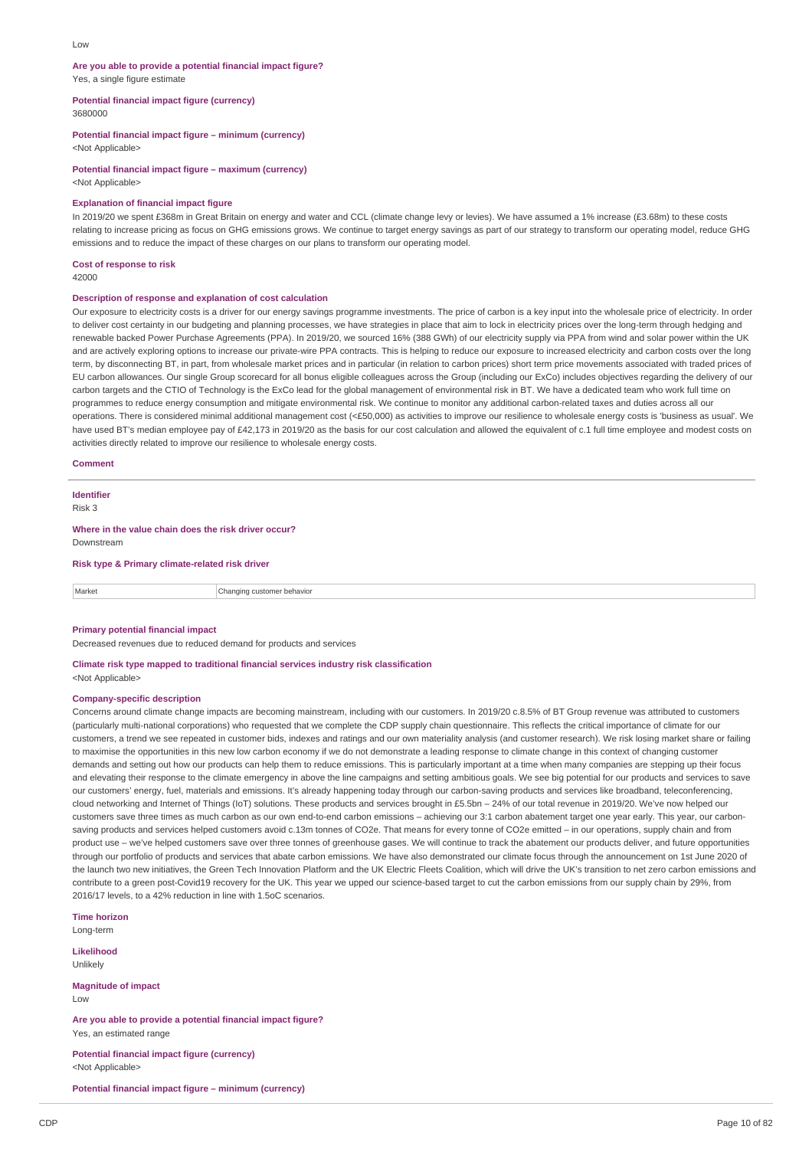#### Low

#### **Are you able to provide a potential financial impact figure?** Yes, a single figure estimate

**Potential financial impact figure (currency)** 3680000

### **Potential financial impact figure – minimum (currency)**

<Not Applicable>

### **Potential financial impact figure – maximum (currency)**

<Not Applicable>

#### **Explanation of financial impact figure**

In 2019/20 we spent £368m in Great Britain on energy and water and CCL (climate change levy or levies). We have assumed a 1% increase (£3.68m) to these costs relating to increase pricing as focus on GHG emissions grows. We continue to target energy savings as part of our strategy to transform our operating model, reduce GHG emissions and to reduce the impact of these charges on our plans to transform our operating model.

## **Cost of response to risk**

42000

#### **Description of response and explanation of cost calculation**

Our exposure to electricity costs is a driver for our energy savings programme investments. The price of carbon is a key input into the wholesale price of electricity. In order to deliver cost certainty in our budgeting and planning processes, we have strategies in place that aim to lock in electricity prices over the long-term through hedging and renewable backed Power Purchase Agreements (PPA). In 2019/20, we sourced 16% (388 GWh) of our electricity supply via PPA from wind and solar power within the UK and are actively exploring options to increase our private-wire PPA contracts. This is helping to reduce our exposure to increased electricity and carbon costs over the long term, by disconnecting BT, in part, from wholesale market prices and in particular (in relation to carbon prices) short term price movements associated with traded prices of EU carbon allowances. Our single Group scorecard for all bonus eligible colleagues across the Group (including our ExCo) includes objectives regarding the delivery of our carbon targets and the CTIO of Technology is the ExCo lead for the global management of environmental risk in BT. We have a dedicated team who work full time on programmes to reduce energy consumption and mitigate environmental risk. We continue to monitor any additional carbon-related taxes and duties across all our operations. There is considered minimal additional management cost (<£50,000) as activities to improve our resilience to wholesale energy costs is 'business as usual'. We have used BT's median employee pay of £42,173 in 2019/20 as the basis for our cost calculation and allowed the equivalent of c.1 full time employee and modest costs on activities directly related to improve our resilience to wholesale energy costs.

#### **Comment**

## **Identifier**

Risk 3

**Where in the value chain does the risk driver occur?** Downstream

**Risk type & Primary climate-related risk driver**

Market **Changing customer behavior** 

### **Primary potential financial impact**

Decreased revenues due to reduced demand for products and services

#### **Climate risk type mapped to traditional financial services industry risk classification** <Not Applicable>

### **Company-specific description**

Concerns around climate change impacts are becoming mainstream, including with our customers. In 2019/20 c.8.5% of BT Group revenue was attributed to customers (particularly multi-national corporations) who requested that we complete the CDP supply chain questionnaire. This reflects the critical importance of climate for our customers, a trend we see repeated in customer bids, indexes and ratings and our own materiality analysis (and customer research). We risk losing market share or failing to maximise the opportunities in this new low carbon economy if we do not demonstrate a leading response to climate change in this context of changing customer demands and setting out how our products can help them to reduce emissions. This is particularly important at a time when many companies are stepping up their focus and elevating their response to the climate emergency in above the line campaigns and setting ambitious goals. We see big potential for our products and services to save our customers' energy, fuel, materials and emissions. It's already happening today through our carbon-saving products and services like broadband, teleconferencing, cloud networking and Internet of Things (IoT) solutions. These products and services brought in £5.5bn – 24% of our total revenue in 2019/20. We've now helped our customers save three times as much carbon as our own end-to-end carbon emissions – achieving our 3:1 carbon abatement target one year early. This year, our carbonsaving products and services helped customers avoid c.13m tonnes of CO2e. That means for every tonne of CO2e emitted – in our operations, supply chain and from product use – we've helped customers save over three tonnes of greenhouse gases. We will continue to track the abatement our products deliver, and future opportunities through our portfolio of products and services that abate carbon emissions. We have also demonstrated our climate focus through the announcement on 1st June 2020 of the launch two new initiatives, the Green Tech Innovation Platform and the UK Electric Fleets Coalition, which will drive the UK's transition to net zero carbon emissions and contribute to a green post-Covid19 recovery for the UK. This year we upped our science-based target to cut the carbon emissions from our supply chain by 29%, from 2016/17 levels, to a 42% reduction in line with 1.5oC scenarios.

**Time horizon** Long-term

**Likelihood**

Unlikely

**Magnitude of impact** Low

**Are you able to provide a potential financial impact figure?** Yes, an estimated range

**Potential financial impact figure (currency)** <Not Applicable>

**Potential financial impact figure – minimum (currency)**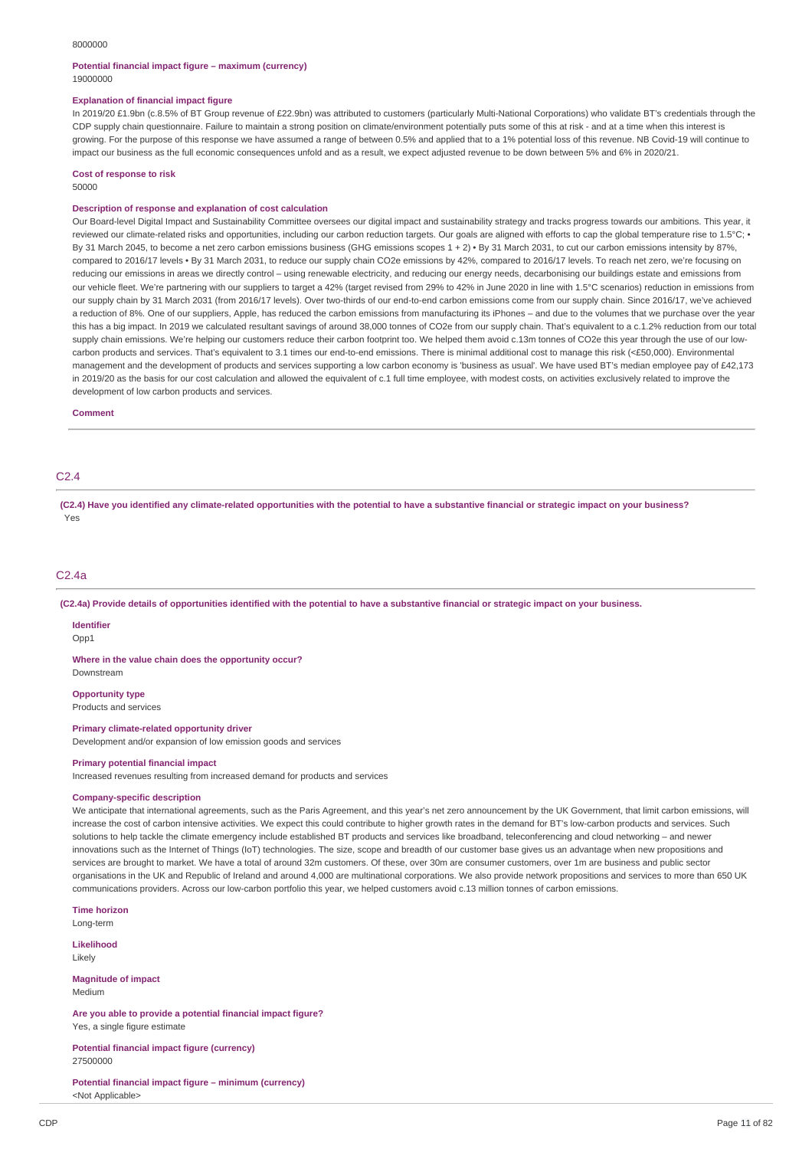#### 8000000

#### **Potential financial impact figure – maximum (currency)** 19000000

#### **Explanation of financial impact figure**

In 2019/20 £1.9bn (c.8.5% of BT Group revenue of £22.9bn) was attributed to customers (particularly Multi-National Corporations) who validate BT's credentials through the CDP supply chain questionnaire. Failure to maintain a strong position on climate/environment potentially puts some of this at risk - and at a time when this interest is growing. For the purpose of this response we have assumed a range of between 0.5% and applied that to a 1% potential loss of this revenue. NB Covid-19 will continue to impact our business as the full economic consequences unfold and as a result, we expect adjusted revenue to be down between 5% and 6% in 2020/21.

#### **Cost of response to risk** 50000

#### **Description of response and explanation of cost calculation**

Our Board-level Digital Impact and Sustainability Committee oversees our digital impact and sustainability strategy and tracks progress towards our ambitions. This year, it reviewed our climate-related risks and opportunities, including our carbon reduction targets. Our goals are aligned with efforts to cap the global temperature rise to 1.5°C; • By 31 March 2045, to become a net zero carbon emissions business (GHG emissions scopes 1 + 2) • By 31 March 2031, to cut our carbon emissions intensity by 87%, compared to 2016/17 levels • By 31 March 2031, to reduce our supply chain CO2e emissions by 42%, compared to 2016/17 levels. To reach net zero, we're focusing on reducing our emissions in areas we directly control – using renewable electricity, and reducing our energy needs, decarbonising our buildings estate and emissions from our vehicle fleet. We're partnering with our suppliers to target a 42% (target revised from 29% to 42% in June 2020 in line with 1.5°C scenarios) reduction in emissions from our supply chain by 31 March 2031 (from 2016/17 levels). Over two-thirds of our end-to-end carbon emissions come from our supply chain. Since 2016/17, we've achieved a reduction of 8%. One of our suppliers, Apple, has reduced the carbon emissions from manufacturing its iPhones – and due to the volumes that we purchase over the year this has a big impact. In 2019 we calculated resultant savings of around 38,000 tonnes of CO2e from our supply chain. That's equivalent to a c.1.2% reduction from our total supply chain emissions. We're helping our customers reduce their carbon footprint too. We helped them avoid c.13m tonnes of CO2e this year through the use of our lowcarbon products and services. That's equivalent to 3.1 times our end-to-end emissions. There is minimal additional cost to manage this risk (<£50,000). Environmental management and the development of products and services supporting a low carbon economy is 'business as usual'. We have used BT's median employee pay of £42,173 in 2019/20 as the basis for our cost calculation and allowed the equivalent of c.1 full time employee, with modest costs, on activities exclusively related to improve the development of low carbon products and services.

#### **Comment**

## C2.4

(C2.4) Have you identified any climate-related opportunities with the potential to have a substantive financial or strategic impact on your business? Yes

#### C2.4a

(C2.4a) Provide details of opportunities identified with the potential to have a substantive financial or strategic impact on your business.

**Identifier** Opp<sub>1</sub>

**Where in the value chain does the opportunity occur?** Downstream

**Opportunity type** Products and services

**Primary climate-related opportunity driver**

Development and/or expansion of low emission goods and services

**Primary potential financial impact**

Increased revenues resulting from increased demand for products and services

#### **Company-specific description**

We anticipate that international agreements, such as the Paris Agreement, and this year's net zero announcement by the UK Government, that limit carbon emissions, will increase the cost of carbon intensive activities. We expect this could contribute to higher growth rates in the demand for BT's low-carbon products and services. Such solutions to help tackle the climate emergency include established BT products and services like broadband, teleconferencing and cloud networking – and newer innovations such as the Internet of Things (IoT) technologies. The size, scope and breadth of our customer base gives us an advantage when new propositions and services are brought to market. We have a total of around 32m customers. Of these, over 30m are consumer customers, over 1m are business and public sector organisations in the UK and Republic of Ireland and around 4,000 are multinational corporations. We also provide network propositions and services to more than 650 UK communications providers. Across our low-carbon portfolio this year, we helped customers avoid c.13 million tonnes of carbon emissions.

**Time horizon** Long-term

**Likelihood** Likely

**Magnitude of impact** Medium

**Are you able to provide a potential financial impact figure?** Yes, a single figure estimate

**Potential financial impact figure (currency)** 27500000

**Potential financial impact figure – minimum (currency)** <Not Applicable>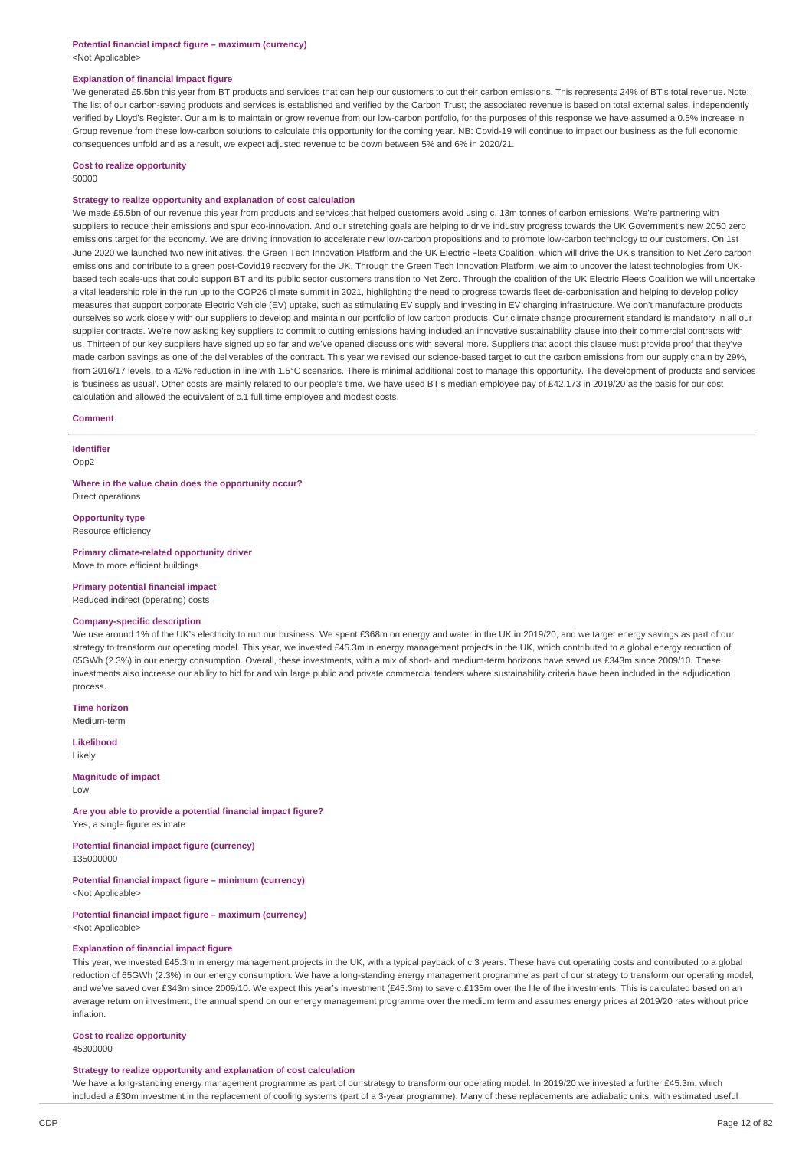#### **Potential financial impact figure – maximum (currency)** <Not Applicable>

#### **Explanation of financial impact figure**

We generated £5.5bn this year from BT products and services that can help our customers to cut their carbon emissions. This represents 24% of BT's total revenue. Note: The list of our carbon-saving products and services is established and verified by the Carbon Trust; the associated revenue is based on total external sales, independently verified by Lloyd's Register. Our aim is to maintain or grow revenue from our low-carbon portfolio, for the purposes of this response we have assumed a 0.5% increase in Group revenue from these low-carbon solutions to calculate this opportunity for the coming year. NB: Covid-19 will continue to impact our business as the full economic consequences unfold and as a result, we expect adjusted revenue to be down between 5% and 6% in 2020/21.

## **Cost to realize opportunity**

### 50000

### **Strategy to realize opportunity and explanation of cost calculation**

We made £5.5bn of our revenue this year from products and services that helped customers avoid using c. 13m tonnes of carbon emissions. We're partnering with suppliers to reduce their emissions and spur eco-innovation. And our stretching goals are helping to drive industry progress towards the UK Government's new 2050 zero emissions target for the economy. We are driving innovation to accelerate new low-carbon propositions and to promote low-carbon technology to our customers. On 1st June 2020 we launched two new initiatives, the Green Tech Innovation Platform and the UK Electric Fleets Coalition, which will drive the UK's transition to Net Zero carbon emissions and contribute to a green post-Covid19 recovery for the UK. Through the Green Tech Innovation Platform, we aim to uncover the latest technologies from UKbased tech scale-ups that could support BT and its public sector customers transition to Net Zero. Through the coalition of the UK Electric Fleets Coalition we will undertake a vital leadership role in the run up to the COP26 climate summit in 2021, highlighting the need to progress towards fleet de-carbonisation and helping to develop policy measures that support corporate Electric Vehicle (EV) uptake, such as stimulating EV supply and investing in EV charging infrastructure. We don't manufacture products ourselves so work closely with our suppliers to develop and maintain our portfolio of low carbon products. Our climate change procurement standard is mandatory in all our supplier contracts. We're now asking key suppliers to commit to cutting emissions having included an innovative sustainability clause into their commercial contracts with us. Thirteen of our key suppliers have signed up so far and we've opened discussions with several more. Suppliers that adopt this clause must provide proof that they've made carbon savings as one of the deliverables of the contract. This year we revised our science-based target to cut the carbon emissions from our supply chain by 29%, from 2016/17 levels, to a 42% reduction in line with 1.5°C scenarios. There is minimal additional cost to manage this opportunity. The development of products and services is 'business as usual'. Other costs are mainly related to our people's time. We have used BT's median employee pay of £42,173 in 2019/20 as the basis for our cost calculation and allowed the equivalent of c.1 full time employee and modest costs.

#### **Comment**

### **Identifier**

Opp2

**Where in the value chain does the opportunity occur?** Direct operations

#### **Opportunity type**

Resource efficiency

**Primary climate-related opportunity driver** Move to more efficient buildings

#### **Primary potential financial impact**

Reduced indirect (operating) costs

### **Company-specific description**

We use around 1% of the UK's electricity to run our business. We spent £368m on energy and water in the UK in 2019/20, and we target energy savings as part of our strategy to transform our operating model. This year, we invested £45.3m in energy management projects in the UK, which contributed to a global energy reduction of 65GWh (2.3%) in our energy consumption. Overall, these investments, with a mix of short- and medium-term horizons have saved us £343m since 2009/10. These investments also increase our ability to bid for and win large public and private commercial tenders where sustainability criteria have been included in the adjudication process

**Time horizon** Medium-term

**Likelihood** Likely

**Magnitude of impact**  $\overline{L}$   $\Omega$ 

**Are you able to provide a potential financial impact figure?**

Yes, a single figure estimate

**Potential financial impact figure (currency)** 135000000

#### **Potential financial impact figure – minimum (currency)**

<Not Applicable>

#### **Potential financial impact figure – maximum (currency)** <Not Applicable>

### **Explanation of financial impact figure**

This year, we invested £45.3m in energy management projects in the UK, with a typical payback of c.3 years. These have cut operating costs and contributed to a global reduction of 65GWh (2.3%) in our energy consumption. We have a long-standing energy management programme as part of our strategy to transform our operating model, and we've saved over £343m since 2009/10. We expect this year's investment (£45.3m) to save c.£135m over the life of the investments. This is calculated based on an average return on investment, the annual spend on our energy management programme over the medium term and assumes energy prices at 2019/20 rates without price inflation.

### **Cost to realize opportunity**

45300000

### **Strategy to realize opportunity and explanation of cost calculation**

We have a long-standing energy management programme as part of our strategy to transform our operating model. In 2019/20 we invested a further £45.3m, which included a £30m investment in the replacement of cooling systems (part of a 3-year programme). Many of these replacements are adiabatic units, with estimated useful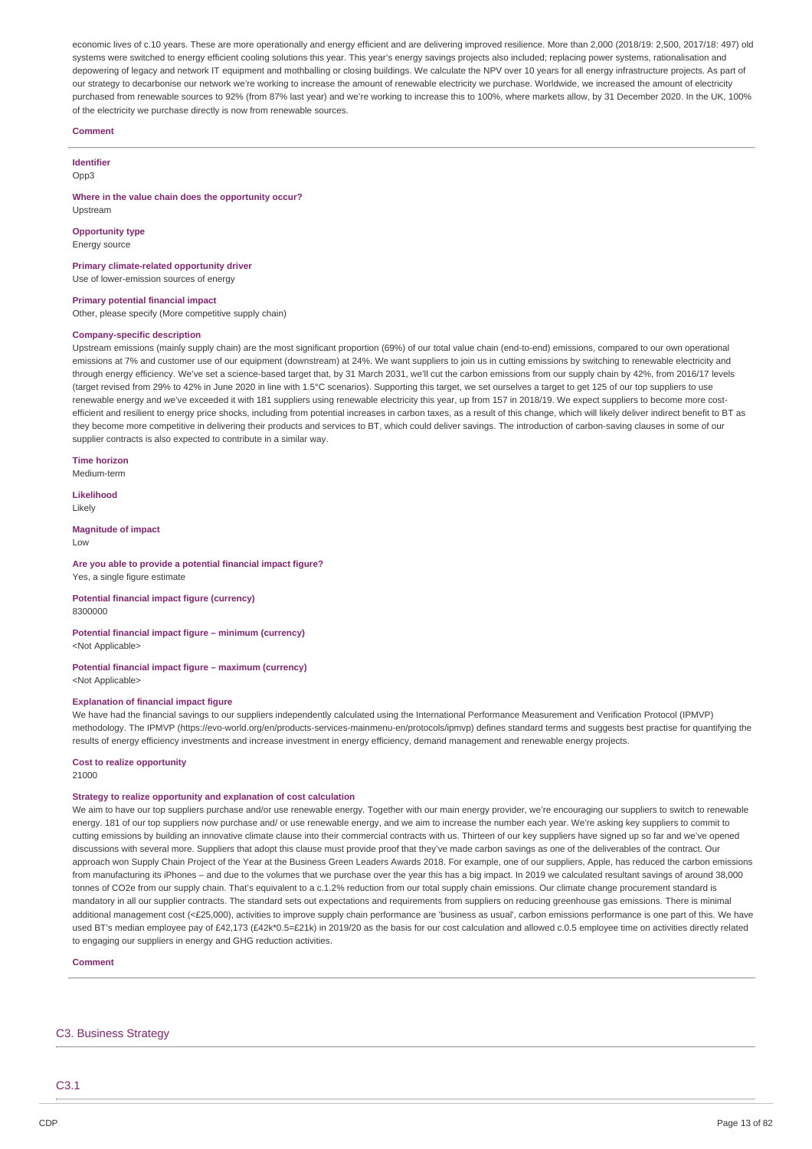economic lives of c.10 years. These are more operationally and energy efficient and are delivering improved resilience. More than 2,000 (2018/19: 2,500, 2017/18: 497) old systems were switched to energy efficient cooling solutions this year. This year's energy savings projects also included; replacing power systems, rationalisation and depowering of legacy and network IT equipment and mothballing or closing buildings. We calculate the NPV over 10 years for all energy infrastructure projects. As part of our strategy to decarbonise our network we're working to increase the amount of renewable electricity we purchase. Worldwide, we increased the amount of electricity purchased from renewable sources to 92% (from 87% last year) and we're working to increase this to 100%, where markets allow, by 31 December 2020. In the UK, 100% of the electricity we purchase directly is now from renewable sources.

#### **Comment**

### **Identifier**

Opp3

**Where in the value chain does the opportunity occur?** Upstream

**Opportunity type**

Energy source

### **Primary climate-related opportunity driver**

Use of lower-emission sources of energy

#### **Primary potential financial impact**

Other, please specify (More competitive supply chain)

### **Company-specific description**

Upstream emissions (mainly supply chain) are the most significant proportion (69%) of our total value chain (end-to-end) emissions, compared to our own operational emissions at 7% and customer use of our equipment (downstream) at 24%. We want suppliers to join us in cutting emissions by switching to renewable electricity and through energy efficiency. We've set a science-based target that, by 31 March 2031, we'll cut the carbon emissions from our supply chain by 42%, from 2016/17 levels (target revised from 29% to 42% in June 2020 in line with 1.5°C scenarios). Supporting this target, we set ourselves a target to get 125 of our top suppliers to use renewable energy and we've exceeded it with 181 suppliers using renewable electricity this year, up from 157 in 2018/19. We expect suppliers to become more costefficient and resilient to energy price shocks, including from potential increases in carbon taxes, as a result of this change, which will likely deliver indirect benefit to BT as they become more competitive in delivering their products and services to BT, which could deliver savings. The introduction of carbon-saving clauses in some of our supplier contracts is also expected to contribute in a similar way.

**Time horizon** Medium-term

### **Likelihood**

Likely

**Magnitude of impact** Low

#### **Are you able to provide a potential financial impact figure?** Yes, a single figure estimate

**Potential financial impact figure (currency)** 8300000

### **Potential financial impact figure – minimum (currency)** <Not Applicable>

#### **Potential financial impact figure – maximum (currency)** <Not Applicable>

#### **Explanation of financial impact figure**

We have had the financial savings to our suppliers independently calculated using the International Performance Measurement and Verification Protocol (IPMVP) methodology. The IPMVP (https://evo-world.org/en/products-services-mainmenu-en/protocols/ipmvp) defines standard terms and suggests best practise for quantifying the results of energy efficiency investments and increase investment in energy efficiency, demand management and renewable energy projects.

#### **Cost to realize opportunity**

21000

### **Strategy to realize opportunity and explanation of cost calculation**

We aim to have our top suppliers purchase and/or use renewable energy. Together with our main energy provider, we're encouraging our suppliers to switch to renewable energy. 181 of our top suppliers now purchase and/ or use renewable energy, and we aim to increase the number each year. We're asking key suppliers to commit to cutting emissions by building an innovative climate clause into their commercial contracts with us. Thirteen of our key suppliers have signed up so far and we've opened discussions with several more. Suppliers that adopt this clause must provide proof that they've made carbon savings as one of the deliverables of the contract. Our approach won Supply Chain Project of the Year at the Business Green Leaders Awards 2018. For example, one of our suppliers, Apple, has reduced the carbon emissions from manufacturing its iPhones – and due to the volumes that we purchase over the year this has a big impact. In 2019 we calculated resultant savings of around 38,000 tonnes of CO2e from our supply chain. That's equivalent to a c.1.2% reduction from our total supply chain emissions. Our climate change procurement standard is mandatory in all our supplier contracts. The standard sets out expectations and requirements from suppliers on reducing greenhouse gas emissions. There is minimal additional management cost (<£25,000), activities to improve supply chain performance are 'business as usual', carbon emissions performance is one part of this. We have used BT's median employee pay of £42,173 (£42k\*0.5=£21k) in 2019/20 as the basis for our cost calculation and allowed c.0.5 employee time on activities directly related to engaging our suppliers in energy and GHG reduction activities.

#### **Comment**

### C3. Business Strategy

C3.1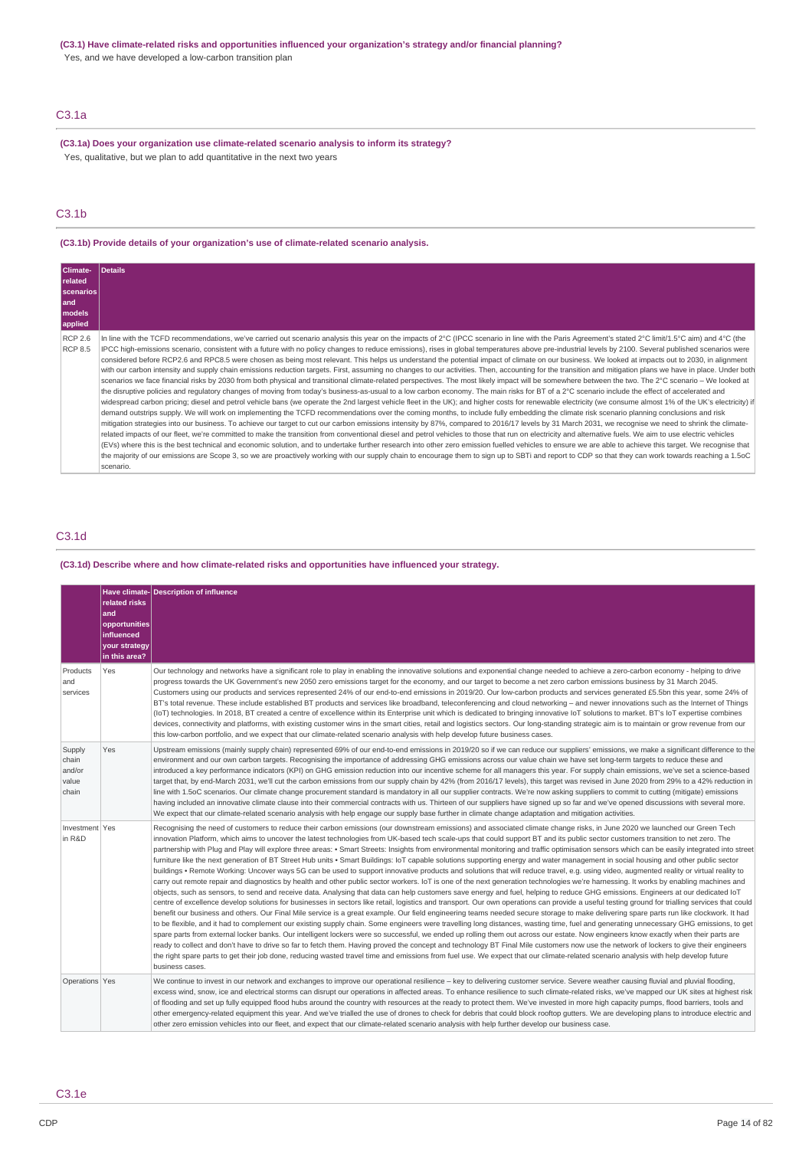### **(C3.1) Have climate-related risks and opportunities influenced your organization's strategy and/or financial planning?**

Yes, and we have developed a low-carbon transition plan

## C3.1a

**(C3.1a) Does your organization use climate-related scenario analysis to inform its strategy?** Yes, qualitative, but we plan to add quantitative in the next two years

### C3.1b

**(C3.1b) Provide details of your organization's use of climate-related scenario analysis.**

| Climate-<br><b>related</b><br>  scenarios  <br>land<br><b>models</b><br>applied | <b>Details</b>                                                                                                                                                                                                                                                                                                                                                                                                                                                                                                                                                                                                                                                                                                                                                                                                                                                                                                                                                                                                                                                                                                                                                                                                                                                                                                                                                                                                                                                                                                                                                                                                                                                                                                                                                                                                                                                                                                                                                                                                                                                                                                                                                                                                                                                                                                                                                                                                                                                                                                     |
|---------------------------------------------------------------------------------|--------------------------------------------------------------------------------------------------------------------------------------------------------------------------------------------------------------------------------------------------------------------------------------------------------------------------------------------------------------------------------------------------------------------------------------------------------------------------------------------------------------------------------------------------------------------------------------------------------------------------------------------------------------------------------------------------------------------------------------------------------------------------------------------------------------------------------------------------------------------------------------------------------------------------------------------------------------------------------------------------------------------------------------------------------------------------------------------------------------------------------------------------------------------------------------------------------------------------------------------------------------------------------------------------------------------------------------------------------------------------------------------------------------------------------------------------------------------------------------------------------------------------------------------------------------------------------------------------------------------------------------------------------------------------------------------------------------------------------------------------------------------------------------------------------------------------------------------------------------------------------------------------------------------------------------------------------------------------------------------------------------------------------------------------------------------------------------------------------------------------------------------------------------------------------------------------------------------------------------------------------------------------------------------------------------------------------------------------------------------------------------------------------------------------------------------------------------------------------------------------------------------|
| <b>RCP 2.6</b><br><b>RCP 8.5</b>                                                | In line with the TCFD recommendations, we've carried out scenario analysis this year on the impacts of 2°C (IPCC scenario in line with the Paris Agreement's stated 2°C limit/1.5°C aim) and 4°C (the<br>IPCC high-emissions scenario, consistent with a future with no policy changes to reduce emissions), rises in global temperatures above pre-industrial levels by 2100. Several published scenarios were<br>considered before RCP2.6 and RPC8.5 were chosen as being most relevant. This helps us understand the potential impact of climate on our business. We looked at impacts out to 2030, in alignment<br>with our carbon intensity and supply chain emissions reduction targets. First, assuming no changes to our activities. Then, accounting for the transition and mitigation plans we have in place. Under both<br>scenarios we face financial risks by 2030 from both physical and transitional climate-related perspectives. The most likely impact will be somewhere between the two. The 2°C scenario - We looked at<br>the disruptive policies and requlatory changes of moving from today's business-as-usual to a low carbon economy. The main risks for BT of a 2°C scenario include the effect of accelerated and<br>widespread carbon pricing; diesel and petrol vehicle bans (we operate the 2nd largest vehicle fleet in the UK); and higher costs for renewable electricity (we consume almost 1% of the UK's electricity) if<br>demand outstrips supply. We will work on implementing the TCFD recommendations over the coming months, to include fully embedding the climate risk scenario planning conclusions and risk<br>mitigation strategies into our business. To achieve our target to cut our carbon emissions intensity by 87%, compared to 2016/17 levels by 31 March 2031, we recognise we need to shrink the climate-<br>related impacts of our fleet, we're committed to make the transition from conventional diesel and petrol vehicles to those that run on electricity and alternative fuels. We aim to use electric vehicles<br>(EVs) where this is the best technical and economic solution, and to undertake further research into other zero emission fuelled vehicles to ensure we are able to achieve this target. We recognise that<br>the majority of our emissions are Scope 3, so we are proactively working with our supply chain to encourage them to sign up to SBTi and report to CDP so that they can work towards reaching a 1.5oC<br>scenario. |

## C3.1d

**(C3.1d) Describe where and how climate-related risks and opportunities have influenced your strategy.**

|                                             | related risks<br>land<br>opportunities<br>influenced<br>vour strategy<br>in this area? | Have climate- Description of influence                                                                                                                                                                                                                                                                                                                                                                                                                                                                                                                                                                                                                                                                                                                                                                                                                                                                                                                                                                                                                                                                                                                                                                                                                                                                                                                                                                                                                                                                                                                                                                                                                                                                                                                                                                                                                                                                                                                                                                                                                                                                                                                                                                                                                                                                                                                                                                                                                                                                            |
|---------------------------------------------|----------------------------------------------------------------------------------------|-------------------------------------------------------------------------------------------------------------------------------------------------------------------------------------------------------------------------------------------------------------------------------------------------------------------------------------------------------------------------------------------------------------------------------------------------------------------------------------------------------------------------------------------------------------------------------------------------------------------------------------------------------------------------------------------------------------------------------------------------------------------------------------------------------------------------------------------------------------------------------------------------------------------------------------------------------------------------------------------------------------------------------------------------------------------------------------------------------------------------------------------------------------------------------------------------------------------------------------------------------------------------------------------------------------------------------------------------------------------------------------------------------------------------------------------------------------------------------------------------------------------------------------------------------------------------------------------------------------------------------------------------------------------------------------------------------------------------------------------------------------------------------------------------------------------------------------------------------------------------------------------------------------------------------------------------------------------------------------------------------------------------------------------------------------------------------------------------------------------------------------------------------------------------------------------------------------------------------------------------------------------------------------------------------------------------------------------------------------------------------------------------------------------------------------------------------------------------------------------------------------------|
| Products<br>and<br>services                 | Yes                                                                                    | Our technology and networks have a significant role to play in enabling the innovative solutions and exponential change needed to achieve a zero-carbon economy - helping to drive<br>progress towards the UK Government's new 2050 zero emissions target for the economy, and our target to become a net zero carbon emissions business by 31 March 2045.<br>Customers using our products and services represented 24% of our end-to-end emissions in 2019/20. Our low-carbon products and services generated £5.5bn this year, some 24% of<br>BT's total revenue. These include established BT products and services like broadband, teleconferencing and cloud networking - and newer innovations such as the Internet of Things<br>(IoT) technologies. In 2018, BT created a centre of excellence within its Enterprise unit which is dedicated to bringing innovative IoT solutions to market. BT's IoT expertise combines<br>devices, connectivity and platforms, with existing customer wins in the smart cities, retail and logistics sectors. Our long-standing strategic aim is to maintain or grow revenue from our<br>this low-carbon portfolio, and we expect that our climate-related scenario analysis with help develop future business cases.                                                                                                                                                                                                                                                                                                                                                                                                                                                                                                                                                                                                                                                                                                                                                                                                                                                                                                                                                                                                                                                                                                                                                                                                                                                    |
| Supply<br>chain<br>and/or<br>value<br>chain | Yes                                                                                    | Upstream emissions (mainly supply chain) represented 69% of our end-to-end emissions in 2019/20 so if we can reduce our suppliers' emissions, we make a significant difference to the<br>environment and our own carbon targets. Recognising the importance of addressing GHG emissions across our value chain we have set long-term targets to reduce these and<br>introduced a key performance indicators (KPI) on GHG emission reduction into our incentive scheme for all managers this year. For supply chain emissions, we've set a science-based<br>target that, by end-March 2031, we'll cut the carbon emissions from our supply chain by 42% (from 2016/17 levels), this target was revised in June 2020 from 29% to a 42% reduction in<br>line with 1.5oC scenarios. Our climate change procurement standard is mandatory in all our supplier contracts. We're now asking suppliers to commit to cutting (mitigate) emissions<br>having included an innovative climate clause into their commercial contracts with us. Thirteen of our suppliers have signed up so far and we've opened discussions with several more.<br>We expect that our climate-related scenario analysis with help engage our supply base further in climate change adaptation and mitigation activities.                                                                                                                                                                                                                                                                                                                                                                                                                                                                                                                                                                                                                                                                                                                                                                                                                                                                                                                                                                                                                                                                                                                                                                                                                        |
| Investment   Yes<br>in R&D                  |                                                                                        | Recognising the need of customers to reduce their carbon emissions (our downstream emissions) and associated climate change risks, in June 2020 we launched our Green Tech<br>innovation Platform, which aims to uncover the latest technologies from UK-based tech scale-ups that could support BT and its public sector customers transition to net zero. The<br>partnership with Plug and Play will explore three areas: • Smart Streets: Insights from environmental monitoring and traffic optimisation sensors which can be easily integrated into street<br>furniture like the next generation of BT Street Hub units • Smart Buildings: IoT capable solutions supporting energy and water management in social housing and other public sector<br>buildings . Remote Working: Uncover ways 5G can be used to support innovative products and solutions that will reduce travel, e.g. using video, augmented reality or virtual reality to<br>carry out remote repair and diagnostics by health and other public sector workers. IoT is one of the next generation technologies we're harnessing. It works by enabling machines and<br>objects, such as sensors, to send and receive data. Analysing that data can help customers save energy and fuel, helping to reduce GHG emissions. Engineers at our dedicated IoT<br>centre of excellence develop solutions for businesses in sectors like retail, logistics and transport. Our own operations can provide a useful testing ground for trialling services that could<br>benefit our business and others. Our Final Mile service is a great example. Our field engineering teams needed secure storage to make delivering spare parts run like clockwork. It had<br>to be flexible, and it had to complement our existing supply chain. Some engineers were travelling long distances, wasting time, fuel and generating unnecessary GHG emissions, to get<br>spare parts from external locker banks. Our intelligent lockers were so successful, we ended up rolling them out across our estate. Now engineers know exactly when their parts are<br>ready to collect and don't have to drive so far to fetch them. Having proved the concept and technology BT Final Mile customers now use the network of lockers to give their engineers<br>the right spare parts to get their job done, reducing wasted travel time and emissions from fuel use. We expect that our climate-related scenario analysis with help develop future<br>business cases. |
| Operations Yes                              |                                                                                        | We continue to invest in our network and exchanges to improve our operational resilience - key to delivering customer service. Severe weather causing fluvial and pluvial flooding,<br>excess wind, snow, ice and electrical storms can disrupt our operations in affected areas. To enhance resilience to such climate-related risks, we've mapped our UK sites at highest risk<br>of flooding and set up fully equipped flood hubs around the country with resources at the ready to protect them. We've invested in more high capacity pumps, flood barriers, tools and<br>other emergency-related equipment this year. And we've trialled the use of drones to check for debris that could block rooftop qutters. We are developing plans to introduce electric and<br>other zero emission vehicles into our fleet, and expect that our climate-related scenario analysis with help further develop our business case.                                                                                                                                                                                                                                                                                                                                                                                                                                                                                                                                                                                                                                                                                                                                                                                                                                                                                                                                                                                                                                                                                                                                                                                                                                                                                                                                                                                                                                                                                                                                                                                        |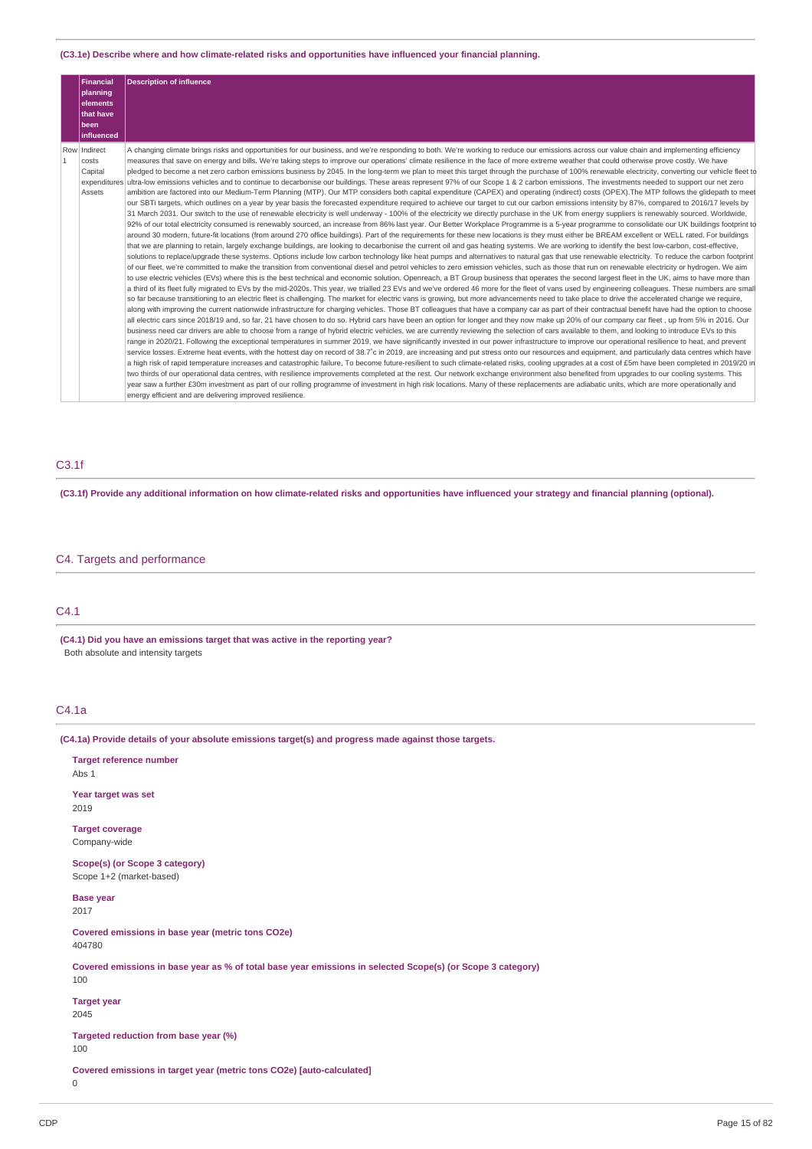### **(C3.1e) Describe where and how climate-related risks and opportunities have influenced your financial planning.**

|              | <b>Financial</b><br>planning<br>elements<br>that have<br>been<br>influenced | <b>Description of influence</b>                                                                                                                                                                                                                                                                                                                                                                                                                                                                                                                                                                                                                                                                                                                                                                                                                                                                                                                                                                                                                                                                                                                                                                                                                                                                                                                                                                                                                                                                                                                                                                                                                                                                                                                                                                                                                                                                                                                                                                                                                                                                                                                                                                                                                                                                                                                                                                                                                                                                                                                                                                                                                                                                                                                                                                                                                                                                                                                                                                                                                                                                                                                                                                                                                                                                                                                                                                                                                                                                                                                                                                                                                                                                                                                                                                                                                                                                                                                                                                                                                                                                                                                                                                                                                                                                                                                                                                                                                                                                                                                                                                                                                                                                         |
|--------------|-----------------------------------------------------------------------------|---------------------------------------------------------------------------------------------------------------------------------------------------------------------------------------------------------------------------------------------------------------------------------------------------------------------------------------------------------------------------------------------------------------------------------------------------------------------------------------------------------------------------------------------------------------------------------------------------------------------------------------------------------------------------------------------------------------------------------------------------------------------------------------------------------------------------------------------------------------------------------------------------------------------------------------------------------------------------------------------------------------------------------------------------------------------------------------------------------------------------------------------------------------------------------------------------------------------------------------------------------------------------------------------------------------------------------------------------------------------------------------------------------------------------------------------------------------------------------------------------------------------------------------------------------------------------------------------------------------------------------------------------------------------------------------------------------------------------------------------------------------------------------------------------------------------------------------------------------------------------------------------------------------------------------------------------------------------------------------------------------------------------------------------------------------------------------------------------------------------------------------------------------------------------------------------------------------------------------------------------------------------------------------------------------------------------------------------------------------------------------------------------------------------------------------------------------------------------------------------------------------------------------------------------------------------------------------------------------------------------------------------------------------------------------------------------------------------------------------------------------------------------------------------------------------------------------------------------------------------------------------------------------------------------------------------------------------------------------------------------------------------------------------------------------------------------------------------------------------------------------------------------------------------------------------------------------------------------------------------------------------------------------------------------------------------------------------------------------------------------------------------------------------------------------------------------------------------------------------------------------------------------------------------------------------------------------------------------------------------------------------------------------------------------------------------------------------------------------------------------------------------------------------------------------------------------------------------------------------------------------------------------------------------------------------------------------------------------------------------------------------------------------------------------------------------------------------------------------------------------------------------------------------------------------------------------------------------------------------------------------------------------------------------------------------------------------------------------------------------------------------------------------------------------------------------------------------------------------------------------------------------------------------------------------------------------------------------------------------------------------------------------------------------------------------------------------|
| $\mathbf{1}$ | Row Indirect<br>costs<br>Capital<br>Assets                                  | A changing climate brings risks and opportunities for our business, and we're responding to both. We're working to reduce our emissions across our value chain and implementing efficiency<br>measures that save on energy and bills. We're taking steps to improve our operations' climate resilience in the face of more extreme weather that could otherwise prove costly. We have<br>pledged to become a net zero carbon emissions business by 2045. In the long-term we plan to meet this target through the purchase of 100% renewable electricity, converting our vehicle fleet to<br>expenditures ultra-low emissions vehicles and to continue to decarbonise our buildings. These areas represent 97% of our Scope 1 & 2 carbon emissions. The investments needed to support our net zero<br>ambition are factored into our Medium-Term Planning (MTP). Our MTP considers both capital expenditure (CAPEX) and operating (indirect) costs (OPEX). The MTP follows the glidepath to meet<br>our SBTi targets, which outlines on a year by year basis the forecasted expenditure required to achieve our target to cut our carbon emissions intensity by 87%, compared to 2016/17 levels by<br>31 March 2031. Our switch to the use of renewable electricity is well underway - 100% of the electricity we directly purchase in the UK from energy suppliers is renewably sourced. Worldwide,<br>92% of our total electricity consumed is renewably sourced, an increase from 86% last year. Our Better Workplace Programme is a 5-year programme to consolidate our UK buildings footprint to<br>around 30 modern, future-fit locations (from around 270 office buildings). Part of the requirements for these new locations is they must either be BREAM excellent or WELL rated. For buildings<br>that we are planning to retain, largely exchange buildings, are looking to decarbonise the current oil and gas heating systems. We are working to identify the best low-carbon, cost-effective,<br>solutions to replace/upgrade these systems. Options include low carbon technology like heat pumps and alternatives to natural gas that use renewable electricity. To reduce the carbon footprint<br>of our fleet, we're committed to make the transition from conventional diesel and petrol vehicles to zero emission vehicles, such as those that run on renewable electricity or hydrogen. We aim<br>to use electric vehicles (EVs) where this is the best technical and economic solution. Openreach, a BT Group business that operates the second largest fleet in the UK, aims to have more than<br>a third of its fleet fully migrated to EVs by the mid-2020s. This year, we trialled 23 EVs and we've ordered 46 more for the fleet of vans used by engineering colleagues. These numbers are small<br>so far because transitioning to an electric fleet is challenging. The market for electric vans is growing, but more advancements need to take place to drive the accelerated change we require,<br>along with improving the current nationwide infrastructure for charging vehicles. Those BT colleagues that have a company car as part of their contractual benefit have had the option to choose<br>all electric cars since 2018/19 and, so far, 21 have chosen to do so. Hybrid cars have been an option for longer and they now make up 20% of our company car fleet, up from 5% in 2016. Our<br>business need car drivers are able to choose from a range of hybrid electric vehicles, we are currently reviewing the selection of cars available to them, and looking to introduce EVs to this<br>range in 2020/21. Following the exceptional temperatures in summer 2019, we have significantly invested in our power infrastructure to improve our operational resilience to heat, and prevent<br>service losses. Extreme heat events, with the hottest day on record of 38.7°c in 2019, are increasing and put stress onto our resources and equipment, and particularly data centres which have<br>a high risk of rapid temperature increases and catastrophic failure, To become future-resilient to such climate-related risks, cooling upgrades at a cost of £5m have been completed in 2019/20 in<br>two thirds of our operational data centres, with resilience improvements completed at the rest. Our network exchange environment also benefited from upgrades to our cooling systems. This<br>year saw a further £30m investment as part of our rolling programme of investment in high risk locations. Many of these replacements are adiabatic units, which are more operationally and<br>energy efficient and are delivering improved resilience. |

## C3.1f

(C3.1f) Provide any additional information on how climate-related risks and opportunities have influenced your strategy and financial planning (optional).

## C4. Targets and performance

## C4.1

**(C4.1) Did you have an emissions target that was active in the reporting year?** Both absolute and intensity targets

## C4.1a

**(C4.1a) Provide details of your absolute emissions target(s) and progress made against those targets.**

| <b>Target reference number</b><br>Abs 1                                                                            |
|--------------------------------------------------------------------------------------------------------------------|
| Year target was set<br>2019                                                                                        |
| <b>Target coverage</b><br>Company-wide                                                                             |
| Scope(s) (or Scope 3 category)<br>Scope 1+2 (market-based)                                                         |
| <b>Base year</b><br>2017                                                                                           |
| Covered emissions in base year (metric tons CO2e)<br>404780                                                        |
| Covered emissions in base year as % of total base year emissions in selected Scope(s) (or Scope 3 category)<br>100 |
| <b>Target year</b><br>2045                                                                                         |
| Targeted reduction from base year (%)<br>100                                                                       |
| Covered emissions in target year (metric tons CO2e) [auto-calculated]<br>0                                         |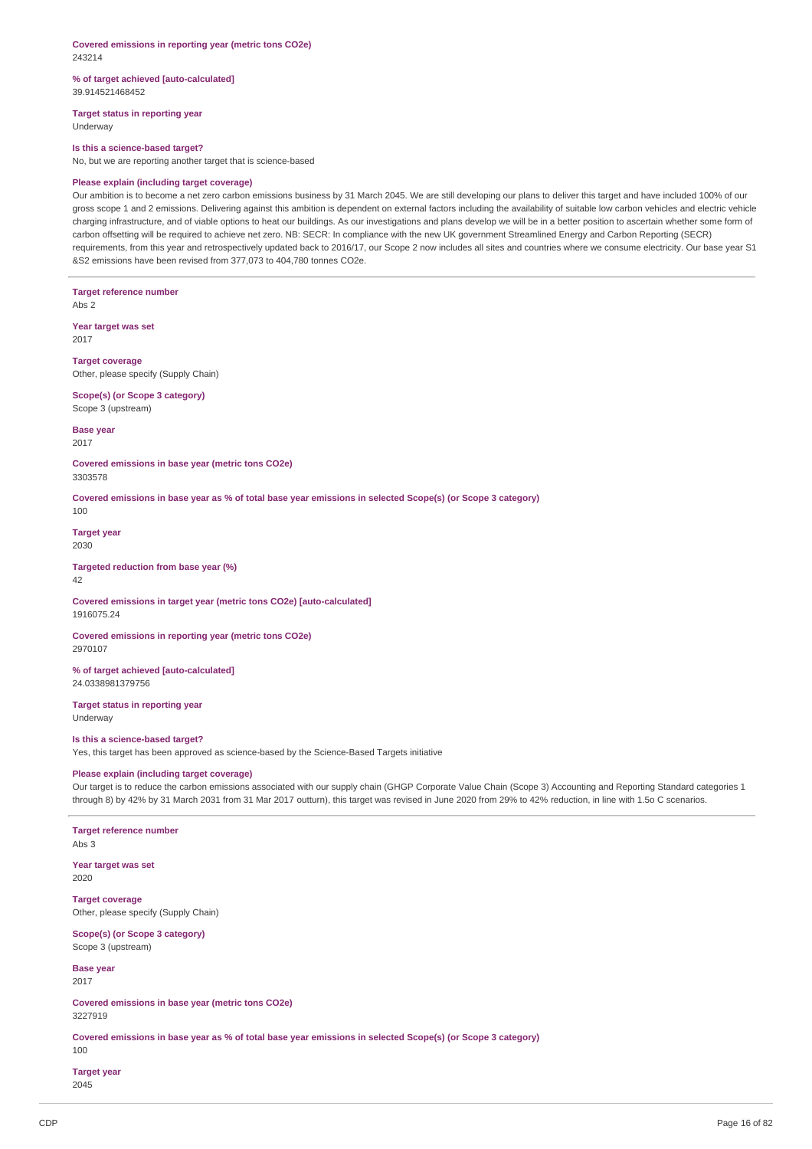#### **Covered emissions in reporting year (metric tons CO2e)** 243214

#### **% of target achieved [auto-calculated]** 39.914521468452

**Target status in reporting year** Underway

#### **Is this a science-based target?**

No, but we are reporting another target that is science-based

### **Please explain (including target coverage)**

Our ambition is to become a net zero carbon emissions business by 31 March 2045. We are still developing our plans to deliver this target and have included 100% of our gross scope 1 and 2 emissions. Delivering against this ambition is dependent on external factors including the availability of suitable low carbon vehicles and electric vehicle charging infrastructure, and of viable options to heat our buildings. As our investigations and plans develop we will be in a better position to ascertain whether some form of carbon offsetting will be required to achieve net zero. NB: SECR: In compliance with the new UK government Streamlined Energy and Carbon Reporting (SECR) requirements, from this year and retrospectively updated back to 2016/17, our Scope 2 now includes all sites and countries where we consume electricity. Our base year S1 &S2 emissions have been revised from 377,073 to 404,780 tonnes CO2e.

**Target reference number** Abs 2

**Year target was set** 2017

**Target coverage** Other, please specify (Supply Chain)

**Scope(s) (or Scope 3 category)** Scope 3 (upstream)

**Base year**

2017

**Covered emissions in base year (metric tons CO2e)** 3303578

Covered emissions in base year as % of total base year emissions in selected Scope(s) (or Scope 3 category)

100

**Target year** 2030

**Targeted reduction from base year (%)**  $\overline{A2}$ 

**Covered emissions in target year (metric tons CO2e) [auto-calculated]** 1916075.24

**Covered emissions in reporting year (metric tons CO2e)** 2970107

**% of target achieved [auto-calculated]** 24.0338981379756

**Target status in reporting year** Underway

#### **Is this a science-based target?**

Yes, this target has been approved as science-based by the Science-Based Targets initiative

### **Please explain (including target coverage)**

Our target is to reduce the carbon emissions associated with our supply chain (GHGP Corporate Value Chain (Scope 3) Accounting and Reporting Standard categories 1 through 8) by 42% by 31 March 2031 from 31 Mar 2017 outturn), this target was revised in June 2020 from 29% to 42% reduction, in line with 1.5o C scenarios.

**Target reference number**

Abs 3

**Year target was set** 2020

**Target coverage** Other, please specify (Supply Chain)

**Scope(s) (or Scope 3 category)** Scope 3 (upstream)

**Base year** 2017

**Covered emissions in base year (metric tons CO2e)** 3227919

Covered emissions in base year as % of total base year emissions in selected Scope(s) (or Scope 3 category)

**Target year**

2045

100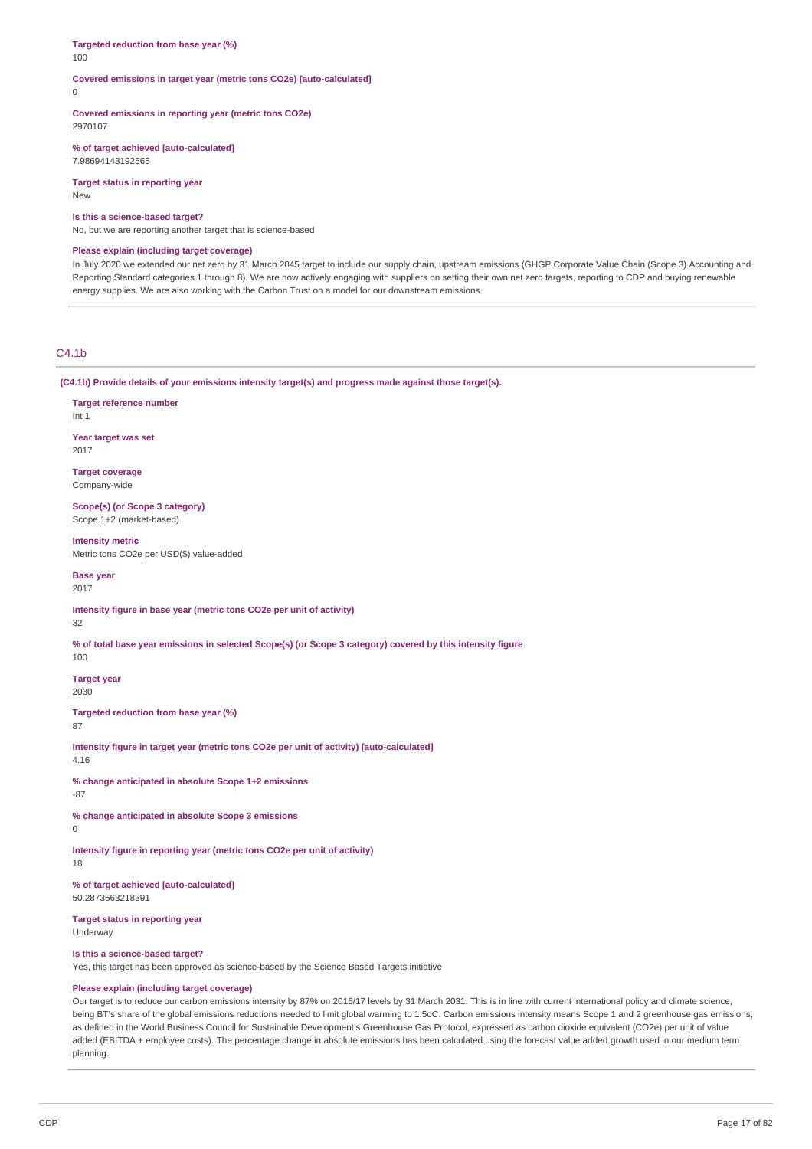#### **Targeted reduction from base year (%)** 100

## **Covered emissions in target year (metric tons CO2e) [auto-calculated]**

 $\theta$ 

**Covered emissions in reporting year (metric tons CO2e)** 2970107

**% of target achieved [auto-calculated]** 7.98694143192565

**Target status in reporting year** New

#### **Is this a science-based target?**

No, but we are reporting another target that is science-based

#### **Please explain (including target coverage)**

In July 2020 we extended our net zero by 31 March 2045 target to include our supply chain, upstream emissions (GHGP Corporate Value Chain (Scope 3) Accounting and Reporting Standard categories 1 through 8). We are now actively engaging with suppliers on setting their own net zero targets, reporting to CDP and buying renewable energy supplies. We are also working with the Carbon Trust on a model for our downstream emissions.

## $C4.1<sub>b</sub>$

**(C4.1b) Provide details of your emissions intensity target(s) and progress made against those target(s).**

**Target reference number** Int 1 **Year target was set** 2017

**Target coverage** Company-wide

**Scope(s) (or Scope 3 category)** Scope 1+2 (market-based)

**Intensity metric** Metric tons CO2e per USD(\$) value-added

**Base year** 2017

**Intensity figure in base year (metric tons CO2e per unit of activity)** 32

% of total base year emissions in selected Scope(s) (or Scope 3 category) covered by this intensity figure

**Target year** 2030

**Targeted reduction from base year (%)**

87

100

**Intensity figure in target year (metric tons CO2e per unit of activity) [auto-calculated]** 4.16

**% change anticipated in absolute Scope 1+2 emissions** -87

**% change anticipated in absolute Scope 3 emissions**

 $\Omega$ 

**Intensity figure in reporting year (metric tons CO2e per unit of activity)** 18

**% of target achieved [auto-calculated]** 50.2873563218391

**Target status in reporting year** Underway

**Is this a science-based target?**

Yes, this target has been approved as science-based by the Science Based Targets initiative

### **Please explain (including target coverage)**

Our target is to reduce our carbon emissions intensity by 87% on 2016/17 levels by 31 March 2031. This is in line with current international policy and climate science, being BT's share of the global emissions reductions needed to limit global warming to 1.5oC. Carbon emissions intensity means Scope 1 and 2 greenhouse gas emissions, as defined in the World Business Council for Sustainable Development's Greenhouse Gas Protocol, expressed as carbon dioxide equivalent (CO2e) per unit of value added (EBITDA + employee costs). The percentage change in absolute emissions has been calculated using the forecast value added growth used in our medium term planning.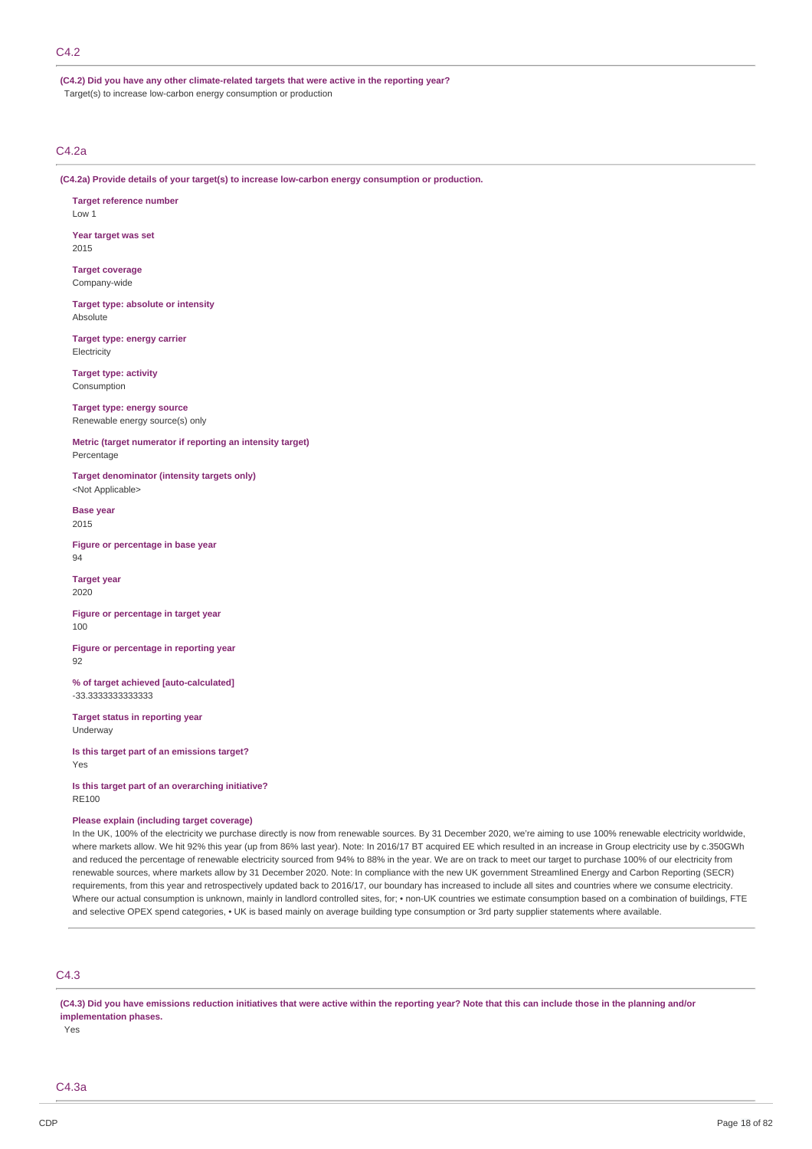**(C4.2) Did you have any other climate-related targets that were active in the reporting year?** Target(s) to increase low-carbon energy consumption or production

### C4.2a

**(C4.2a) Provide details of your target(s) to increase low-carbon energy consumption or production.**

**Target reference number** Low 1

**Year target was set** 2015

**Target coverage** Company-wide

**Target type: absolute or intensity** Absolute

**Target type: energy carrier Electricity** 

**Target type: activity** Consumption

**Target type: energy source** Renewable energy source(s) only

**Metric (target numerator if reporting an intensity target)** Percentage

**Target denominator (intensity targets only)** <Not Applicable>

**Base year** 2015

**Figure or percentage in base year** 94

**Target year** 2020

**Figure or percentage in target year** 100

**Figure or percentage in reporting year** 92

**% of target achieved [auto-calculated]** -33.3333333333333

**Target status in reporting year** Underway

**Is this target part of an emissions target?** Yes

**Is this target part of an overarching initiative?** RE100

#### **Please explain (including target coverage)**

In the UK, 100% of the electricity we purchase directly is now from renewable sources. By 31 December 2020, we're aiming to use 100% renewable electricity worldwide, where markets allow. We hit 92% this year (up from 86% last year). Note: In 2016/17 BT acquired EE which resulted in an increase in Group electricity use by c.350GWh and reduced the percentage of renewable electricity sourced from 94% to 88% in the year. We are on track to meet our target to purchase 100% of our electricity from renewable sources, where markets allow by 31 December 2020. Note: In compliance with the new UK government Streamlined Energy and Carbon Reporting (SECR) requirements, from this year and retrospectively updated back to 2016/17, our boundary has increased to include all sites and countries where we consume electricity. Where our actual consumption is unknown, mainly in landlord controlled sites, for; • non-UK countries we estimate consumption based on a combination of buildings, FTE and selective OPEX spend categories, • UK is based mainly on average building type consumption or 3rd party supplier statements where available.

### C4.3

(C4.3) Did you have emissions reduction initiatives that were active within the reporting year? Note that this can include those in the planning and/or **implementation phases.**

Yes

C4.3a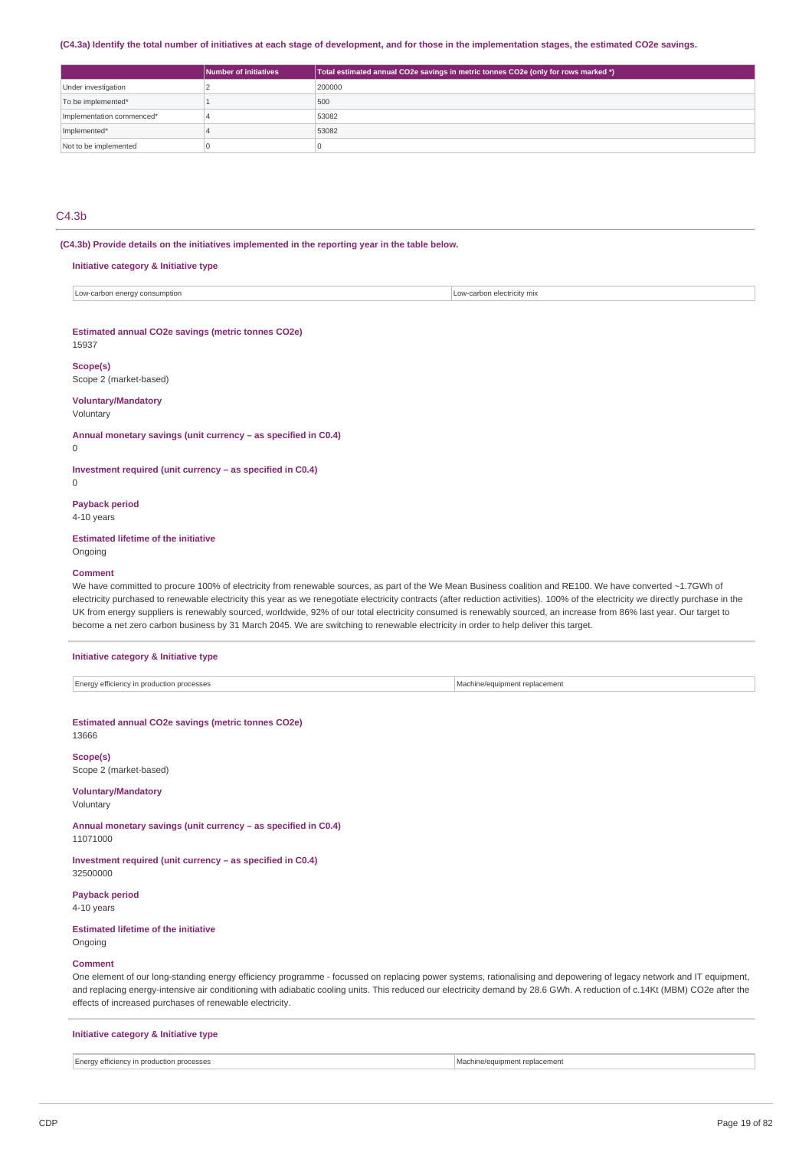#### (C4.3a) Identify the total number of initiatives at each stage of development, and for those in the implementation stages, the estimated CO2e savings.

|                           | Number of initiatives | Total estimated annual CO2e savings in metric tonnes CO2e (only for rows marked *) |
|---------------------------|-----------------------|------------------------------------------------------------------------------------|
| Under investigation       |                       | 200000                                                                             |
| To be implemented*        |                       | 500                                                                                |
| Implementation commenced* |                       | 53082                                                                              |
| Implemented*              |                       | 53082                                                                              |
| Not to be implemented     |                       |                                                                                    |

### C4.3b

**(C4.3b) Provide details on the initiatives implemented in the reporting year in the table below.**

| Initiative category & Initiative type              |                            |  |  |  |
|----------------------------------------------------|----------------------------|--|--|--|
| Low-carbon energy consumption                      | Low-carbon electricity mix |  |  |  |
| Estimated annual CO2e savings (metric tonnes CO2e) |                            |  |  |  |
| 15937                                              |                            |  |  |  |
| Scope(s)<br>Scope 2 (market-based)                 |                            |  |  |  |
| <b>Voluntary/Mandatory</b>                         |                            |  |  |  |

Voluntary

**Annual monetary savings (unit currency – as specified in C0.4)**

### $\Omega$

**Investment required (unit currency – as specified in C0.4)**

 $\theta$ 

### **Payback period**

4-10 years

### **Estimated lifetime of the initiative**

Ongoing

### **Comment**

We have committed to procure 100% of electricity from renewable sources, as part of the We Mean Business coalition and RE100. We have converted ~1.7GWh of electricity purchased to renewable electricity this year as we renegotiate electricity contracts (after reduction activities). 100% of the electricity we directly purchase in the UK from energy suppliers is renewably sourced, worldwide, 92% of our total electricity consumed is renewably sourced, an increase from 86% last year. Our target to become a net zero carbon business by 31 March 2045. We are switching to renewable electricity in order to help deliver this target.

#### **Initiative category & Initiative type**

#### **Estimated annual CO2e savings (metric tonnes CO2e)** 13666

**Scope(s)**

Scope 2 (market-based)

### **Voluntary/Mandatory**

Voluntary

**Annual monetary savings (unit currency – as specified in C0.4)** 11071000

**Investment required (unit currency – as specified in C0.4)** 32500000

**Payback period** 4-10 years

### **Estimated lifetime of the initiative**

Ongoing

#### **Comment**

One element of our long-standing energy efficiency programme - focussed on replacing power systems, rationalising and depowering of legacy network and IT equipment, and replacing energy-intensive air conditioning with adiabatic cooling units. This reduced our electricity demand by 28.6 GWh. A reduction of c.14Kt (MBM) CO2e after the effects of increased purchases of renewable electricity.

#### **Initiative category & Initiative type**

Energy efficiency in production processes and the state of the state of the state of the Machine/equipment replacement replacement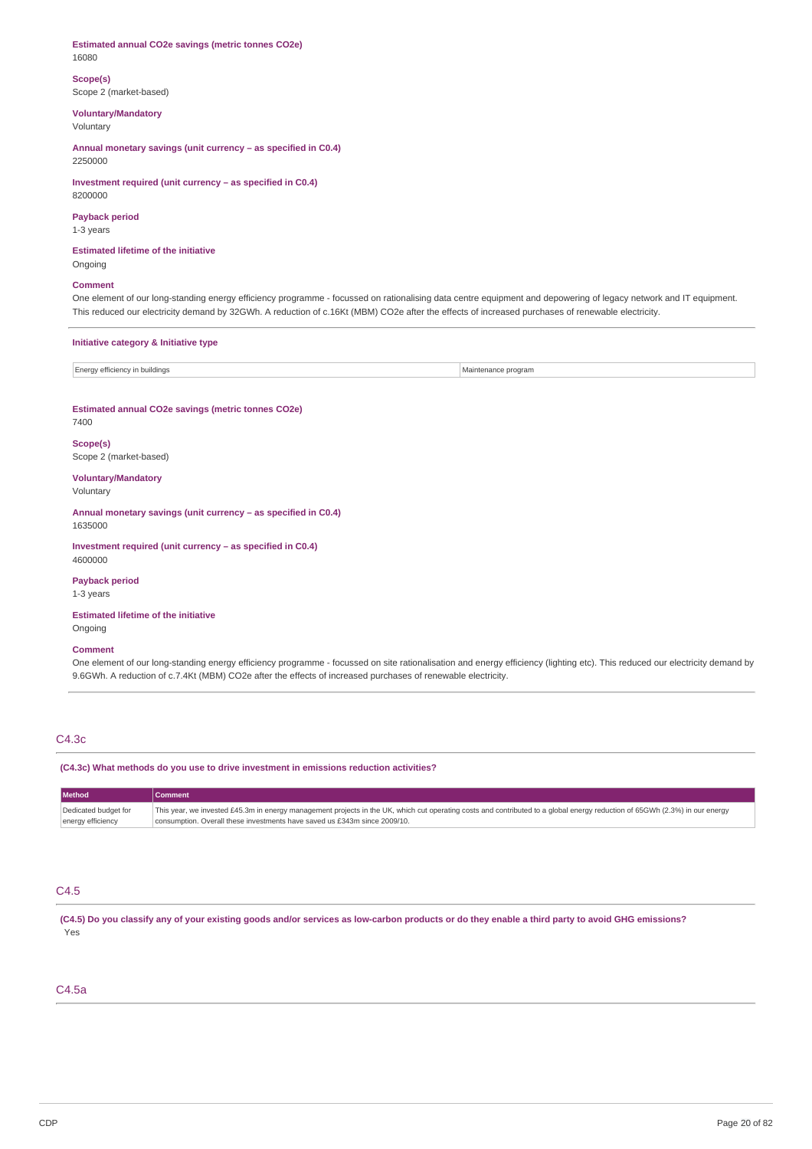#### **Estimated annual CO2e savings (metric tonnes CO2e)** 16080

**Scope(s)** Scope 2 (market-based)

**Voluntary/Mandatory**

Voluntary

**Annual monetary savings (unit currency – as specified in C0.4)** 2250000

**Investment required (unit currency – as specified in C0.4)** 8200000

## **Payback period**

1-3 years

**Estimated lifetime of the initiative** Ongoing

### **Comment**

One element of our long-standing energy efficiency programme - focussed on rationalising data centre equipment and depowering of legacy network and IT equipment. This reduced our electricity demand by 32GWh. A reduction of c.16Kt (MBM) CO2e after the effects of increased purchases of renewable electricity.

### **Initiative category & Initiative type**

| Energy efficiency in buildings | Maintenance program |  |
|--------------------------------|---------------------|--|

## **Estimated annual CO2e savings (metric tonnes CO2e)**

7400

**Scope(s)** Scope 2 (market-based)

#### **Voluntary/Mandatory** Voluntary

**Annual monetary savings (unit currency – as specified in C0.4)** 1635000

**Investment required (unit currency – as specified in C0.4)** 4600000

**Payback period** 1-3 years

**Estimated lifetime of the initiative** Ongoing

**Comment**

One element of our long-standing energy efficiency programme - focussed on site rationalisation and energy efficiency (lighting etc). This reduced our electricity demand by 9.6GWh. A reduction of c.7.4Kt (MBM) CO2e after the effects of increased purchases of renewable electricity.

### C4.3c

**(C4.3c) What methods do you use to drive investment in emissions reduction activities?**

| <b>Method</b>        | <b>Comment</b>                                                                                                                                                              |
|----------------------|-----------------------------------------------------------------------------------------------------------------------------------------------------------------------------|
| Dedicated budget for | This year, we invested £45.3m in energy management projects in the UK, which cut operating costs and contributed to a global energy reduction of 65GWh (2.3%) in our energy |
| energy efficiency    | consumption. Overall these investments have saved us £343m since 2009/10.                                                                                                   |

## C4.5

(C4.5) Do you classify any of your existing goods and/or services as low-carbon products or do they enable a third party to avoid GHG emissions? Yes

### C4.5a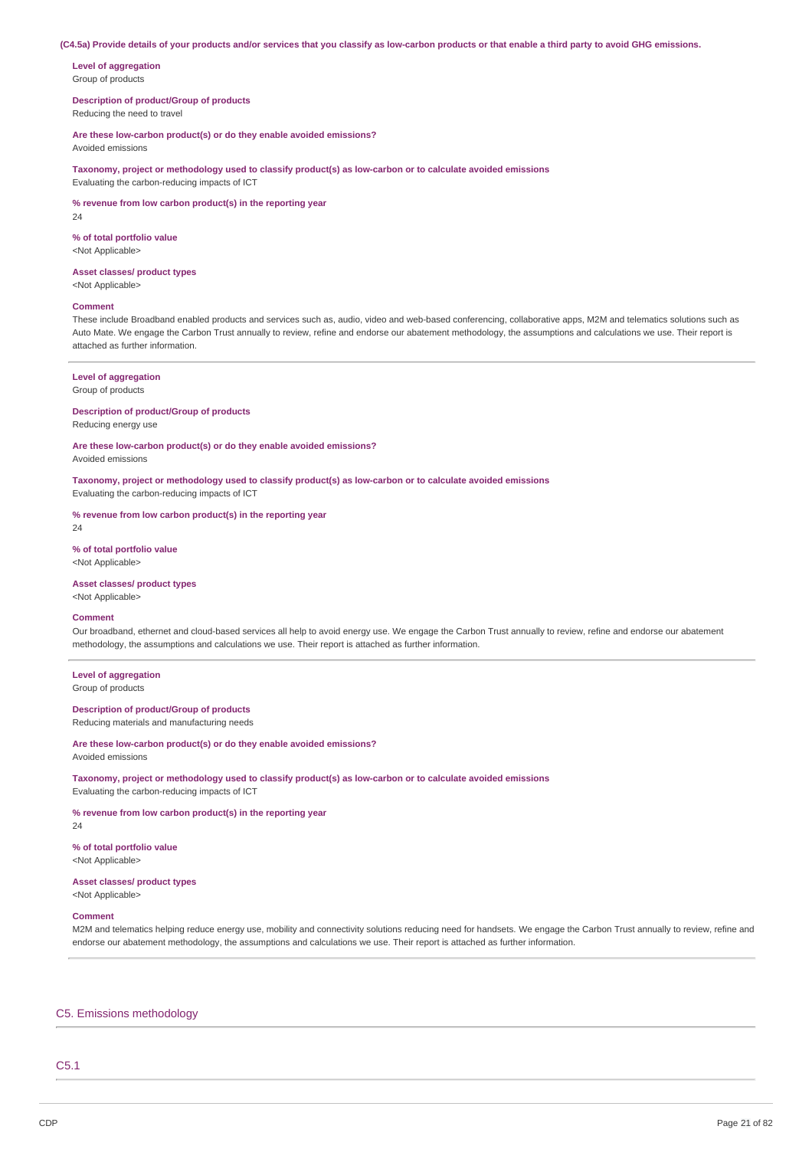#### (C4.5a) Provide details of your products and/or services that you classify as low-carbon products or that enable a third party to avoid GHG emissions.

**Level of aggregation** Group of products

**Description of product/Group of products** Reducing the need to travel

**Are these low-carbon product(s) or do they enable avoided emissions?**

Avoided emissions

**Taxonomy, project or methodology used to classify product(s) as low-carbon or to calculate avoided emissions** Evaluating the carbon-reducing impacts of ICT

**% revenue from low carbon product(s) in the reporting year** 24

**% of total portfolio value** <Not Applicable>

#### **Asset classes/ product types**

<Not Applicable>

### **Comment**

These include Broadband enabled products and services such as, audio, video and web-based conferencing, collaborative apps, M2M and telematics solutions such as Auto Mate. We engage the Carbon Trust annually to review, refine and endorse our abatement methodology, the assumptions and calculations we use. Their report is attached as further information.

#### **Level of aggregation**

Group of products

## **Description of product/Group of products**

Reducing energy use

**Are these low-carbon product(s) or do they enable avoided emissions?**

Avoided emissions

**Taxonomy, project or methodology used to classify product(s) as low-carbon or to calculate avoided emissions** Evaluating the carbon-reducing impacts of ICT

**% revenue from low carbon product(s) in the reporting year**

**% of total portfolio value** <Not Applicable>

24

### **Asset classes/ product types**

<Not Applicable>

## **Comment**

Our broadband, ethernet and cloud-based services all help to avoid energy use. We engage the Carbon Trust annually to review, refine and endorse our abatement methodology, the assumptions and calculations we use. Their report is attached as further information.

**Level of aggregation** Group of products

### **Description of product/Group of products**

Reducing materials and manufacturing needs

#### **Are these low-carbon product(s) or do they enable avoided emissions?** Avoided emissions

**Taxonomy, project or methodology used to classify product(s) as low-carbon or to calculate avoided emissions** Evaluating the carbon-reducing impacts of ICT

**% revenue from low carbon product(s) in the reporting year**

 $24$ 

**% of total portfolio value** <Not Applicable>

#### **Asset classes/ product types** <Not Applicable>

#### **Comment**

M2M and telematics helping reduce energy use, mobility and connectivity solutions reducing need for handsets. We engage the Carbon Trust annually to review, refine and endorse our abatement methodology, the assumptions and calculations we use. Their report is attached as further information.

### C5. Emissions methodology

## C5.1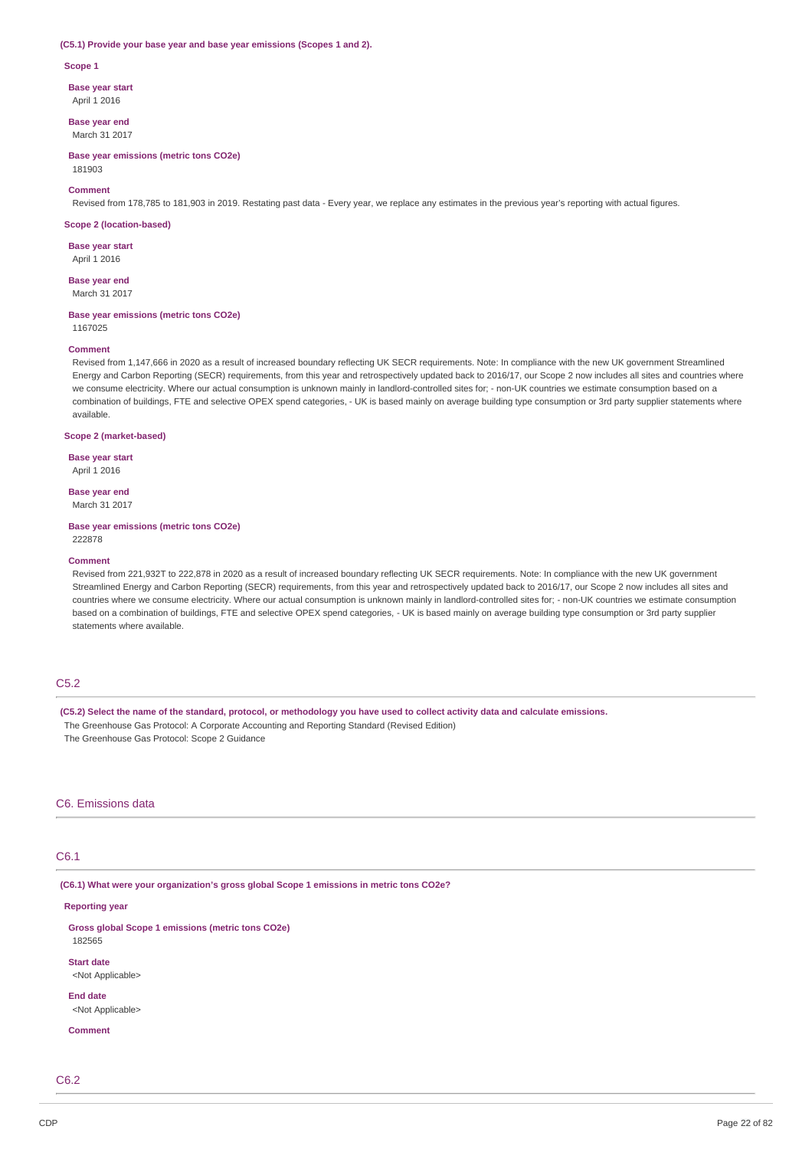#### **(C5.1) Provide your base year and base year emissions (Scopes 1 and 2).**

#### **Scope 1**

**Base year start**

April 1 2016

**Base year end** March 31 2017

**Base year emissions (metric tons CO2e)** 181903

### **Comment**

Revised from 178,785 to 181,903 in 2019. Restating past data - Every year, we replace any estimates in the previous year's reporting with actual figures.

#### **Scope 2 (location-based)**

**Base year start** April 1 2016

**Base year end**

March 31 2017

#### **Base year emissions (metric tons CO2e)**

1167025

### **Comment**

Revised from 1,147,666 in 2020 as a result of increased boundary reflecting UK SECR requirements. Note: In compliance with the new UK government Streamlined Energy and Carbon Reporting (SECR) requirements, from this year and retrospectively updated back to 2016/17, our Scope 2 now includes all sites and countries where we consume electricity. Where our actual consumption is unknown mainly in landlord-controlled sites for; - non-UK countries we estimate consumption based on a combination of buildings, FTE and selective OPEX spend categories, - UK is based mainly on average building type consumption or 3rd party supplier statements where available.

#### **Scope 2 (market-based)**

**Base year start**

April 1 2016

## **Base year end**

March 31 2017

#### **Base year emissions (metric tons CO2e)** 222878

#### **Comment**

Revised from 221,932T to 222,878 in 2020 as a result of increased boundary reflecting UK SECR requirements. Note: In compliance with the new UK government Streamlined Energy and Carbon Reporting (SECR) requirements, from this year and retrospectively updated back to 2016/17, our Scope 2 now includes all sites and countries where we consume electricity. Where our actual consumption is unknown mainly in landlord-controlled sites for; - non-UK countries we estimate consumption based on a combination of buildings, FTE and selective OPEX spend categories, - UK is based mainly on average building type consumption or 3rd party supplier statements where available.

### C<sub>5.2</sub>

(C5.2) Select the name of the standard, protocol, or methodology you have used to collect activity data and calculate emissions. The Greenhouse Gas Protocol: A Corporate Accounting and Reporting Standard (Revised Edition) The Greenhouse Gas Protocol: Scope 2 Guidance

### C6. Emissions data

### C6.1

**(C6.1) What were your organization's gross global Scope 1 emissions in metric tons CO2e?**

#### **Reporting year**

**Gross global Scope 1 emissions (metric tons CO2e)** 182565

**Start date**

<Not Applicable>

**End date** <Not Applicable>

**Comment**

C6.2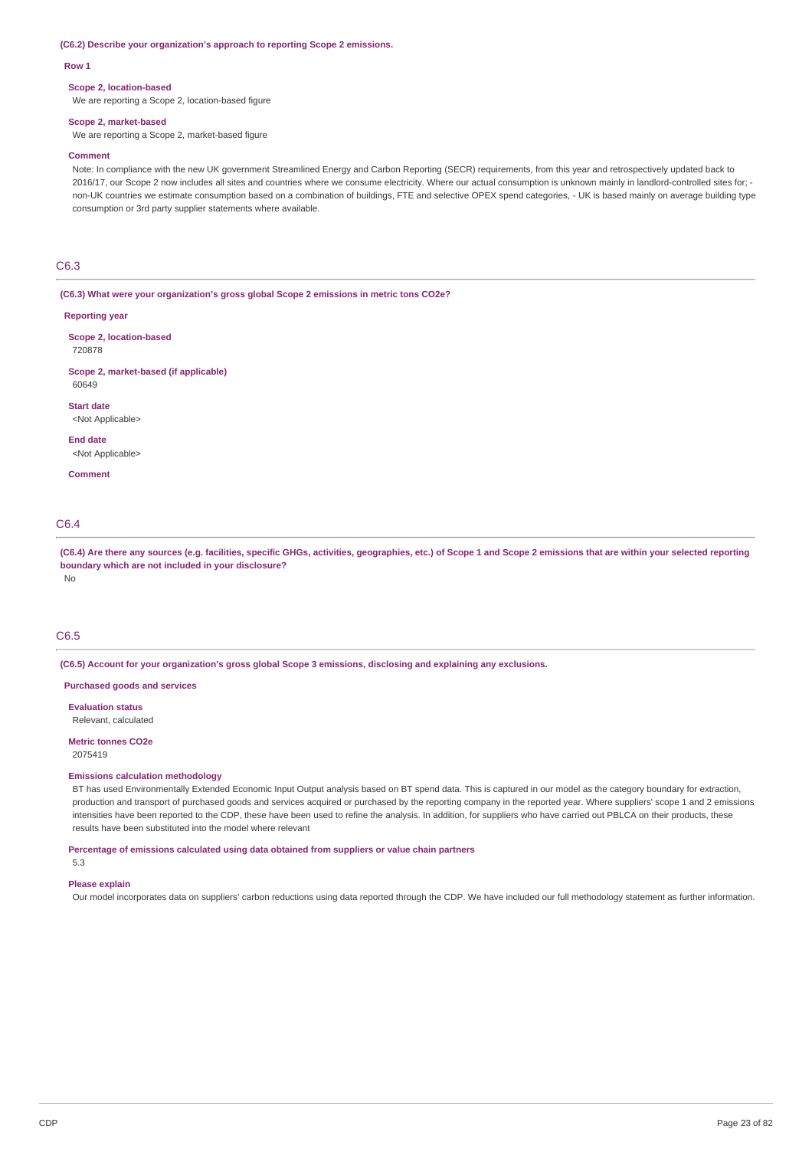#### **(C6.2) Describe your organization's approach to reporting Scope 2 emissions.**

#### **Row 1**

#### **Scope 2, location-based**

We are reporting a Scope 2, location-based figure

#### **Scope 2, market-based**

We are reporting a Scope 2, market-based figure

#### **Comment**

Note: In compliance with the new UK government Streamlined Energy and Carbon Reporting (SECR) requirements, from this year and retrospectively updated back to 2016/17, our Scope 2 now includes all sites and countries where we consume electricity. Where our actual consumption is unknown mainly in landlord-controlled sites for; non-UK countries we estimate consumption based on a combination of buildings, FTE and selective OPEX spend categories, - UK is based mainly on average building type consumption or 3rd party supplier statements where available.

### C6.3

**(C6.3) What were your organization's gross global Scope 2 emissions in metric tons CO2e?**

#### **Reporting year**

**Scope 2, location-based** 720878

#### **Scope 2, market-based (if applicable)** 60649

**Start date** <Not Applicable>

#### **End date** <Not Applicable>

**Comment**

### C6.4

(C6.4) Are there any sources (e.g. facilities, specific GHGs, activities, geographies, etc.) of Scope 1 and Scope 2 emissions that are within your selected reporting **boundary which are not included in your disclosure?** No

### C6.5

**(C6.5) Account for your organization's gross global Scope 3 emissions, disclosing and explaining any exclusions.**

#### **Purchased goods and services**

**Evaluation status** Relevant, calculated

#### **Metric tonnes CO2e** 2075419

#### **Emissions calculation methodology**

BT has used Environmentally Extended Economic Input Output analysis based on BT spend data. This is captured in our model as the category boundary for extraction, production and transport of purchased goods and services acquired or purchased by the reporting company in the reported year. Where suppliers' scope 1 and 2 emissions intensities have been reported to the CDP, these have been used to refine the analysis. In addition, for suppliers who have carried out PBLCA on their products, these results have been substituted into the model where relevant

#### **Percentage of emissions calculated using data obtained from suppliers or value chain partners** 5.3

# **Please explain**

Our model incorporates data on suppliers' carbon reductions using data reported through the CDP. We have included our full methodology statement as further information.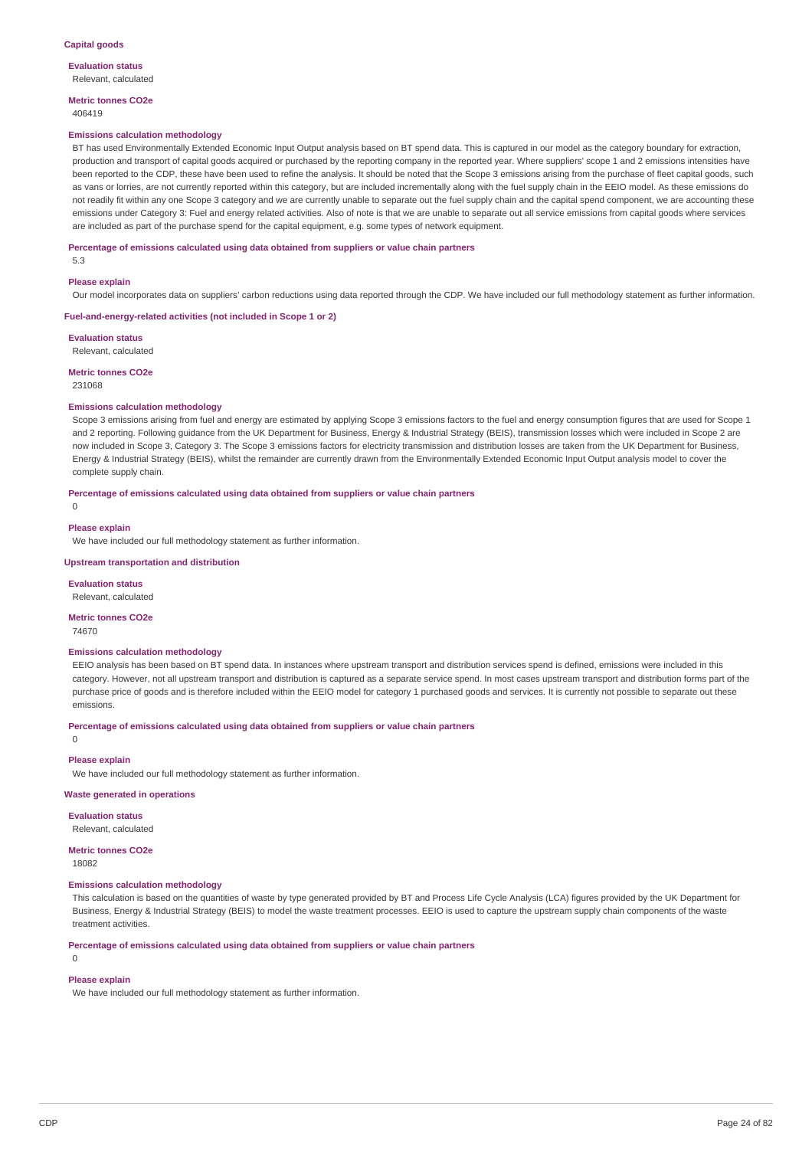**Evaluation status** Relevant, calculated

**Metric tonnes CO2e** 406419

#### **Emissions calculation methodology**

BT has used Environmentally Extended Economic Input Output analysis based on BT spend data. This is captured in our model as the category boundary for extraction, production and transport of capital goods acquired or purchased by the reporting company in the reported year. Where suppliers' scope 1 and 2 emissions intensities have been reported to the CDP, these have been used to refine the analysis. It should be noted that the Scope 3 emissions arising from the purchase of fleet capital goods, such as vans or lorries, are not currently reported within this category, but are included incrementally along with the fuel supply chain in the EEIO model. As these emissions do not readily fit within any one Scope 3 category and we are currently unable to separate out the fuel supply chain and the capital spend component, we are accounting these emissions under Category 3: Fuel and energy related activities. Also of note is that we are unable to separate out all service emissions from capital goods where services are included as part of the purchase spend for the capital equipment, e.g. some types of network equipment.

**Percentage of emissions calculated using data obtained from suppliers or value chain partners**

5.3

#### **Please explain**

Our model incorporates data on suppliers' carbon reductions using data reported through the CDP. We have included our full methodology statement as further information.

#### **Fuel-and-energy-related activities (not included in Scope 1 or 2)**

**Evaluation status**

Relevant, calculated

### **Metric tonnes CO2e**

231068

#### **Emissions calculation methodology**

Scope 3 emissions arising from fuel and energy are estimated by applying Scope 3 emissions factors to the fuel and energy consumption figures that are used for Scope 1 and 2 reporting. Following guidance from the UK Department for Business, Energy & Industrial Strategy (BEIS), transmission losses which were included in Scope 2 are now included in Scope 3, Category 3, The Scope 3 emissions factors for electricity transmission and distribution losses are taken from the UK Department for Business. Energy & Industrial Strategy (BEIS), whilst the remainder are currently drawn from the Environmentally Extended Economic Input Output analysis model to cover the complete supply chain.

#### **Percentage of emissions calculated using data obtained from suppliers or value chain partners**

0

#### **Please explain**

We have included our full methodology statement as further information.

**Upstream transportation and distribution**

**Evaluation status** Relevant, calculated

#### **Metric tonnes CO2e**

74670

#### **Emissions calculation methodology**

EEIO analysis has been based on BT spend data. In instances where upstream transport and distribution services spend is defined, emissions were included in this category. However, not all upstream transport and distribution is captured as a separate service spend. In most cases upstream transport and distribution forms part of the purchase price of goods and is therefore included within the EEIO model for category 1 purchased goods and services. It is currently not possible to separate out these emissions.

**Percentage of emissions calculated using data obtained from suppliers or value chain partners**

0

#### **Please explain**

We have included our full methodology statement as further information.

### **Waste generated in operations**

#### **Evaluation status**

Relevant, calculated

### **Metric tonnes CO2e**

18082

#### **Emissions calculation methodology**

This calculation is based on the quantities of waste by type generated provided by BT and Process Life Cycle Analysis (LCA) figures provided by the UK Department for Business, Energy & Industrial Strategy (BEIS) to model the waste treatment processes. EEIO is used to capture the upstream supply chain components of the waste treatment activities.

**Percentage of emissions calculated using data obtained from suppliers or value chain partners**

## **Please explain**

 $\Omega$ 

We have included our full methodology statement as further information.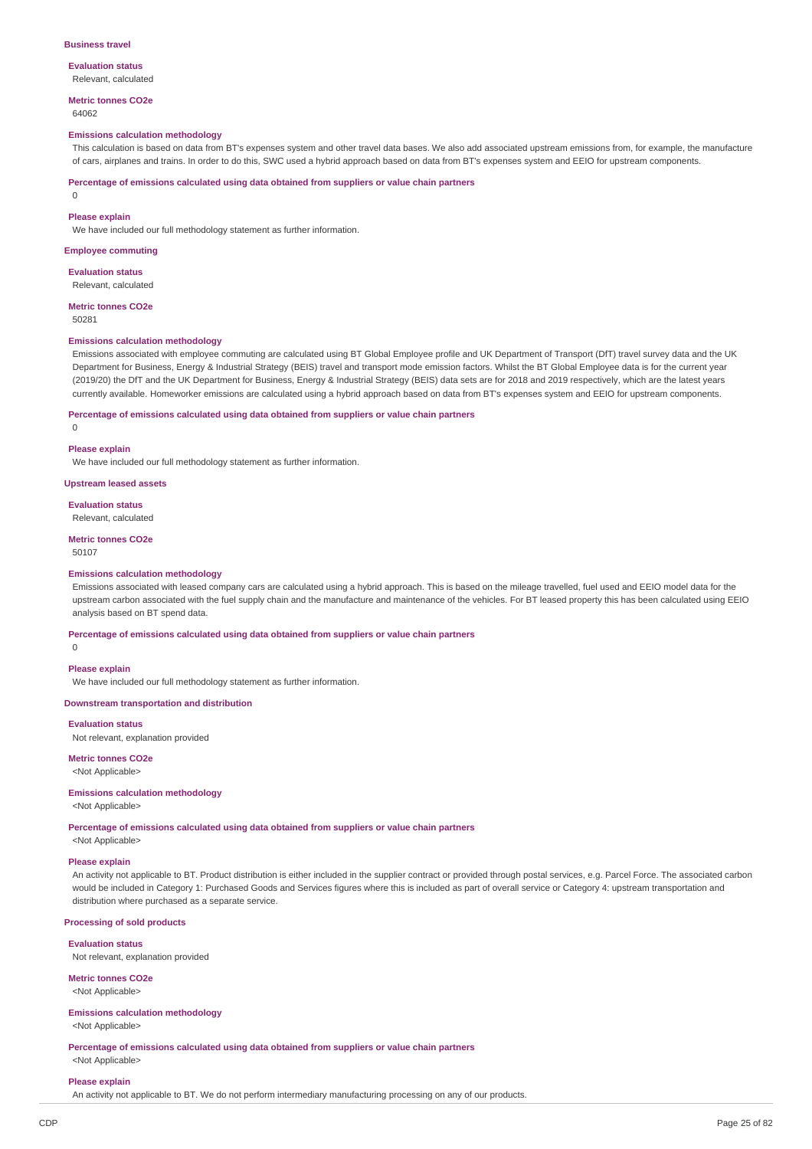#### **Business travel**

#### **Evaluation status**

Relevant, calculated

# **Metric tonnes CO2e**

64062

### **Emissions calculation methodology**

This calculation is based on data from BT's expenses system and other travel data bases. We also add associated upstream emissions from, for example, the manufacture of cars, airplanes and trains. In order to do this, SWC used a hybrid approach based on data from BT's expenses system and EEIO for upstream components.

**Percentage of emissions calculated using data obtained from suppliers or value chain partners**

0

#### **Please explain**

We have included our full methodology statement as further information.

#### **Employee commuting**

**Evaluation status**

Relevant, calculated

**Metric tonnes CO2e** 50281

### **Emissions calculation methodology**

Emissions associated with employee commuting are calculated using BT Global Employee profile and UK Department of Transport (DfT) travel survey data and the UK Department for Business, Energy & Industrial Strategy (BEIS) travel and transport mode emission factors. Whilst the BT Global Employee data is for the current year (2019/20) the DfT and the UK Department for Business, Energy & Industrial Strategy (BEIS) data sets are for 2018 and 2019 respectively, which are the latest years currently available. Homeworker emissions are calculated using a hybrid approach based on data from BT's expenses system and EEIO for upstream components.

### **Percentage of emissions calculated using data obtained from suppliers or value chain partners**

 $\Omega$ 

#### **Please explain**

We have included our full methodology statement as further information.

#### **Upstream leased assets**

**Evaluation status**

Relevant, calculated

### **Metric tonnes CO2e**

50107

#### **Emissions calculation methodology**

Emissions associated with leased company cars are calculated using a hybrid approach. This is based on the mileage travelled, fuel used and EEIO model data for the upstream carbon associated with the fuel supply chain and the manufacture and maintenance of the vehicles. For BT leased property this has been calculated using EEIO analysis based on BT spend data.

### **Percentage of emissions calculated using data obtained from suppliers or value chain partners**

 $\overline{0}$ 

#### **Please explain**

We have included our full methodology statement as further information.

#### **Downstream transportation and distribution**

### **Evaluation status**

Not relevant, explanation provided

## **Metric tonnes CO2e**

<Not Applicable>

### **Emissions calculation methodology**

### <Not Applicable>

**Percentage of emissions calculated using data obtained from suppliers or value chain partners**

<Not Applicable>

### **Please explain**

An activity not applicable to BT. Product distribution is either included in the supplier contract or provided through postal services, e.g. Parcel Force. The associated carbon would be included in Category 1: Purchased Goods and Services figures where this is included as part of overall service or Category 4: upstream transportation and distribution where purchased as a separate service.

### **Processing of sold products**

#### **Evaluation status**

Not relevant, explanation provided

### **Metric tonnes CO2e** <Not Applicable>

#### **Emissions calculation methodology** <Not Applicable>

**Percentage of emissions calculated using data obtained from suppliers or value chain partners** <Not Applicable>

#### **Please explain**

An activity not applicable to BT. We do not perform intermediary manufacturing processing on any of our products.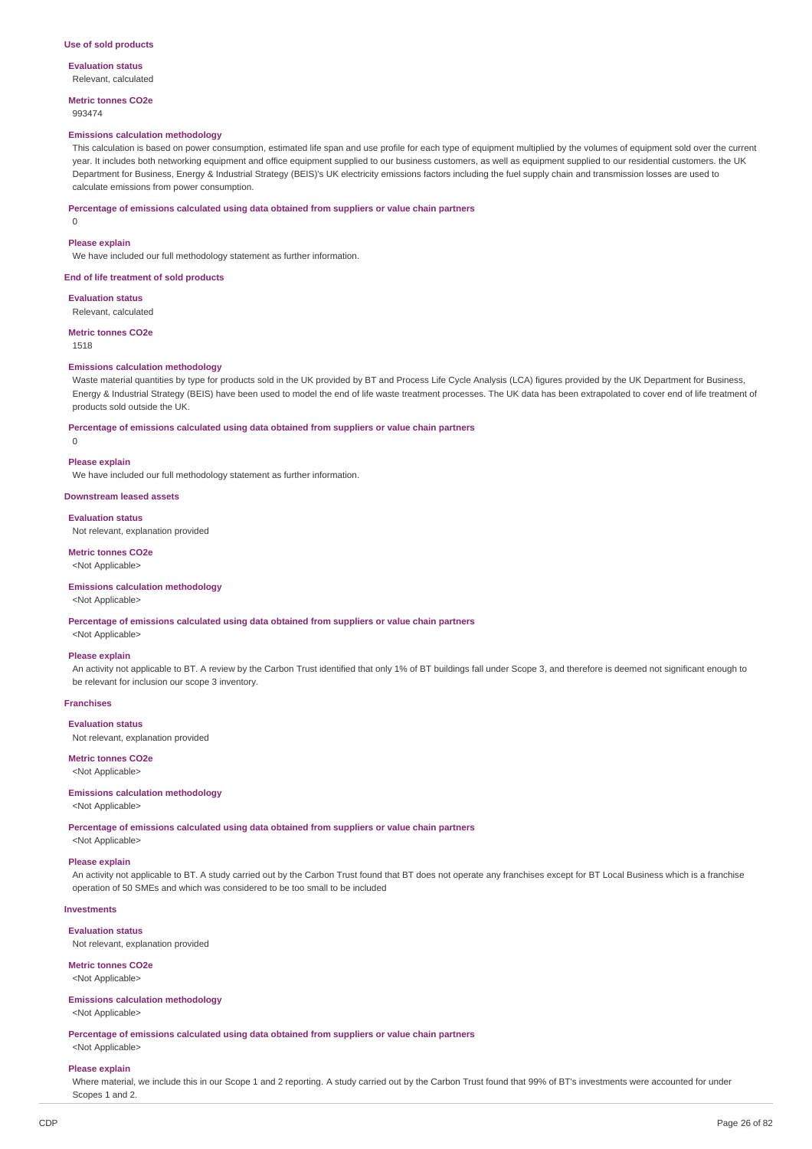**Evaluation status** Relevant, calculated

**Metric tonnes CO2e** 993474

#### **Emissions calculation methodology**

This calculation is based on power consumption, estimated life span and use profile for each type of equipment multiplied by the volumes of equipment sold over the current year. It includes both networking equipment and office equipment supplied to our business customers, as well as equipment supplied to our residential customers. the UK Department for Business, Energy & Industrial Strategy (BEIS)'s UK electricity emissions factors including the fuel supply chain and transmission losses are used to calculate emissions from power consumption.

#### **Percentage of emissions calculated using data obtained from suppliers or value chain partners**

0

#### **Please explain**

We have included our full methodology statement as further information.

#### **End of life treatment of sold products**

**Evaluation status** Relevant, calculated

#### **Metric tonnes CO2e** 1518

### **Emissions calculation methodology**

Waste material quantities by type for products sold in the UK provided by BT and Process Life Cycle Analysis (LCA) figures provided by the UK Department for Business, Energy & Industrial Strategy (BEIS) have been used to model the end of life waste treatment processes. The UK data has been extrapolated to cover end of life treatment of products sold outside the UK.

#### **Percentage of emissions calculated using data obtained from suppliers or value chain partners**

 $\overline{0}$ 

#### **Please explain**

We have included our full methodology statement as further information.

#### **Downstream leased assets**

**Evaluation status**

Not relevant, explanation provided

### **Metric tonnes CO2e**

<Not Applicable>

### **Emissions calculation methodology**

<Not Applicable>

**Percentage of emissions calculated using data obtained from suppliers or value chain partners**

<Not Applicable>

#### **Please explain**

An activity not applicable to BT. A review by the Carbon Trust identified that only 1% of BT buildings fall under Scope 3, and therefore is deemed not significant enough to be relevant for inclusion our scope 3 inventory.

#### **Franchises**

**Evaluation status**

Not relevant, explanation provided

### **Metric tonnes CO2e**

<Not Applicable>

#### **Emissions calculation methodology**

<Not Applicable>

**Percentage of emissions calculated using data obtained from suppliers or value chain partners**

<Not Applicable>

## **Please explain**

An activity not applicable to BT. A study carried out by the Carbon Trust found that BT does not operate any franchises except for BT Local Business which is a franchise operation of 50 SMEs and which was considered to be too small to be included

#### **Investments**

**Evaluation status** Not relevant, explanation provided

**Metric tonnes CO2e** <Not Applicable>

#### **Emissions calculation methodology**

<Not Applicable>

**Percentage of emissions calculated using data obtained from suppliers or value chain partners**

## <Not Applicable> **Please explain**

Where material, we include this in our Scope 1 and 2 reporting. A study carried out by the Carbon Trust found that 99% of BT's investments were accounted for under Scopes 1 and 2.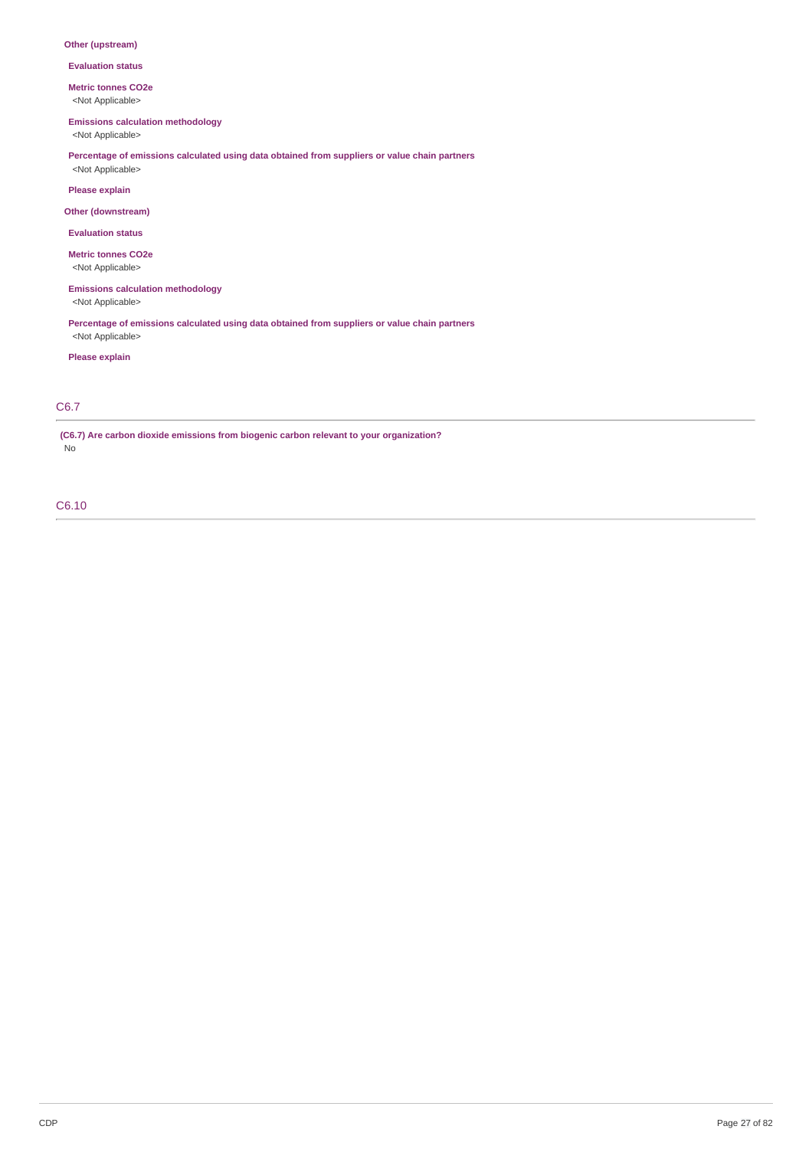### **Other (upstream)**

**Evaluation status**

**Metric tonnes CO2e**

<Not Applicable>

**Emissions calculation methodology**

<Not Applicable>

**Percentage of emissions calculated using data obtained from suppliers or value chain partners** <Not Applicable>

**Please explain**

**Other (downstream)**

**Evaluation status**

**Metric tonnes CO2e**

<Not Applicable>

**Emissions calculation methodology** <Not Applicable>

**Percentage of emissions calculated using data obtained from suppliers or value chain partners** <Not Applicable>

**Please explain**

### C6.7

**(C6.7) Are carbon dioxide emissions from biogenic carbon relevant to your organization?** No

C6.10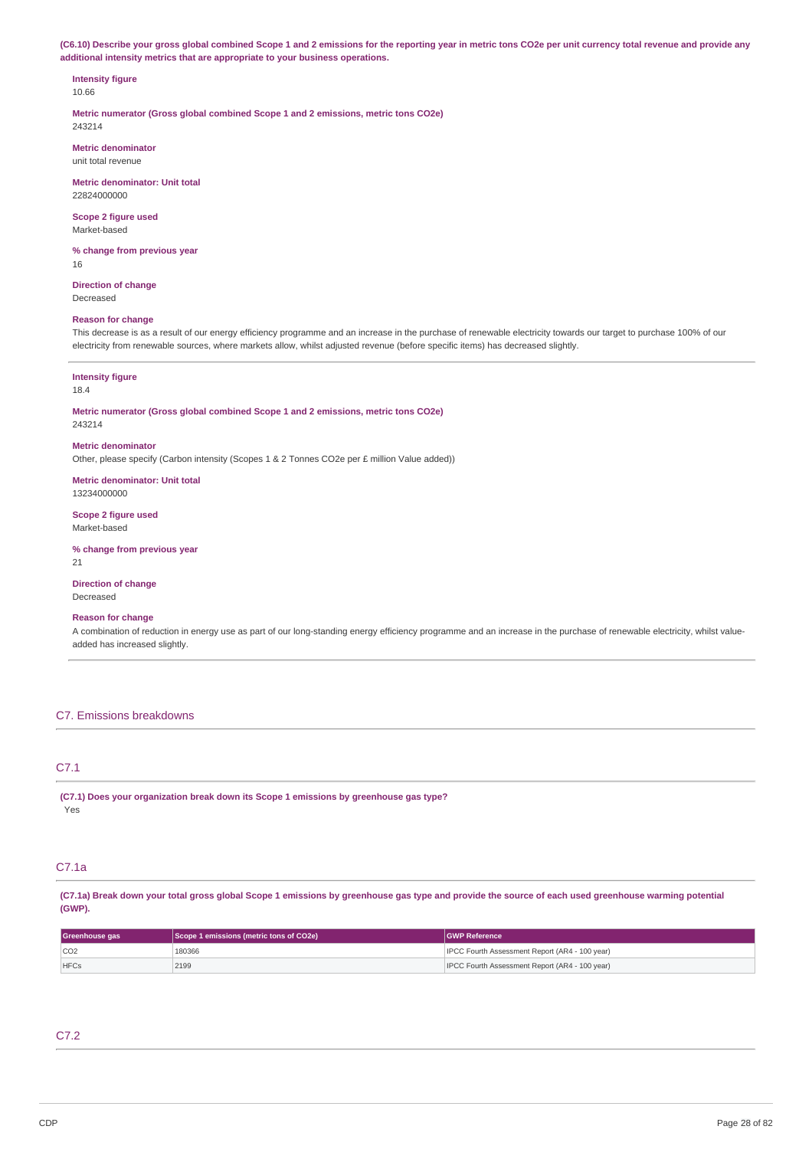(C6.10) Describe your gross global combined Scope 1 and 2 emissions for the reporting year in metric tons CO2e per unit currency total revenue and provide any **additional intensity metrics that are appropriate to your business operations.**

# **Intensity figure**

10.66

**Metric numerator (Gross global combined Scope 1 and 2 emissions, metric tons CO2e)** 243214

**Metric denominator** unit total revenue

**Metric denominator: Unit total** 22824000000

**Scope 2 figure used** Market-based

**% change from previous year** 16

**Direction of change** Decreased

### **Reason for change**

This decrease is as a result of our energy efficiency programme and an increase in the purchase of renewable electricity towards our target to purchase 100% of our electricity from renewable sources, where markets allow, whilst adjusted revenue (before specific items) has decreased slightly.

### **Intensity figure**

### 18.4

**Metric numerator (Gross global combined Scope 1 and 2 emissions, metric tons CO2e)** 243214

**Metric denominator**

Other, please specify (Carbon intensity (Scopes 1 & 2 Tonnes CO2e per £ million Value added))

**Metric denominator: Unit total** 13234000000

**Scope 2 figure used** Market-based

**% change from previous year**

21

**Direction of change** Decreased

#### **Reason for change**

A combination of reduction in energy use as part of our long-standing energy efficiency programme and an increase in the purchase of renewable electricity, whilst valueadded has increased slightly.

### C7. Emissions breakdowns

## C7.1

**(C7.1) Does your organization break down its Scope 1 emissions by greenhouse gas type?** Yes

### C7.1a

(C7.1a) Break down your total gross global Scope 1 emissions by greenhouse gas type and provide the source of each used greenhouse warming potential **(GWP).**

| Greenhouse gas | Scope 1 emissions (metric tons of CO2e) | <b>IGWP Reference</b>                                 |
|----------------|-----------------------------------------|-------------------------------------------------------|
| CO2            | 180366                                  | IPCC Fourth Assessment Report (AR4 - 100 year)        |
| <b>HFCs</b>    | 2199                                    | <b>IPCC Fourth Assessment Report (AR4 - 100 year)</b> |

## C7.2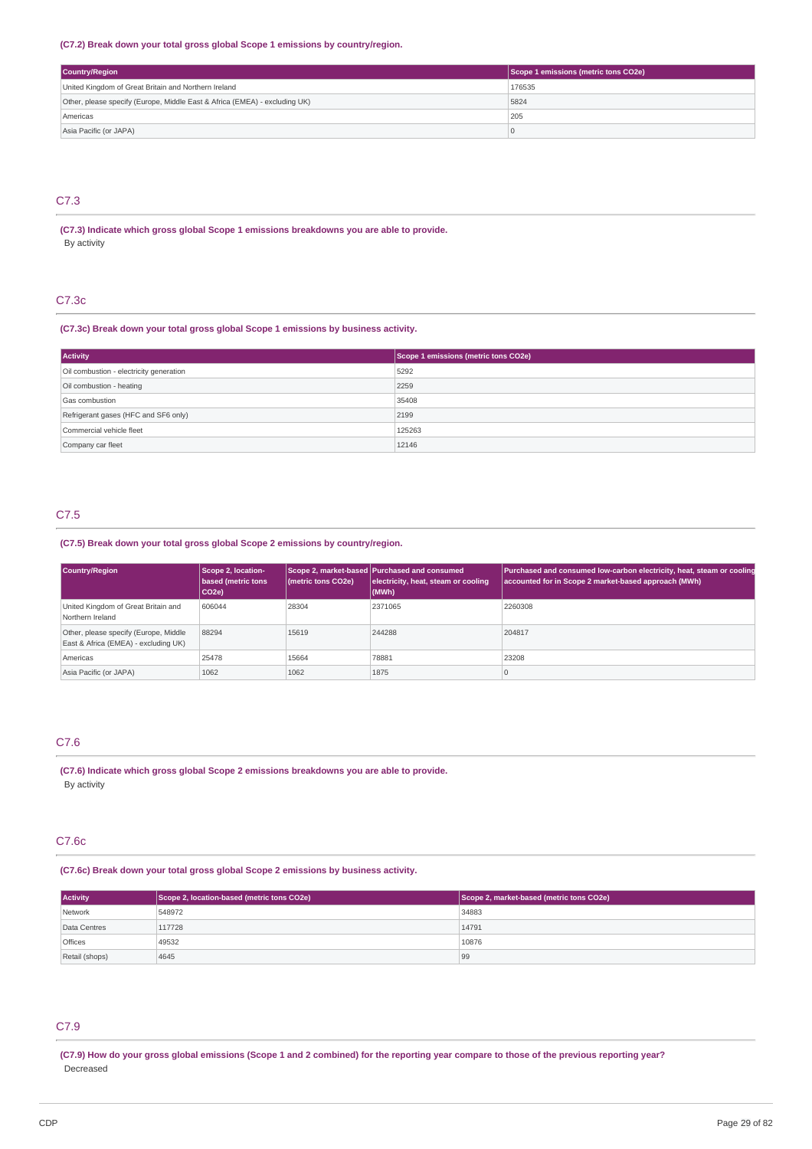### **(C7.2) Break down your total gross global Scope 1 emissions by country/region.**

| Country/Region                                                             | Scope 1 emissions (metric tons CO2e) |
|----------------------------------------------------------------------------|--------------------------------------|
| United Kingdom of Great Britain and Northern Ireland                       | 176535                               |
| Other, please specify (Europe, Middle East & Africa (EMEA) - excluding UK) | 5824                                 |
| Americas                                                                   | 205                                  |
| Asia Pacific (or JAPA)                                                     |                                      |

## C7.3

### **(C7.3) Indicate which gross global Scope 1 emissions breakdowns you are able to provide.** By activity

### C7.3c

#### **(C7.3c) Break down your total gross global Scope 1 emissions by business activity.**

| <b>Activity</b>                         | Scope 1 emissions (metric tons CO2e) |
|-----------------------------------------|--------------------------------------|
| Oil combustion - electricity generation | 5292                                 |
| Oil combustion - heating                | 2259                                 |
| Gas combustion                          | 35408                                |
| Refrigerant gases (HFC and SF6 only)    | 2199                                 |
| Commercial vehicle fleet                | 125263                               |
| Company car fleet                       | 12146                                |

## C7.5

### **(C7.5) Break down your total gross global Scope 2 emissions by country/region.**

| Country/Region                                                                | Scope 2, location-<br>based (metric tons<br>$ CO2e\rangle$ | (metric tons CO2e) | Scope 2, market-based Purchased and consumed<br>electricity, heat, steam or cooling<br>$ $ (MWh) | Purchased and consumed low-carbon electricity, heat, steam or cooling<br>accounted for in Scope 2 market-based approach (MWh) |
|-------------------------------------------------------------------------------|------------------------------------------------------------|--------------------|--------------------------------------------------------------------------------------------------|-------------------------------------------------------------------------------------------------------------------------------|
| United Kingdom of Great Britain and<br>Northern Ireland                       | 606044                                                     | 28304              | 2371065                                                                                          | 2260308                                                                                                                       |
| Other, please specify (Europe, Middle<br>East & Africa (EMEA) - excluding UK) | 88294                                                      | 15619              | 244288                                                                                           | 204817                                                                                                                        |
| Americas                                                                      | 25478                                                      | 15664              | 78881                                                                                            | 23208                                                                                                                         |
| Asia Pacific (or JAPA)                                                        | 1062                                                       | 1062               | 1875                                                                                             |                                                                                                                               |

## C7.6

**(C7.6) Indicate which gross global Scope 2 emissions breakdowns you are able to provide.** By activity

### C7.6c

### **(C7.6c) Break down your total gross global Scope 2 emissions by business activity.**

| <b>Activity</b> | Scope 2, location-based (metric tons CO2e) | Scope 2, market-based (metric tons CO2e) |
|-----------------|--------------------------------------------|------------------------------------------|
| Network         | 548972                                     | 34883                                    |
| Data Centres    | 117728                                     | 14791                                    |
| <b>Offices</b>  | 49532                                      | 10876                                    |
| Retail (shops)  | 4645                                       | 99                                       |

## C7.9

(C7.9) How do your gross global emissions (Scope 1 and 2 combined) for the reporting year compare to those of the previous reporting year? Decreased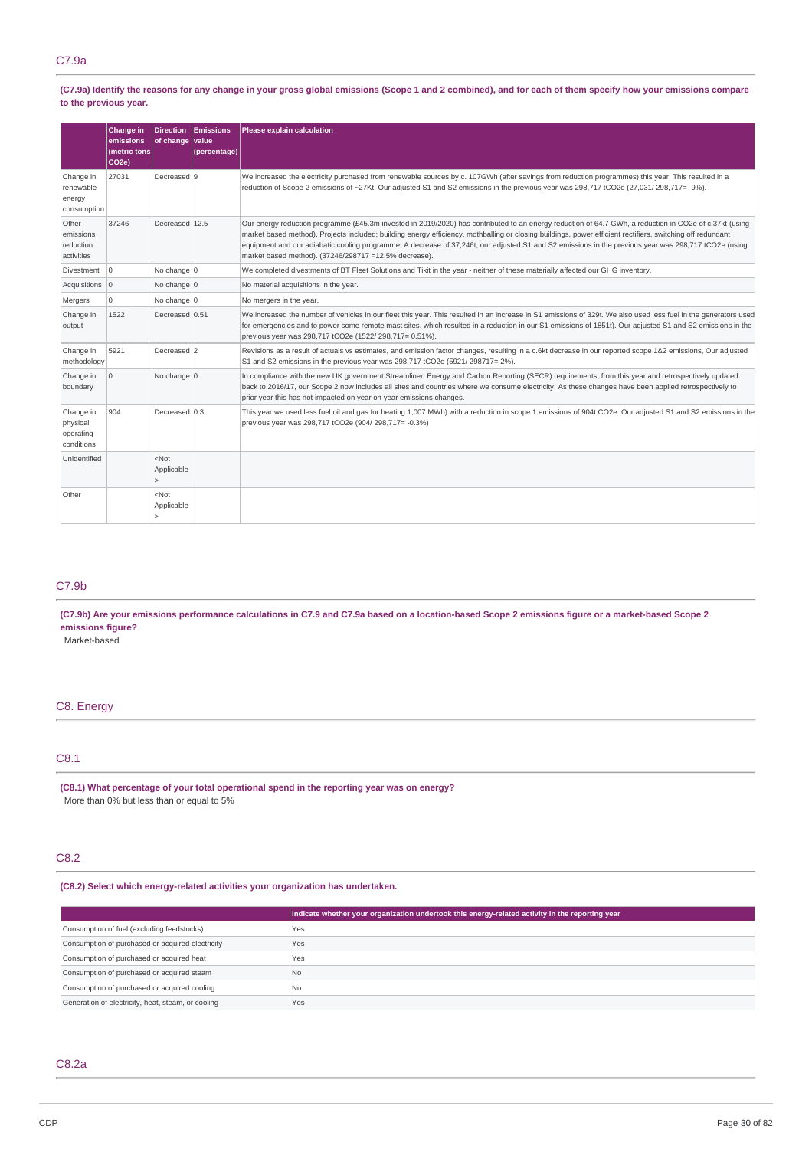(C7.9a) Identify the reasons for any change in your gross global emissions (Scope 1 and 2 combined), and for each of them specify how your emissions compare **to the previous year.**

|                                                  | <b>Change in</b><br>emissions<br>(metric tons<br>CO <sub>2e</sub> ) | <b>Direction</b><br>of change value | <b>Emissions</b><br>(percentage) | Please explain calculation                                                                                                                                                                                                                                                                                                                                                                                                                                                                                                            |
|--------------------------------------------------|---------------------------------------------------------------------|-------------------------------------|----------------------------------|---------------------------------------------------------------------------------------------------------------------------------------------------------------------------------------------------------------------------------------------------------------------------------------------------------------------------------------------------------------------------------------------------------------------------------------------------------------------------------------------------------------------------------------|
| Change in<br>renewable<br>energy<br>consumption  | 27031                                                               | Decreased 9                         |                                  | We increased the electricity purchased from renewable sources by c. 107GWh (after savings from reduction programmes) this year. This resulted in a<br>reduction of Scope 2 emissions of ~27Kt. Our adjusted S1 and S2 emissions in the previous year was 298,717 tCO2e (27,031/298,717=-9%).                                                                                                                                                                                                                                          |
| Other<br>emissions<br>reduction<br>activities    | 37246                                                               | Decreased 12.5                      |                                  | Our energy reduction programme (£45.3m invested in 2019/2020) has contributed to an energy reduction of 64.7 GWh, a reduction in CO2e of c.37kt (using<br>market based method). Projects included; building energy efficiency, mothballing or closing buildings, power efficient rectifiers, switching off redundant<br>equipment and our adiabatic cooling programme. A decrease of 37,246t, our adjusted S1 and S2 emissions in the previous year was 298,717 tCO2e (using<br>market based method). (37246/298717 =12.5% decrease). |
| Divestment                                       | $\Omega$                                                            | No change 0                         |                                  | We completed divestments of BT Fleet Solutions and Tikit in the year - neither of these materially affected our GHG inventory.                                                                                                                                                                                                                                                                                                                                                                                                        |
| Acquisitions 0                                   |                                                                     | No change 0                         |                                  | No material acquisitions in the year.                                                                                                                                                                                                                                                                                                                                                                                                                                                                                                 |
| Mergers                                          | 0                                                                   | No change 0                         |                                  | No mergers in the year.                                                                                                                                                                                                                                                                                                                                                                                                                                                                                                               |
| Change in<br>output                              | 1522                                                                | Decreased 0.51                      |                                  | We increased the number of vehicles in our fleet this year. This resulted in an increase in S1 emissions of 329t. We also used less fuel in the generators used<br>for emergencies and to power some remote mast sites, which resulted in a reduction in our S1 emissions of 1851t). Our adjusted S1 and S2 emissions in the<br>previous year was 298,717 tCO2e (1522/ 298,717= 0.51%).                                                                                                                                               |
| Change in<br>methodology                         | 5921                                                                | Decreased 2                         |                                  | Revisions as a result of actuals vs estimates, and emission factor changes, resulting in a c.6kt decrease in our reported scope 1&2 emissions, Our adjusted<br>S1 and S2 emissions in the previous year was 298,717 tCO2e (5921/298717=2%).                                                                                                                                                                                                                                                                                           |
| Change in<br>boundary                            | 0                                                                   | No change 0                         |                                  | In compliance with the new UK government Streamlined Energy and Carbon Reporting (SECR) requirements, from this year and retrospectively updated<br>back to 2016/17, our Scope 2 now includes all sites and countries where we consume electricity. As these changes have been applied retrospectively to<br>prior year this has not impacted on year on year emissions changes.                                                                                                                                                      |
| Change in<br>physical<br>operating<br>conditions | 904                                                                 | Decreased 0.3                       |                                  | This year we used less fuel oil and gas for heating 1,007 MWh) with a reduction in scope 1 emissions of 904t CO2e. Our adjusted S1 and S2 emissions in the<br>previous year was 298,717 tCO2e (904/ 298,717= -0.3%)                                                                                                                                                                                                                                                                                                                   |
| Unidentified                                     |                                                                     | <not<br>Applicable</not<br>         |                                  |                                                                                                                                                                                                                                                                                                                                                                                                                                                                                                                                       |
| Other                                            |                                                                     | <not<br>Applicable</not<br>         |                                  |                                                                                                                                                                                                                                                                                                                                                                                                                                                                                                                                       |

## C7.9b

(C7.9b) Are your emissions performance calculations in C7.9 and C7.9a based on a location-based Scope 2 emissions figure or a market-based Scope 2 **emissions figure?**

Market-based

### C8. Energy

## C8.1

**(C8.1) What percentage of your total operational spend in the reporting year was on energy?** More than 0% but less than or equal to 5%

### C8.2

**(C8.2) Select which energy-related activities your organization has undertaken.**

|                                                    | Indicate whether your organization undertook this energy-related activity in the reporting year |
|----------------------------------------------------|-------------------------------------------------------------------------------------------------|
| Consumption of fuel (excluding feedstocks)         | Yes                                                                                             |
| Consumption of purchased or acquired electricity   | Yes                                                                                             |
| Consumption of purchased or acquired heat          | Yes                                                                                             |
| Consumption of purchased or acquired steam         | <b>No</b>                                                                                       |
| Consumption of purchased or acquired cooling       | <b>No</b>                                                                                       |
| Generation of electricity, heat, steam, or cooling | Yes                                                                                             |

## C8.2a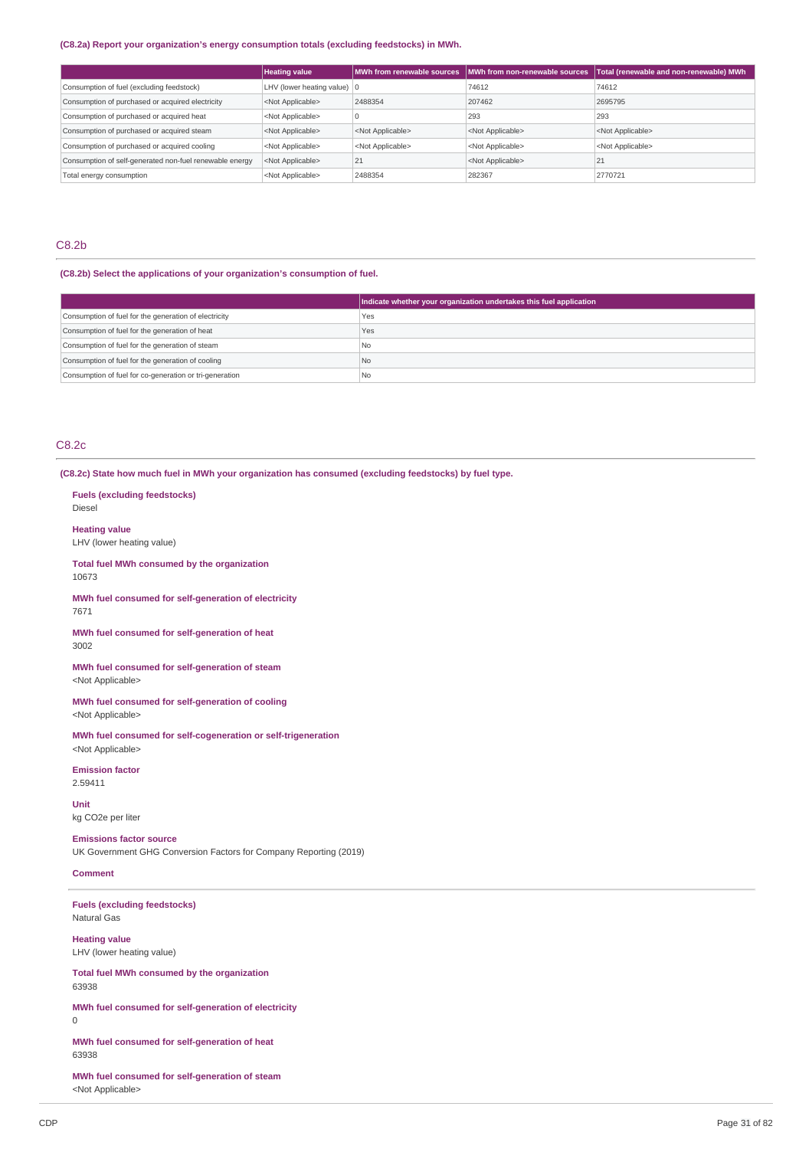### **(C8.2a) Report your organization's energy consumption totals (excluding feedstocks) in MWh.**

|                                                         | <b>Heating value</b>                  | MWh from renewable sources | MWh from non-renewable sources | Total (renewable and non-renewable) MWh |
|---------------------------------------------------------|---------------------------------------|----------------------------|--------------------------------|-----------------------------------------|
| Consumption of fuel (excluding feedstock)               | LHV (lower heating value) $ 0\rangle$ |                            | 74612                          | 74612                                   |
| Consumption of purchased or acquired electricity        | <not applicable=""></not>             | 2488354                    | 207462                         | 2695795                                 |
| Consumption of purchased or acquired heat               | <not applicable=""></not>             |                            | 293                            | 293                                     |
| Consumption of purchased or acquired steam              | <not applicable=""></not>             | <not applicable=""></not>  | <not applicable=""></not>      | <not applicable=""></not>               |
| Consumption of purchased or acquired cooling            | <not applicable=""></not>             | <not applicable=""></not>  | <not applicable=""></not>      | <not applicable=""></not>               |
| Consumption of self-generated non-fuel renewable energy | <not applicable=""></not>             | 21                         | <not applicable=""></not>      | 21                                      |
| Total energy consumption                                | <not applicable=""></not>             | 2488354                    | 282367                         | 2770721                                 |

### C8.2b

## **(C8.2b) Select the applications of your organization's consumption of fuel.**

|                                                         | Indicate whether your organization undertakes this fuel application |
|---------------------------------------------------------|---------------------------------------------------------------------|
| Consumption of fuel for the generation of electricity   | Yes                                                                 |
| Consumption of fuel for the generation of heat          | Yes                                                                 |
| Consumption of fuel for the generation of steam         | I No                                                                |
| Consumption of fuel for the generation of cooling       | No                                                                  |
| Consumption of fuel for co-generation or tri-generation | No                                                                  |

### C8.2c

Diesel

10673

7671

3002

2.59411 **Unit**

63938

63938

0

**(C8.2c) State how much fuel in MWh your organization has consumed (excluding feedstocks) by fuel type.**

**Fuels (excluding feedstocks) Heating value** LHV (lower heating value) **Total fuel MWh consumed by the organization MWh fuel consumed for self-generation of electricity MWh fuel consumed for self-generation of heat MWh fuel consumed for self-generation of steam** <Not Applicable> **MWh fuel consumed for self-generation of cooling** <Not Applicable> **MWh fuel consumed for self-cogeneration or self-trigeneration** <Not Applicable> **Emission factor** kg CO2e per liter **Emissions factor source** UK Government GHG Conversion Factors for Company Reporting (2019) **Comment Fuels (excluding feedstocks)** Natural Gas **Heating value** LHV (lower heating value) **Total fuel MWh consumed by the organization MWh fuel consumed for self-generation of electricity MWh fuel consumed for self-generation of heat**

**MWh fuel consumed for self-generation of steam** <Not Applicable>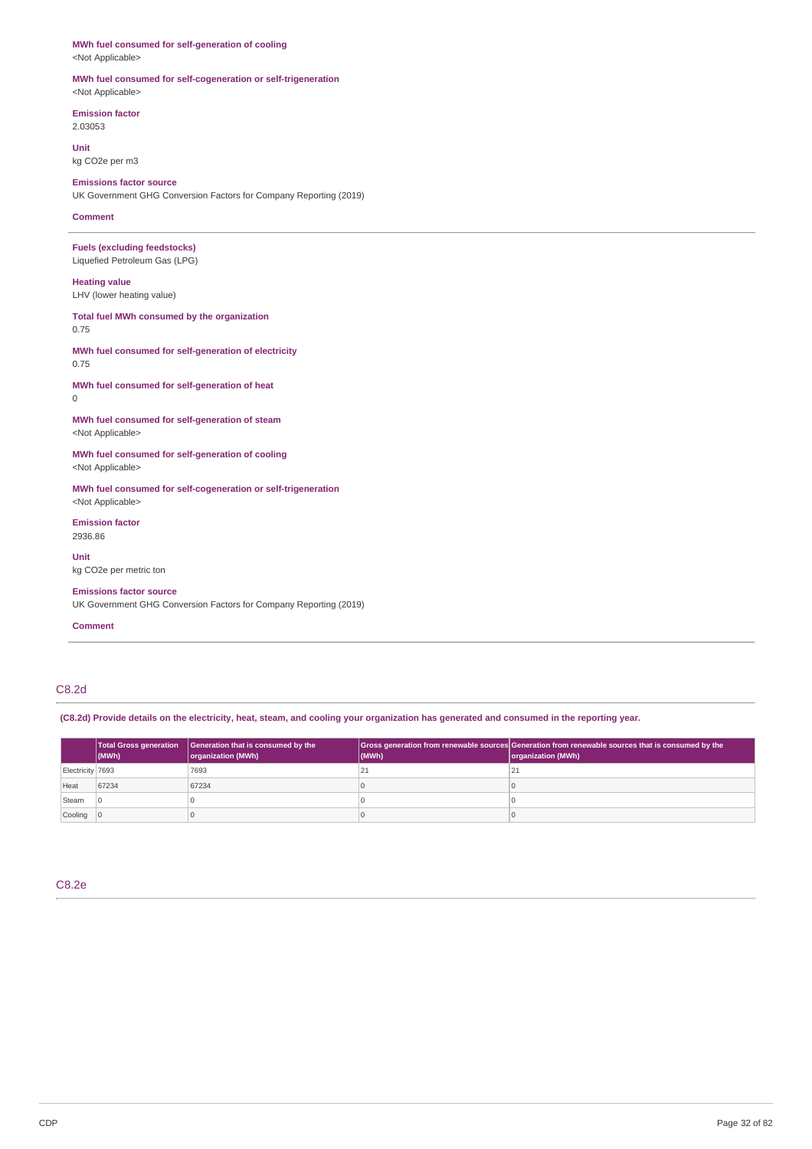## **MWh fuel consumed for self-generation of cooling**

<Not Applicable>

### **MWh fuel consumed for self-cogeneration or self-trigeneration** <Not Applicable>

**Emission factor** 2.03053

**Unit**

kg CO2e per m3

### **Emissions factor source**

UK Government GHG Conversion Factors for Company Reporting (2019)

### **Comment**

### **Fuels (excluding feedstocks)** Liquefied Petroleum Gas (LPG)

**Heating value** LHV (lower heating value)

**Total fuel MWh consumed by the organization** 0.75

### **MWh fuel consumed for self-generation of electricity** 0.75

**MWh fuel consumed for self-generation of heat** 0

### **MWh fuel consumed for self-generation of steam** <Not Applicable>

**MWh fuel consumed for self-generation of cooling** <Not Applicable>

**MWh fuel consumed for self-cogeneration or self-trigeneration** <Not Applicable>

**Emission factor** 2936.86

**Unit**

kg CO2e per metric ton

### **Emissions factor source**

UK Government GHG Conversion Factors for Company Reporting (2019)

### **Comment**

### C8.2d

(C8.2d) Provide details on the electricity, heat, steam, and cooling your organization has generated and consumed in the reporting year.

|                  | $ $ (MWh) | Total Gross generation   Generation that is consumed by the<br>organization (MWh) | (MWh)  | Gross generation from renewable sources Generation from renewable sources that is consumed by the<br>organization (MWh) |
|------------------|-----------|-----------------------------------------------------------------------------------|--------|-------------------------------------------------------------------------------------------------------------------------|
| Electricity 7693 |           | 7693                                                                              | $\sim$ |                                                                                                                         |
| Heat             | 67234     | 67234                                                                             |        |                                                                                                                         |
| Steam            |           |                                                                                   |        |                                                                                                                         |
| Cooling 0        |           |                                                                                   |        |                                                                                                                         |

### C8.2e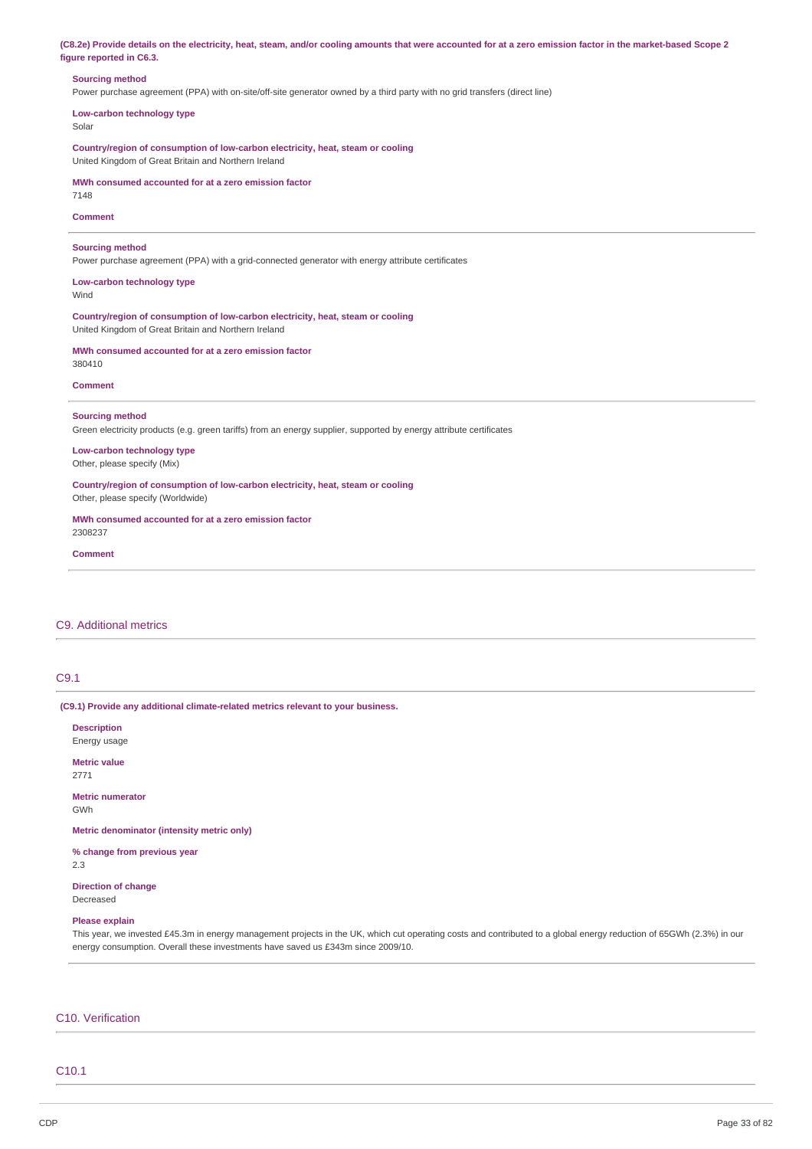| (C8.2e) Provide details on the electricity, heat, steam, and/or cooling amounts that were accounted for at a zero emission factor in the market-based Scope 2 |  |
|---------------------------------------------------------------------------------------------------------------------------------------------------------------|--|
| figure reported in C6.3.                                                                                                                                      |  |

### **Sourcing method**

Power purchase agreement (PPA) with on-site/off-site generator owned by a third party with no grid transfers (direct line)

**Low-carbon technology type** Solar

**Country/region of consumption of low-carbon electricity, heat, steam or cooling** United Kingdom of Great Britain and Northern Ireland

**MWh consumed accounted for at a zero emission factor** 7148

**Comment**

### **Sourcing method**

Power purchase agreement (PPA) with a grid-connected generator with energy attribute certificates

**Low-carbon technology type** Wind

**Country/region of consumption of low-carbon electricity, heat, steam or cooling** United Kingdom of Great Britain and Northern Ireland

**MWh consumed accounted for at a zero emission factor** 380410

#### **Comment**

### **Sourcing method**

Green electricity products (e.g. green tariffs) from an energy supplier, supported by energy attribute certificates

**Low-carbon technology type** Other, please specify (Mix)

**Country/region of consumption of low-carbon electricity, heat, steam or cooling** Other, please specify (Worldwide)

**MWh consumed accounted for at a zero emission factor** 2308237

#### **Comment**

### C9. Additional metrics

### C9.1

**(C9.1) Provide any additional climate-related metrics relevant to your business.**

**Description** Energy usage **Metric value** 2771 **Metric numerator** GWh **Metric denominator (intensity metric only) % change from previous year** 2.3 **Direction of change** Decreased

### **Please explain**

This year, we invested £45.3m in energy management projects in the UK, which cut operating costs and contributed to a global energy reduction of 65GWh (2.3%) in our energy consumption. Overall these investments have saved us £343m since 2009/10.

#### C10. Verification

### C10.1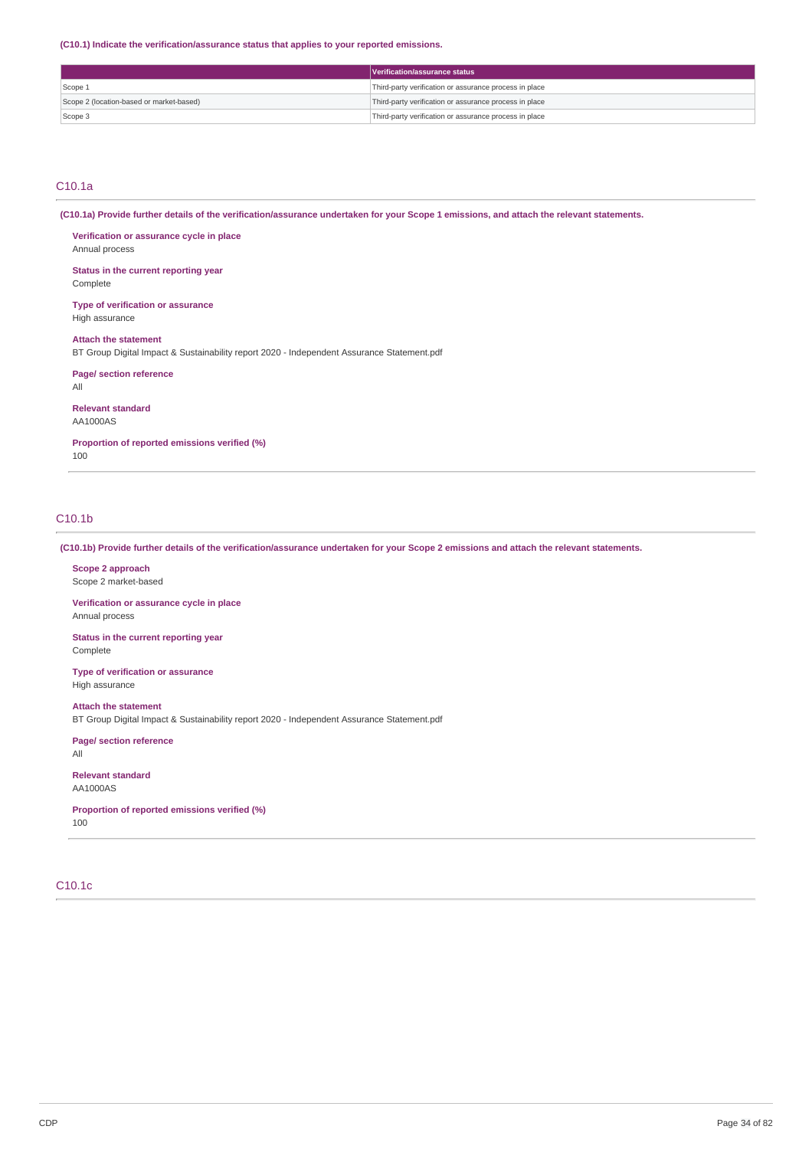**(C10.1) Indicate the verification/assurance status that applies to your reported emissions.**

|                                          | Verification/assurance status                          |
|------------------------------------------|--------------------------------------------------------|
| Scope 1                                  | Third-party verification or assurance process in place |
| Scope 2 (location-based or market-based) | Third-party verification or assurance process in place |
| Scope 3                                  | Third-party verification or assurance process in place |

### C10.1a

(C10.1a) Provide further details of the verification/assurance undertaken for your Scope 1 emissions, and attach the relevant statements.

**Verification or assurance cycle in place** Annual process

**Status in the current reporting year** Complete

**Type of verification or assurance** High assurance

**Attach the statement**

BT Group Digital Impact & Sustainability report 2020 - Independent Assurance Statement.pdf

**Page/ section reference**

All

**Relevant standard** AA1000AS

**Proportion of reported emissions verified (%)**

100

## C10.1b

(C10.1b) Provide further details of the verification/assurance undertaken for your Scope 2 emissions and attach the relevant statements.

**Scope 2 approach** Scope 2 market-based

**Verification or assurance cycle in place** Annual process

**Status in the current reporting year** Complete

**Type of verification or assurance** High assurance

**Attach the statement** BT Group Digital Impact & Sustainability report 2020 - Independent Assurance Statement.pdf

**Page/ section reference** All

**Relevant standard** AA1000AS

**Proportion of reported emissions verified (%)** 100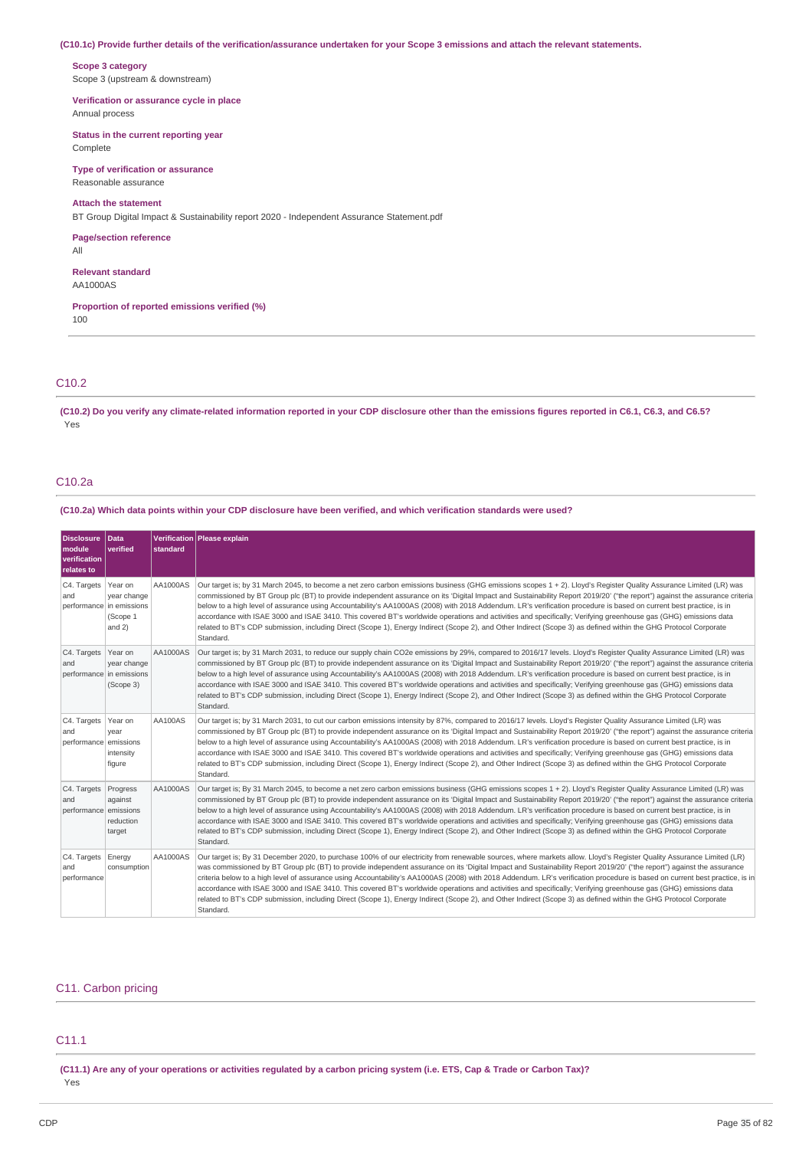### (C10.1c) Provide further details of the verification/assurance undertaken for your Scope 3 emissions and attach the relevant statements.

**Scope 3 category** Scope 3 (upstream & downstream)

**Verification or assurance cycle in place** Annual process

**Status in the current reporting year**

Complete

**Type of verification or assurance** Reasonable assurance

### **Attach the statement**

BT Group Digital Impact & Sustainability report 2020 - Independent Assurance Statement.pdf

**Page/section reference** All

**Relevant standard** AA1000AS

**Proportion of reported emissions verified (%)** 100

### C10.2

(C10.2) Do you verify any climate-related information reported in your CDP disclosure other than the emissions figures reported in C6.1, C6.3, and C6.5? Yes

## C10.2a

(C10.2a) Which data points within your CDP disclosure have been verified, and which verification standards were used?

| <b>Disclosure</b><br>module<br>verification<br>relates to | Data<br>verified                             | standard | Verification Please explain                                                                                                                                                                                                                                                                                                                                                                                                                                                                                                                                                                                                                                                                                                                                                                                                                                                     |
|-----------------------------------------------------------|----------------------------------------------|----------|---------------------------------------------------------------------------------------------------------------------------------------------------------------------------------------------------------------------------------------------------------------------------------------------------------------------------------------------------------------------------------------------------------------------------------------------------------------------------------------------------------------------------------------------------------------------------------------------------------------------------------------------------------------------------------------------------------------------------------------------------------------------------------------------------------------------------------------------------------------------------------|
| C4. Targets<br>and<br>performance in emissions            | Year on<br>year change<br>(Scope 1<br>and 2) | AA1000AS | Our target is; by 31 March 2045, to become a net zero carbon emissions business (GHG emissions scopes 1 + 2). Lloyd's Register Quality Assurance Limited (LR) was<br>commissioned by BT Group plc (BT) to provide independent assurance on its 'Digital Impact and Sustainability Report 2019/20' ("the report") against the assurance criteria<br>below to a high level of assurance using Accountability's AA1000AS (2008) with 2018 Addendum. LR's verification procedure is based on current best practice, is in<br>accordance with ISAE 3000 and ISAE 3410. This covered BT's worldwide operations and activities and specifically; Verifying greenhouse gas (GHG) emissions data<br>related to BT's CDP submission, including Direct (Scope 1), Energy Indirect (Scope 2), and Other Indirect (Scope 3) as defined within the GHG Protocol Corporate<br>Standard.        |
| C4. Targets<br>and<br>performance in emissions            | Year on<br>year change<br>(Scope 3)          | AA1000AS | Our target is; by 31 March 2031, to reduce our supply chain CO2e emissions by 29%, compared to 2016/17 levels. Lloyd's Register Quality Assurance Limited (LR) was<br>commissioned by BT Group plc (BT) to provide independent assurance on its 'Digital Impact and Sustainability Report 2019/20' ("the report") against the assurance criteria<br>below to a high level of assurance using Accountability's AA1000AS (2008) with 2018 Addendum. LR's verification procedure is based on current best practice, is in<br>accordance with ISAE 3000 and ISAE 3410. This covered BT's worldwide operations and activities and specifically; Verifying greenhouse gas (GHG) emissions data<br>related to BT's CDP submission, including Direct (Scope 1), Energy Indirect (Scope 2), and Other Indirect (Scope 3) as defined within the GHG Protocol Corporate<br>Standard.       |
| C4. Targets<br>and<br>performance emissions               | Year on<br>vear<br>intensity<br>figure       | AA100AS  | Our target is; by 31 March 2031, to cut our carbon emissions intensity by 87%, compared to 2016/17 levels. Lloyd's Register Quality Assurance Limited (LR) was<br>commissioned by BT Group plc (BT) to provide independent assurance on its 'Digital Impact and Sustainability Report 2019/20' ("the report") against the assurance criteria<br>below to a high level of assurance using Accountability's AA1000AS (2008) with 2018 Addendum. LR's verification procedure is based on current best practice, is in<br>accordance with ISAE 3000 and ISAE 3410. This covered BT's worldwide operations and activities and specifically; Verifying greenhouse gas (GHG) emissions data<br>related to BT's CDP submission, including Direct (Scope 1), Energy Indirect (Scope 2), and Other Indirect (Scope 3) as defined within the GHG Protocol Corporate<br>Standard.           |
| C4. Targets<br>and<br>performance emissions               | Progress<br>against<br>reduction<br>target   | AA1000AS | Our target is; By 31 March 2045, to become a net zero carbon emissions business (GHG emissions scopes 1 + 2). Lloyd's Register Quality Assurance Limited (LR) was<br>commissioned by BT Group plc (BT) to provide independent assurance on its 'Digital Impact and Sustainability Report 2019/20' ("the report") against the assurance criteria<br>below to a high level of assurance using Accountability's AA1000AS (2008) with 2018 Addendum. LR's verification procedure is based on current best practice, is in<br>accordance with ISAE 3000 and ISAE 3410. This covered BT's worldwide operations and activities and specifically; Verifying greenhouse gas (GHG) emissions data<br>related to BT's CDP submission, including Direct (Scope 1), Energy Indirect (Scope 2), and Other Indirect (Scope 3) as defined within the GHG Protocol Corporate<br>Standard.        |
| C4. Targets<br>and<br>performance                         | Energy<br>consumption                        | AA1000AS | Our target is; By 31 December 2020, to purchase 100% of our electricity from renewable sources, where markets allow. Lloyd's Register Quality Assurance Limited (LR)<br>was commissioned by BT Group plc (BT) to provide independent assurance on its 'Digital Impact and Sustainability Report 2019/20' ("the report") against the assurance<br>criteria below to a high level of assurance using Accountability's AA1000AS (2008) with 2018 Addendum. LR's verification procedure is based on current best practice, is in<br>accordance with ISAE 3000 and ISAE 3410. This covered BT's worldwide operations and activities and specifically; Verifying greenhouse gas (GHG) emissions data<br>related to BT's CDP submission, including Direct (Scope 1), Energy Indirect (Scope 2), and Other Indirect (Scope 3) as defined within the GHG Protocol Corporate<br>Standard. |

### C11. Carbon pricing

### C11.1

(C11.1) Are any of your operations or activities regulated by a carbon pricing system (i.e. ETS, Cap & Trade or Carbon Tax)? Yes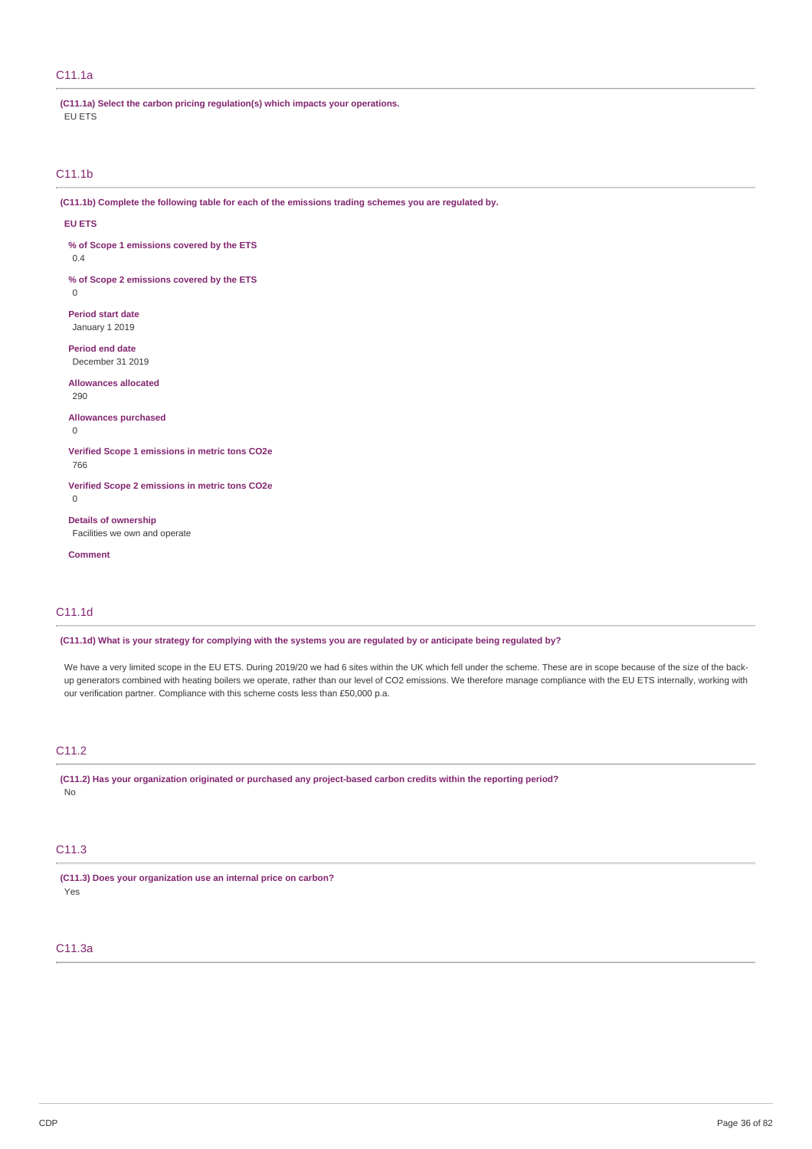### C11.1a

**(C11.1a) Select the carbon pricing regulation(s) which impacts your operations.** EU ETS

## C11.1b

**(C11.1b) Complete the following table for each of the emissions trading schemes you are regulated by.**

#### **EU ETS**

**% of Scope 1 emissions covered by the ETS**

0.4

**% of Scope 2 emissions covered by the ETS**  $\theta$ 

**Period start date**

January 1 2019

**Period end date** December 31 2019

**Allowances allocated** 290

**Allowances purchased**  $\Omega$ 

**Verified Scope 1 emissions in metric tons CO2e**

766

**Verified Scope 2 emissions in metric tons CO2e**  $\overline{0}$ 

**Details of ownership** Facilities we own and operate

**Comment**

### C11.1d

(C11.1d) What is your strategy for complying with the systems you are regulated by or anticipate being regulated by?

We have a very limited scope in the EU ETS. During 2019/20 we had 6 sites within the UK which fell under the scheme. These are in scope because of the size of the backup generators combined with heating boilers we operate, rather than our level of CO2 emissions. We therefore manage compliance with the EU ETS internally, working with our verification partner. Compliance with this scheme costs less than £50,000 p.a.

## C11.2

**(C11.2) Has your organization originated or purchased any project-based carbon credits within the reporting period?** No

### C11.3

**(C11.3) Does your organization use an internal price on carbon?** Yes

## C11.3a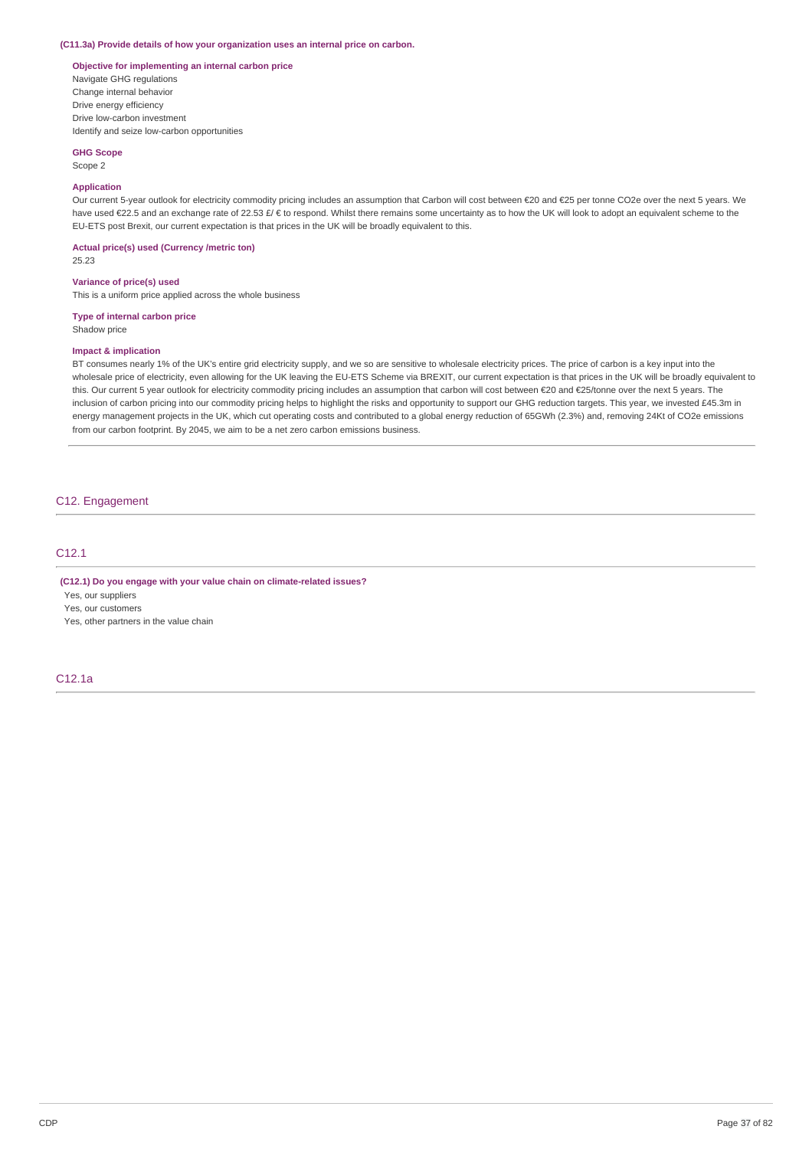#### **(C11.3a) Provide details of how your organization uses an internal price on carbon.**

### **Objective for implementing an internal carbon price**

Navigate GHG regulations Change internal behavior Drive energy efficiency Drive low-carbon investment Identify and seize low-carbon opportunities

### **GHG Scope**

### Scope 2

#### **Application**

Our current 5-year outlook for electricity commodity pricing includes an assumption that Carbon will cost between €20 and €25 per tonne CO2e over the next 5 years. We have used €22.5 and an exchange rate of 22.53 £/ € to respond. Whilst there remains some uncertainty as to how the UK will look to adopt an equivalent scheme to the EU-ETS post Brexit, our current expectation is that prices in the UK will be broadly equivalent to this.

**Actual price(s) used (Currency /metric ton)** 25.23

#### **Variance of price(s) used**

This is a uniform price applied across the whole business

#### **Type of internal carbon price**

Shadow price

#### **Impact & implication**

BT consumes nearly 1% of the UK's entire grid electricity supply, and we so are sensitive to wholesale electricity prices. The price of carbon is a key input into the wholesale price of electricity, even allowing for the UK leaving the EU-ETS Scheme via BREXIT, our current expectation is that prices in the UK will be broadly equivalent to this. Our current 5 year outlook for electricity commodity pricing includes an assumption that carbon will cost between €20 and €25/tonne over the next 5 years. The inclusion of carbon pricing into our commodity pricing helps to highlight the risks and opportunity to support our GHG reduction targets. This year, we invested £45.3m in energy management projects in the UK, which cut operating costs and contributed to a global energy reduction of 65GWh (2.3%) and, removing 24Kt of CO2e emissions from our carbon footprint. By 2045, we aim to be a net zero carbon emissions business.

### C12. Engagement

### C12.1

**(C12.1) Do you engage with your value chain on climate-related issues?**

Yes, our suppliers

Yes, our customers

Yes, other partners in the value chain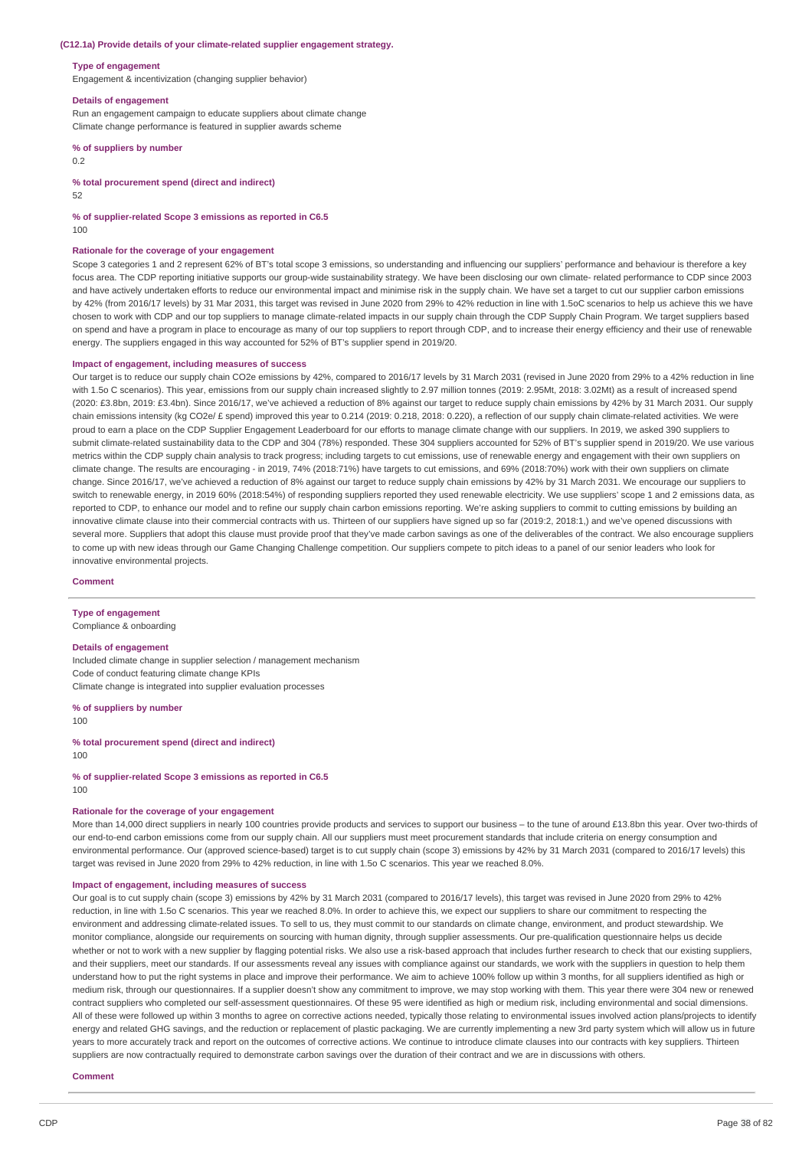#### **(C12.1a) Provide details of your climate-related supplier engagement strategy.**

#### **Type of engagement**

Engagement & incentivization (changing supplier behavior)

#### **Details of engagement**

Run an engagement campaign to educate suppliers about climate change Climate change performance is featured in supplier awards scheme

**% of suppliers by number**

 $0.2$ 

#### **% total procurement spend (direct and indirect)**

52

### **% of supplier-related Scope 3 emissions as reported in C6.5**

100

#### **Rationale for the coverage of your engagement**

Scope 3 categories 1 and 2 represent 62% of BT's total scope 3 emissions, so understanding and influencing our suppliers' performance and behaviour is therefore a key focus area. The CDP reporting initiative supports our group-wide sustainability strategy. We have been disclosing our own climate- related performance to CDP since 2003 and have actively undertaken efforts to reduce our environmental impact and minimise risk in the supply chain. We have set a target to cut our supplier carbon emissions by 42% (from 2016/17 levels) by 31 Mar 2031, this target was revised in June 2020 from 29% to 42% reduction in line with 1.5oC scenarios to help us achieve this we have chosen to work with CDP and our top suppliers to manage climate-related impacts in our supply chain through the CDP Supply Chain Program. We target suppliers based on spend and have a program in place to encourage as many of our top suppliers to report through CDP, and to increase their energy efficiency and their use of renewable energy. The suppliers engaged in this way accounted for 52% of BT's supplier spend in 2019/20.

#### **Impact of engagement, including measures of success**

Our target is to reduce our supply chain CO2e emissions by 42%, compared to 2016/17 levels by 31 March 2031 (revised in June 2020 from 29% to a 42% reduction in line with 1.5o C scenarios). This year, emissions from our supply chain increased slightly to 2.97 million tonnes (2019: 2.95Mt, 2018: 3.02Mt) as a result of increased spend (2020: £3.8bn, 2019: £3.4bn). Since 2016/17, we've achieved a reduction of 8% against our target to reduce supply chain emissions by 42% by 31 March 2031. Our supply chain emissions intensity (kg CO2e/ £ spend) improved this year to 0.214 (2019: 0.218, 2018: 0.220), a reflection of our supply chain climate-related activities. We were proud to earn a place on the CDP Supplier Engagement Leaderboard for our efforts to manage climate change with our suppliers. In 2019, we asked 390 suppliers to submit climate-related sustainability data to the CDP and 304 (78%) responded. These 304 suppliers accounted for 52% of BT's supplier spend in 2019/20. We use various metrics within the CDP supply chain analysis to track progress; including targets to cut emissions, use of renewable energy and engagement with their own suppliers on climate change. The results are encouraging - in 2019, 74% (2018:71%) have targets to cut emissions, and 69% (2018:70%) work with their own suppliers on climate change. Since 2016/17, we've achieved a reduction of 8% against our target to reduce supply chain emissions by 42% by 31 March 2031. We encourage our suppliers to switch to renewable energy, in 2019 60% (2018:54%) of responding suppliers reported they used renewable electricity. We use suppliers' scope 1 and 2 emissions data, as reported to CDP, to enhance our model and to refine our supply chain carbon emissions reporting. We're asking suppliers to commit to cutting emissions by building an innovative climate clause into their commercial contracts with us. Thirteen of our suppliers have signed up so far (2019:2, 2018:1,) and we've opened discussions with several more. Suppliers that adopt this clause must provide proof that they've made carbon savings as one of the deliverables of the contract. We also encourage suppliers to come up with new ideas through our Game Changing Challenge competition. Our suppliers compete to pitch ideas to a panel of our senior leaders who look for innovative environmental projects.

#### **Comment**

#### **Type of engagement**

Compliance & onboarding

#### **Details of engagement**

Included climate change in supplier selection / management mechanism Code of conduct featuring climate change KPIs Climate change is integrated into supplier evaluation processes

### **% of suppliers by number**

100

**% total procurement spend (direct and indirect)** 100

**% of supplier-related Scope 3 emissions as reported in C6.5** 100

#### **Rationale for the coverage of your engagement**

More than 14,000 direct suppliers in nearly 100 countries provide products and services to support our business – to the tune of around £13.8bn this year. Over two-thirds of our end-to-end carbon emissions come from our supply chain. All our suppliers must meet procurement standards that include criteria on energy consumption and environmental performance. Our (approved science-based) target is to cut supply chain (scope 3) emissions by 42% by 31 March 2031 (compared to 2016/17 levels) this target was revised in June 2020 from 29% to 42% reduction, in line with 1.5o C scenarios. This year we reached 8.0%.

#### **Impact of engagement, including measures of success**

Our goal is to cut supply chain (scope 3) emissions by 42% by 31 March 2031 (compared to 2016/17 levels), this target was revised in June 2020 from 29% to 42% reduction, in line with 1.5o C scenarios. This year we reached 8.0%. In order to achieve this, we expect our suppliers to share our commitment to respecting the environment and addressing climate-related issues. To sell to us, they must commit to our standards on climate change, environment, and product stewardship. We monitor compliance, alongside our requirements on sourcing with human dignity, through supplier assessments. Our pre-qualification questionnaire helps us decide whether or not to work with a new supplier by flagging potential risks. We also use a risk-based approach that includes further research to check that our existing suppliers, and their suppliers, meet our standards. If our assessments reveal any issues with compliance against our standards, we work with the suppliers in question to help them understand how to put the right systems in place and improve their performance. We aim to achieve 100% follow up within 3 months, for all suppliers identified as high or medium risk, through our questionnaires. If a supplier doesn't show any commitment to improve, we may stop working with them. This year there were 304 new or renewed contract suppliers who completed our self-assessment questionnaires. Of these 95 were identified as high or medium risk, including environmental and social dimensions. All of these were followed up within 3 months to agree on corrective actions needed, typically those relating to environmental issues involved action plans/projects to identify energy and related GHG savings, and the reduction or replacement of plastic packaging. We are currently implementing a new 3rd party system which will allow us in future years to more accurately track and report on the outcomes of corrective actions. We continue to introduce climate clauses into our contracts with key suppliers. Thirteen suppliers are now contractually required to demonstrate carbon savings over the duration of their contract and we are in discussions with others.

#### **Comment**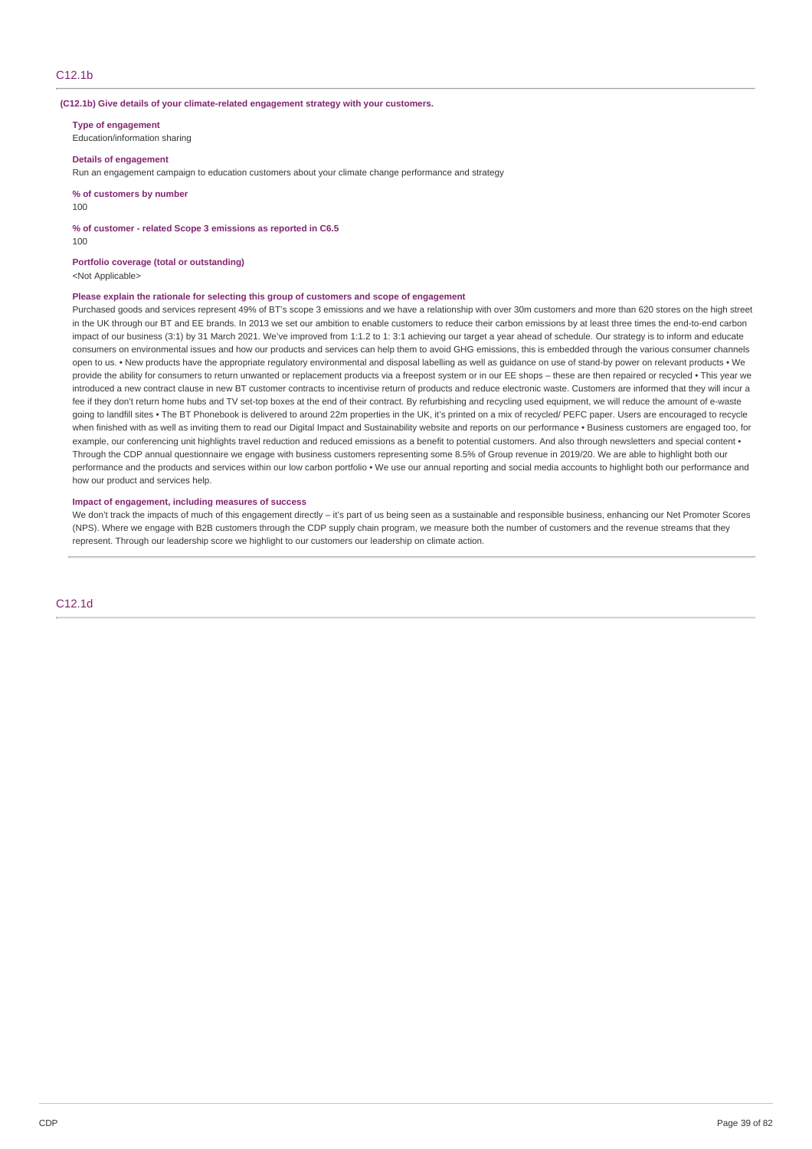#### **(C12.1b) Give details of your climate-related engagement strategy with your customers.**

**Type of engagement**

Education/information sharing

#### **Details of engagement**

Run an engagement campaign to education customers about your climate change performance and strategy

**% of customers by number**

100

**% of customer - related Scope 3 emissions as reported in C6.5**

100

### **Portfolio coverage (total or outstanding)**

<Not Applicable>

### **Please explain the rationale for selecting this group of customers and scope of engagement**

Purchased goods and services represent 49% of BT's scope 3 emissions and we have a relationship with over 30m customers and more than 620 stores on the high street in the UK through our BT and EE brands. In 2013 we set our ambition to enable customers to reduce their carbon emissions by at least three times the end-to-end carbon impact of our business (3:1) by 31 March 2021. We've improved from 1:1.2 to 1: 3:1 achieving our target a year ahead of schedule. Our strategy is to inform and educate consumers on environmental issues and how our products and services can help them to avoid GHG emissions, this is embedded through the various consumer channels open to us. • New products have the appropriate regulatory environmental and disposal labelling as well as guidance on use of stand-by power on relevant products • We provide the ability for consumers to return unwanted or replacement products via a freepost system or in our EE shops – these are then repaired or recycled • This year we introduced a new contract clause in new BT customer contracts to incentivise return of products and reduce electronic waste. Customers are informed that they will incur a fee if they don't return home hubs and TV set-top boxes at the end of their contract. By refurbishing and recycling used equipment, we will reduce the amount of e-waste going to landfill sites • The BT Phonebook is delivered to around 22m properties in the UK, it's printed on a mix of recycled/ PEFC paper. Users are encouraged to recycle when finished with as well as inviting them to read our Digital Impact and Sustainability website and reports on our performance • Business customers are engaged too, for example, our conferencing unit highlights travel reduction and reduced emissions as a benefit to potential customers. And also through newsletters and special content • Through the CDP annual questionnaire we engage with business customers representing some 8.5% of Group revenue in 2019/20. We are able to highlight both our performance and the products and services within our low carbon portfolio • We use our annual reporting and social media accounts to highlight both our performance and how our product and services help.

#### **Impact of engagement, including measures of success**

We don't track the impacts of much of this engagement directly – it's part of us being seen as a sustainable and responsible business, enhancing our Net Promoter Scores (NPS). Where we engage with B2B customers through the CDP supply chain program, we measure both the number of customers and the revenue streams that they represent. Through our leadership score we highlight to our customers our leadership on climate action.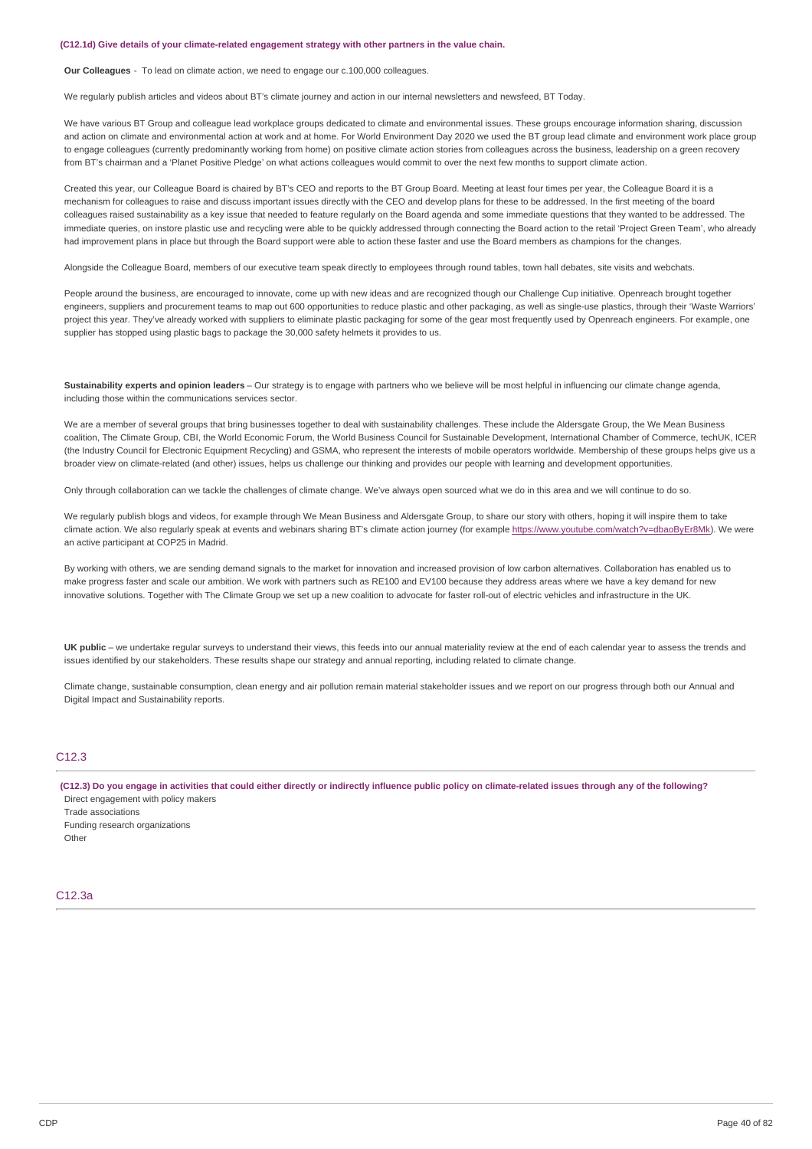#### **(C12.1d) Give details of your climate-related engagement strategy with other partners in the value chain.**

**Our Colleagues** - To lead on climate action, we need to engage our c.100,000 colleagues.

We regularly publish articles and videos about BT's climate journey and action in our internal newsletters and newsfeed, BT Today.

We have various BT Group and colleague lead workplace groups dedicated to climate and environmental issues. These groups encourage information sharing, discussion and action on climate and environmental action at work and at home. For World Environment Day 2020 we used the BT group lead climate and environment work place group to engage colleagues (currently predominantly working from home) on positive climate action stories from colleagues across the business, leadership on a green recovery from BT's chairman and a 'Planet Positive Pledge' on what actions colleagues would commit to over the next few months to support climate action.

Created this year, our Colleague Board is chaired by BT's CEO and reports to the BT Group Board. Meeting at least four times per year, the Colleague Board it is a mechanism for colleagues to raise and discuss important issues directly with the CEO and develop plans for these to be addressed. In the first meeting of the board colleagues raised sustainability as a key issue that needed to feature regularly on the Board agenda and some immediate questions that they wanted to be addressed. The immediate queries, on instore plastic use and recycling were able to be quickly addressed through connecting the Board action to the retail 'Project Green Team', who already had improvement plans in place but through the Board support were able to action these faster and use the Board members as champions for the changes.

Alongside the Colleague Board, members of our executive team speak directly to employees through round tables, town hall debates, site visits and webchats.

People around the business, are encouraged to innovate, come up with new ideas and are recognized though our Challenge Cup initiative. Openreach brought together engineers, suppliers and procurement teams to map out 600 opportunities to reduce plastic and other packaging, as well as single-use plastics, through their 'Waste Warriors' project this year. They've already worked with suppliers to eliminate plastic packaging for some of the gear most frequently used by Openreach engineers. For example, one supplier has stopped using plastic bags to package the 30,000 safety helmets it provides to us.

**Sustainability experts and opinion leaders** – Our strategy is to engage with partners who we believe will be most helpful in influencing our climate change agenda, including those within the communications services sector.

We are a member of several groups that bring businesses together to deal with sustainability challenges. These include the Aldersgate Group, the We Mean Business coalition, The Climate Group, CBI, the World Economic Forum, the World Business Council for Sustainable Development, International Chamber of Commerce, techUK, ICER (the Industry Council for Electronic Equipment Recycling) and GSMA, who represent the interests of mobile operators worldwide. Membership of these groups helps give us a broader view on climate-related (and other) issues, helps us challenge our thinking and provides our people with learning and development opportunities.

Only through collaboration can we tackle the challenges of climate change. We've always open sourced what we do in this area and we will continue to do so.

We regularly publish blogs and videos, for example through We Mean Business and Aldersgate Group, to share our story with others, hoping it will inspire them to take climate action. We also regularly speak at events and webinars sharing BT's climate action journey (for example <https://www.youtube.com/watch?v=dbaoByEr8Mk>). We were an active participant at COP25 in Madrid.

By working with others, we are sending demand signals to the market for innovation and increased provision of low carbon alternatives. Collaboration has enabled us to make progress faster and scale our ambition. We work with partners such as RE100 and EV100 because they address areas where we have a key demand for new innovative solutions. Together with The Climate Group we set up a new coalition to advocate for faster roll-out of electric vehicles and infrastructure in the UK.

UK public – we undertake regular surveys to understand their views, this feeds into our annual materiality review at the end of each calendar year to assess the trends and issues identified by our stakeholders. These results shape our strategy and annual reporting, including related to climate change.

Climate change, sustainable consumption, clean energy and air pollution remain material stakeholder issues and we report on our progress through both our Annual and Digital Impact and Sustainability reports.

### C<sub>12</sub>.3

(C12.3) Do you engage in activities that could either directly or indirectly influence public policy on climate-related issues through any of the following? Direct engagement with policy makers

Trade associations Funding research organizations

Other

#### C12.3a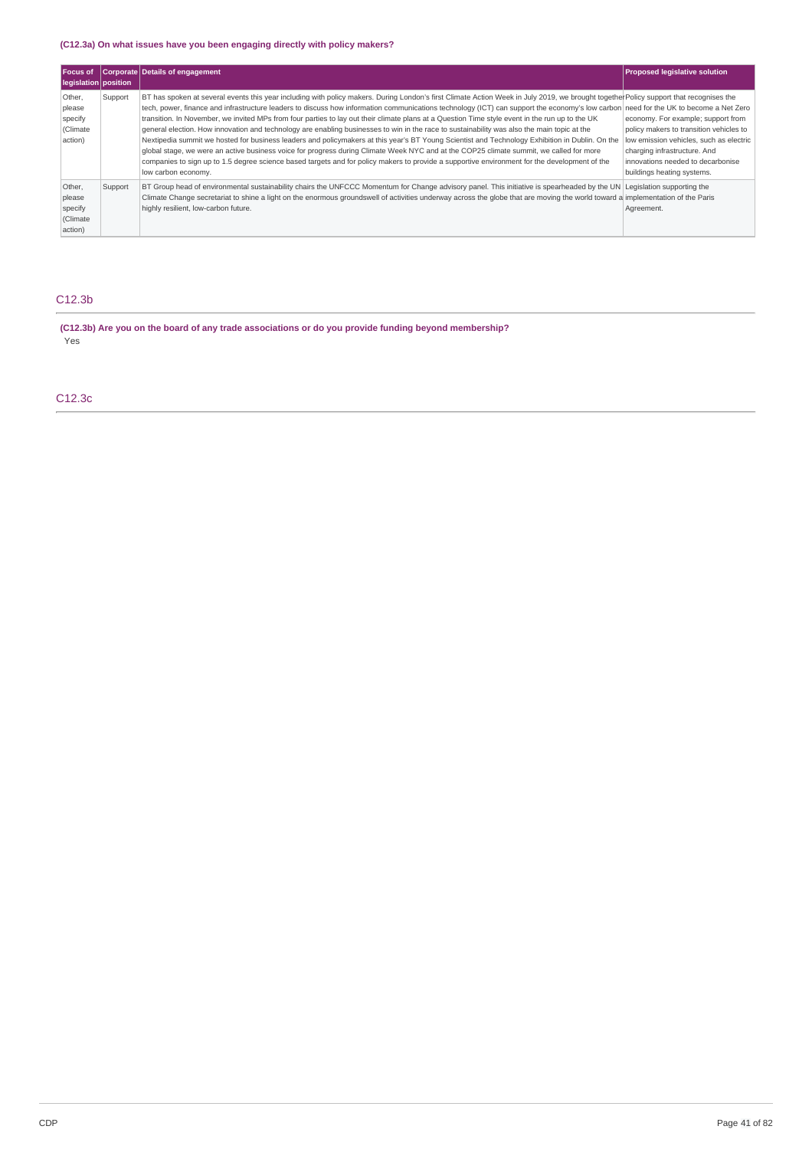### **(C12.3a) On what issues have you been engaging directly with policy makers?**

| Focus of<br>legislation position                   |         | Corporate Details of engagement                                                                                                                                                                                                                                                                                                                                                                                                                                                                                                                                                                                                                                                                                                                                                                                                                                                                                                                                                                                                                                                                                                                        | <b>Proposed legislative solution</b>                                                                                                                                                                                        |
|----------------------------------------------------|---------|--------------------------------------------------------------------------------------------------------------------------------------------------------------------------------------------------------------------------------------------------------------------------------------------------------------------------------------------------------------------------------------------------------------------------------------------------------------------------------------------------------------------------------------------------------------------------------------------------------------------------------------------------------------------------------------------------------------------------------------------------------------------------------------------------------------------------------------------------------------------------------------------------------------------------------------------------------------------------------------------------------------------------------------------------------------------------------------------------------------------------------------------------------|-----------------------------------------------------------------------------------------------------------------------------------------------------------------------------------------------------------------------------|
| Other,<br>please<br>specify<br>(Climate<br>action) | Support | BT has spoken at several events this year including with policy makers. During London's first Climate Action Week in July 2019, we brought together Policy support that recognises the<br>tech, power, finance and infrastructure leaders to discuss how information communications technology (ICT) can support the economy's low carbon need for the UK to become a Net Zero<br>transition. In November, we invited MPs from four parties to lay out their climate plans at a Question Time style event in the run up to the UK<br>general election. How innovation and technology are enabling businesses to win in the race to sustainability was also the main topic at the<br>Nextipedia summit we hosted for business leaders and policymakers at this year's BT Young Scientist and Technology Exhibition in Dublin. On the<br>global stage, we were an active business voice for progress during Climate Week NYC and at the COP25 climate summit, we called for more<br>companies to sign up to 1.5 degree science based targets and for policy makers to provide a supportive environment for the development of the<br>low carbon economy. | economy. For example; support from<br>policy makers to transition vehicles to<br>low emission vehicles, such as electric<br>charging infrastructure. And<br>innovations needed to decarbonise<br>buildings heating systems. |
| Other,<br>please<br>specify<br>(Climate<br>action) | Support | BT Group head of environmental sustainability chairs the UNFCCC Momentum for Change advisory panel. This initiative is spearheaded by the UN Legislation supporting the<br>Climate Change secretariat to shine a light on the enormous groundswell of activities underway across the globe that are moving the world toward a implementation of the Paris<br>highly resilient, low-carbon future.                                                                                                                                                                                                                                                                                                                                                                                                                                                                                                                                                                                                                                                                                                                                                      | Agreement.                                                                                                                                                                                                                  |

## C12.3b

**(C12.3b) Are you on the board of any trade associations or do you provide funding beyond membership?** Yes

C12.3c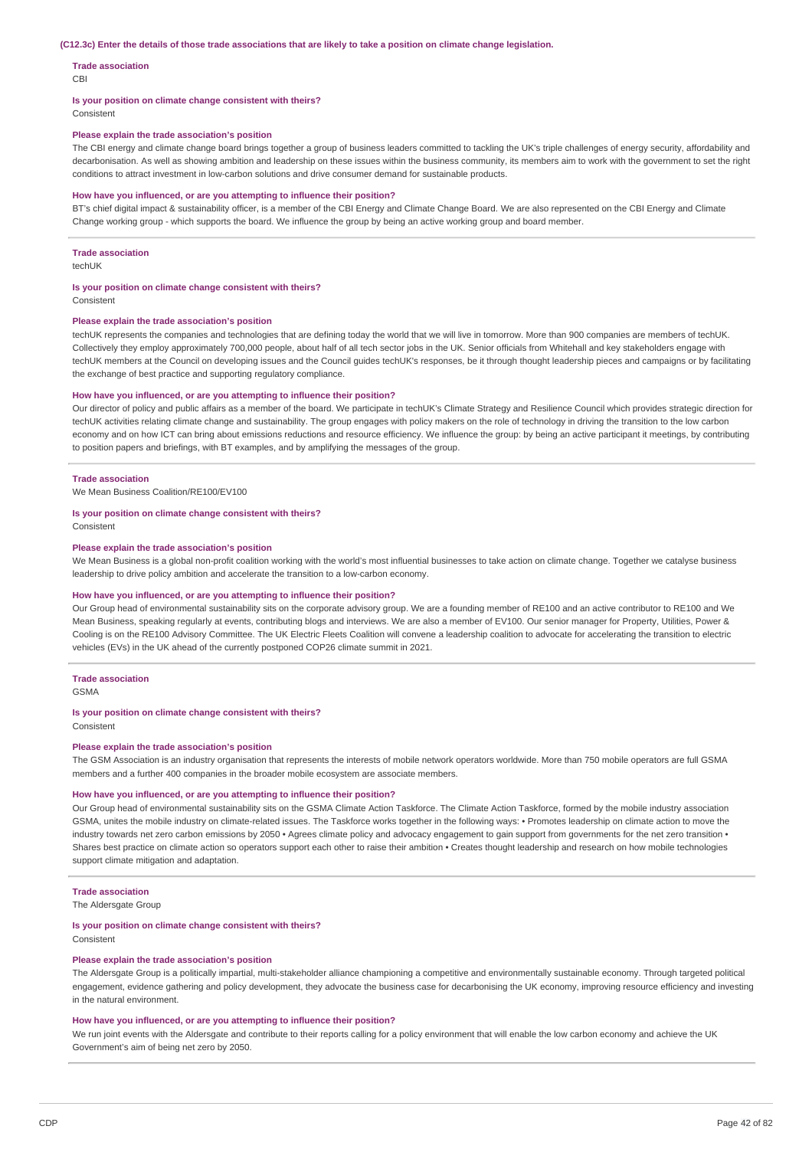#### (C12.3c) Enter the details of those trade associations that are likely to take a position on climate change legislation.

#### **Trade association**

CBI

#### **Is your position on climate change consistent with theirs?**

Consistent

### **Please explain the trade association's position**

The CBI energy and climate change board brings together a group of business leaders committed to tackling the UK's triple challenges of energy security, affordability and decarbonisation. As well as showing ambition and leadership on these issues within the business community, its members aim to work with the government to set the right conditions to attract investment in low-carbon solutions and drive consumer demand for sustainable products.

#### **How have you influenced, or are you attempting to influence their position?**

BT's chief digital impact & sustainability officer, is a member of the CBI Energy and Climate Change Board. We are also represented on the CBI Energy and Climate Change working group - which supports the board. We influence the group by being an active working group and board member.

#### **Trade association**

techUK

#### **Is your position on climate change consistent with theirs?**

Consistent

#### **Please explain the trade association's position**

techUK represents the companies and technologies that are defining today the world that we will live in tomorrow. More than 900 companies are members of techUK. Collectively they employ approximately 700,000 people, about half of all tech sector jobs in the UK. Senior officials from Whitehall and key stakeholders engage with techUK members at the Council on developing issues and the Council guides techUK's responses, be it through thought leadership pieces and campaigns or by facilitating the exchange of best practice and supporting regulatory compliance.

#### **How have you influenced, or are you attempting to influence their position?**

Our director of policy and public affairs as a member of the board. We participate in techUK's Climate Strategy and Resilience Council which provides strategic direction for techUK activities relating climate change and sustainability. The group engages with policy makers on the role of technology in driving the transition to the low carbon economy and on how ICT can bring about emissions reductions and resource efficiency. We influence the group: by being an active participant it meetings, by contributing to position papers and briefings, with BT examples, and by amplifying the messages of the group.

#### **Trade association**

We Mean Business Coalition/RE100/EV100

### **Is your position on climate change consistent with theirs?**

Consistent

#### **Please explain the trade association's position**

We Mean Business is a global non-profit coalition working with the world's most influential businesses to take action on climate change. Together we catalyse business leadership to drive policy ambition and accelerate the transition to a low-carbon economy.

### **How have you influenced, or are you attempting to influence their position?**

Our Group head of environmental sustainability sits on the corporate advisory group. We are a founding member of RE100 and an active contributor to RE100 and We Mean Business, speaking regularly at events, contributing blogs and interviews. We are also a member of EV100. Our senior manager for Property, Utilities, Power & Cooling is on the RE100 Advisory Committee. The UK Electric Fleets Coalition will convene a leadership coalition to advocate for accelerating the transition to electric vehicles (EVs) in the UK ahead of the currently postponed COP26 climate summit in 2021.

### **Trade association**

GSMA

#### **Is your position on climate change consistent with theirs?**

Consistent

#### **Please explain the trade association's position**

The GSM Association is an industry organisation that represents the interests of mobile network operators worldwide. More than 750 mobile operators are full GSMA members and a further 400 companies in the broader mobile ecosystem are associate members.

#### **How have you influenced, or are you attempting to influence their position?**

Our Group head of environmental sustainability sits on the GSMA Climate Action Taskforce. The Climate Action Taskforce, formed by the mobile industry association GSMA, unites the mobile industry on climate-related issues. The Taskforce works together in the following ways: • Promotes leadership on climate action to move the industry towards net zero carbon emissions by 2050 • Agrees climate policy and advocacy engagement to gain support from governments for the net zero transition • Shares best practice on climate action so operators support each other to raise their ambition • Creates thought leadership and research on how mobile technologies support climate mitigation and adaptation.

#### **Trade association**

The Aldersgate Group

#### **Is your position on climate change consistent with theirs?** Consistent

#### **Please explain the trade association's position**

The Aldersgate Group is a politically impartial, multi-stakeholder alliance championing a competitive and environmentally sustainable economy. Through targeted political engagement, evidence gathering and policy development, they advocate the business case for decarbonising the UK economy, improving resource efficiency and investing in the natural environment.

#### **How have you influenced, or are you attempting to influence their position?**

We run joint events with the Aldersgate and contribute to their reports calling for a policy environment that will enable the low carbon economy and achieve the UK Government's aim of being net zero by 2050.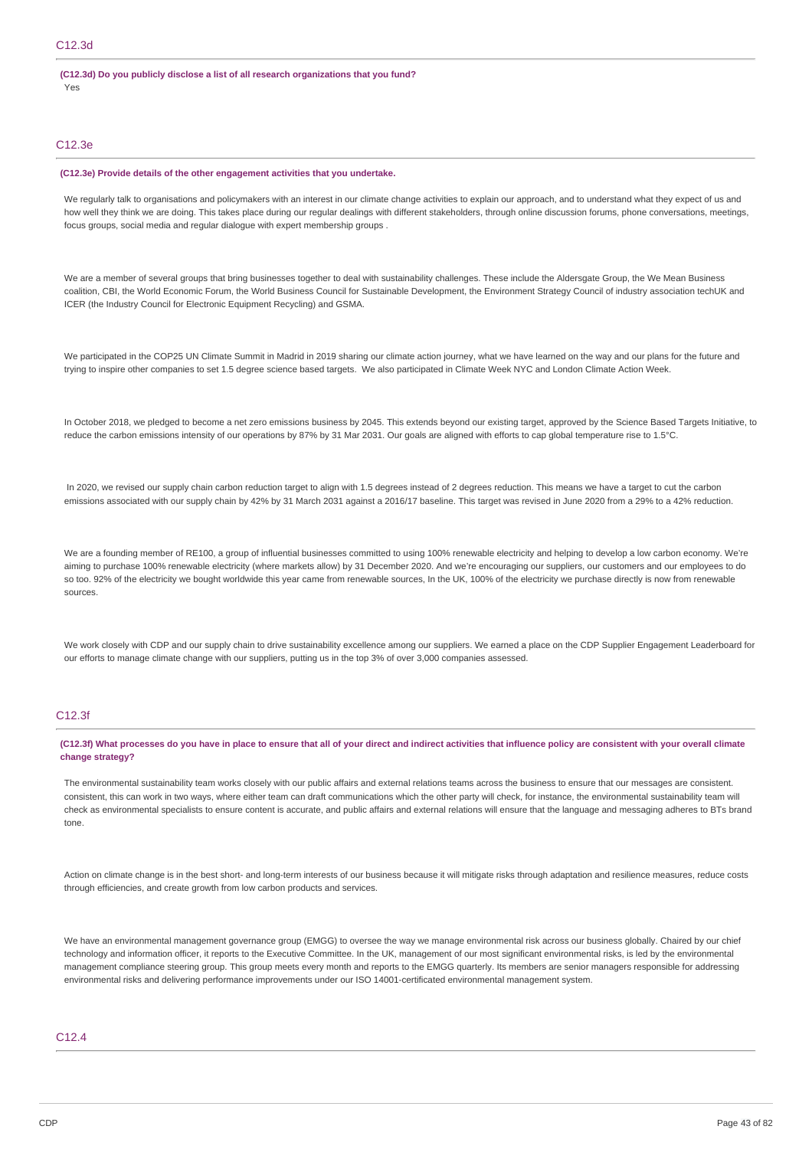**(C12.3d) Do you publicly disclose a list of all research organizations that you fund?** Yes

### C12.3e

#### **(C12.3e) Provide details of the other engagement activities that you undertake.**

We regularly talk to organisations and policymakers with an interest in our climate change activities to explain our approach, and to understand what they expect of us and how well they think we are doing. This takes place during our regular dealings with different stakeholders, through online discussion forums, phone conversations, meetings, focus groups, social media and regular dialogue with expert membership groups .

We are a member of several groups that bring businesses together to deal with sustainability challenges. These include the Aldersgate Group, the We Mean Business coalition, CBI, the World Economic Forum, the World Business Council for Sustainable Development, the Environment Strategy Council of industry association techUK and ICER (the Industry Council for Electronic Equipment Recycling) and GSMA.

We participated in the COP25 UN Climate Summit in Madrid in 2019 sharing our climate action journey, what we have learned on the way and our plans for the future and trying to inspire other companies to set 1.5 degree science based targets. We also participated in Climate Week NYC and London Climate Action Week.

In October 2018, we pledged to become a net zero emissions business by 2045. This extends beyond our existing target, approved by the Science Based Targets Initiative, to reduce the carbon emissions intensity of our operations by 87% by 31 Mar 2031. Our goals are aligned with efforts to cap global temperature rise to 1.5°C.

In 2020, we revised our supply chain carbon reduction target to align with 1.5 degrees instead of 2 degrees reduction. This means we have a target to cut the carbon emissions associated with our supply chain by 42% by 31 March 2031 against a 2016/17 baseline. This target was revised in June 2020 from a 29% to a 42% reduction.

We are a founding member of RE100, a group of influential businesses committed to using 100% renewable electricity and helping to develop a low carbon economy. We're aiming to purchase 100% renewable electricity (where markets allow) by 31 December 2020. And we're encouraging our suppliers, our customers and our employees to do so too. 92% of the electricity we bought worldwide this year came from renewable sources, In the UK, 100% of the electricity we purchase directly is now from renewable sources.

We work closely with CDP and our supply chain to drive sustainability excellence among our suppliers. We earned a place on the CDP Supplier Engagement Leaderboard for our efforts to manage climate change with our suppliers, putting us in the top 3% of over 3,000 companies assessed.

### C12.3f

(C12.3f) What processes do you have in place to ensure that all of your direct and indirect activities that influence policy are consistent with your overall climate **change strategy?**

The environmental sustainability team works closely with our public affairs and external relations teams across the business to ensure that our messages are consistent. consistent, this can work in two ways, where either team can draft communications which the other party will check, for instance, the environmental sustainability team will check as environmental specialists to ensure content is accurate, and public affairs and external relations will ensure that the language and messaging adheres to BTs brand tone.

Action on climate change is in the best short- and long-term interests of our business because it will mitigate risks through adaptation and resilience measures, reduce costs through efficiencies, and create growth from low carbon products and services.

We have an environmental management governance group (EMGG) to oversee the way we manage environmental risk across our business globally. Chaired by our chief technology and information officer, it reports to the Executive Committee. In the UK, management of our most significant environmental risks, is led by the environmental management compliance steering group. This group meets every month and reports to the EMGG quarterly. Its members are senior managers responsible for addressing environmental risks and delivering performance improvements under our ISO 14001-certificated environmental management system.

### C12.4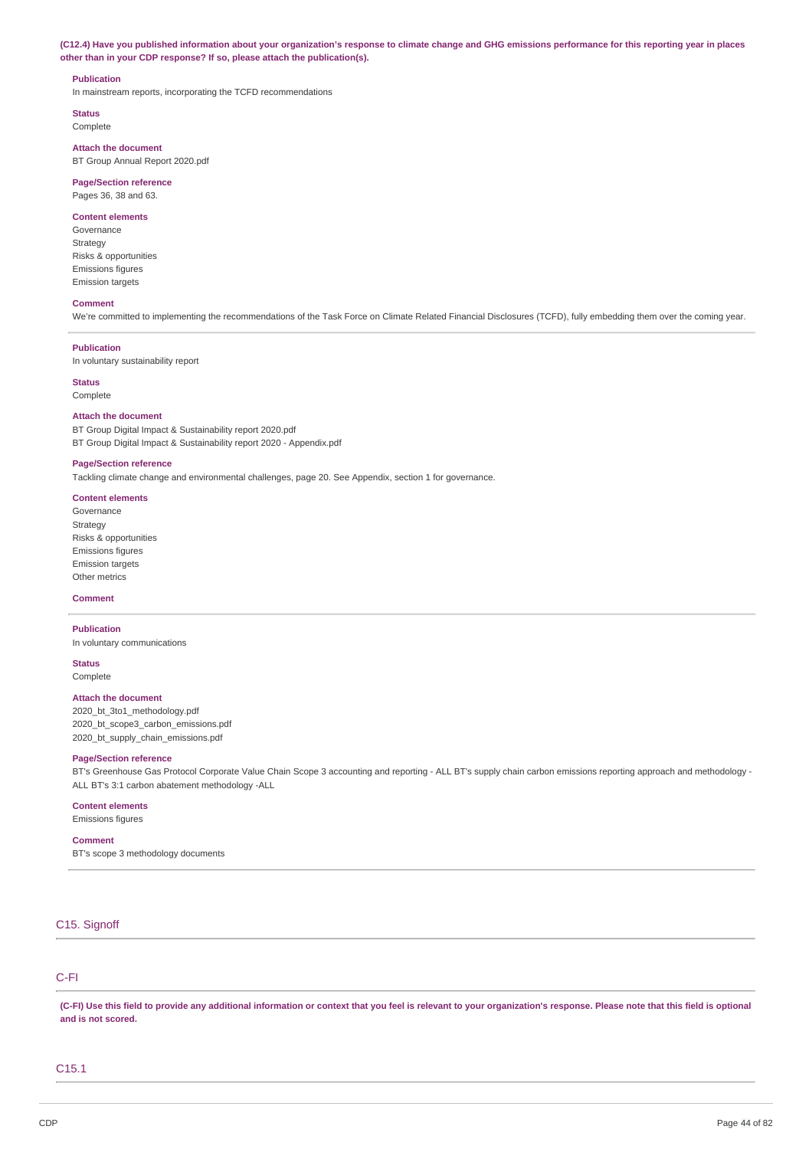(C12.4) Have you published information about your organization's response to climate change and GHG emissions performance for this reporting year in places **other than in your CDP response? If so, please attach the publication(s).**

#### **Publication**

In mainstream reports, incorporating the TCFD recommendations

**Status** Complete

**Attach the document** BT Group Annual Report 2020.pdf

### **Page/Section reference**

Pages 36, 38 and 63.

### **Content elements**

Governance Strategy Risks & opportunities Emissions figures Emission targets

#### **Comment**

We're committed to implementing the recommendations of the Task Force on Climate Related Financial Disclosures (TCFD), fully embedding them over the coming year.

#### **Publication**

In voluntary sustainability report

### **Status**

Complete

#### **Attach the document**

BT Group Digital Impact & Sustainability report 2020.pdf BT Group Digital Impact & Sustainability report 2020 - Appendix.pdf

#### **Page/Section reference**

Tackling climate change and environmental challenges, page 20. See Appendix, section 1 for governance.

### **Content elements**

Governance Strategy Risks & opportunities Emissions figures Emission targets Other metrics

#### **Comment**

**Publication** In voluntary communications

## **Status**

Complete

#### **Attach the document**

2020\_bt\_3to1\_methodology.pdf 2020\_bt\_scope3\_carbon\_emissions.pdf 2020\_bt\_supply\_chain\_emissions.pdf

#### **Page/Section reference**

BT's Greenhouse Gas Protocol Corporate Value Chain Scope 3 accounting and reporting - ALL BT's supply chain carbon emissions reporting approach and methodology - ALL BT's 3:1 carbon abatement methodology -ALL

#### **Content elements**

Emissions figures

#### **Comment**

BT's scope 3 methodology documents

### C15. Signoff

## C-FI

(C-FI) Use this field to provide any additional information or context that you feel is relevant to your organization's response. Please note that this field is optional **and is not scored.**

### C15.1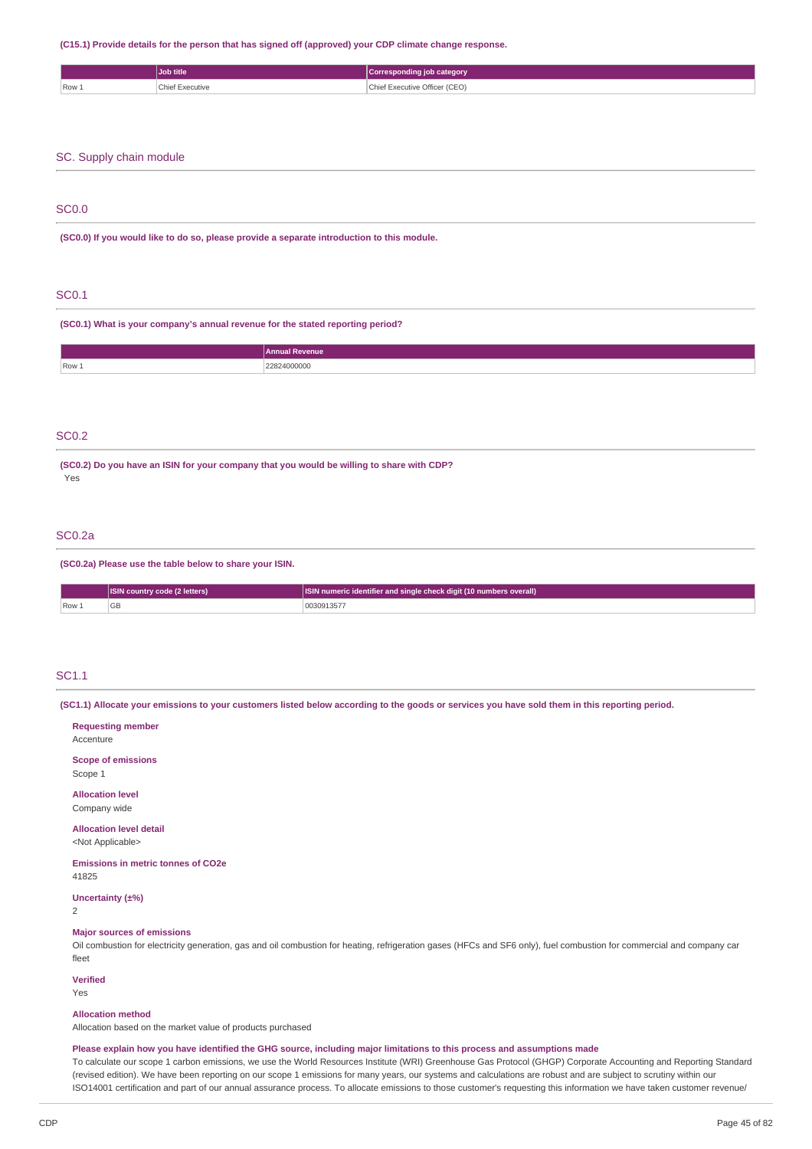#### **(C15.1) Provide details for the person that has signed off (approved) your CDP climate change response.**

|                | Job title | <b>category</b><br>*spondin. |
|----------------|-----------|------------------------------|
| $\sqrt{$ Row 1 | .         | - YACUTIVA<br>.              |

### SC. Supply chain module

### SC0.0

**(SC0.0) If you would like to do so, please provide a separate introduction to this module.**

### SC0.1

**(SC0.1) What is your company's annual revenue for the stated reporting period?**

|       | <b>Annual Revenue</b> |
|-------|-----------------------|
| Row 1 | 22824000000<br>.      |
|       |                       |

#### SC0.2

**(SC0.2) Do you have an ISIN for your company that you would be willing to share with CDP?** Yes

### SC0.2a

#### **(SC0.2a) Please use the table below to share your ISIN.**

|      | <b>ISIN country code (2 letters)</b> | <b>ISIN</b> numeric identifier and single check digit (10 numbers overall) |
|------|--------------------------------------|----------------------------------------------------------------------------|
| Row. | <b>GB</b>                            | 0030913577                                                                 |

#### SC1.1

(SC1.1) Allocate your emissions to your customers listed below according to the goods or services you have sold them in this reporting period.

**Requesting member** Accenture **Scope of emissions** Scope 1 **Allocation level** Company wide **Allocation level detail** <Not Applicable> **Emissions in metric tonnes of CO2e** 41825 **Uncertainty (±%)** 2 **Major sources of emissions** Oil combustion for electricity generation, gas and oil combustion for heating, refrigeration gases (HFCs and SF6 only), fuel combustion for commercial and company car fleet

**Verified**

Yes

#### **Allocation method**

Allocation based on the market value of products purchased

#### Please explain how you have identified the GHG source, including major limitations to this process and assumptions made

To calculate our scope 1 carbon emissions, we use the World Resources Institute (WRI) Greenhouse Gas Protocol (GHGP) Corporate Accounting and Reporting Standard (revised edition). We have been reporting on our scope 1 emissions for many years, our systems and calculations are robust and are subject to scrutiny within our ISO14001 certification and part of our annual assurance process. To allocate emissions to those customer's requesting this information we have taken customer revenue/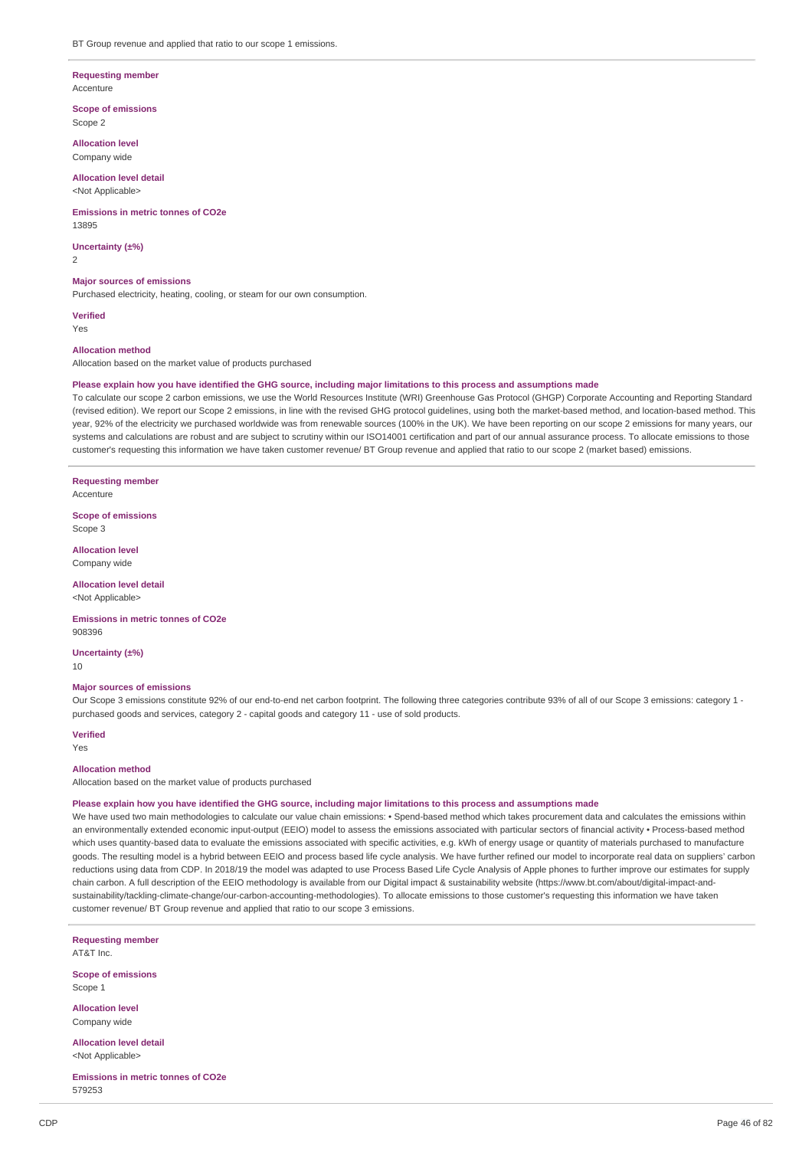#### **Requesting member** Accenture

**Scope of emissions** Scope 2

**Allocation level** Company wide

### **Allocation level detail**

<Not Applicable>

#### **Emissions in metric tonnes of CO2e** 13895

**Uncertainty (±%)**  $\overline{2}$ 

#### **Major sources of emissions**

Purchased electricity, heating, cooling, or steam for our own consumption.

**Verified**

## Yes

## **Allocation method**

Allocation based on the market value of products purchased

#### Please explain how you have identified the GHG source, including major limitations to this process and assumptions made

To calculate our scope 2 carbon emissions, we use the World Resources Institute (WRI) Greenhouse Gas Protocol (GHGP) Corporate Accounting and Reporting Standard (revised edition). We report our Scope 2 emissions, in line with the revised GHG protocol guidelines, using both the market-based method, and location-based method. This year, 92% of the electricity we purchased worldwide was from renewable sources (100% in the UK). We have been reporting on our scope 2 emissions for many years, our systems and calculations are robust and are subject to scrutiny within our ISO14001 certification and part of our annual assurance process. To allocate emissions to those customer's requesting this information we have taken customer revenue/ BT Group revenue and applied that ratio to our scope 2 (market based) emissions.

### **Requesting member**

Accenture

**Scope of emissions** Scope 3

**Allocation level** Company wide

## **Allocation level detail**

<Not Applicable>

**Emissions in metric tonnes of CO2e** 908396

#### **Uncertainty (±%)** 10

#### **Major sources of emissions**

Our Scope 3 emissions constitute 92% of our end-to-end net carbon footprint. The following three categories contribute 93% of all of our Scope 3 emissions: category 1 purchased goods and services, category 2 - capital goods and category 11 - use of sold products.

**Verified** Yes

## **Allocation method**

Allocation based on the market value of products purchased

#### Please explain how you have identified the GHG source, including major limitations to this process and assumptions made

We have used two main methodologies to calculate our value chain emissions: • Spend-based method which takes procurement data and calculates the emissions within an environmentally extended economic input-output (EEIO) model to assess the emissions associated with particular sectors of financial activity • Process-based method which uses quantity-based data to evaluate the emissions associated with specific activities, e.g. kWh of energy usage or quantity of materials purchased to manufacture goods. The resulting model is a hybrid between EEIO and process based life cycle analysis. We have further refined our model to incorporate real data on suppliers' carbon reductions using data from CDP. In 2018/19 the model was adapted to use Process Based Life Cycle Analysis of Apple phones to further improve our estimates for supply chain carbon. A full description of the EEIO methodology is available from our Digital impact & sustainability website (https://www.bt.com/about/digital-impact-andsustainability/tackling-climate-change/our-carbon-accounting-methodologies). To allocate emissions to those customer's requesting this information we have taken customer revenue/ BT Group revenue and applied that ratio to our scope 3 emissions.

**Requesting member** AT&T Inc.

**Scope of emissions** Scope 1

**Allocation level** Company wide

**Allocation level detail** <Not Applicable>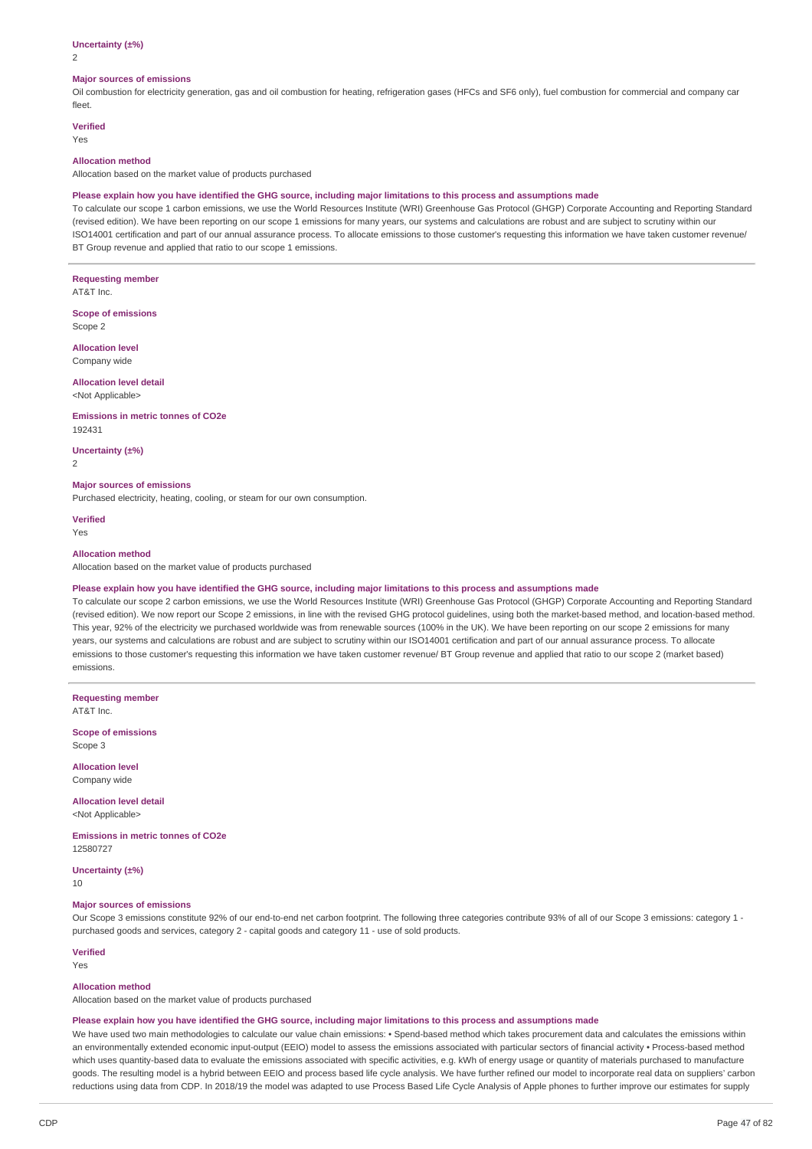#### **Uncertainty (±%)**

2

#### **Major sources of emissions**

Oil combustion for electricity generation, gas and oil combustion for heating, refrigeration gases (HFCs and SF6 only), fuel combustion for commercial and company car fleet.

#### **Verified**

Yes

### **Allocation method**

Allocation based on the market value of products purchased

#### Please explain how you have identified the GHG source, including major limitations to this process and assumptions made

To calculate our scope 1 carbon emissions, we use the World Resources Institute (WRI) Greenhouse Gas Protocol (GHGP) Corporate Accounting and Reporting Standard (revised edition). We have been reporting on our scope 1 emissions for many years, our systems and calculations are robust and are subject to scrutiny within our ISO14001 certification and part of our annual assurance process. To allocate emissions to those customer's requesting this information we have taken customer revenue/ BT Group revenue and applied that ratio to our scope 1 emissions.

#### **Requesting member**

AT&T Inc.

**Scope of emissions** Scope 2

#### **Allocation level**

Company wide

#### **Allocation level detail** <Not Applicable>

**Emissions in metric tonnes of CO2e** 192431

#### **Uncertainty (±%)**

2

#### **Major sources of emissions**

Purchased electricity, heating, cooling, or steam for our own consumption.

### **Verified**

Yes

#### **Allocation method**

Allocation based on the market value of products purchased

#### Please explain how you have identified the GHG source, including major limitations to this process and assumptions made

To calculate our scope 2 carbon emissions, we use the World Resources Institute (WRI) Greenhouse Gas Protocol (GHGP) Corporate Accounting and Reporting Standard (revised edition). We now report our Scope 2 emissions, in line with the revised GHG protocol guidelines, using both the market-based method, and location-based method. This year, 92% of the electricity we purchased worldwide was from renewable sources (100% in the UK). We have been reporting on our scope 2 emissions for many years, our systems and calculations are robust and are subject to scrutiny within our ISO14001 certification and part of our annual assurance process. To allocate emissions to those customer's requesting this information we have taken customer revenue/ BT Group revenue and applied that ratio to our scope 2 (market based) emissions.

**Requesting member** AT&T Inc.

**Scope of emissions** Scope 3

**Allocation level** Company wide

#### **Allocation level detail** <Not Applicable>

**Emissions in metric tonnes of CO2e** 12580727

**Uncertainty (±%)**  $1<sub>0</sub>$ 

#### **Major sources of emissions**

Our Scope 3 emissions constitute 92% of our end-to-end net carbon footprint. The following three categories contribute 93% of all of our Scope 3 emissions: category 1 purchased goods and services, category 2 - capital goods and category 11 - use of sold products.

#### **Verified**

Yes

#### **Allocation method**

Allocation based on the market value of products purchased

#### Please explain how you have identified the GHG source, including major limitations to this process and assumptions made

We have used two main methodologies to calculate our value chain emissions: • Spend-based method which takes procurement data and calculates the emissions within an environmentally extended economic input-output (EEIO) model to assess the emissions associated with particular sectors of financial activity • Process-based method which uses quantity-based data to evaluate the emissions associated with specific activities, e.g. kWh of energy usage or quantity of materials purchased to manufacture goods. The resulting model is a hybrid between EEIO and process based life cycle analysis. We have further refined our model to incorporate real data on suppliers' carbon reductions using data from CDP. In 2018/19 the model was adapted to use Process Based Life Cycle Analysis of Apple phones to further improve our estimates for supply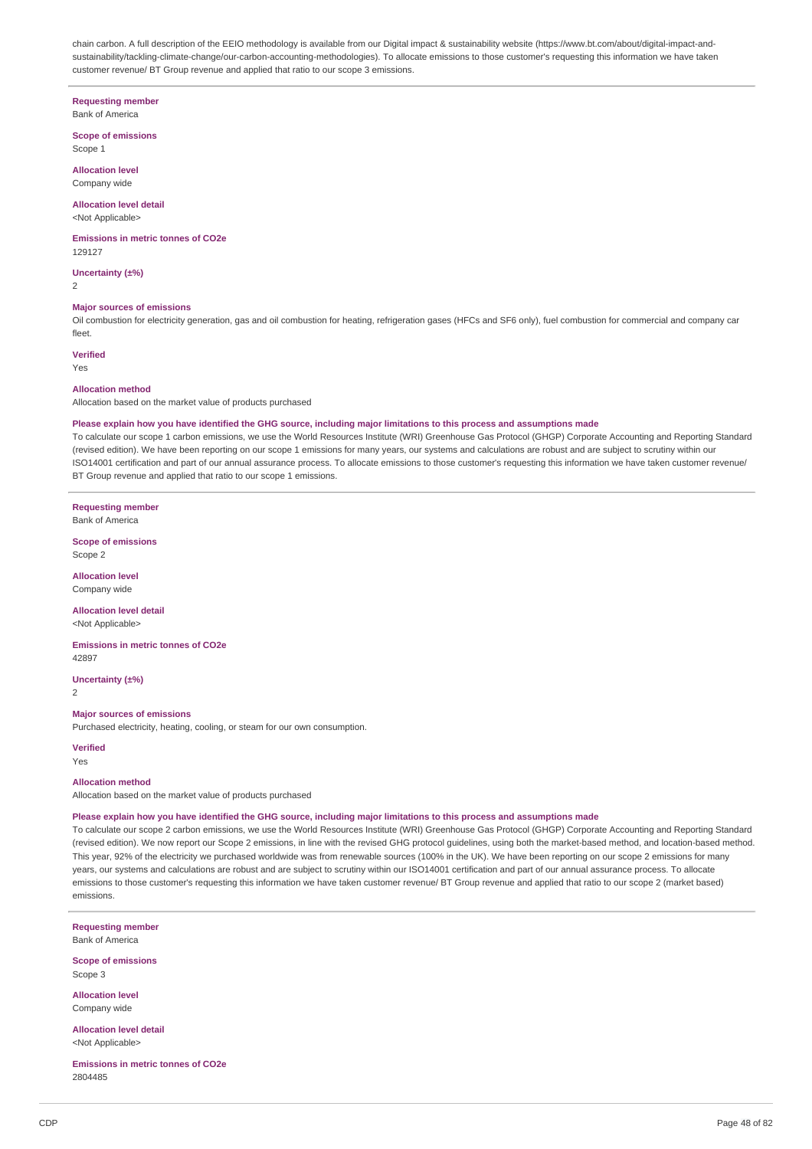chain carbon. A full description of the EEIO methodology is available from our Digital impact & sustainability website (https://www.bt.com/about/digital-impact-andsustainability/tackling-climate-change/our-carbon-accounting-methodologies). To allocate emissions to those customer's requesting this information we have taken customer revenue/ BT Group revenue and applied that ratio to our scope 3 emissions.

## **Requesting member**

## Bank of America

**Scope of emissions** Scope 1

### **Allocation level** Company wide

### **Allocation level detail**

<Not Applicable>

### **Emissions in metric tonnes of CO2e**

129127

## **Uncertainty (±%)**

2

### **Major sources of emissions**

Oil combustion for electricity generation, gas and oil combustion for heating, refrigeration gases (HFCs and SF6 only), fuel combustion for commercial and company car fleet.

### **Verified**

Yes

#### **Allocation method**

Allocation based on the market value of products purchased

#### Please explain how you have identified the GHG source, including major limitations to this process and assumptions made

To calculate our scope 1 carbon emissions, we use the World Resources Institute (WRI) Greenhouse Gas Protocol (GHGP) Corporate Accounting and Reporting Standard (revised edition). We have been reporting on our scope 1 emissions for many years, our systems and calculations are robust and are subject to scrutiny within our ISO14001 certification and part of our annual assurance process. To allocate emissions to those customer's requesting this information we have taken customer revenue/ BT Group revenue and applied that ratio to our scope 1 emissions.

**Requesting member**

Bank of America

**Scope of emissions** Scope 2

**Allocation level** Company wide

**Allocation level detail**

<Not Applicable>

**Emissions in metric tonnes of CO2e** 42897

**Uncertainty (±%)** 2

#### **Major sources of emissions**

Purchased electricity, heating, cooling, or steam for our own consumption.

**Verified** Yes

#### **Allocation method**

Allocation based on the market value of products purchased

#### Please explain how you have identified the GHG source, including major limitations to this process and assumptions made

To calculate our scope 2 carbon emissions, we use the World Resources Institute (WRI) Greenhouse Gas Protocol (GHGP) Corporate Accounting and Reporting Standard (revised edition). We now report our Scope 2 emissions, in line with the revised GHG protocol guidelines, using both the market-based method, and location-based method. This year, 92% of the electricity we purchased worldwide was from renewable sources (100% in the UK). We have been reporting on our scope 2 emissions for many years, our systems and calculations are robust and are subject to scrutiny within our ISO14001 certification and part of our annual assurance process. To allocate emissions to those customer's requesting this information we have taken customer revenue/ BT Group revenue and applied that ratio to our scope 2 (market based) emissions.

**Requesting member** Bank of America

**Scope of emissions** Scope 3

**Allocation level** Company wide

**Allocation level detail** <Not Applicable>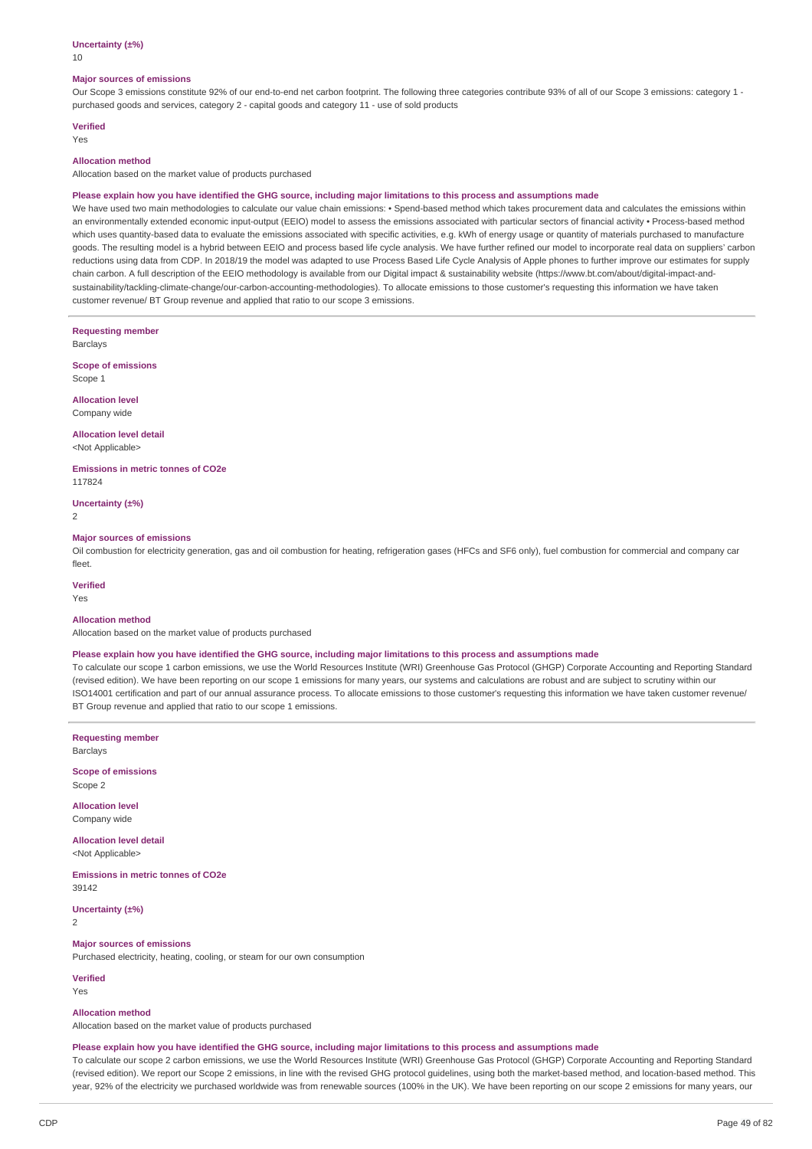#### **Uncertainty (±%)**

10

#### **Major sources of emissions**

Our Scope 3 emissions constitute 92% of our end-to-end net carbon footprint. The following three categories contribute 93% of all of our Scope 3 emissions: category 1 purchased goods and services, category 2 - capital goods and category 11 - use of sold products

### **Verified**

Yes

### **Allocation method**

Allocation based on the market value of products purchased

#### Please explain how you have identified the GHG source, including major limitations to this process and assumptions made

We have used two main methodologies to calculate our value chain emissions: • Spend-based method which takes procurement data and calculates the emissions within an environmentally extended economic input-output (EEIO) model to assess the emissions associated with particular sectors of financial activity · Process-based method which uses quantity-based data to evaluate the emissions associated with specific activities, e.g. kWh of energy usage or quantity of materials purchased to manufacture goods. The resulting model is a hybrid between EEIO and process based life cycle analysis. We have further refined our model to incorporate real data on suppliers' carbon reductions using data from CDP. In 2018/19 the model was adapted to use Process Based Life Cycle Analysis of Apple phones to further improve our estimates for supply chain carbon. A full description of the EEIO methodology is available from our Digital impact & sustainability website (https://www.bt.com/about/digital-impact-andsustainability/tackling-climate-change/our-carbon-accounting-methodologies). To allocate emissions to those customer's requesting this information we have taken customer revenue/ BT Group revenue and applied that ratio to our scope 3 emissions.

**Requesting member** Barclays

**Scope of emissions** Scope 1

**Allocation level** Company wide

**Allocation level detail**

<Not Applicable>

**Emissions in metric tonnes of CO2e** 117824

**Uncertainty (±%)**

2

#### **Major sources of emissions**

Oil combustion for electricity generation, gas and oil combustion for heating, refrigeration gases (HFCs and SF6 only), fuel combustion for commercial and company car fleet.

**Verified**

Yes

### **Allocation method**

Allocation based on the market value of products purchased

#### Please explain how you have identified the GHG source, including major limitations to this process and assumptions made

To calculate our scope 1 carbon emissions, we use the World Resources Institute (WRI) Greenhouse Gas Protocol (GHGP) Corporate Accounting and Reporting Standard (revised edition). We have been reporting on our scope 1 emissions for many years, our systems and calculations are robust and are subject to scrutiny within our ISO14001 certification and part of our annual assurance process. To allocate emissions to those customer's requesting this information we have taken customer revenue/ BT Group revenue and applied that ratio to our scope 1 emissions.

**Requesting member** Barclays

**Scope of emissions** Scope 2

**Allocation level** Company wide

**Allocation level detail** <Not Applicable>

**Emissions in metric tonnes of CO2e** 39142

**Uncertainty (±%)**  $\overline{2}$ 

**Major sources of emissions**

Purchased electricity, heating, cooling, or steam for our own consumption

**Verified** Yes

**Allocation method**

Allocation based on the market value of products purchased

#### Please explain how you have identified the GHG source, including major limitations to this process and assumptions made

To calculate our scope 2 carbon emissions, we use the World Resources Institute (WRI) Greenhouse Gas Protocol (GHGP) Corporate Accounting and Reporting Standard (revised edition). We report our Scope 2 emissions, in line with the revised GHG protocol guidelines, using both the market-based method, and location-based method. This year, 92% of the electricity we purchased worldwide was from renewable sources (100% in the UK). We have been reporting on our scope 2 emissions for many years, our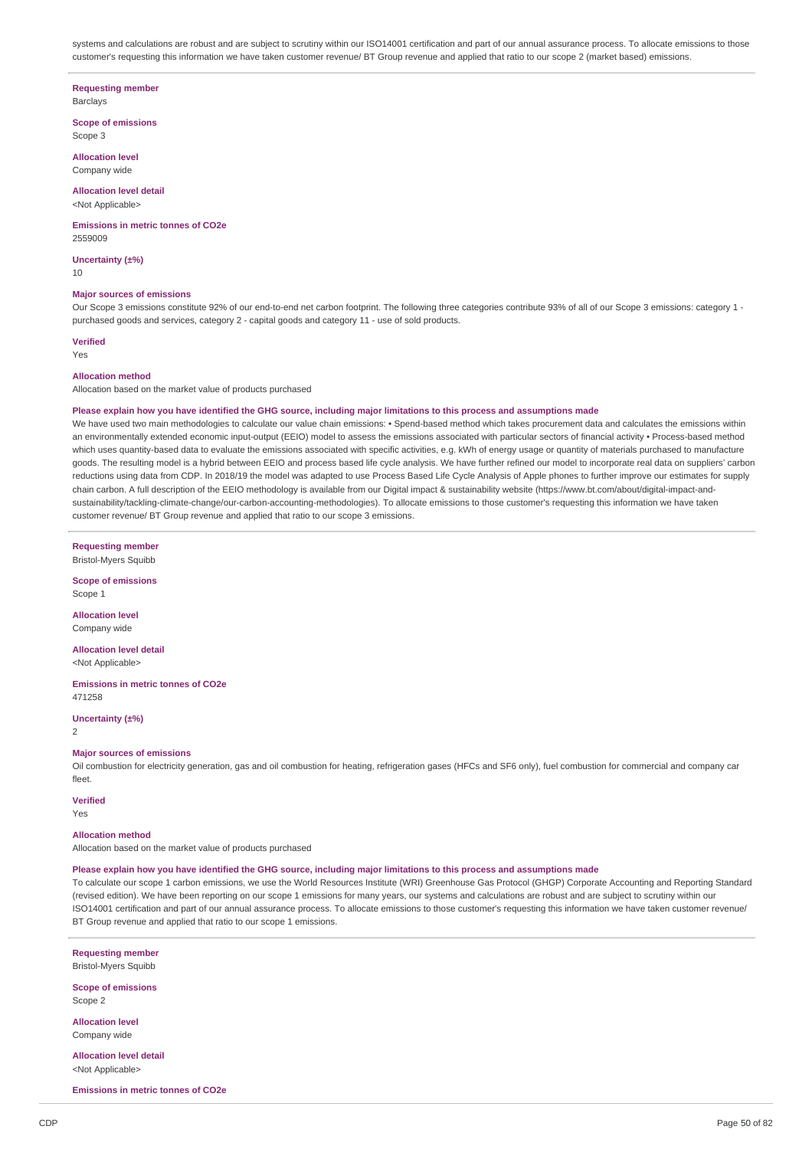systems and calculations are robust and are subject to scrutiny within our ISO14001 certification and part of our annual assurance process. To allocate emissions to those customer's requesting this information we have taken customer revenue/ BT Group revenue and applied that ratio to our scope 2 (market based) emissions.

#### **Requesting member**

Barclays

**Scope of emissions** Scope 3

**Allocation level** Company wide

#### **Allocation level detail** <Not Applicable>

#### **Emissions in metric tonnes of CO2e** 2559009

**Uncertainty (±%)** 10

#### **Major sources of emissions**

Our Scope 3 emissions constitute 92% of our end-to-end net carbon footprint. The following three categories contribute 93% of all of our Scope 3 emissions: category 1 purchased goods and services, category 2 - capital goods and category 11 - use of sold products.

**Verified**

# Yes

### **Allocation method**

Allocation based on the market value of products purchased

#### Please explain how you have identified the GHG source, including major limitations to this process and assumptions made

We have used two main methodologies to calculate our value chain emissions: • Spend-based method which takes procurement data and calculates the emissions within an environmentally extended economic input-output (EEIO) model to assess the emissions associated with particular sectors of financial activity · Process-based method which uses quantity-based data to evaluate the emissions associated with specific activities, e.g. kWh of energy usage or quantity of materials purchased to manufacture goods. The resulting model is a hybrid between EEIO and process based life cycle analysis. We have further refined our model to incorporate real data on suppliers' carbon reductions using data from CDP. In 2018/19 the model was adapted to use Process Based Life Cycle Analysis of Apple phones to further improve our estimates for supply chain carbon. A full description of the EEIO methodology is available from our Digital impact & sustainability website (https://www.bt.com/about/digital-impact-andsustainability/tackling-climate-change/our-carbon-accounting-methodologies). To allocate emissions to those customer's requesting this information we have taken customer revenue/ BT Group revenue and applied that ratio to our scope 3 emissions.

**Requesting member**

Bristol-Myers Squibb

**Scope of emissions** Scope 1

**Allocation level** Company wide

**Allocation level detail** <Not Applicable>

**Emissions in metric tonnes of CO2e** 471258

**Uncertainty (±%)**  $\overline{2}$ 

#### **Major sources of emissions**

Oil combustion for electricity generation, gas and oil combustion for heating, refrigeration gases (HFCs and SF6 only), fuel combustion for commercial and company car fleet.

### **Verified**

Yes

### **Allocation method**

Allocation based on the market value of products purchased

#### Please explain how you have identified the GHG source, including major limitations to this process and assumptions made

To calculate our scope 1 carbon emissions, we use the World Resources Institute (WRI) Greenhouse Gas Protocol (GHGP) Corporate Accounting and Reporting Standard (revised edition). We have been reporting on our scope 1 emissions for many years, our systems and calculations are robust and are subject to scrutiny within our ISO14001 certification and part of our annual assurance process. To allocate emissions to those customer's requesting this information we have taken customer revenue/ BT Group revenue and applied that ratio to our scope 1 emissions.

**Requesting member** Bristol-Myers Squibb

**Scope of emissions** Scope 2

**Allocation level** Company wide

**Allocation level detail** <Not Applicable>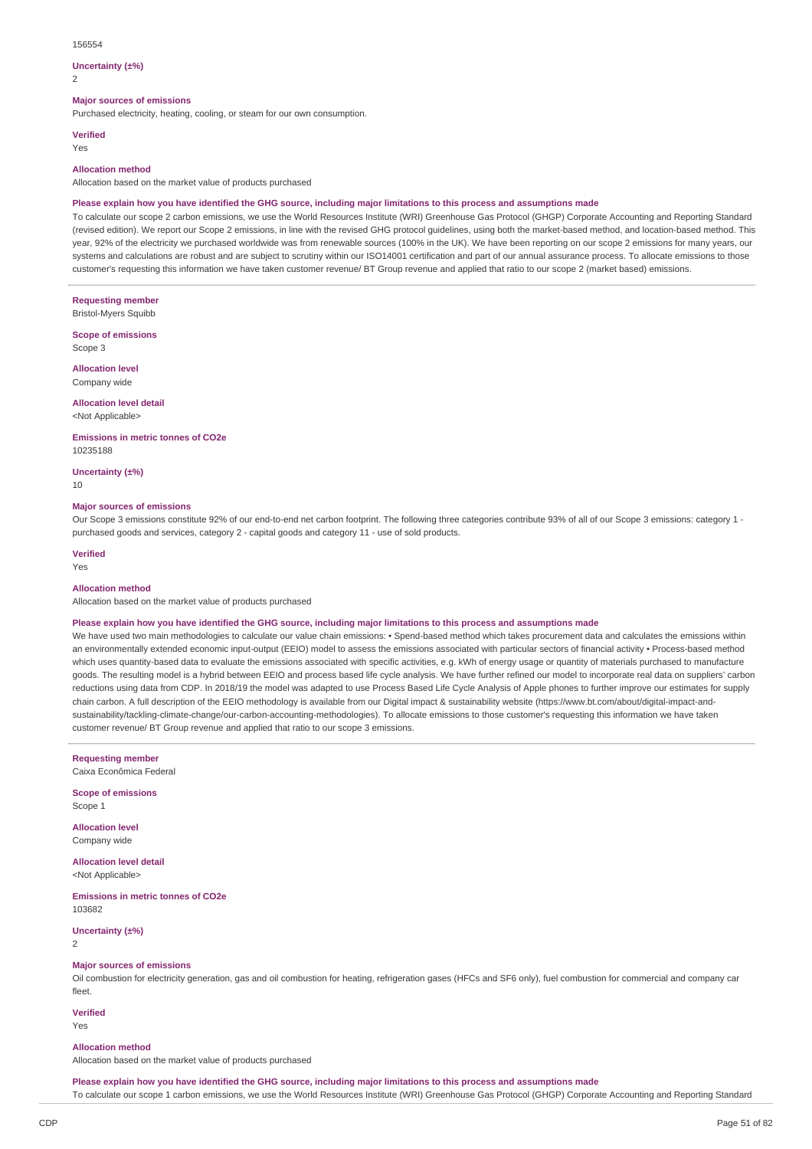#### 156554

#### **Uncertainty (±%)**

 $\overline{2}$ 

### **Major sources of emissions**

Purchased electricity, heating, cooling, or steam for our own consumption.

#### **Verified**

Yes

#### **Allocation method**

Allocation based on the market value of products purchased

### Please explain how you have identified the GHG source, including major limitations to this process and assumptions made

To calculate our scope 2 carbon emissions, we use the World Resources Institute (WRI) Greenhouse Gas Protocol (GHGP) Corporate Accounting and Reporting Standard (revised edition). We report our Scope 2 emissions, in line with the revised GHG protocol guidelines, using both the market-based method, and location-based method. This year, 92% of the electricity we purchased worldwide was from renewable sources (100% in the UK). We have been reporting on our scope 2 emissions for many years, our systems and calculations are robust and are subject to scrutiny within our ISO14001 certification and part of our annual assurance process. To allocate emissions to those customer's requesting this information we have taken customer revenue/ BT Group revenue and applied that ratio to our scope 2 (market based) emissions.

**Requesting member** Bristol-Myers Squibb

**Scope of emissions** Scope 3

**Allocation level**

Company wide

### **Allocation level detail** <Not Applicable>

**Emissions in metric tonnes of CO2e** 10235188

**Uncertainty (±%)**

10

#### **Major sources of emissions**

Our Scope 3 emissions constitute 92% of our end-to-end net carbon footprint. The following three categories contribute 93% of all of our Scope 3 emissions: category 1 purchased goods and services, category 2 - capital goods and category 11 - use of sold products.

## **Verified**

Yes

#### **Allocation method**

Allocation based on the market value of products purchased

#### Please explain how you have identified the GHG source, including major limitations to this process and assumptions made

We have used two main methodologies to calculate our value chain emissions: • Spend-based method which takes procurement data and calculates the emissions within an environmentally extended economic input-output (EEIO) model to assess the emissions associated with particular sectors of financial activity • Process-based method which uses quantity-based data to evaluate the emissions associated with specific activities, e.g. kWh of energy usage or quantity of materials purchased to manufacture goods. The resulting model is a hybrid between EEIO and process based life cycle analysis. We have further refined our model to incorporate real data on suppliers' carbon reductions using data from CDP. In 2018/19 the model was adapted to use Process Based Life Cycle Analysis of Apple phones to further improve our estimates for supply chain carbon. A full description of the EEIO methodology is available from our Digital impact & sustainability website (https://www.bt.com/about/digital-impact-andsustainability/tackling-climate-change/our-carbon-accounting-methodologies). To allocate emissions to those customer's requesting this information we have taken customer revenue/ BT Group revenue and applied that ratio to our scope 3 emissions.

**Requesting member**

Caixa Econômica Federal

**Scope of emissions** Scope 1

**Allocation level** Company wide

**Allocation level detail** <Not Applicable>

**Emissions in metric tonnes of CO2e** 103682

**Uncertainty (±%)** 2

### **Major sources of emissions**

Oil combustion for electricity generation, gas and oil combustion for heating, refrigeration gases (HFCs and SF6 only), fuel combustion for commercial and company car fleet.

**Verified** Yes

#### **Allocation method**

Allocation based on the market value of products purchased

Please explain how you have identified the GHG source, including major limitations to this process and assumptions made To calculate our scope 1 carbon emissions, we use the World Resources Institute (WRI) Greenhouse Gas Protocol (GHGP) Corporate Accounting and Reporting Standard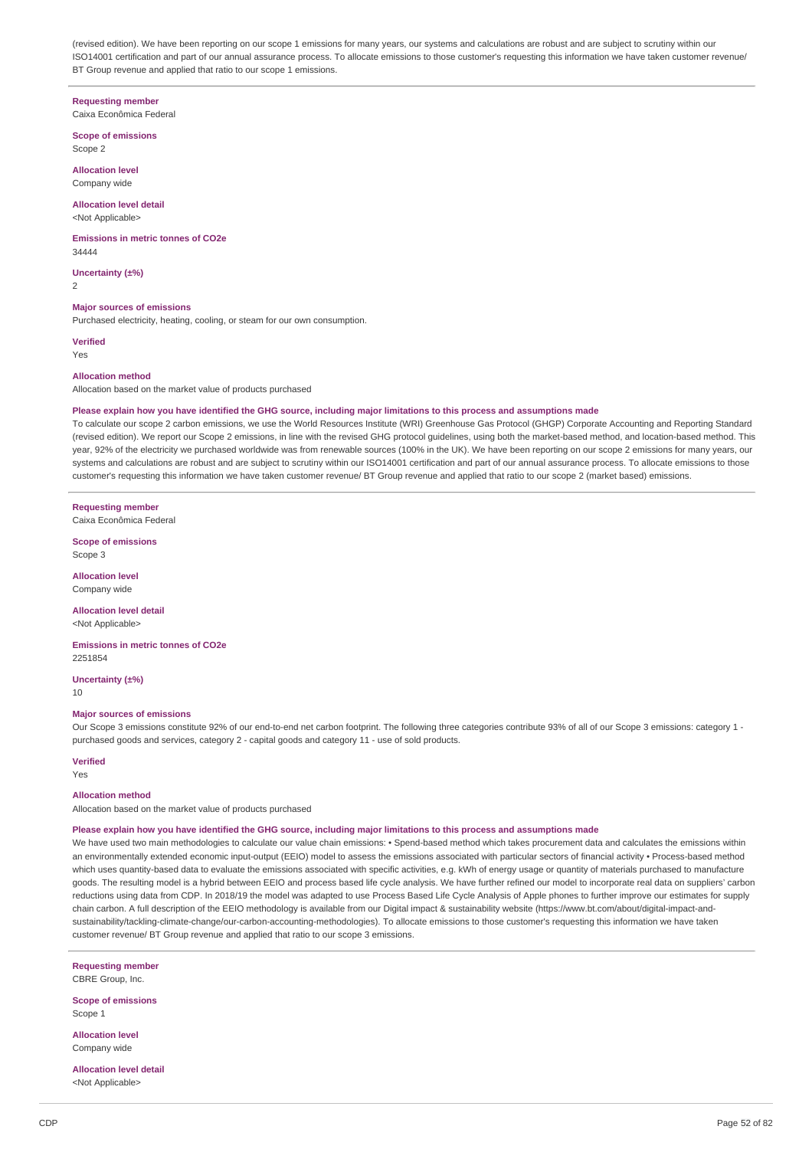(revised edition). We have been reporting on our scope 1 emissions for many years, our systems and calculations are robust and are subject to scrutiny within our ISO14001 certification and part of our annual assurance process. To allocate emissions to those customer's requesting this information we have taken customer revenue/ BT Group revenue and applied that ratio to our scope 1 emissions.

#### **Requesting member**

Caixa Econômica Federal

**Scope of emissions** Scope 2

**Allocation level** Company wide

## **Allocation level detail**

<Not Applicable>

**Emissions in metric tonnes of CO2e**  $34444$ 

**Uncertainty (±%)** 2

#### **Major sources of emissions**

Purchased electricity, heating, cooling, or steam for our own consumption.

**Verified**

Yes

#### **Allocation method**

Allocation based on the market value of products purchased

#### Please explain how you have identified the GHG source, including major limitations to this process and assumptions made

To calculate our scope 2 carbon emissions, we use the World Resources Institute (WRI) Greenhouse Gas Protocol (GHGP) Corporate Accounting and Reporting Standard (revised edition). We report our Scope 2 emissions, in line with the revised GHG protocol guidelines, using both the market-based method, and location-based method. This year, 92% of the electricity we purchased worldwide was from renewable sources (100% in the UK). We have been reporting on our scope 2 emissions for many years, our systems and calculations are robust and are subject to scrutiny within our ISO14001 certification and part of our annual assurance process. To allocate emissions to those customer's requesting this information we have taken customer revenue/ BT Group revenue and applied that ratio to our scope 2 (market based) emissions.

#### **Requesting member**

Caixa Econômica Federal

**Scope of emissions** Scope 3

**Allocation level** Company wide

**Allocation level detail**

<Not Applicable>

**Emissions in metric tonnes of CO2e** 2251854

**Uncertainty (±%)** 10

#### **Major sources of emissions**

Our Scope 3 emissions constitute 92% of our end-to-end net carbon footprint. The following three categories contribute 93% of all of our Scope 3 emissions: category 1 purchased goods and services, category 2 - capital goods and category 11 - use of sold products.

#### **Verified**

Yes

#### **Allocation method**

Allocation based on the market value of products purchased

#### Please explain how you have identified the GHG source, including major limitations to this process and assumptions made

We have used two main methodologies to calculate our value chain emissions: • Spend-based method which takes procurement data and calculates the emissions within an environmentally extended economic input-output (EEIO) model to assess the emissions associated with particular sectors of financial activity • Process-based method which uses quantity-based data to evaluate the emissions associated with specific activities, e.g. kWh of energy usage or quantity of materials purchased to manufacture goods. The resulting model is a hybrid between EEIO and process based life cycle analysis. We have further refined our model to incorporate real data on suppliers' carbon reductions using data from CDP. In 2018/19 the model was adapted to use Process Based Life Cycle Analysis of Apple phones to further improve our estimates for supply chain carbon. A full description of the EEIO methodology is available from our Digital impact & sustainability website (https://www.bt.com/about/digital-impact-andsustainability/tackling-climate-change/our-carbon-accounting-methodologies). To allocate emissions to those customer's requesting this information we have taken customer revenue/ BT Group revenue and applied that ratio to our scope 3 emissions.

**Requesting member** CBRE Group, Inc.

**Scope of emissions** Scope 1

**Allocation level** Company wide

**Allocation level detail** <Not Applicable>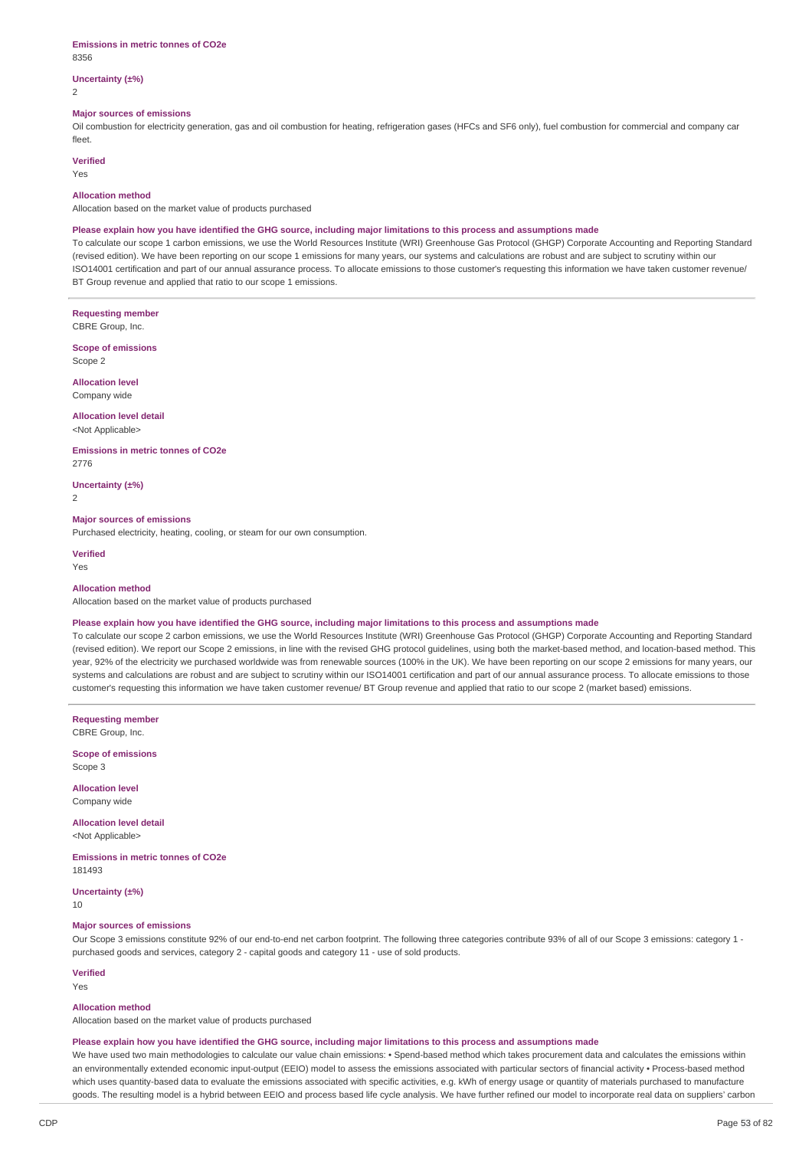#### **Emissions in metric tonnes of CO2e** 8356

**Uncertainty (±%)**

2

#### **Major sources of emissions**

Oil combustion for electricity generation, gas and oil combustion for heating, refrigeration gases (HFCs and SF6 only), fuel combustion for commercial and company car fleet.

### **Verified**

Yes

#### **Allocation method**

Allocation based on the market value of products purchased

#### Please explain how you have identified the GHG source, including major limitations to this process and assumptions made

To calculate our scope 1 carbon emissions, we use the World Resources Institute (WRI) Greenhouse Gas Protocol (GHGP) Corporate Accounting and Reporting Standard (revised edition). We have been reporting on our scope 1 emissions for many years, our systems and calculations are robust and are subject to scrutiny within our ISO14001 certification and part of our annual assurance process. To allocate emissions to those customer's requesting this information we have taken customer revenue/ BT Group revenue and applied that ratio to our scope 1 emissions.

**Requesting member**

CBRE Group, Inc.

**Scope of emissions** Scope 2

**Allocation level** Company wide

## **Allocation level detail**

<Not Applicable>

#### **Emissions in metric tonnes of CO2e** 2776

**Uncertainty (±%)**

 $\overline{2}$ 

### **Major sources of emissions**

Purchased electricity, heating, cooling, or steam for our own consumption.

**Verified** Yes

#### **Allocation method**

Allocation based on the market value of products purchased

#### Please explain how you have identified the GHG source, including major limitations to this process and assumptions made

To calculate our scope 2 carbon emissions, we use the World Resources Institute (WRI) Greenhouse Gas Protocol (GHGP) Corporate Accounting and Reporting Standard (revised edition). We report our Scope 2 emissions, in line with the revised GHG protocol guidelines, using both the market-based method, and location-based method. This year, 92% of the electricity we purchased worldwide was from renewable sources (100% in the UK). We have been reporting on our scope 2 emissions for many years, our systems and calculations are robust and are subject to scrutiny within our ISO14001 certification and part of our annual assurance process. To allocate emissions to those customer's requesting this information we have taken customer revenue/ BT Group revenue and applied that ratio to our scope 2 (market based) emissions.

**Requesting member** CBRE Group, Inc.

**Scope of emissions** Scope 3

**Allocation level** Company wide

**Allocation level detail** <Not Applicable>

**Emissions in metric tonnes of CO2e** 181493

**Uncertainty (±%)**

10

#### **Major sources of emissions**

Our Scope 3 emissions constitute 92% of our end-to-end net carbon footprint. The following three categories contribute 93% of all of our Scope 3 emissions: category 1 purchased goods and services, category 2 - capital goods and category 11 - use of sold products.

### **Verified**

Yes

#### **Allocation method**

Allocation based on the market value of products purchased

#### Please explain how you have identified the GHG source, including major limitations to this process and assumptions made

We have used two main methodologies to calculate our value chain emissions: • Spend-based method which takes procurement data and calculates the emissions within an environmentally extended economic input-output (EEIO) model to assess the emissions associated with particular sectors of financial activity · Process-based method which uses quantity-based data to evaluate the emissions associated with specific activities, e.g. kWh of energy usage or quantity of materials purchased to manufacture goods. The resulting model is a hybrid between EEIO and process based life cycle analysis. We have further refined our model to incorporate real data on suppliers' carbon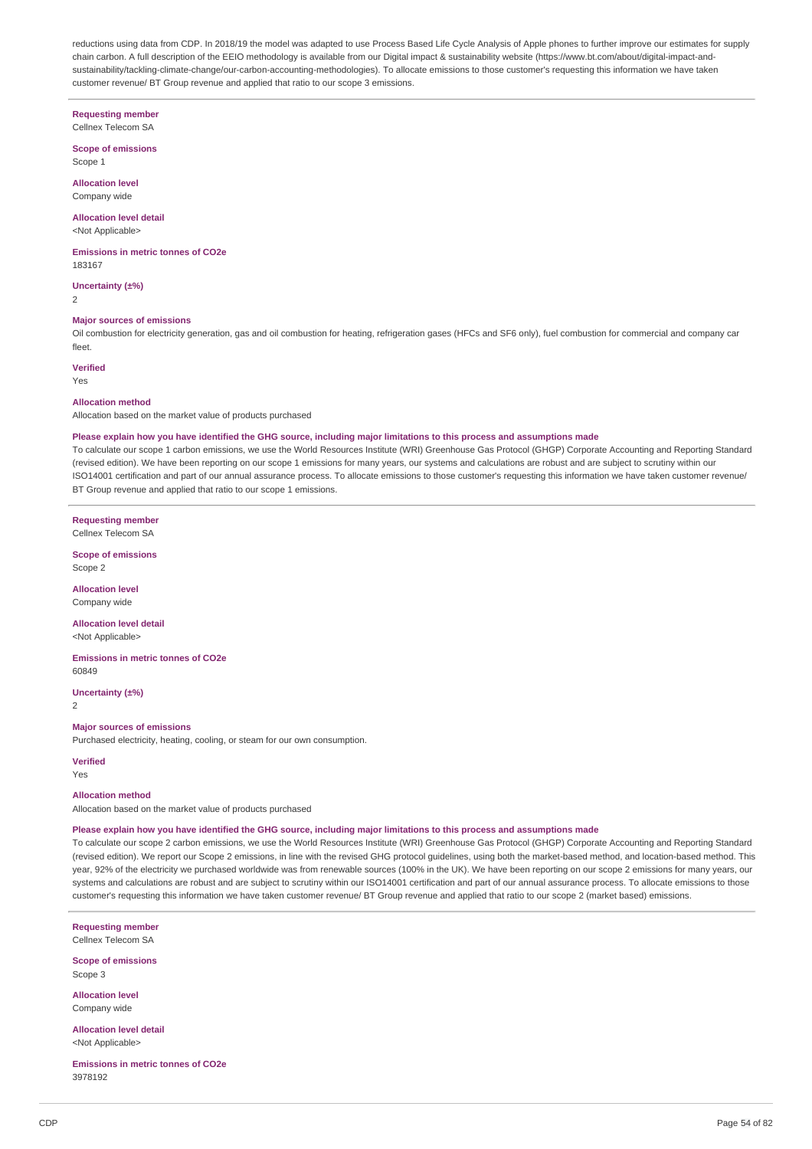reductions using data from CDP. In 2018/19 the model was adapted to use Process Based Life Cycle Analysis of Apple phones to further improve our estimates for supply chain carbon. A full description of the EEIO methodology is available from our Digital impact & sustainability website (https://www.bt.com/about/digital-impact-andsustainability/tackling-climate-change/our-carbon-accounting-methodologies). To allocate emissions to those customer's requesting this information we have taken customer revenue/ BT Group revenue and applied that ratio to our scope 3 emissions.

### **Requesting member**

Cellnex Telecom SA

**Scope of emissions** Scope 1

**Allocation level** Company wide

#### **Allocation level detail** <Not Applicable>

**Emissions in metric tonnes of CO2e** 183167

**Uncertainty (±%)**

 $\overline{2}$ 

### **Major sources of emissions**

Oil combustion for electricity generation, gas and oil combustion for heating, refrigeration gases (HFCs and SF6 only), fuel combustion for commercial and company car fleet.

### **Verified**

Yes

#### **Allocation method**

Allocation based on the market value of products purchased

#### Please explain how you have identified the GHG source, including major limitations to this process and assumptions made

To calculate our scope 1 carbon emissions, we use the World Resources Institute (WRI) Greenhouse Gas Protocol (GHGP) Corporate Accounting and Reporting Standard (revised edition). We have been reporting on our scope 1 emissions for many years, our systems and calculations are robust and are subject to scrutiny within our ISO14001 certification and part of our annual assurance process. To allocate emissions to those customer's requesting this information we have taken customer revenue/ BT Group revenue and applied that ratio to our scope 1 emissions.

**Requesting member** Cellnex Telecom SA

**Scope of emissions** Scope 2

**Allocation level**

Company wide

**Allocation level detail** <Not Applicable>

**Emissions in metric tonnes of CO2e** 60849

**Uncertainty (±%)**

2

### **Major sources of emissions**

Purchased electricity, heating, cooling, or steam for our own consumption.

#### **Verified**

Yes

#### **Allocation method**

Allocation based on the market value of products purchased

#### Please explain how you have identified the GHG source, including major limitations to this process and assumptions made

To calculate our scope 2 carbon emissions, we use the World Resources Institute (WRI) Greenhouse Gas Protocol (GHGP) Corporate Accounting and Reporting Standard (revised edition). We report our Scope 2 emissions, in line with the revised GHG protocol guidelines, using both the market-based method, and location-based method. This year, 92% of the electricity we purchased worldwide was from renewable sources (100% in the UK). We have been reporting on our scope 2 emissions for many years, our systems and calculations are robust and are subject to scrutiny within our ISO14001 certification and part of our annual assurance process. To allocate emissions to those customer's requesting this information we have taken customer revenue/ BT Group revenue and applied that ratio to our scope 2 (market based) emissions.

**Requesting member** Cellnex Telecom SA

**Scope of emissions**

Scope 3

**Allocation level** Company wide

**Allocation level detail** <Not Applicable>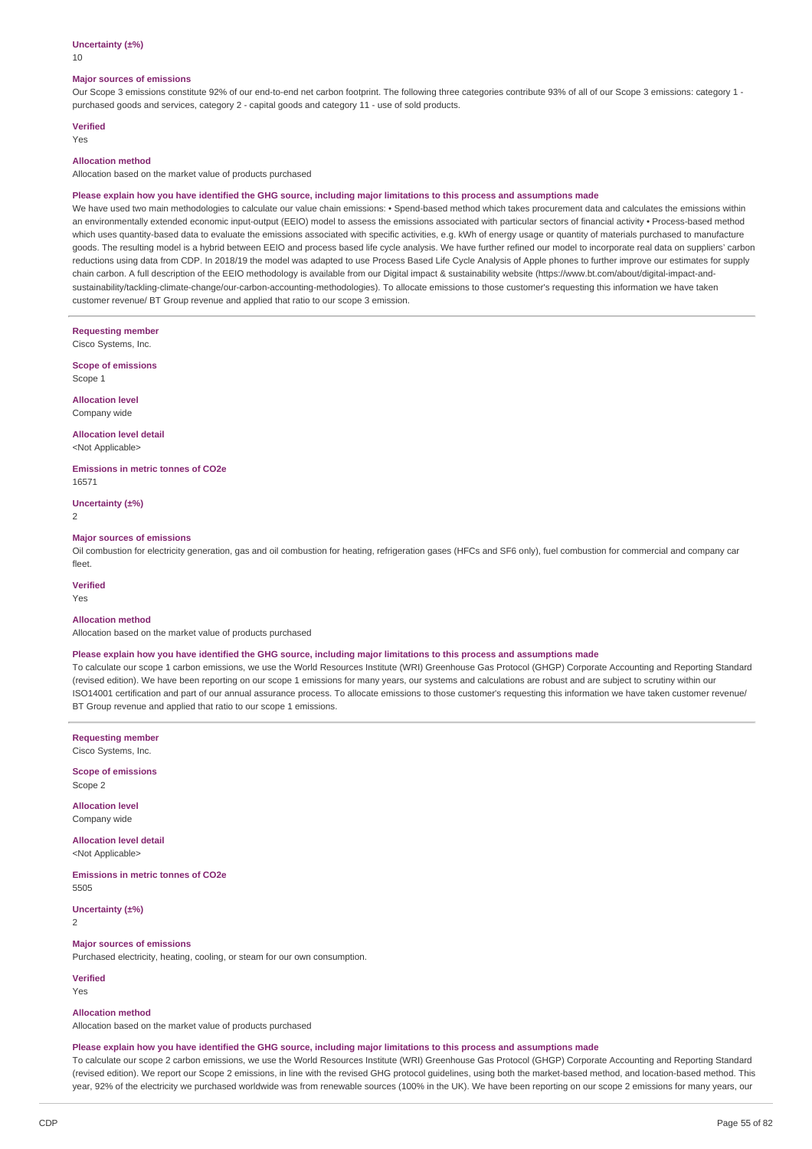#### **Uncertainty (±%)**

10

#### **Major sources of emissions**

Our Scope 3 emissions constitute 92% of our end-to-end net carbon footprint. The following three categories contribute 93% of all of our Scope 3 emissions: category 1 purchased goods and services, category 2 - capital goods and category 11 - use of sold products.

### **Verified**

Yes

### **Allocation method**

Allocation based on the market value of products purchased

#### Please explain how you have identified the GHG source, including major limitations to this process and assumptions made

We have used two main methodologies to calculate our value chain emissions: • Spend-based method which takes procurement data and calculates the emissions within an environmentally extended economic input-output (EEIO) model to assess the emissions associated with particular sectors of financial activity · Process-based method which uses quantity-based data to evaluate the emissions associated with specific activities, e.g. kWh of energy usage or quantity of materials purchased to manufacture goods. The resulting model is a hybrid between EEIO and process based life cycle analysis. We have further refined our model to incorporate real data on suppliers' carbon reductions using data from CDP. In 2018/19 the model was adapted to use Process Based Life Cycle Analysis of Apple phones to further improve our estimates for supply chain carbon. A full description of the EEIO methodology is available from our Digital impact & sustainability website (https://www.bt.com/about/digital-impact-andsustainability/tackling-climate-change/our-carbon-accounting-methodologies). To allocate emissions to those customer's requesting this information we have taken customer revenue/ BT Group revenue and applied that ratio to our scope 3 emission.

**Requesting member** Cisco Systems, Inc.

**Scope of emissions** Scope 1

**Allocation level** Company wide

**Allocation level detail** <Not Applicable>

**Emissions in metric tonnes of CO2e** 16571

**Uncertainty (±%)**

2

#### **Major sources of emissions**

Oil combustion for electricity generation, gas and oil combustion for heating, refrigeration gases (HFCs and SF6 only), fuel combustion for commercial and company car fleet.

**Verified**

#### Yes

### **Allocation method**

Allocation based on the market value of products purchased

#### Please explain how you have identified the GHG source, including major limitations to this process and assumptions made

To calculate our scope 1 carbon emissions, we use the World Resources Institute (WRI) Greenhouse Gas Protocol (GHGP) Corporate Accounting and Reporting Standard (revised edition). We have been reporting on our scope 1 emissions for many years, our systems and calculations are robust and are subject to scrutiny within our ISO14001 certification and part of our annual assurance process. To allocate emissions to those customer's requesting this information we have taken customer revenue/ BT Group revenue and applied that ratio to our scope 1 emissions.

**Requesting member** Cisco Systems, Inc.

**Scope of emissions** Scope 2

**Allocation level** Company wide

**Allocation level detail** <Not Applicable>

**Emissions in metric tonnes of CO2e** 5505

**Uncertainty (±%)** 2

#### **Major sources of emissions**

Purchased electricity, heating, cooling, or steam for our own consumption.

**Verified** Yes

#### **Allocation method**

Allocation based on the market value of products purchased

#### Please explain how you have identified the GHG source, including major limitations to this process and assumptions made

To calculate our scope 2 carbon emissions, we use the World Resources Institute (WRI) Greenhouse Gas Protocol (GHGP) Corporate Accounting and Reporting Standard (revised edition). We report our Scope 2 emissions, in line with the revised GHG protocol guidelines, using both the market-based method, and location-based method. This year, 92% of the electricity we purchased worldwide was from renewable sources (100% in the UK). We have been reporting on our scope 2 emissions for many years, our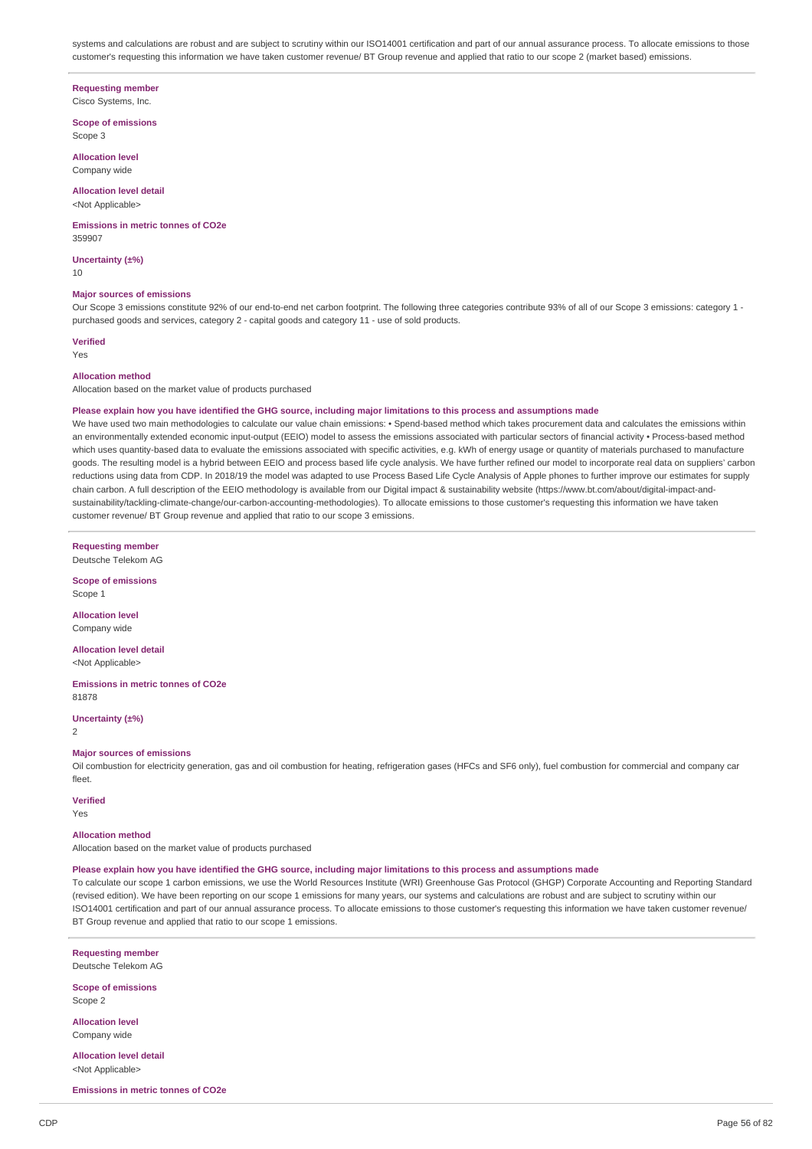systems and calculations are robust and are subject to scrutiny within our ISO14001 certification and part of our annual assurance process. To allocate emissions to those customer's requesting this information we have taken customer revenue/ BT Group revenue and applied that ratio to our scope 2 (market based) emissions.

#### **Requesting member**

Cisco Systems, Inc.

**Scope of emissions** Scope 3

**Allocation level** Company wide

# **Allocation level detail**

<Not Applicable>

#### **Emissions in metric tonnes of CO2e** 359907

**Uncertainty (±%)** 10

### **Major sources of emissions**

Our Scope 3 emissions constitute 92% of our end-to-end net carbon footprint. The following three categories contribute 93% of all of our Scope 3 emissions: category 1 purchased goods and services, category 2 - capital goods and category 11 - use of sold products.

### **Verified**

Yes

#### **Allocation method**

Allocation based on the market value of products purchased

#### Please explain how you have identified the GHG source, including major limitations to this process and assumptions made

We have used two main methodologies to calculate our value chain emissions: • Spend-based method which takes procurement data and calculates the emissions within an environmentally extended economic input-output (EEIO) model to assess the emissions associated with particular sectors of financial activity · Process-based method which uses quantity-based data to evaluate the emissions associated with specific activities, e.g. kWh of energy usage or quantity of materials purchased to manufacture goods. The resulting model is a hybrid between EEIO and process based life cycle analysis. We have further refined our model to incorporate real data on suppliers' carbon reductions using data from CDP. In 2018/19 the model was adapted to use Process Based Life Cycle Analysis of Apple phones to further improve our estimates for supply chain carbon. A full description of the EEIO methodology is available from our Digital impact & sustainability website (https://www.bt.com/about/digital-impact-andsustainability/tackling-climate-change/our-carbon-accounting-methodologies). To allocate emissions to those customer's requesting this information we have taken customer revenue/ BT Group revenue and applied that ratio to our scope 3 emissions.

**Requesting member**

Deutsche Telekom AG

**Scope of emissions** Scope 1

**Allocation level** Company wide

**Allocation level detail** <Not Applicable>

**Emissions in metric tonnes of CO2e** 81878

**Uncertainty (±%)**  $\overline{2}$ 

#### **Major sources of emissions**

Oil combustion for electricity generation, gas and oil combustion for heating, refrigeration gases (HFCs and SF6 only), fuel combustion for commercial and company car fleet.

### **Verified**

Yes

### **Allocation method**

Allocation based on the market value of products purchased

#### Please explain how you have identified the GHG source, including major limitations to this process and assumptions made

To calculate our scope 1 carbon emissions, we use the World Resources Institute (WRI) Greenhouse Gas Protocol (GHGP) Corporate Accounting and Reporting Standard (revised edition). We have been reporting on our scope 1 emissions for many years, our systems and calculations are robust and are subject to scrutiny within our ISO14001 certification and part of our annual assurance process. To allocate emissions to those customer's requesting this information we have taken customer revenue/ BT Group revenue and applied that ratio to our scope 1 emissions.

**Requesting member** Deutsche Telekom AG

**Scope of emissions** Scope 2

**Allocation level**

Company wide

**Allocation level detail** <Not Applicable>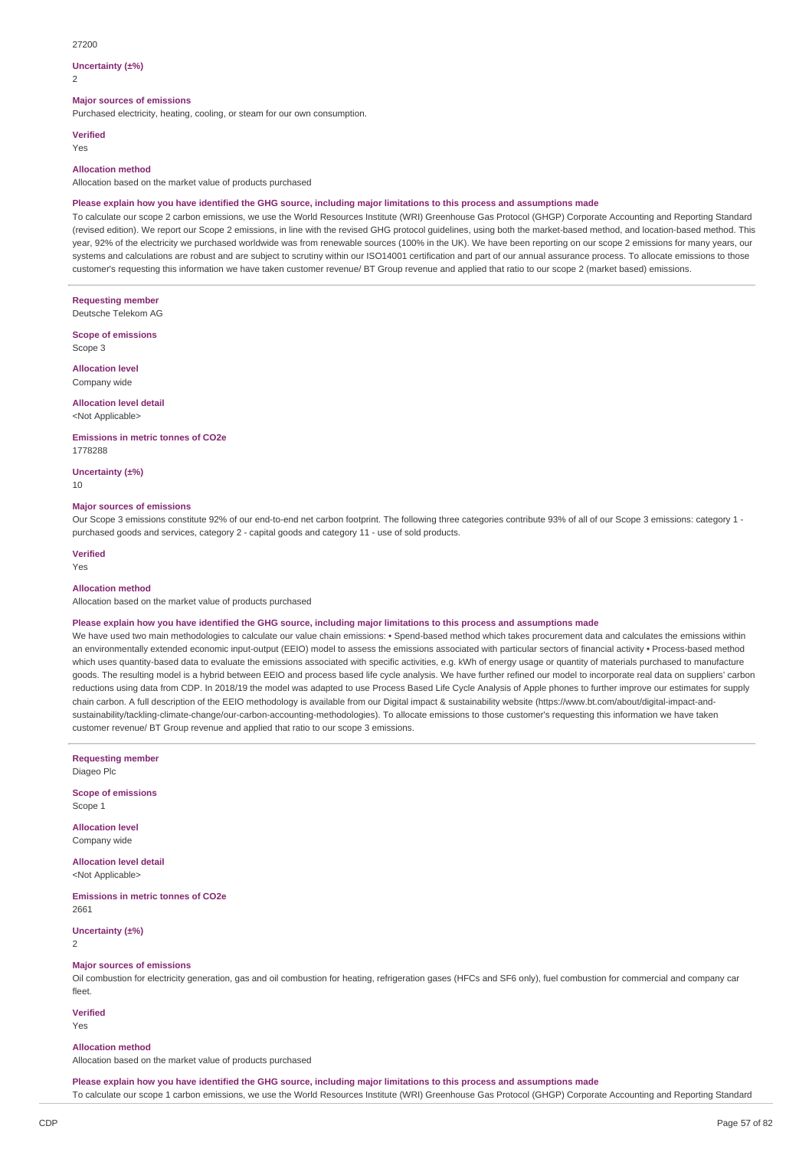#### 27200

#### **Uncertainty (±%)**

 $\overline{2}$ 

### **Major sources of emissions**

Purchased electricity, heating, cooling, or steam for our own consumption.

#### **Verified**

Yes

#### **Allocation method**

Allocation based on the market value of products purchased

#### Please explain how you have identified the GHG source, including major limitations to this process and assumptions made

To calculate our scope 2 carbon emissions, we use the World Resources Institute (WRI) Greenhouse Gas Protocol (GHGP) Corporate Accounting and Reporting Standard (revised edition). We report our Scope 2 emissions, in line with the revised GHG protocol guidelines, using both the market-based method, and location-based method. This year, 92% of the electricity we purchased worldwide was from renewable sources (100% in the UK). We have been reporting on our scope 2 emissions for many years, our systems and calculations are robust and are subject to scrutiny within our ISO14001 certification and part of our annual assurance process. To allocate emissions to those customer's requesting this information we have taken customer revenue/ BT Group revenue and applied that ratio to our scope 2 (market based) emissions.

**Requesting member** Deutsche Telekom AG

**Scope of emissions** Scope 3

**Allocation level**

Company wide

### **Allocation level detail**

<Not Applicable>

**Emissions in metric tonnes of CO2e** 1778288

**Uncertainty (±%)**

10

#### **Major sources of emissions**

Our Scope 3 emissions constitute 92% of our end-to-end net carbon footprint. The following three categories contribute 93% of all of our Scope 3 emissions: category 1 purchased goods and services, category 2 - capital goods and category 11 - use of sold products.

### **Verified**

Yes

### **Allocation method**

Allocation based on the market value of products purchased

#### Please explain how you have identified the GHG source, including major limitations to this process and assumptions made

We have used two main methodologies to calculate our value chain emissions: • Spend-based method which takes procurement data and calculates the emissions within an environmentally extended economic input-output (EEIO) model to assess the emissions associated with particular sectors of financial activity • Process-based method which uses quantity-based data to evaluate the emissions associated with specific activities, e.g. kWh of energy usage or quantity of materials purchased to manufacture goods. The resulting model is a hybrid between EEIO and process based life cycle analysis. We have further refined our model to incorporate real data on suppliers' carbon reductions using data from CDP. In 2018/19 the model was adapted to use Process Based Life Cycle Analysis of Apple phones to further improve our estimates for supply chain carbon. A full description of the EEIO methodology is available from our Digital impact & sustainability website (https://www.bt.com/about/digital-impact-andsustainability/tackling-climate-change/our-carbon-accounting-methodologies). To allocate emissions to those customer's requesting this information we have taken customer revenue/ BT Group revenue and applied that ratio to our scope 3 emissions.

**Requesting member**

Diageo Plc

**Scope of emissions** Scope 1

**Allocation level** Company wide

**Allocation level detail** <Not Applicable>

**Emissions in metric tonnes of CO2e** 2661

**Uncertainty (±%)**

2

### **Major sources of emissions**

Oil combustion for electricity generation, gas and oil combustion for heating, refrigeration gases (HFCs and SF6 only), fuel combustion for commercial and company car fleet.

**Verified**

### Yes

#### **Allocation method**

Allocation based on the market value of products purchased

Please explain how you have identified the GHG source, including major limitations to this process and assumptions made To calculate our scope 1 carbon emissions, we use the World Resources Institute (WRI) Greenhouse Gas Protocol (GHGP) Corporate Accounting and Reporting Standard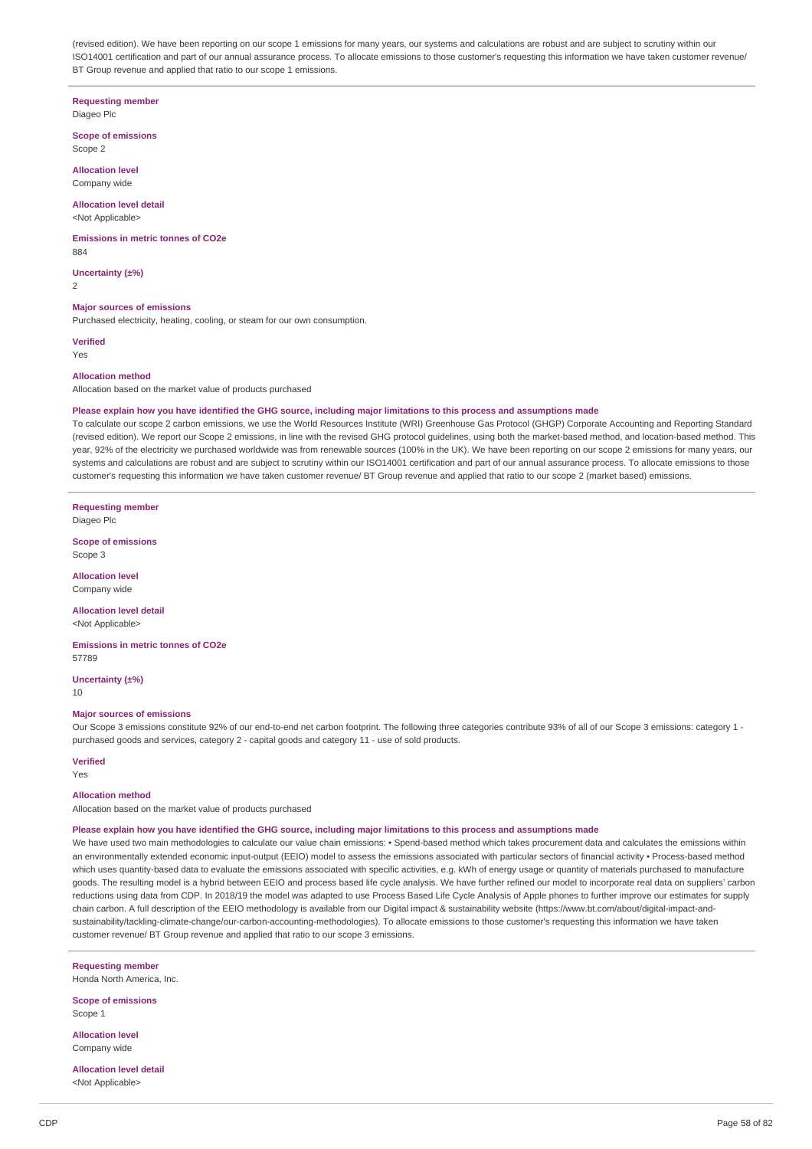(revised edition). We have been reporting on our scope 1 emissions for many years, our systems and calculations are robust and are subject to scrutiny within our ISO14001 certification and part of our annual assurance process. To allocate emissions to those customer's requesting this information we have taken customer revenue/ BT Group revenue and applied that ratio to our scope 1 emissions.

#### **Requesting member** Diageo Plc

#### **Scope of emissions** Scope 2

**Allocation level** Company wide

### **Allocation level detail**

<Not Applicable>

### **Emissions in metric tonnes of CO2e**

884

**Uncertainty (±%)** 2

### **Major sources of emissions**

Purchased electricity, heating, cooling, or steam for our own consumption.

**Verified**

Yes

#### **Allocation method**

Allocation based on the market value of products purchased

#### Please explain how you have identified the GHG source, including major limitations to this process and assumptions made

To calculate our scope 2 carbon emissions, we use the World Resources Institute (WRI) Greenhouse Gas Protocol (GHGP) Corporate Accounting and Reporting Standard (revised edition). We report our Scope 2 emissions, in line with the revised GHG protocol guidelines, using both the market-based method, and location-based method. This year, 92% of the electricity we purchased worldwide was from renewable sources (100% in the UK). We have been reporting on our scope 2 emissions for many years, our systems and calculations are robust and are subject to scrutiny within our ISO14001 certification and part of our annual assurance process. To allocate emissions to those customer's requesting this information we have taken customer revenue/ BT Group revenue and applied that ratio to our scope 2 (market based) emissions.

**Requesting member**

Diageo Plc

**Scope of emissions** Scope 3

**Allocation level** Company wide

#### **Allocation level detail**

<Not Applicable>

**Emissions in metric tonnes of CO2e** 57789

**Uncertainty (±%)** 10

#### **Major sources of emissions**

Our Scope 3 emissions constitute 92% of our end-to-end net carbon footprint. The following three categories contribute 93% of all of our Scope 3 emissions: category 1 purchased goods and services, category 2 - capital goods and category 11 - use of sold products.

#### **Verified**

Yes

#### **Allocation method**

Allocation based on the market value of products purchased

#### Please explain how you have identified the GHG source, including major limitations to this process and assumptions made

We have used two main methodologies to calculate our value chain emissions: • Spend-based method which takes procurement data and calculates the emissions within an environmentally extended economic input-output (EEIO) model to assess the emissions associated with particular sectors of financial activity • Process-based method which uses quantity-based data to evaluate the emissions associated with specific activities, e.g. kWh of energy usage or quantity of materials purchased to manufacture goods. The resulting model is a hybrid between EEIO and process based life cycle analysis. We have further refined our model to incorporate real data on suppliers' carbon reductions using data from CDP. In 2018/19 the model was adapted to use Process Based Life Cycle Analysis of Apple phones to further improve our estimates for supply chain carbon. A full description of the EEIO methodology is available from our Digital impact & sustainability website (https://www.bt.com/about/digital-impact-andsustainability/tackling-climate-change/our-carbon-accounting-methodologies). To allocate emissions to those customer's requesting this information we have taken customer revenue/ BT Group revenue and applied that ratio to our scope 3 emissions.

**Requesting member**

Honda North America, Inc.

**Scope of emissions** Scope 1

**Allocation level** Company wide

**Allocation level detail** <Not Applicable>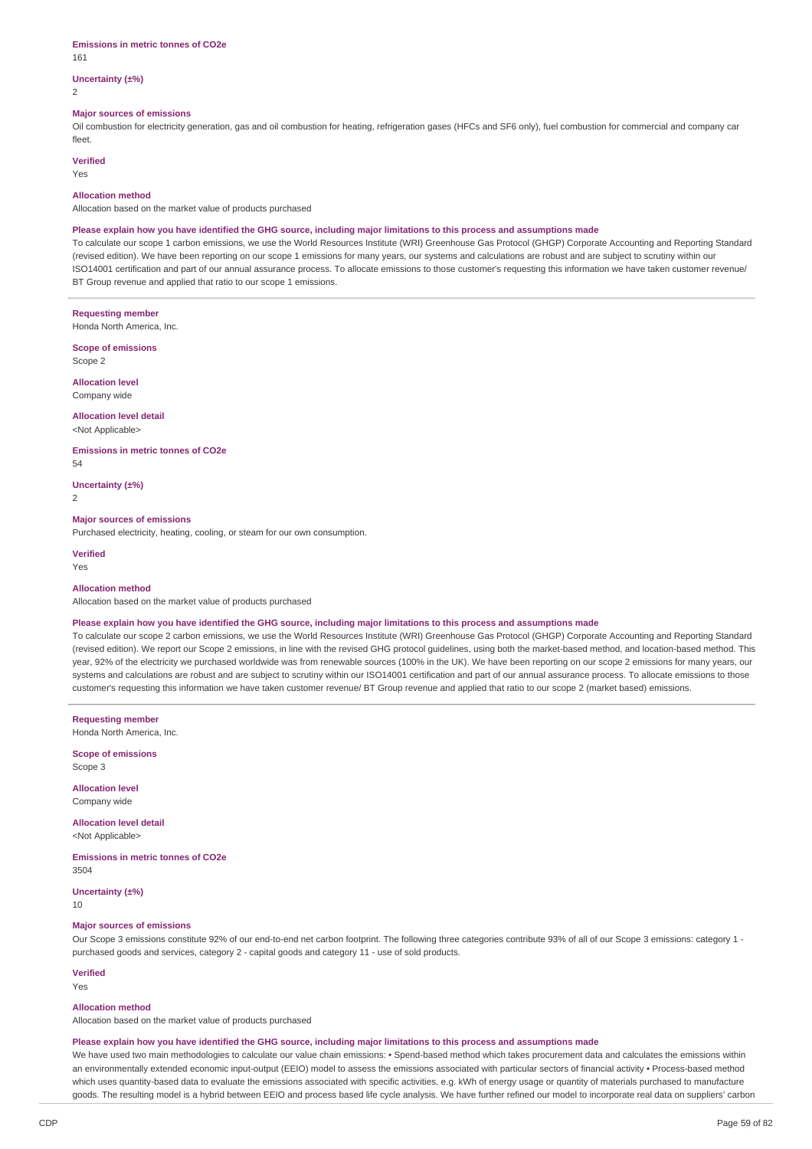#### **Emissions in metric tonnes of CO2e** 161

### **Uncertainty (±%)**

2

#### **Major sources of emissions**

Oil combustion for electricity generation, gas and oil combustion for heating, refrigeration gases (HFCs and SF6 only), fuel combustion for commercial and company car fleet.

### **Verified**

Yes

#### **Allocation method**

Allocation based on the market value of products purchased

### Please explain how you have identified the GHG source, including major limitations to this process and assumptions made

To calculate our scope 1 carbon emissions, we use the World Resources Institute (WRI) Greenhouse Gas Protocol (GHGP) Corporate Accounting and Reporting Standard (revised edition). We have been reporting on our scope 1 emissions for many years, our systems and calculations are robust and are subject to scrutiny within our ISO14001 certification and part of our annual assurance process. To allocate emissions to those customer's requesting this information we have taken customer revenue/ BT Group revenue and applied that ratio to our scope 1 emissions.

#### **Requesting member**

Honda North America, Inc.

**Scope of emissions** Scope 2

**Allocation level** Company wide

## **Allocation level detail**

<Not Applicable>

#### **Emissions in metric tonnes of CO2e**

54

**Uncertainty (±%)**

 $\overline{2}$ 

#### **Major sources of emissions**

Purchased electricity, heating, cooling, or steam for our own consumption.

**Verified** Yes

#### **Allocation method**

Allocation based on the market value of products purchased

#### Please explain how you have identified the GHG source, including major limitations to this process and assumptions made

To calculate our scope 2 carbon emissions, we use the World Resources Institute (WRI) Greenhouse Gas Protocol (GHGP) Corporate Accounting and Reporting Standard (revised edition). We report our Scope 2 emissions, in line with the revised GHG protocol guidelines, using both the market-based method, and location-based method. This year, 92% of the electricity we purchased worldwide was from renewable sources (100% in the UK). We have been reporting on our scope 2 emissions for many years, our systems and calculations are robust and are subject to scrutiny within our ISO14001 certification and part of our annual assurance process. To allocate emissions to those customer's requesting this information we have taken customer revenue/ BT Group revenue and applied that ratio to our scope 2 (market based) emissions.

**Requesting member**

Honda North America, Inc.

**Scope of emissions** Scope 3

**Allocation level** Company wide

#### **Allocation level detail** <Not Applicable>

**Emissions in metric tonnes of CO2e** 3504

**Uncertainty (±%)**

10

#### **Major sources of emissions**

Our Scope 3 emissions constitute 92% of our end-to-end net carbon footprint. The following three categories contribute 93% of all of our Scope 3 emissions: category 1 purchased goods and services, category 2 - capital goods and category 11 - use of sold products.

### **Verified**

Yes

#### **Allocation method**

Allocation based on the market value of products purchased

#### Please explain how you have identified the GHG source, including major limitations to this process and assumptions made

We have used two main methodologies to calculate our value chain emissions: • Spend-based method which takes procurement data and calculates the emissions within an environmentally extended economic input-output (EEIO) model to assess the emissions associated with particular sectors of financial activity · Process-based method which uses quantity-based data to evaluate the emissions associated with specific activities, e.g. kWh of energy usage or quantity of materials purchased to manufacture goods. The resulting model is a hybrid between EEIO and process based life cycle analysis. We have further refined our model to incorporate real data on suppliers' carbon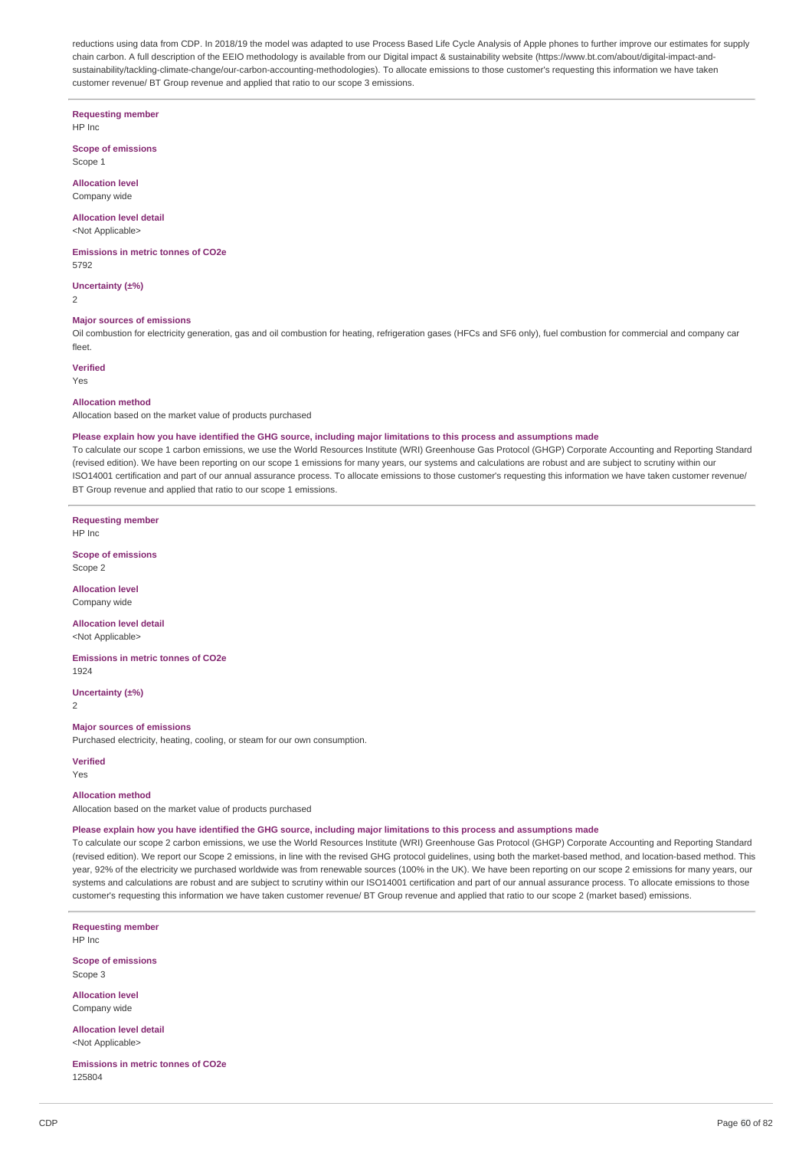reductions using data from CDP. In 2018/19 the model was adapted to use Process Based Life Cycle Analysis of Apple phones to further improve our estimates for supply chain carbon. A full description of the EEIO methodology is available from our Digital impact & sustainability website (https://www.bt.com/about/digital-impact-andsustainability/tackling-climate-change/our-carbon-accounting-methodologies). To allocate emissions to those customer's requesting this information we have taken customer revenue/ BT Group revenue and applied that ratio to our scope 3 emissions.

**Requesting member**

HP Inc

**Scope of emissions** Scope 1

**Allocation level** Company wide

**Allocation level detail** <Not Applicable>

**Emissions in metric tonnes of CO2e** 5792

**Uncertainty (±%)**

 $\overline{2}$ 

### **Major sources of emissions**

Oil combustion for electricity generation, gas and oil combustion for heating, refrigeration gases (HFCs and SF6 only), fuel combustion for commercial and company car fleet.

### **Verified**

Yes

#### **Allocation method**

Allocation based on the market value of products purchased

#### Please explain how you have identified the GHG source, including major limitations to this process and assumptions made

To calculate our scope 1 carbon emissions, we use the World Resources Institute (WRI) Greenhouse Gas Protocol (GHGP) Corporate Accounting and Reporting Standard (revised edition). We have been reporting on our scope 1 emissions for many years, our systems and calculations are robust and are subject to scrutiny within our ISO14001 certification and part of our annual assurance process. To allocate emissions to those customer's requesting this information we have taken customer revenue/ BT Group revenue and applied that ratio to our scope 1 emissions.

**Requesting member** HP Inc

**Scope of emissions** Scope 2

**Allocation level**

Company wide

**Allocation level detail** <Not Applicable>

**Emissions in metric tonnes of CO2e** 1924

**Uncertainty (±%)**

2

### **Major sources of emissions**

Purchased electricity, heating, cooling, or steam for our own consumption.

#### **Verified**

Yes

#### **Allocation method**

Allocation based on the market value of products purchased

#### Please explain how you have identified the GHG source, including major limitations to this process and assumptions made

To calculate our scope 2 carbon emissions, we use the World Resources Institute (WRI) Greenhouse Gas Protocol (GHGP) Corporate Accounting and Reporting Standard (revised edition). We report our Scope 2 emissions, in line with the revised GHG protocol guidelines, using both the market-based method, and location-based method. This year, 92% of the electricity we purchased worldwide was from renewable sources (100% in the UK). We have been reporting on our scope 2 emissions for many years, our systems and calculations are robust and are subject to scrutiny within our ISO14001 certification and part of our annual assurance process. To allocate emissions to those customer's requesting this information we have taken customer revenue/ BT Group revenue and applied that ratio to our scope 2 (market based) emissions.

**Requesting member** HP Inc

**Scope of emissions** Scope 3

**Allocation level** Company wide

**Allocation level detail** <Not Applicable>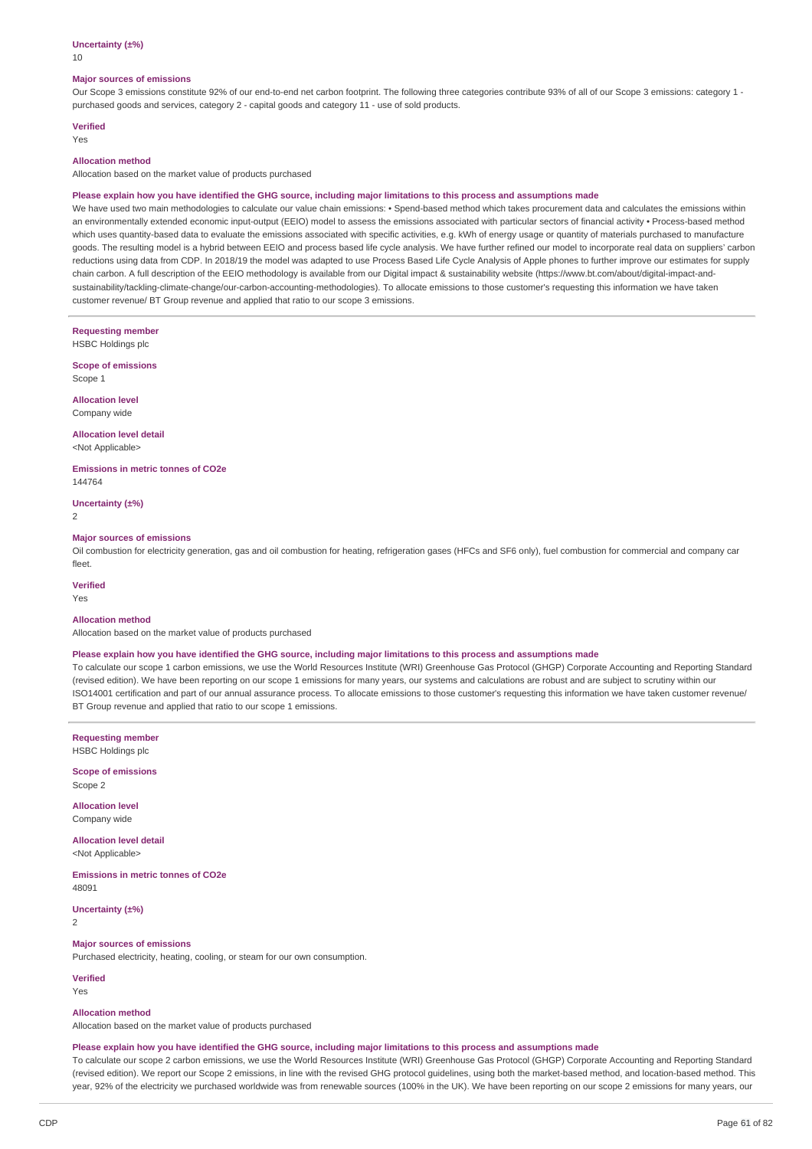#### **Uncertainty (±%)**

10

#### **Major sources of emissions**

Our Scope 3 emissions constitute 92% of our end-to-end net carbon footprint. The following three categories contribute 93% of all of our Scope 3 emissions: category 1 purchased goods and services, category 2 - capital goods and category 11 - use of sold products.

### **Verified**

Yes

### **Allocation method**

Allocation based on the market value of products purchased

#### Please explain how you have identified the GHG source, including major limitations to this process and assumptions made

We have used two main methodologies to calculate our value chain emissions: • Spend-based method which takes procurement data and calculates the emissions within an environmentally extended economic input-output (EEIO) model to assess the emissions associated with particular sectors of financial activity · Process-based method which uses quantity-based data to evaluate the emissions associated with specific activities, e.g. kWh of energy usage or quantity of materials purchased to manufacture goods. The resulting model is a hybrid between EEIO and process based life cycle analysis. We have further refined our model to incorporate real data on suppliers' carbon reductions using data from CDP. In 2018/19 the model was adapted to use Process Based Life Cycle Analysis of Apple phones to further improve our estimates for supply chain carbon. A full description of the EEIO methodology is available from our Digital impact & sustainability website (https://www.bt.com/about/digital-impact-andsustainability/tackling-climate-change/our-carbon-accounting-methodologies). To allocate emissions to those customer's requesting this information we have taken customer revenue/ BT Group revenue and applied that ratio to our scope 3 emissions.

**Requesting member** HSBC Holdings plc

**Scope of emissions** Scope 1

**Allocation level** Company wide

#### **Allocation level detail** <Not Applicable>

**Emissions in metric tonnes of CO2e** 144764

**Uncertainty (±%)**

2

#### **Major sources of emissions**

Oil combustion for electricity generation, gas and oil combustion for heating, refrigeration gases (HFCs and SF6 only), fuel combustion for commercial and company car fleet.

**Verified**

Yes

### **Allocation method**

Allocation based on the market value of products purchased

#### Please explain how you have identified the GHG source, including major limitations to this process and assumptions made

To calculate our scope 1 carbon emissions, we use the World Resources Institute (WRI) Greenhouse Gas Protocol (GHGP) Corporate Accounting and Reporting Standard (revised edition). We have been reporting on our scope 1 emissions for many years, our systems and calculations are robust and are subject to scrutiny within our ISO14001 certification and part of our annual assurance process. To allocate emissions to those customer's requesting this information we have taken customer revenue/ BT Group revenue and applied that ratio to our scope 1 emissions.

**Requesting member** HSBC Holdings plc

**Scope of emissions** Scope 2

**Allocation level** Company wide

**Allocation level detail** <Not Applicable>

**Emissions in metric tonnes of CO2e** 48091

**Uncertainty (±%)** 2

**Major sources of emissions**

Purchased electricity, heating, cooling, or steam for our own consumption.

**Verified** Yes

#### **Allocation method**

Allocation based on the market value of products purchased

#### Please explain how you have identified the GHG source, including major limitations to this process and assumptions made

To calculate our scope 2 carbon emissions, we use the World Resources Institute (WRI) Greenhouse Gas Protocol (GHGP) Corporate Accounting and Reporting Standard (revised edition). We report our Scope 2 emissions, in line with the revised GHG protocol guidelines, using both the market-based method, and location-based method. This year, 92% of the electricity we purchased worldwide was from renewable sources (100% in the UK). We have been reporting on our scope 2 emissions for many years, our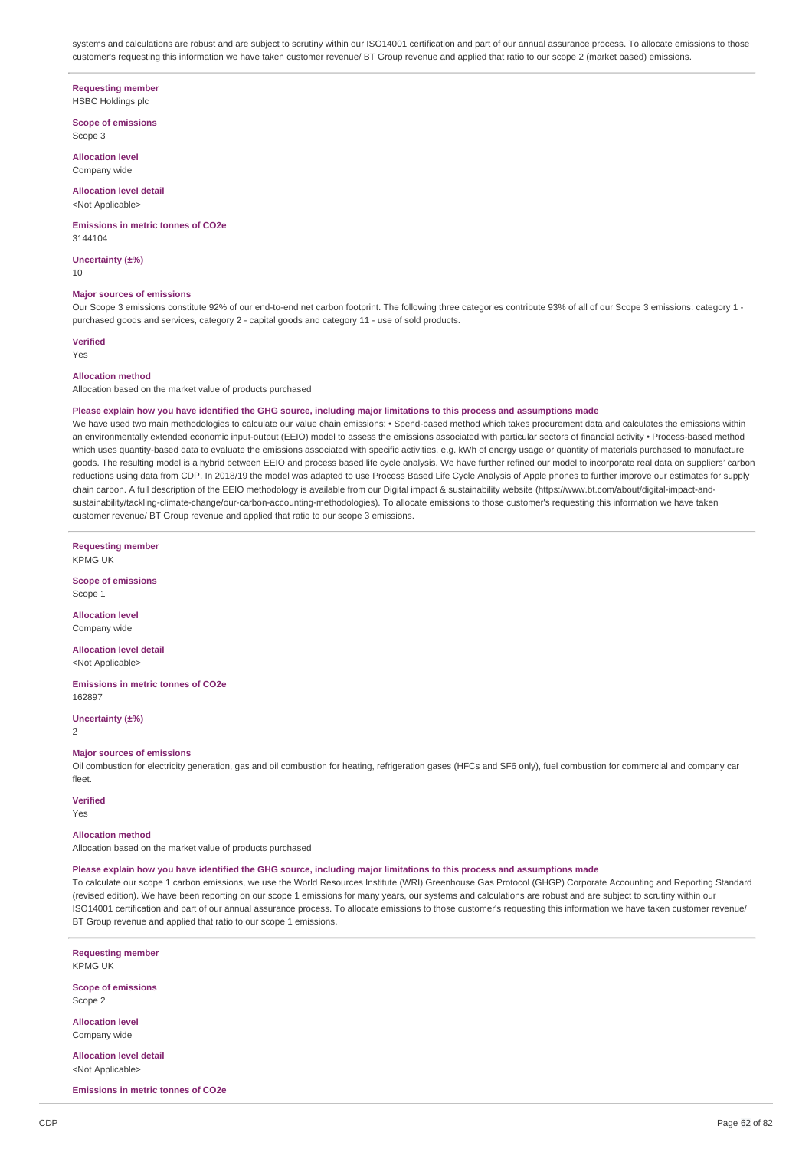systems and calculations are robust and are subject to scrutiny within our ISO14001 certification and part of our annual assurance process. To allocate emissions to those customer's requesting this information we have taken customer revenue/ BT Group revenue and applied that ratio to our scope 2 (market based) emissions.

#### **Requesting member**

HSBC Holdings plc

**Scope of emissions** Scope 3

**Allocation level** Company wide

# **Allocation level detail**

<Not Applicable>

#### **Emissions in metric tonnes of CO2e** 3144104

**Uncertainty (±%)** 10

#### **Major sources of emissions**

Our Scope 3 emissions constitute 92% of our end-to-end net carbon footprint. The following three categories contribute 93% of all of our Scope 3 emissions: category 1 purchased goods and services, category 2 - capital goods and category 11 - use of sold products.

### **Verified**

Yes

#### **Allocation method**

Allocation based on the market value of products purchased

#### Please explain how you have identified the GHG source, including major limitations to this process and assumptions made

We have used two main methodologies to calculate our value chain emissions: • Spend-based method which takes procurement data and calculates the emissions within an environmentally extended economic input-output (EEIO) model to assess the emissions associated with particular sectors of financial activity · Process-based method which uses quantity-based data to evaluate the emissions associated with specific activities, e.g. kWh of energy usage or quantity of materials purchased to manufacture goods. The resulting model is a hybrid between EEIO and process based life cycle analysis. We have further refined our model to incorporate real data on suppliers' carbon reductions using data from CDP. In 2018/19 the model was adapted to use Process Based Life Cycle Analysis of Apple phones to further improve our estimates for supply chain carbon. A full description of the EEIO methodology is available from our Digital impact & sustainability website (https://www.bt.com/about/digital-impact-andsustainability/tackling-climate-change/our-carbon-accounting-methodologies). To allocate emissions to those customer's requesting this information we have taken customer revenue/ BT Group revenue and applied that ratio to our scope 3 emissions.

**Requesting member** KPMG UK

**Scope of emissions** Scope 1

**Allocation level** Company wide

**Allocation level detail** <Not Applicable>

**Emissions in metric tonnes of CO2e** 162897

**Uncertainty (±%)**  $\overline{2}$ 

#### **Major sources of emissions**

Oil combustion for electricity generation, gas and oil combustion for heating, refrigeration gases (HFCs and SF6 only), fuel combustion for commercial and company car fleet.

### **Verified**

Yes

### **Allocation method**

Allocation based on the market value of products purchased

#### Please explain how you have identified the GHG source, including major limitations to this process and assumptions made

To calculate our scope 1 carbon emissions, we use the World Resources Institute (WRI) Greenhouse Gas Protocol (GHGP) Corporate Accounting and Reporting Standard (revised edition). We have been reporting on our scope 1 emissions for many years, our systems and calculations are robust and are subject to scrutiny within our ISO14001 certification and part of our annual assurance process. To allocate emissions to those customer's requesting this information we have taken customer revenue/ BT Group revenue and applied that ratio to our scope 1 emissions.

**Requesting member** KPMG UK

**Scope of emissions** Scope 2

**Allocation level** Company wide

**Allocation level detail** <Not Applicable>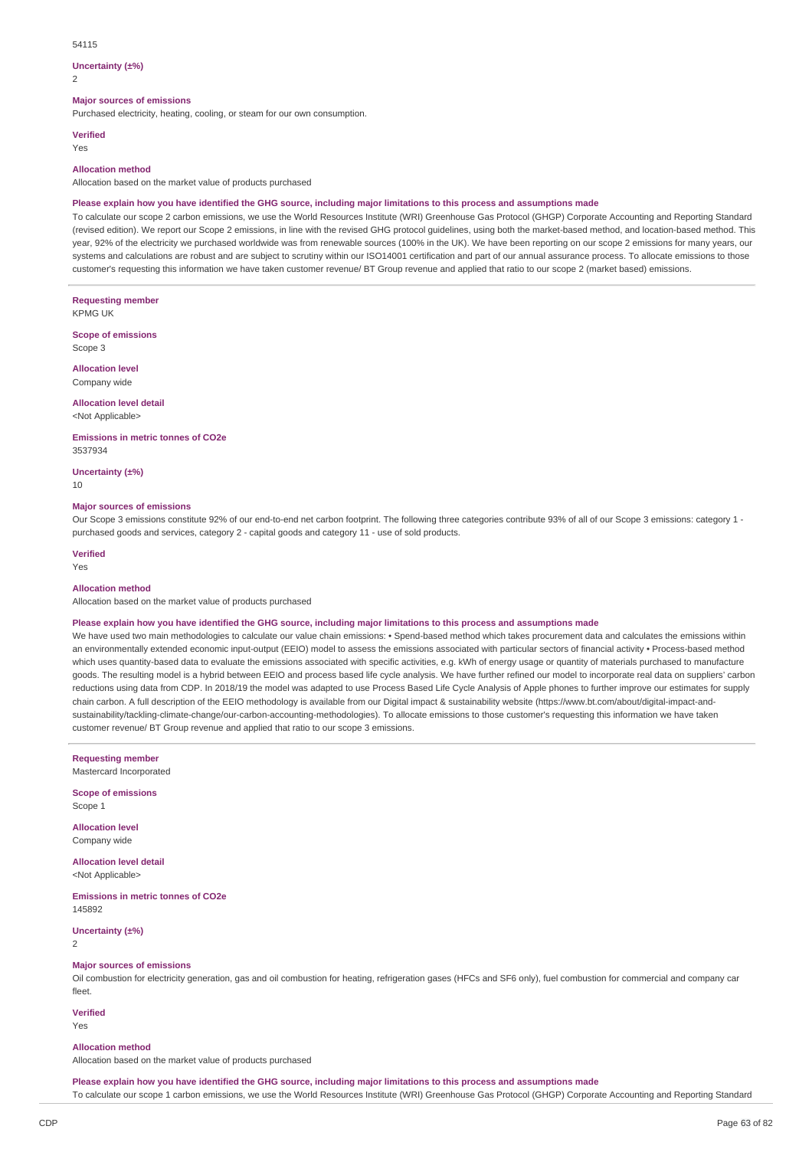#### 54115

#### **Uncertainty (±%)**

 $\overline{2}$ 

#### **Major sources of emissions**

Purchased electricity, heating, cooling, or steam for our own consumption.

#### **Verified**

Yes

#### **Allocation method**

Allocation based on the market value of products purchased

#### Please explain how you have identified the GHG source, including major limitations to this process and assumptions made

To calculate our scope 2 carbon emissions, we use the World Resources Institute (WRI) Greenhouse Gas Protocol (GHGP) Corporate Accounting and Reporting Standard (revised edition). We report our Scope 2 emissions, in line with the revised GHG protocol guidelines, using both the market-based method, and location-based method. This year, 92% of the electricity we purchased worldwide was from renewable sources (100% in the UK). We have been reporting on our scope 2 emissions for many years, our systems and calculations are robust and are subject to scrutiny within our ISO14001 certification and part of our annual assurance process. To allocate emissions to those customer's requesting this information we have taken customer revenue/ BT Group revenue and applied that ratio to our scope 2 (market based) emissions.

**Requesting member** KPMG UK

**Scope of emissions** Scope 3

**Allocation level**

Company wide

### **Allocation level detail**

<Not Applicable>

**Emissions in metric tonnes of CO2e** 3537934

**Uncertainty (±%)**

10

#### **Major sources of emissions**

Our Scope 3 emissions constitute 92% of our end-to-end net carbon footprint. The following three categories contribute 93% of all of our Scope 3 emissions: category 1 purchased goods and services, category 2 - capital goods and category 11 - use of sold products.

### **Verified**

Yes

### **Allocation method**

Allocation based on the market value of products purchased

#### Please explain how you have identified the GHG source, including major limitations to this process and assumptions made

We have used two main methodologies to calculate our value chain emissions: • Spend-based method which takes procurement data and calculates the emissions within an environmentally extended economic input-output (EEIO) model to assess the emissions associated with particular sectors of financial activity • Process-based method which uses quantity-based data to evaluate the emissions associated with specific activities, e.g. kWh of energy usage or quantity of materials purchased to manufacture goods. The resulting model is a hybrid between EEIO and process based life cycle analysis. We have further refined our model to incorporate real data on suppliers' carbon reductions using data from CDP. In 2018/19 the model was adapted to use Process Based Life Cycle Analysis of Apple phones to further improve our estimates for supply chain carbon. A full description of the EEIO methodology is available from our Digital impact & sustainability website (https://www.bt.com/about/digital-impact-andsustainability/tackling-climate-change/our-carbon-accounting-methodologies). To allocate emissions to those customer's requesting this information we have taken customer revenue/ BT Group revenue and applied that ratio to our scope 3 emissions.

**Requesting member**

Mastercard Incorporated

**Scope of emissions** Scope 1

**Allocation level** Company wide

**Allocation level detail** <Not Applicable>

**Emissions in metric tonnes of CO2e** 145892

**Uncertainty (±%)** 2

### **Major sources of emissions**

Oil combustion for electricity generation, gas and oil combustion for heating, refrigeration gases (HFCs and SF6 only), fuel combustion for commercial and company car fleet.

**Verified** Yes

#### **Allocation method**

Allocation based on the market value of products purchased

Please explain how you have identified the GHG source, including major limitations to this process and assumptions made To calculate our scope 1 carbon emissions, we use the World Resources Institute (WRI) Greenhouse Gas Protocol (GHGP) Corporate Accounting and Reporting Standard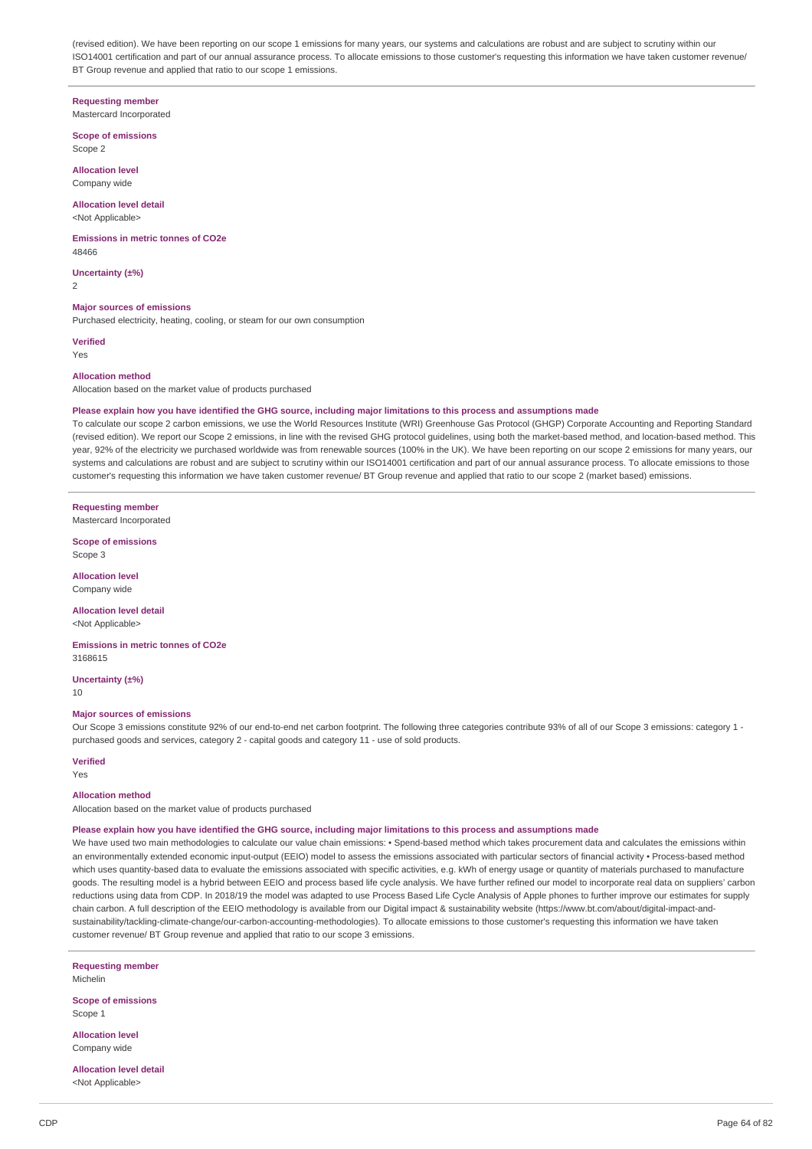(revised edition). We have been reporting on our scope 1 emissions for many years, our systems and calculations are robust and are subject to scrutiny within our ISO14001 certification and part of our annual assurance process. To allocate emissions to those customer's requesting this information we have taken customer revenue/ BT Group revenue and applied that ratio to our scope 1 emissions.

## **Requesting member**

Mastercard Incorporated

#### **Scope of emissions** Scope 2

**Allocation level** Company wide

### **Allocation level detail**

<Not Applicable>

#### **Emissions in metric tonnes of CO2e** 48466

**Uncertainty (±%)** 2

#### **Major sources of emissions**

Purchased electricity, heating, cooling, or steam for our own consumption

**Verified** Yes

#### **Allocation method**

Allocation based on the market value of products purchased

#### Please explain how you have identified the GHG source, including major limitations to this process and assumptions made

To calculate our scope 2 carbon emissions, we use the World Resources Institute (WRI) Greenhouse Gas Protocol (GHGP) Corporate Accounting and Reporting Standard (revised edition). We report our Scope 2 emissions, in line with the revised GHG protocol guidelines, using both the market-based method, and location-based method. This year, 92% of the electricity we purchased worldwide was from renewable sources (100% in the UK). We have been reporting on our scope 2 emissions for many years, our systems and calculations are robust and are subject to scrutiny within our ISO14001 certification and part of our annual assurance process. To allocate emissions to those customer's requesting this information we have taken customer revenue/ BT Group revenue and applied that ratio to our scope 2 (market based) emissions.

#### **Requesting member**

Mastercard Incorporated

**Scope of emissions** Scope 3

**Allocation level** Company wide

### **Allocation level detail**

<Not Applicable>

**Emissions in metric tonnes of CO2e** 3168615

**Uncertainty (±%)** 10

#### **Major sources of emissions**

Our Scope 3 emissions constitute 92% of our end-to-end net carbon footprint. The following three categories contribute 93% of all of our Scope 3 emissions: category 1 purchased goods and services, category 2 - capital goods and category 11 - use of sold products.

#### **Verified**

Yes

#### **Allocation method**

Allocation based on the market value of products purchased

#### Please explain how you have identified the GHG source, including major limitations to this process and assumptions made

We have used two main methodologies to calculate our value chain emissions: • Spend-based method which takes procurement data and calculates the emissions within an environmentally extended economic input-output (EEIO) model to assess the emissions associated with particular sectors of financial activity • Process-based method which uses quantity-based data to evaluate the emissions associated with specific activities, e.g. kWh of energy usage or quantity of materials purchased to manufacture goods. The resulting model is a hybrid between EEIO and process based life cycle analysis. We have further refined our model to incorporate real data on suppliers' carbon reductions using data from CDP. In 2018/19 the model was adapted to use Process Based Life Cycle Analysis of Apple phones to further improve our estimates for supply chain carbon. A full description of the EEIO methodology is available from our Digital impact & sustainability website (https://www.bt.com/about/digital-impact-andsustainability/tackling-climate-change/our-carbon-accounting-methodologies). To allocate emissions to those customer's requesting this information we have taken customer revenue/ BT Group revenue and applied that ratio to our scope 3 emissions.

**Requesting member** Michelin

**Scope of emissions** Scope 1

**Allocation level** Company wide

**Allocation level detail** <Not Applicable>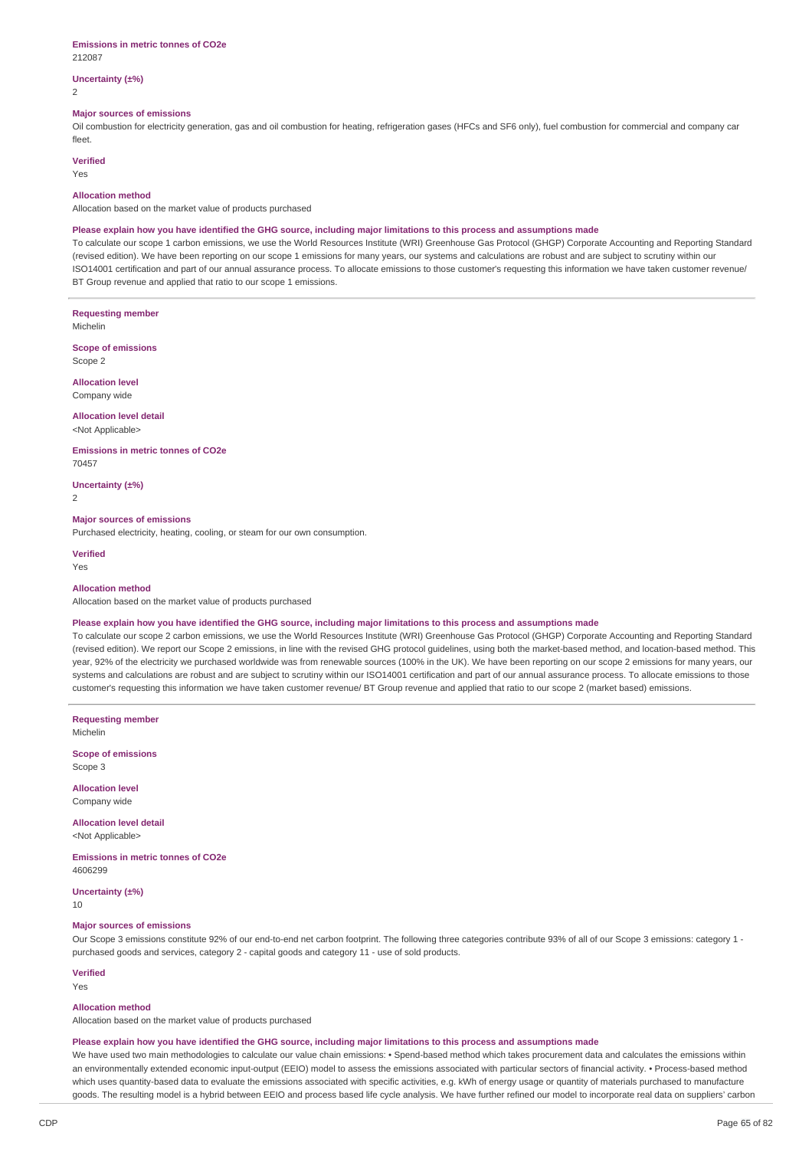#### **Emissions in metric tonnes of CO2e** 212087

### **Uncertainty (±%)**

2

#### **Major sources of emissions**

Oil combustion for electricity generation, gas and oil combustion for heating, refrigeration gases (HFCs and SF6 only), fuel combustion for commercial and company car fleet.

### **Verified**

Yes

#### **Allocation method**

Allocation based on the market value of products purchased

#### Please explain how you have identified the GHG source, including major limitations to this process and assumptions made

To calculate our scope 1 carbon emissions, we use the World Resources Institute (WRI) Greenhouse Gas Protocol (GHGP) Corporate Accounting and Reporting Standard (revised edition). We have been reporting on our scope 1 emissions for many years, our systems and calculations are robust and are subject to scrutiny within our ISO14001 certification and part of our annual assurance process. To allocate emissions to those customer's requesting this information we have taken customer revenue/ BT Group revenue and applied that ratio to our scope 1 emissions.

**Requesting member**

Michelin

**Scope of emissions** Scope 2

**Allocation level** Company wide

## **Allocation level detail**

<Not Applicable>

#### **Emissions in metric tonnes of CO2e** 70457

**Uncertainty (±%)**

 $\overline{2}$ 

### **Major sources of emissions**

Purchased electricity, heating, cooling, or steam for our own consumption.

**Verified** Yes

#### **Allocation method**

Allocation based on the market value of products purchased

#### Please explain how you have identified the GHG source, including major limitations to this process and assumptions made

To calculate our scope 2 carbon emissions, we use the World Resources Institute (WRI) Greenhouse Gas Protocol (GHGP) Corporate Accounting and Reporting Standard (revised edition). We report our Scope 2 emissions, in line with the revised GHG protocol guidelines, using both the market-based method, and location-based method. This year, 92% of the electricity we purchased worldwide was from renewable sources (100% in the UK). We have been reporting on our scope 2 emissions for many years, our systems and calculations are robust and are subject to scrutiny within our ISO14001 certification and part of our annual assurance process. To allocate emissions to those customer's requesting this information we have taken customer revenue/ BT Group revenue and applied that ratio to our scope 2 (market based) emissions.

**Requesting member** Michelin

**Scope of emissions** Scope 3

**Allocation level**

Company wide

**Allocation level detail** <Not Applicable>

**Emissions in metric tonnes of CO2e** 4606299

**Uncertainty (±%)**

10

#### **Major sources of emissions**

Our Scope 3 emissions constitute 92% of our end-to-end net carbon footprint. The following three categories contribute 93% of all of our Scope 3 emissions: category 1 purchased goods and services, category 2 - capital goods and category 11 - use of sold products.

**Verified**

Yes

#### **Allocation method**

Allocation based on the market value of products purchased

#### Please explain how you have identified the GHG source, including major limitations to this process and assumptions made

We have used two main methodologies to calculate our value chain emissions: • Spend-based method which takes procurement data and calculates the emissions within an environmentally extended economic input-output (EEIO) model to assess the emissions associated with particular sectors of financial activity. • Process-based method which uses quantity-based data to evaluate the emissions associated with specific activities, e.g. kWh of energy usage or quantity of materials purchased to manufacture goods. The resulting model is a hybrid between EEIO and process based life cycle analysis. We have further refined our model to incorporate real data on suppliers' carbon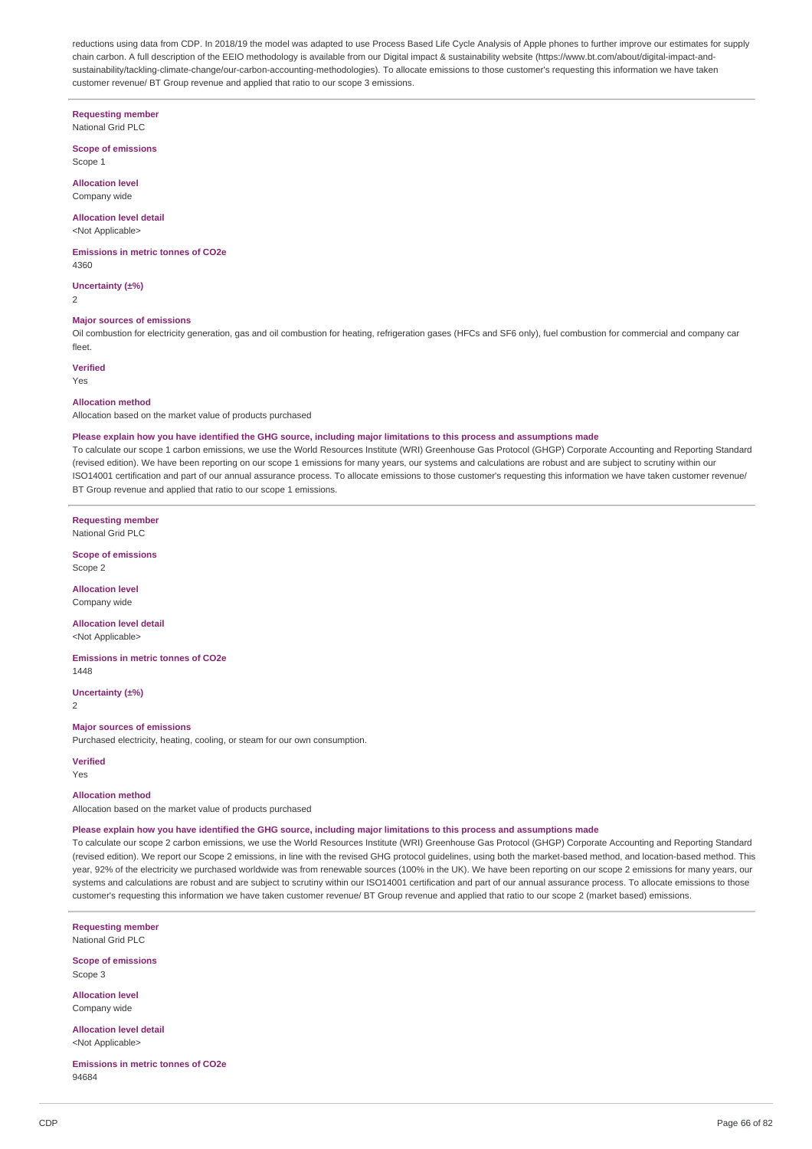reductions using data from CDP. In 2018/19 the model was adapted to use Process Based Life Cycle Analysis of Apple phones to further improve our estimates for supply chain carbon. A full description of the EEIO methodology is available from our Digital impact & sustainability website (https://www.bt.com/about/digital-impact-andsustainability/tackling-climate-change/our-carbon-accounting-methodologies). To allocate emissions to those customer's requesting this information we have taken customer revenue/ BT Group revenue and applied that ratio to our scope 3 emissions.

## **Requesting member**

National Grid PLC

**Scope of emissions** Scope 1

**Allocation level** Company wide

#### **Allocation level detail** <Not Applicable>

**Emissions in metric tonnes of CO2e** 4360

**Uncertainty (±%)**

 $\overline{2}$ 

### **Major sources of emissions**

Oil combustion for electricity generation, gas and oil combustion for heating, refrigeration gases (HFCs and SF6 only), fuel combustion for commercial and company car fleet.

### **Verified**

Yes

#### **Allocation method**

Allocation based on the market value of products purchased

#### Please explain how you have identified the GHG source, including major limitations to this process and assumptions made

To calculate our scope 1 carbon emissions, we use the World Resources Institute (WRI) Greenhouse Gas Protocol (GHGP) Corporate Accounting and Reporting Standard (revised edition). We have been reporting on our scope 1 emissions for many years, our systems and calculations are robust and are subject to scrutiny within our ISO14001 certification and part of our annual assurance process. To allocate emissions to those customer's requesting this information we have taken customer revenue/ BT Group revenue and applied that ratio to our scope 1 emissions.

**Requesting member** National Grid PLC

**Scope of emissions** Scope 2

### **Allocation level**

Company wide

#### **Allocation level detail** <Not Applicable>

**Emissions in metric tonnes of CO2e** 1448

**Uncertainty (±%)**

2

#### **Major sources of emissions**

Purchased electricity, heating, cooling, or steam for our own consumption.

#### **Verified**

Yes

#### **Allocation method**

Allocation based on the market value of products purchased

#### Please explain how you have identified the GHG source, including major limitations to this process and assumptions made

To calculate our scope 2 carbon emissions, we use the World Resources Institute (WRI) Greenhouse Gas Protocol (GHGP) Corporate Accounting and Reporting Standard (revised edition). We report our Scope 2 emissions, in line with the revised GHG protocol guidelines, using both the market-based method, and location-based method. This year, 92% of the electricity we purchased worldwide was from renewable sources (100% in the UK). We have been reporting on our scope 2 emissions for many years, our systems and calculations are robust and are subject to scrutiny within our ISO14001 certification and part of our annual assurance process. To allocate emissions to those customer's requesting this information we have taken customer revenue/ BT Group revenue and applied that ratio to our scope 2 (market based) emissions.

**Requesting member** National Grid PLC

**Scope of emissions** Scope 3

**Allocation level** Company wide

**Allocation level detail** <Not Applicable>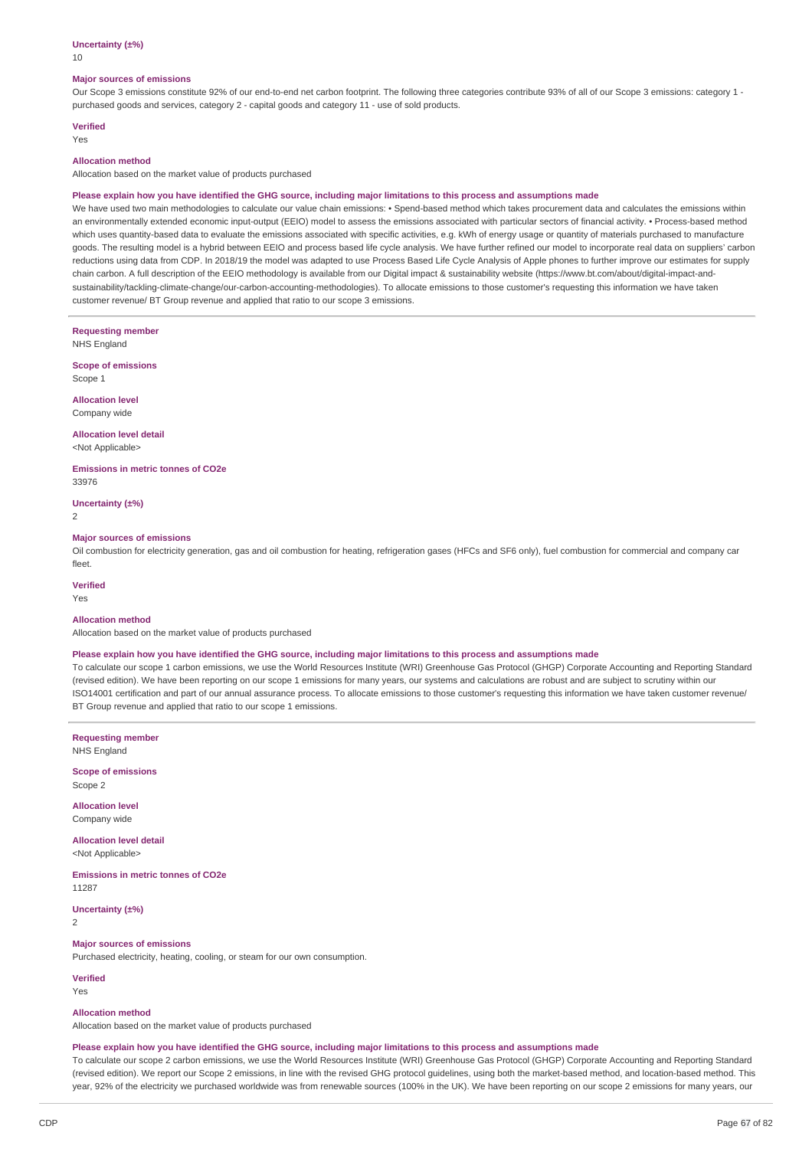#### **Uncertainty (±%)**

10

#### **Major sources of emissions**

Our Scope 3 emissions constitute 92% of our end-to-end net carbon footprint. The following three categories contribute 93% of all of our Scope 3 emissions: category 1 purchased goods and services, category 2 - capital goods and category 11 - use of sold products.

### **Verified**

Yes

### **Allocation method**

Allocation based on the market value of products purchased

#### Please explain how you have identified the GHG source, including major limitations to this process and assumptions made

We have used two main methodologies to calculate our value chain emissions: • Spend-based method which takes procurement data and calculates the emissions within an environmentally extended economic input-output (EEIO) model to assess the emissions associated with particular sectors of financial activity. • Process-based method which uses quantity-based data to evaluate the emissions associated with specific activities, e.g. kWh of energy usage or quantity of materials purchased to manufacture goods. The resulting model is a hybrid between EEIO and process based life cycle analysis. We have further refined our model to incorporate real data on suppliers' carbon reductions using data from CDP. In 2018/19 the model was adapted to use Process Based Life Cycle Analysis of Apple phones to further improve our estimates for supply chain carbon. A full description of the EEIO methodology is available from our Digital impact & sustainability website (https://www.bt.com/about/digital-impact-andsustainability/tackling-climate-change/our-carbon-accounting-methodologies). To allocate emissions to those customer's requesting this information we have taken customer revenue/ BT Group revenue and applied that ratio to our scope 3 emissions.

**Requesting member** NHS England

**Scope of emissions** Scope 1

**Allocation level**

Company wide

**Allocation level detail** <Not Applicable>

**Emissions in metric tonnes of CO2e** 33976

**Uncertainty (±%)**

2

#### **Major sources of emissions**

Oil combustion for electricity generation, gas and oil combustion for heating, refrigeration gases (HFCs and SF6 only), fuel combustion for commercial and company car fleet.

**Verified**

Yes

### **Allocation method**

Allocation based on the market value of products purchased

#### Please explain how you have identified the GHG source, including major limitations to this process and assumptions made

To calculate our scope 1 carbon emissions, we use the World Resources Institute (WRI) Greenhouse Gas Protocol (GHGP) Corporate Accounting and Reporting Standard (revised edition). We have been reporting on our scope 1 emissions for many years, our systems and calculations are robust and are subject to scrutiny within our ISO14001 certification and part of our annual assurance process. To allocate emissions to those customer's requesting this information we have taken customer revenue/ BT Group revenue and applied that ratio to our scope 1 emissions.

**Requesting member** NHS England

**Scope of emissions** Scope 2

**Allocation level** Company wide

**Allocation level detail** <Not Applicable>

**Emissions in metric tonnes of CO2e** 11287

**Uncertainty (±%)**  $\overline{2}$ 

### **Major sources of emissions**

Purchased electricity, heating, cooling, or steam for our own consumption.

**Verified** Yes

### **Allocation method**

Allocation based on the market value of products purchased

#### Please explain how you have identified the GHG source, including major limitations to this process and assumptions made

To calculate our scope 2 carbon emissions, we use the World Resources Institute (WRI) Greenhouse Gas Protocol (GHGP) Corporate Accounting and Reporting Standard (revised edition). We report our Scope 2 emissions, in line with the revised GHG protocol guidelines, using both the market-based method, and location-based method. This year, 92% of the electricity we purchased worldwide was from renewable sources (100% in the UK). We have been reporting on our scope 2 emissions for many years, our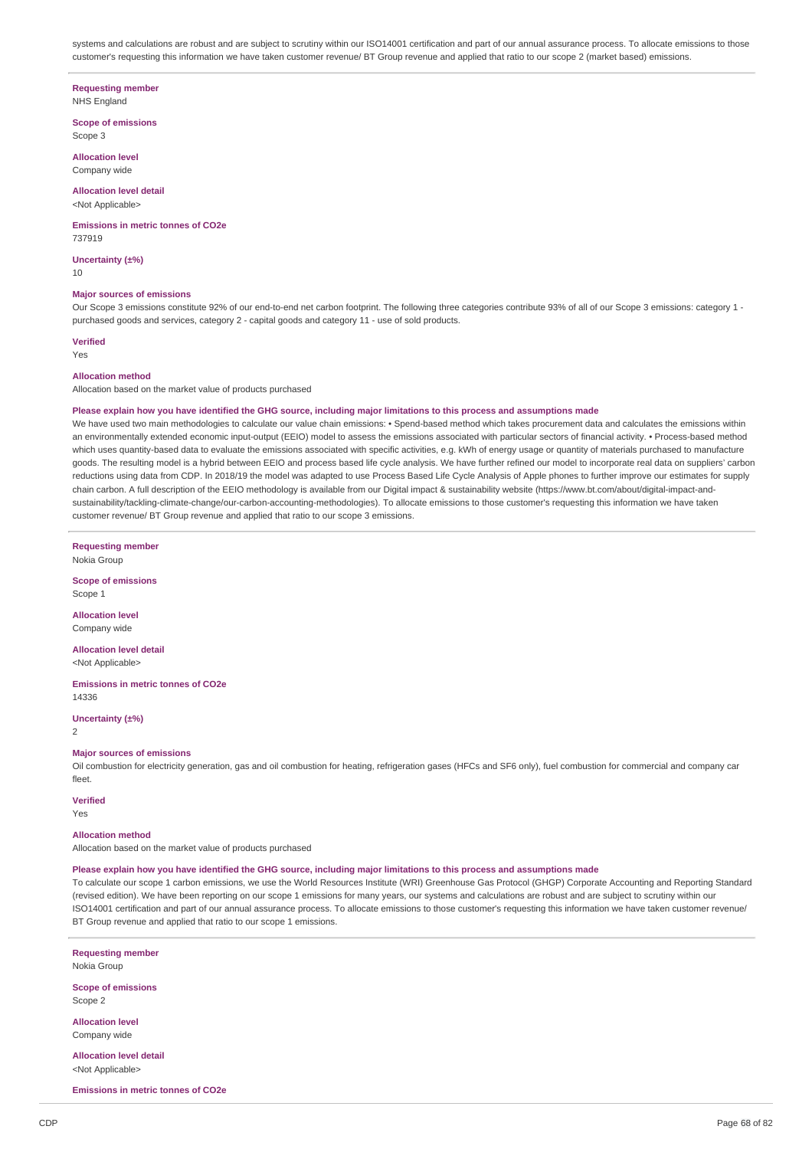systems and calculations are robust and are subject to scrutiny within our ISO14001 certification and part of our annual assurance process. To allocate emissions to those customer's requesting this information we have taken customer revenue/ BT Group revenue and applied that ratio to our scope 2 (market based) emissions.

### **Requesting member**

NHS England

**Scope of emissions** Scope 3

**Allocation level** Company wide

# **Allocation level detail**

<Not Applicable>

#### **Emissions in metric tonnes of CO2e** 737919

**Uncertainty (±%)** 10

### **Major sources of emissions**

Our Scope 3 emissions constitute 92% of our end-to-end net carbon footprint. The following three categories contribute 93% of all of our Scope 3 emissions: category 1 purchased goods and services, category 2 - capital goods and category 11 - use of sold products.

**Verified**

# Yes

### **Allocation method**

Allocation based on the market value of products purchased

#### Please explain how you have identified the GHG source, including major limitations to this process and assumptions made

We have used two main methodologies to calculate our value chain emissions: • Spend-based method which takes procurement data and calculates the emissions within an environmentally extended economic input-output (EEIO) model to assess the emissions associated with particular sectors of financial activity. • Process-based method which uses quantity-based data to evaluate the emissions associated with specific activities, e.g. kWh of energy usage or quantity of materials purchased to manufacture goods. The resulting model is a hybrid between EEIO and process based life cycle analysis. We have further refined our model to incorporate real data on suppliers' carbon reductions using data from CDP. In 2018/19 the model was adapted to use Process Based Life Cycle Analysis of Apple phones to further improve our estimates for supply chain carbon. A full description of the EEIO methodology is available from our Digital impact & sustainability website (https://www.bt.com/about/digital-impact-andsustainability/tackling-climate-change/our-carbon-accounting-methodologies). To allocate emissions to those customer's requesting this information we have taken customer revenue/ BT Group revenue and applied that ratio to our scope 3 emissions.

**Requesting member** Nokia Group

**Scope of emissions** Scope 1

**Allocation level** Company wide

**Allocation level detail** <Not Applicable>

**Emissions in metric tonnes of CO2e** 14336

**Uncertainty (±%)**  $\overline{2}$ 

#### **Major sources of emissions**

Oil combustion for electricity generation, gas and oil combustion for heating, refrigeration gases (HFCs and SF6 only), fuel combustion for commercial and company car fleet.

### **Verified**

Yes

### **Allocation method**

Allocation based on the market value of products purchased

#### Please explain how you have identified the GHG source, including major limitations to this process and assumptions made

To calculate our scope 1 carbon emissions, we use the World Resources Institute (WRI) Greenhouse Gas Protocol (GHGP) Corporate Accounting and Reporting Standard (revised edition). We have been reporting on our scope 1 emissions for many years, our systems and calculations are robust and are subject to scrutiny within our ISO14001 certification and part of our annual assurance process. To allocate emissions to those customer's requesting this information we have taken customer revenue/ BT Group revenue and applied that ratio to our scope 1 emissions.

**Requesting member** Nokia Group

**Scope of emissions** Scope 2

**Allocation level** Company wide

**Allocation level detail** <Not Applicable>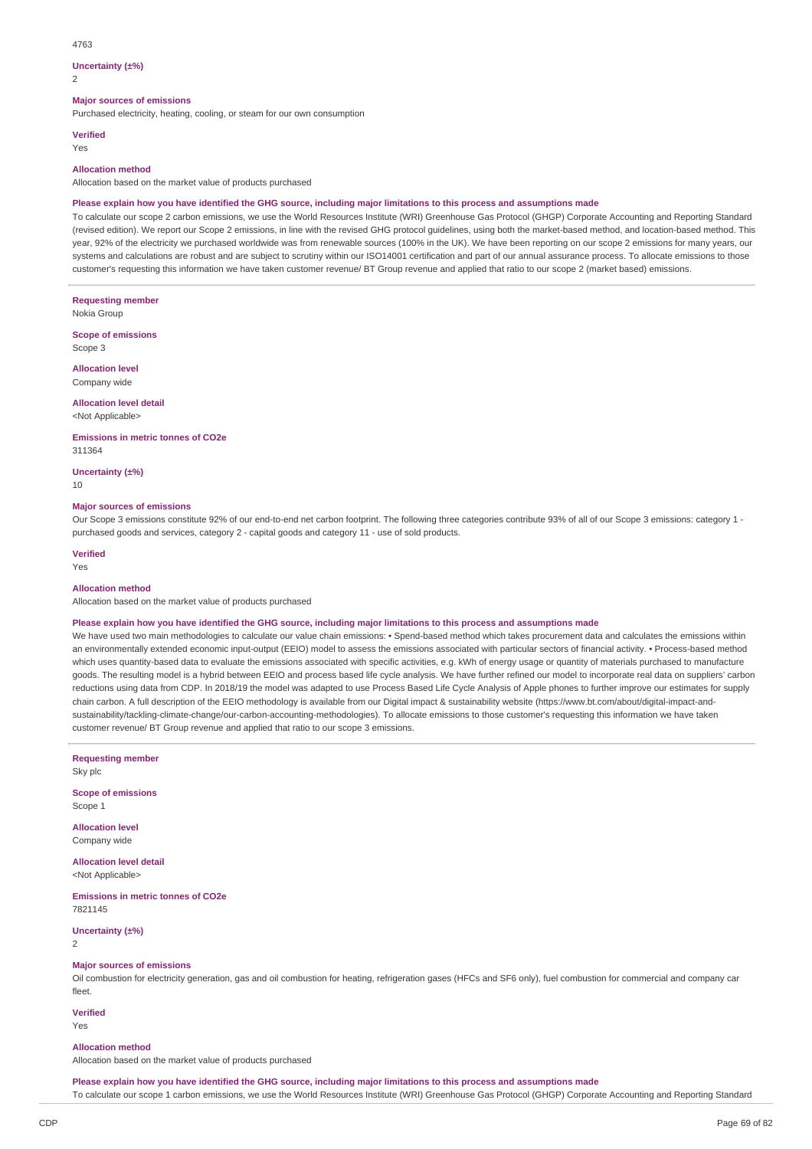#### 4763

#### **Uncertainty (±%)**

 $\overline{2}$ 

### **Major sources of emissions**

Purchased electricity, heating, cooling, or steam for our own consumption

#### **Verified**

Yes

#### **Allocation method**

Allocation based on the market value of products purchased

### Please explain how you have identified the GHG source, including major limitations to this process and assumptions made

To calculate our scope 2 carbon emissions, we use the World Resources Institute (WRI) Greenhouse Gas Protocol (GHGP) Corporate Accounting and Reporting Standard (revised edition). We report our Scope 2 emissions, in line with the revised GHG protocol guidelines, using both the market-based method, and location-based method. This year, 92% of the electricity we purchased worldwide was from renewable sources (100% in the UK). We have been reporting on our scope 2 emissions for many years, our systems and calculations are robust and are subject to scrutiny within our ISO14001 certification and part of our annual assurance process. To allocate emissions to those customer's requesting this information we have taken customer revenue/ BT Group revenue and applied that ratio to our scope 2 (market based) emissions.

**Requesting member**

Nokia Group

**Scope of emissions** Scope 3

**Allocation level**

Company wide

### **Allocation level detail**

<Not Applicable>

**Emissions in metric tonnes of CO2e** 311364

**Uncertainty (±%)**

10

#### **Major sources of emissions**

Our Scope 3 emissions constitute 92% of our end-to-end net carbon footprint. The following three categories contribute 93% of all of our Scope 3 emissions: category 1 purchased goods and services, category 2 - capital goods and category 11 - use of sold products.

### **Verified**

Yes

### **Allocation method**

Allocation based on the market value of products purchased

#### Please explain how you have identified the GHG source, including major limitations to this process and assumptions made

We have used two main methodologies to calculate our value chain emissions: • Spend-based method which takes procurement data and calculates the emissions within an environmentally extended economic input-output (EEIO) model to assess the emissions associated with particular sectors of financial activity. • Process-based method which uses quantity-based data to evaluate the emissions associated with specific activities, e.g. kWh of energy usage or quantity of materials purchased to manufacture goods. The resulting model is a hybrid between EEIO and process based life cycle analysis. We have further refined our model to incorporate real data on suppliers' carbon reductions using data from CDP. In 2018/19 the model was adapted to use Process Based Life Cycle Analysis of Apple phones to further improve our estimates for supply chain carbon. A full description of the EEIO methodology is available from our Digital impact & sustainability website (https://www.bt.com/about/digital-impact-andsustainability/tackling-climate-change/our-carbon-accounting-methodologies). To allocate emissions to those customer's requesting this information we have taken customer revenue/ BT Group revenue and applied that ratio to our scope 3 emissions.

**Requesting member**

Sky plc

**Scope of emissions** Scope 1

**Allocation level** Company wide

**Allocation level detail** <Not Applicable>

**Emissions in metric tonnes of CO2e** 7821145

**Uncertainty (±%)**

2

### **Major sources of emissions**

Oil combustion for electricity generation, gas and oil combustion for heating, refrigeration gases (HFCs and SF6 only), fuel combustion for commercial and company car fleet.

**Verified**

Yes

#### **Allocation method**

Allocation based on the market value of products purchased

Please explain how you have identified the GHG source, including major limitations to this process and assumptions made To calculate our scope 1 carbon emissions, we use the World Resources Institute (WRI) Greenhouse Gas Protocol (GHGP) Corporate Accounting and Reporting Standard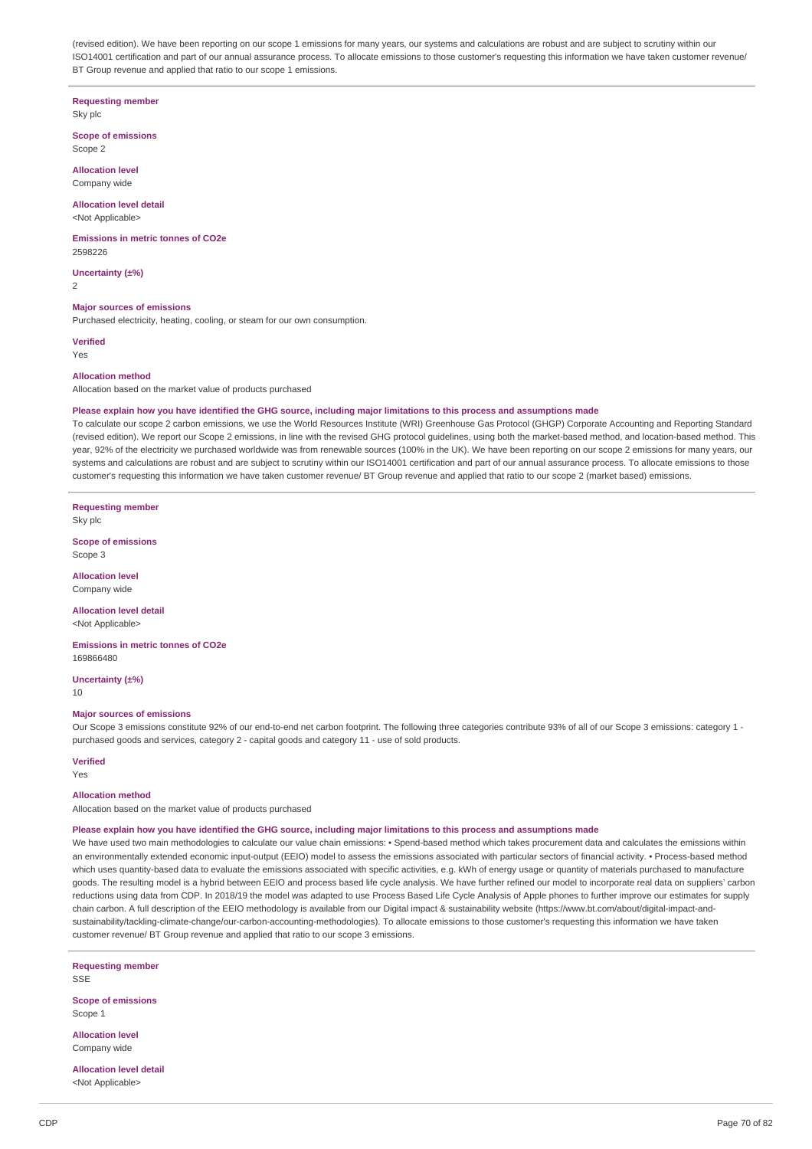(revised edition). We have been reporting on our scope 1 emissions for many years, our systems and calculations are robust and are subject to scrutiny within our ISO14001 certification and part of our annual assurance process. To allocate emissions to those customer's requesting this information we have taken customer revenue/ BT Group revenue and applied that ratio to our scope 1 emissions.

#### **Requesting member** Sky plc

**Scope of emissions**

Scope 2

**Allocation level** Company wide

**Allocation level detail**

<Not Applicable>

**Emissions in metric tonnes of CO2e**  $2509226$ 

**Uncertainty (±%)**

2

#### **Major sources of emissions**

Purchased electricity, heating, cooling, or steam for our own consumption.

**Verified**

Yes

#### **Allocation method**

Allocation based on the market value of products purchased

#### Please explain how you have identified the GHG source, including major limitations to this process and assumptions made

To calculate our scope 2 carbon emissions, we use the World Resources Institute (WRI) Greenhouse Gas Protocol (GHGP) Corporate Accounting and Reporting Standard (revised edition). We report our Scope 2 emissions, in line with the revised GHG protocol guidelines, using both the market-based method, and location-based method. This year, 92% of the electricity we purchased worldwide was from renewable sources (100% in the UK). We have been reporting on our scope 2 emissions for many years, our systems and calculations are robust and are subject to scrutiny within our ISO14001 certification and part of our annual assurance process. To allocate emissions to those customer's requesting this information we have taken customer revenue/ BT Group revenue and applied that ratio to our scope 2 (market based) emissions.

**Requesting member** Sky plc

**Scope of emissions** Scope 3

**Allocation level** Company wide

**Allocation level detail**

<Not Applicable>

**Emissions in metric tonnes of CO2e** 169866480

**Uncertainty (±%)** 10

#### **Major sources of emissions**

Our Scope 3 emissions constitute 92% of our end-to-end net carbon footprint. The following three categories contribute 93% of all of our Scope 3 emissions: category 1 purchased goods and services, category 2 - capital goods and category 11 - use of sold products.

#### **Verified**

Yes

#### **Allocation method**

Allocation based on the market value of products purchased

#### Please explain how you have identified the GHG source, including major limitations to this process and assumptions made

We have used two main methodologies to calculate our value chain emissions: • Spend-based method which takes procurement data and calculates the emissions within an environmentally extended economic input-output (EEIO) model to assess the emissions associated with particular sectors of financial activity. • Process-based method which uses quantity-based data to evaluate the emissions associated with specific activities, e.g. kWh of energy usage or quantity of materials purchased to manufacture goods. The resulting model is a hybrid between EEIO and process based life cycle analysis. We have further refined our model to incorporate real data on suppliers' carbon reductions using data from CDP. In 2018/19 the model was adapted to use Process Based Life Cycle Analysis of Apple phones to further improve our estimates for supply chain carbon. A full description of the EEIO methodology is available from our Digital impact & sustainability website (https://www.bt.com/about/digital-impact-andsustainability/tackling-climate-change/our-carbon-accounting-methodologies). To allocate emissions to those customer's requesting this information we have taken customer revenue/ BT Group revenue and applied that ratio to our scope 3 emissions.

**Requesting member** SSE

**Scope of emissions** Scope 1

**Allocation level** Company wide

**Allocation level detail** <Not Applicable>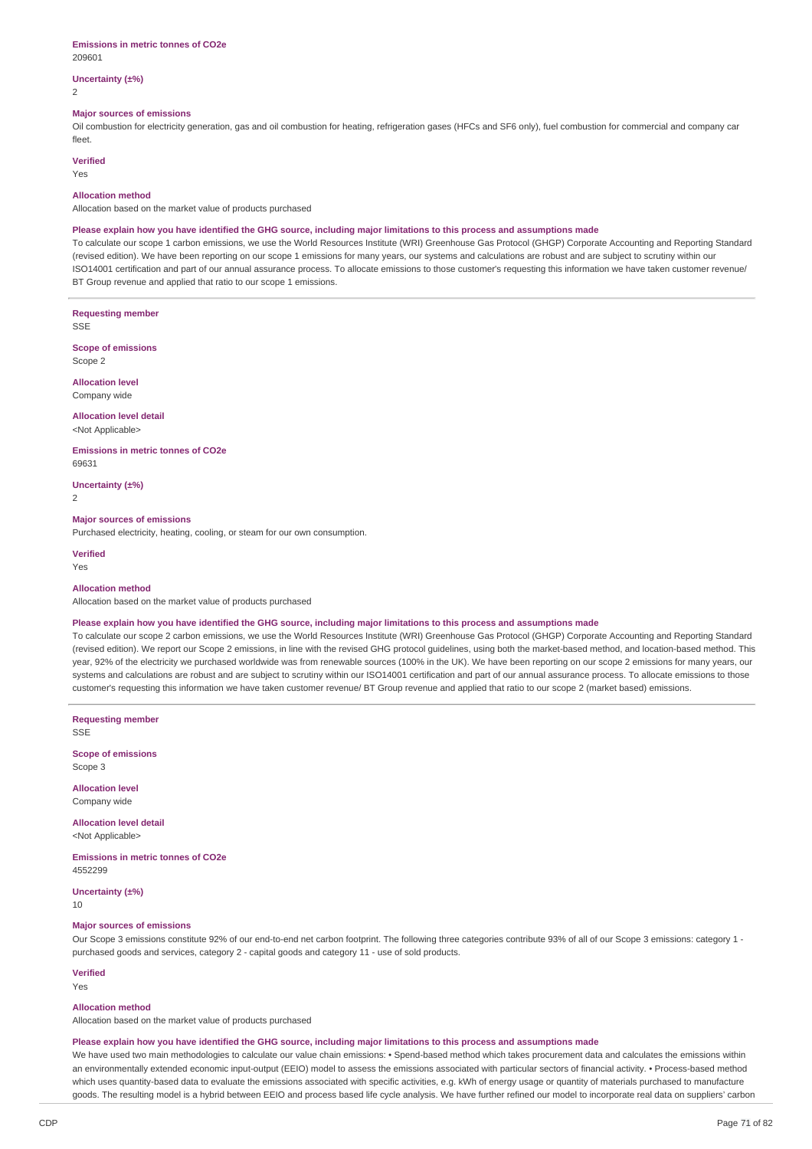#### **Emissions in metric tonnes of CO2e** 209601

### **Uncertainty (±%)**

2

#### **Major sources of emissions**

Oil combustion for electricity generation, gas and oil combustion for heating, refrigeration gases (HFCs and SF6 only), fuel combustion for commercial and company car fleet.

### **Verified**

Yes

#### **Allocation method**

Allocation based on the market value of products purchased

#### Please explain how you have identified the GHG source, including major limitations to this process and assumptions made

To calculate our scope 1 carbon emissions, we use the World Resources Institute (WRI) Greenhouse Gas Protocol (GHGP) Corporate Accounting and Reporting Standard (revised edition). We have been reporting on our scope 1 emissions for many years, our systems and calculations are robust and are subject to scrutiny within our ISO14001 certification and part of our annual assurance process. To allocate emissions to those customer's requesting this information we have taken customer revenue/ BT Group revenue and applied that ratio to our scope 1 emissions.

**Requesting member**

SSE

**Scope of emissions** Scope 2

**Allocation level** Company wide

## **Allocation level detail**

<Not Applicable>

#### **Emissions in metric tonnes of CO2e** 69631

**Uncertainty (±%)**

 $\overline{2}$ 

### **Major sources of emissions**

Purchased electricity, heating, cooling, or steam for our own consumption.

**Verified** Yes

#### **Allocation method**

Allocation based on the market value of products purchased

#### Please explain how you have identified the GHG source, including major limitations to this process and assumptions made

To calculate our scope 2 carbon emissions, we use the World Resources Institute (WRI) Greenhouse Gas Protocol (GHGP) Corporate Accounting and Reporting Standard (revised edition). We report our Scope 2 emissions, in line with the revised GHG protocol guidelines, using both the market-based method, and location-based method. This year, 92% of the electricity we purchased worldwide was from renewable sources (100% in the UK). We have been reporting on our scope 2 emissions for many years, our systems and calculations are robust and are subject to scrutiny within our ISO14001 certification and part of our annual assurance process. To allocate emissions to those customer's requesting this information we have taken customer revenue/ BT Group revenue and applied that ratio to our scope 2 (market based) emissions.

**Requesting member**

SSE

**Scope of emissions** Scope 3

**Allocation level** Company wide

#### **Allocation level detail** <Not Applicable>

**Emissions in metric tonnes of CO2e** 4552299

**Uncertainty (±%)**

10

#### **Major sources of emissions**

Our Scope 3 emissions constitute 92% of our end-to-end net carbon footprint. The following three categories contribute 93% of all of our Scope 3 emissions: category 1 purchased goods and services, category 2 - capital goods and category 11 - use of sold products.

### **Verified**

Yes

#### **Allocation method**

Allocation based on the market value of products purchased

#### Please explain how you have identified the GHG source, including major limitations to this process and assumptions made

We have used two main methodologies to calculate our value chain emissions: • Spend-based method which takes procurement data and calculates the emissions within an environmentally extended economic input-output (EEIO) model to assess the emissions associated with particular sectors of financial activity. • Process-based method which uses quantity-based data to evaluate the emissions associated with specific activities, e.g. kWh of energy usage or quantity of materials purchased to manufacture goods. The resulting model is a hybrid between EEIO and process based life cycle analysis. We have further refined our model to incorporate real data on suppliers' carbon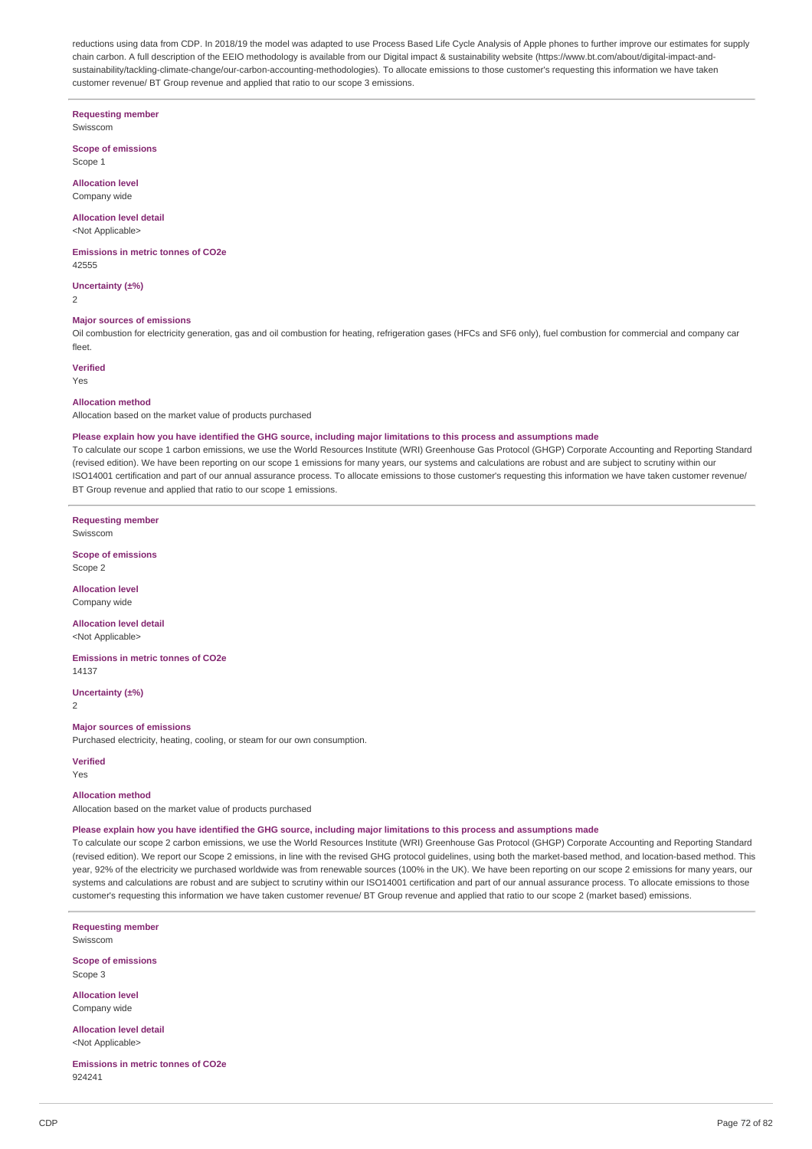reductions using data from CDP. In 2018/19 the model was adapted to use Process Based Life Cycle Analysis of Apple phones to further improve our estimates for supply chain carbon. A full description of the EEIO methodology is available from our Digital impact & sustainability website (https://www.bt.com/about/digital-impact-andsustainability/tackling-climate-change/our-carbon-accounting-methodologies). To allocate emissions to those customer's requesting this information we have taken customer revenue/ BT Group revenue and applied that ratio to our scope 3 emissions.

**Requesting member**

Swisscom

**Scope of emissions** Scope 1

**Allocation level** Company wide

**Allocation level detail** <Not Applicable>

**Emissions in metric tonnes of CO2e** 42555

**Uncertainty (±%)**

2

### **Major sources of emissions**

Oil combustion for electricity generation, gas and oil combustion for heating, refrigeration gases (HFCs and SF6 only), fuel combustion for commercial and company car fleet.

**Verified**

Yes

#### **Allocation method**

Allocation based on the market value of products purchased

#### Please explain how you have identified the GHG source, including major limitations to this process and assumptions made

To calculate our scope 1 carbon emissions, we use the World Resources Institute (WRI) Greenhouse Gas Protocol (GHGP) Corporate Accounting and Reporting Standard (revised edition). We have been reporting on our scope 1 emissions for many years, our systems and calculations are robust and are subject to scrutiny within our ISO14001 certification and part of our annual assurance process. To allocate emissions to those customer's requesting this information we have taken customer revenue/ BT Group revenue and applied that ratio to our scope 1 emissions.

**Requesting member** Swisscom

**Scope of emissions** Scope 2

**Allocation level**

Company wide

**Allocation level detail** <Not Applicable>

**Emissions in metric tonnes of CO2e** 14137

**Uncertainty (±%)**

2

**Major sources of emissions**

Purchased electricity, heating, cooling, or steam for our own consumption.

#### **Verified**

Yes

#### **Allocation method**

Allocation based on the market value of products purchased

#### Please explain how you have identified the GHG source, including major limitations to this process and assumptions made

To calculate our scope 2 carbon emissions, we use the World Resources Institute (WRI) Greenhouse Gas Protocol (GHGP) Corporate Accounting and Reporting Standard (revised edition). We report our Scope 2 emissions, in line with the revised GHG protocol guidelines, using both the market-based method, and location-based method. This year, 92% of the electricity we purchased worldwide was from renewable sources (100% in the UK). We have been reporting on our scope 2 emissions for many years, our systems and calculations are robust and are subject to scrutiny within our ISO14001 certification and part of our annual assurance process. To allocate emissions to those customer's requesting this information we have taken customer revenue/ BT Group revenue and applied that ratio to our scope 2 (market based) emissions.

**Requesting member** Swisscom

**Scope of emissions** Scope 3

**Allocation level** Company wide

**Allocation level detail** <Not Applicable>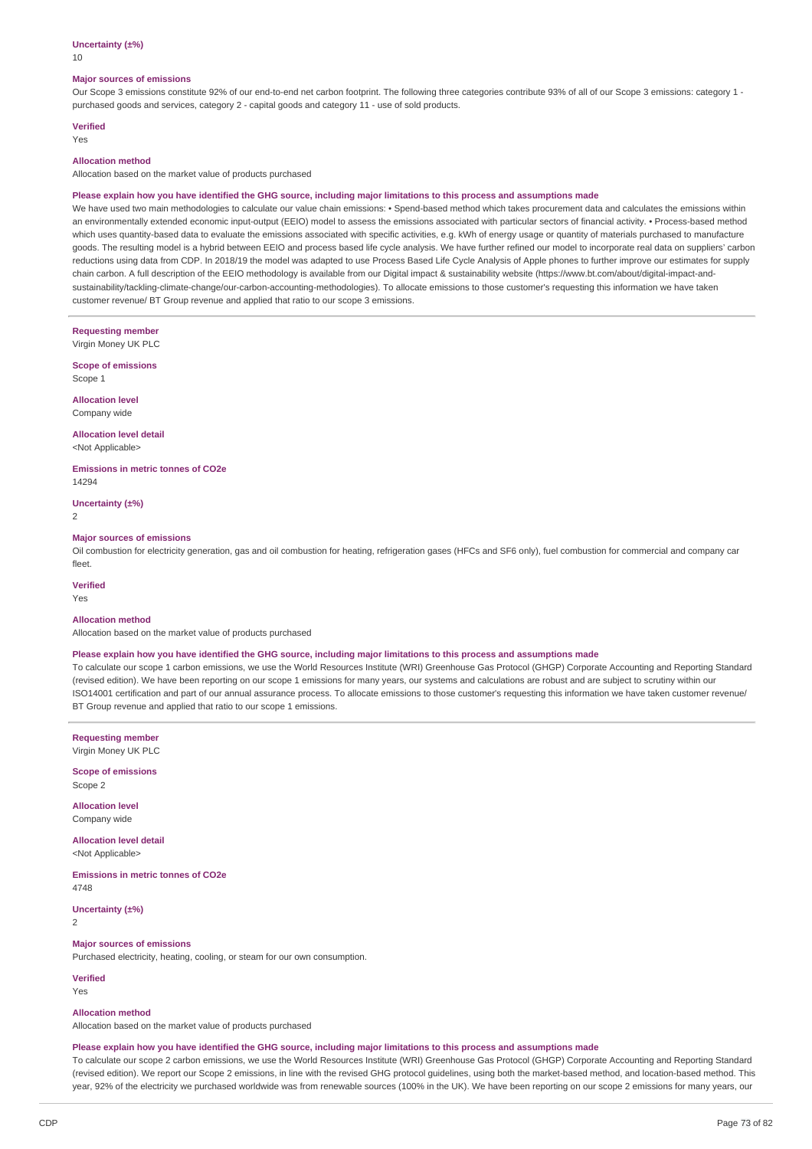## **Uncertainty (±%)**

10

#### **Major sources of emissions**

Our Scope 3 emissions constitute 92% of our end-to-end net carbon footprint. The following three categories contribute 93% of all of our Scope 3 emissions: category 1 purchased goods and services, category 2 - capital goods and category 11 - use of sold products.

# **Verified**

Yes

# **Allocation method**

Allocation based on the market value of products purchased

#### Please explain how you have identified the GHG source, including major limitations to this process and assumptions made

We have used two main methodologies to calculate our value chain emissions: • Spend-based method which takes procurement data and calculates the emissions within an environmentally extended economic input-output (EEIO) model to assess the emissions associated with particular sectors of financial activity. • Process-based method which uses quantity-based data to evaluate the emissions associated with specific activities, e.g. kWh of energy usage or quantity of materials purchased to manufacture goods. The resulting model is a hybrid between EEIO and process based life cycle analysis. We have further refined our model to incorporate real data on suppliers' carbon reductions using data from CDP. In 2018/19 the model was adapted to use Process Based Life Cycle Analysis of Apple phones to further improve our estimates for supply chain carbon. A full description of the EEIO methodology is available from our Digital impact & sustainability website (https://www.bt.com/about/digital-impact-andsustainability/tackling-climate-change/our-carbon-accounting-methodologies). To allocate emissions to those customer's requesting this information we have taken customer revenue/ BT Group revenue and applied that ratio to our scope 3 emissions.

**Requesting member** Virgin Money UK PLC

**Scope of emissions** Scope 1

**Allocation level** Company wide

**Allocation level detail** <Not Applicable>

**Emissions in metric tonnes of CO2e** 14294

**Uncertainty (±%)**

2

#### **Major sources of emissions**

Oil combustion for electricity generation, gas and oil combustion for heating, refrigeration gases (HFCs and SF6 only), fuel combustion for commercial and company car fleet.

**Verified**

#### Yes

# **Allocation method**

Allocation based on the market value of products purchased

#### Please explain how you have identified the GHG source, including major limitations to this process and assumptions made

To calculate our scope 1 carbon emissions, we use the World Resources Institute (WRI) Greenhouse Gas Protocol (GHGP) Corporate Accounting and Reporting Standard (revised edition). We have been reporting on our scope 1 emissions for many years, our systems and calculations are robust and are subject to scrutiny within our ISO14001 certification and part of our annual assurance process. To allocate emissions to those customer's requesting this information we have taken customer revenue/ BT Group revenue and applied that ratio to our scope 1 emissions.

**Requesting member** Virgin Money UK PLC

**Scope of emissions** Scope 2

**Allocation level** Company wide

**Allocation level detail** <Not Applicable>

**Emissions in metric tonnes of CO2e** 4748

**Uncertainty (±%)**  $\overline{2}$ 

# **Major sources of emissions**

Purchased electricity, heating, cooling, or steam for our own consumption.

**Verified** Yes

#### **Allocation method**

Allocation based on the market value of products purchased

#### Please explain how you have identified the GHG source, including major limitations to this process and assumptions made

To calculate our scope 2 carbon emissions, we use the World Resources Institute (WRI) Greenhouse Gas Protocol (GHGP) Corporate Accounting and Reporting Standard (revised edition). We report our Scope 2 emissions, in line with the revised GHG protocol guidelines, using both the market-based method, and location-based method. This year, 92% of the electricity we purchased worldwide was from renewable sources (100% in the UK). We have been reporting on our scope 2 emissions for many years, our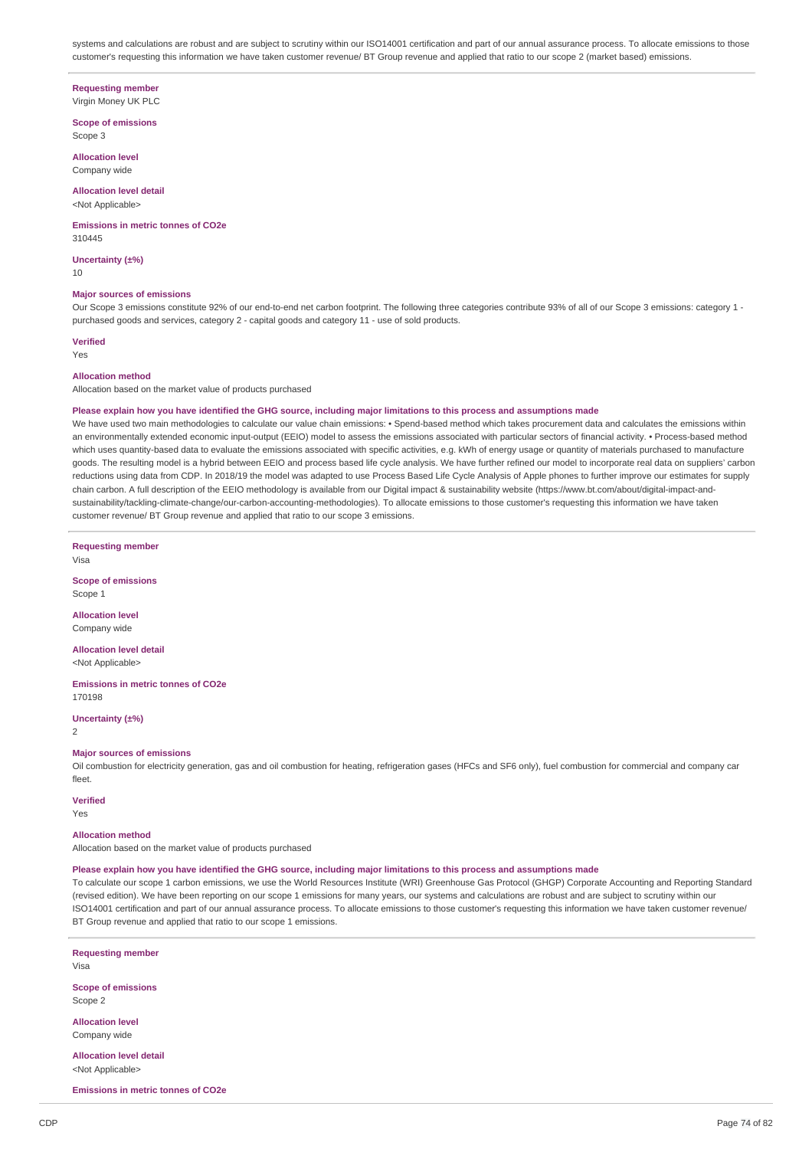systems and calculations are robust and are subject to scrutiny within our ISO14001 certification and part of our annual assurance process. To allocate emissions to those customer's requesting this information we have taken customer revenue/ BT Group revenue and applied that ratio to our scope 2 (market based) emissions.

#### **Requesting member**

Virgin Money UK PLC

**Scope of emissions** Scope 3

**Allocation level**

Company wide

#### **Allocation level detail** <Not Applicable>

**Emissions in metric tonnes of CO2e** 310445

**Uncertainty (±%)**

10

# **Major sources of emissions**

Our Scope 3 emissions constitute 92% of our end-to-end net carbon footprint. The following three categories contribute 93% of all of our Scope 3 emissions: category 1 purchased goods and services, category 2 - capital goods and category 11 - use of sold products.

**Verified**

Yes

#### **Allocation method**

Allocation based on the market value of products purchased

#### Please explain how you have identified the GHG source, including major limitations to this process and assumptions made

We have used two main methodologies to calculate our value chain emissions: • Spend-based method which takes procurement data and calculates the emissions within an environmentally extended economic input-output (EEIO) model to assess the emissions associated with particular sectors of financial activity. • Process-based method which uses quantity-based data to evaluate the emissions associated with specific activities, e.g. kWh of energy usage or quantity of materials purchased to manufacture goods. The resulting model is a hybrid between EEIO and process based life cycle analysis. We have further refined our model to incorporate real data on suppliers' carbon reductions using data from CDP. In 2018/19 the model was adapted to use Process Based Life Cycle Analysis of Apple phones to further improve our estimates for supply chain carbon. A full description of the EEIO methodology is available from our Digital impact & sustainability website (https://www.bt.com/about/digital-impact-andsustainability/tackling-climate-change/our-carbon-accounting-methodologies). To allocate emissions to those customer's requesting this information we have taken customer revenue/ BT Group revenue and applied that ratio to our scope 3 emissions.

**Requesting member**

Visa

**Scope of emissions** Scope 1

**Allocation level** Company wide

**Allocation level detail** <Not Applicable>

**Emissions in metric tonnes of CO2e** 170198

**Uncertainty (±%)**  $\overline{2}$ 

#### **Major sources of emissions**

Oil combustion for electricity generation, gas and oil combustion for heating, refrigeration gases (HFCs and SF6 only), fuel combustion for commercial and company car fleet.

# **Verified**

Yes

## **Allocation method**

Allocation based on the market value of products purchased

#### Please explain how you have identified the GHG source, including major limitations to this process and assumptions made

To calculate our scope 1 carbon emissions, we use the World Resources Institute (WRI) Greenhouse Gas Protocol (GHGP) Corporate Accounting and Reporting Standard (revised edition). We have been reporting on our scope 1 emissions for many years, our systems and calculations are robust and are subject to scrutiny within our ISO14001 certification and part of our annual assurance process. To allocate emissions to those customer's requesting this information we have taken customer revenue/ BT Group revenue and applied that ratio to our scope 1 emissions.

**Requesting member** Visa

**Scope of emissions** Scope 2

**Allocation level** Company wide

**Allocation level detail** <Not Applicable>

**Emissions in metric tonnes of CO2e**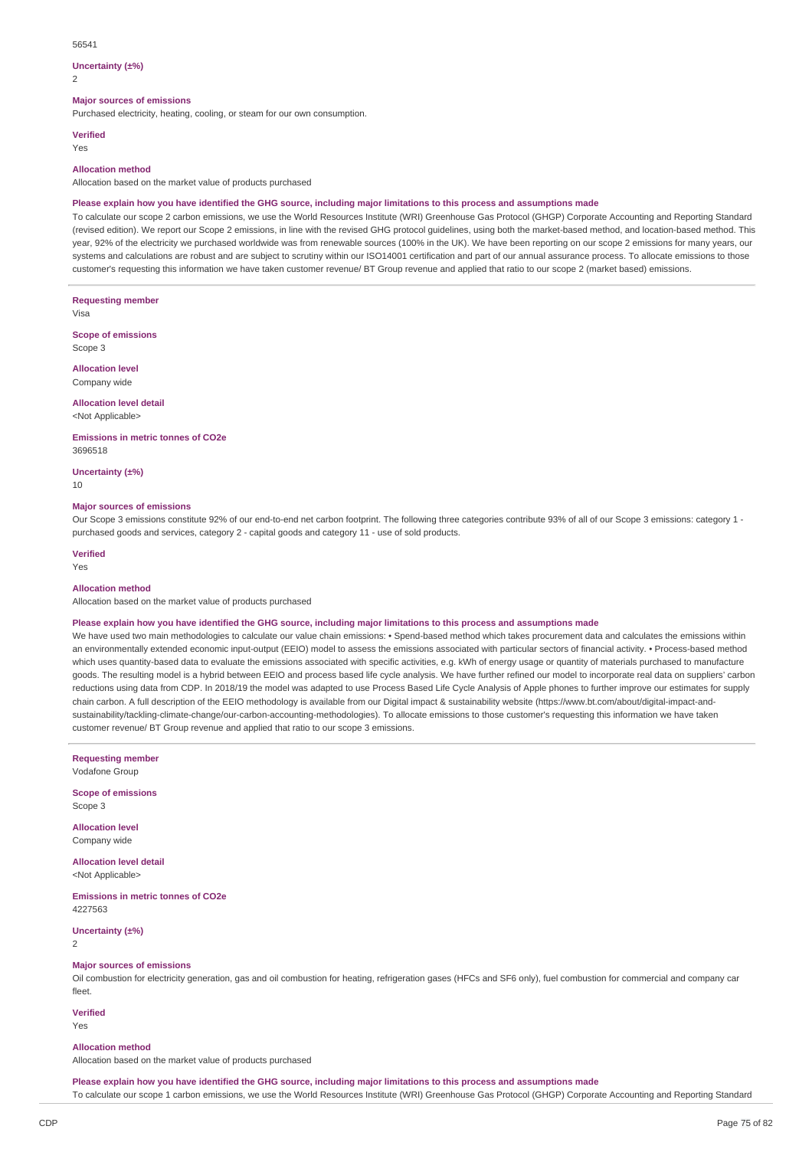#### 56541

#### **Uncertainty (±%)**

 $\overline{2}$ 

#### **Major sources of emissions**

Purchased electricity, heating, cooling, or steam for our own consumption.

#### **Verified**

Yes

#### **Allocation method**

Allocation based on the market value of products purchased

## Please explain how you have identified the GHG source, including major limitations to this process and assumptions made

To calculate our scope 2 carbon emissions, we use the World Resources Institute (WRI) Greenhouse Gas Protocol (GHGP) Corporate Accounting and Reporting Standard (revised edition). We report our Scope 2 emissions, in line with the revised GHG protocol guidelines, using both the market-based method, and location-based method. This year, 92% of the electricity we purchased worldwide was from renewable sources (100% in the UK). We have been reporting on our scope 2 emissions for many years, our systems and calculations are robust and are subject to scrutiny within our ISO14001 certification and part of our annual assurance process. To allocate emissions to those customer's requesting this information we have taken customer revenue/ BT Group revenue and applied that ratio to our scope 2 (market based) emissions.

**Requesting member**

Visa

**Scope of emissions** Scope 3

**Allocation level**

Company wide

# **Allocation level detail**

<Not Applicable>

**Emissions in metric tonnes of CO2e** 3696518

**Uncertainty (±%)**

10

#### **Major sources of emissions**

Our Scope 3 emissions constitute 92% of our end-to-end net carbon footprint. The following three categories contribute 93% of all of our Scope 3 emissions: category 1 purchased goods and services, category 2 - capital goods and category 11 - use of sold products.

# **Verified**

Yes

# **Allocation method**

Allocation based on the market value of products purchased

#### Please explain how you have identified the GHG source, including major limitations to this process and assumptions made

We have used two main methodologies to calculate our value chain emissions: • Spend-based method which takes procurement data and calculates the emissions within an environmentally extended economic input-output (EEIO) model to assess the emissions associated with particular sectors of financial activity. • Process-based method which uses quantity-based data to evaluate the emissions associated with specific activities, e.g. kWh of energy usage or quantity of materials purchased to manufacture goods. The resulting model is a hybrid between EEIO and process based life cycle analysis. We have further refined our model to incorporate real data on suppliers' carbon reductions using data from CDP. In 2018/19 the model was adapted to use Process Based Life Cycle Analysis of Apple phones to further improve our estimates for supply chain carbon. A full description of the EEIO methodology is available from our Digital impact & sustainability website (https://www.bt.com/about/digital-impact-andsustainability/tackling-climate-change/our-carbon-accounting-methodologies). To allocate emissions to those customer's requesting this information we have taken customer revenue/ BT Group revenue and applied that ratio to our scope 3 emissions.

**Requesting member**

Vodafone Group

**Scope of emissions** Scope 3

**Allocation level** Company wide

**Allocation level detail** <Not Applicable>

**Emissions in metric tonnes of CO2e** 4227563

**Uncertainty (±%)**

2

## **Major sources of emissions**

Oil combustion for electricity generation, gas and oil combustion for heating, refrigeration gases (HFCs and SF6 only), fuel combustion for commercial and company car fleet.

**Verified**

# Yes

## **Allocation method**

Allocation based on the market value of products purchased

Please explain how you have identified the GHG source, including major limitations to this process and assumptions made To calculate our scope 1 carbon emissions, we use the World Resources Institute (WRI) Greenhouse Gas Protocol (GHGP) Corporate Accounting and Reporting Standard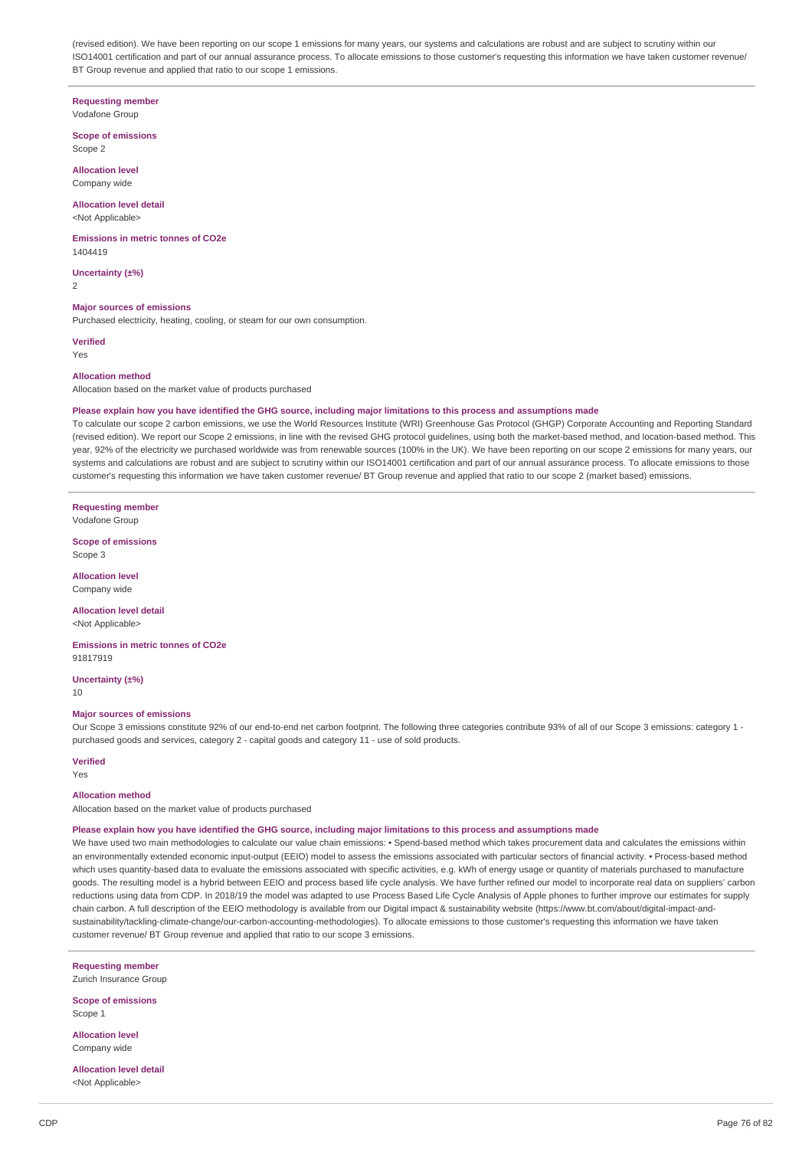(revised edition). We have been reporting on our scope 1 emissions for many years, our systems and calculations are robust and are subject to scrutiny within our ISO14001 certification and part of our annual assurance process. To allocate emissions to those customer's requesting this information we have taken customer revenue/ BT Group revenue and applied that ratio to our scope 1 emissions.

#### **Requesting member** Vodafone Group

#### **Scope of emissions** Scope 2

**Allocation level** Company wide

# **Allocation level detail**

<Not Applicable>

#### **Emissions in metric tonnes of CO2e** 1404419

**Uncertainty (±%)** 2

#### **Major sources of emissions**

Purchased electricity, heating, cooling, or steam for our own consumption.

**Verified** Yes

#### **Allocation method**

Allocation based on the market value of products purchased

#### Please explain how you have identified the GHG source, including major limitations to this process and assumptions made

To calculate our scope 2 carbon emissions, we use the World Resources Institute (WRI) Greenhouse Gas Protocol (GHGP) Corporate Accounting and Reporting Standard (revised edition). We report our Scope 2 emissions, in line with the revised GHG protocol guidelines, using both the market-based method, and location-based method. This year, 92% of the electricity we purchased worldwide was from renewable sources (100% in the UK). We have been reporting on our scope 2 emissions for many years, our systems and calculations are robust and are subject to scrutiny within our ISO14001 certification and part of our annual assurance process. To allocate emissions to those customer's requesting this information we have taken customer revenue/ BT Group revenue and applied that ratio to our scope 2 (market based) emissions.

**Requesting member**

Vodafone Group

**Scope of emissions** Scope 3

**Allocation level** Company wide

**Allocation level detail**

<Not Applicable>

**Emissions in metric tonnes of CO2e** 91817919

**Uncertainty (±%)** 10

#### **Major sources of emissions**

Our Scope 3 emissions constitute 92% of our end-to-end net carbon footprint. The following three categories contribute 93% of all of our Scope 3 emissions: category 1 purchased goods and services, category 2 - capital goods and category 11 - use of sold products.

#### **Verified**

Yes

#### **Allocation method**

Allocation based on the market value of products purchased

#### Please explain how you have identified the GHG source, including major limitations to this process and assumptions made

We have used two main methodologies to calculate our value chain emissions: • Spend-based method which takes procurement data and calculates the emissions within an environmentally extended economic input-output (EEIO) model to assess the emissions associated with particular sectors of financial activity. • Process-based method which uses quantity-based data to evaluate the emissions associated with specific activities, e.g. kWh of energy usage or quantity of materials purchased to manufacture goods. The resulting model is a hybrid between EEIO and process based life cycle analysis. We have further refined our model to incorporate real data on suppliers' carbon reductions using data from CDP. In 2018/19 the model was adapted to use Process Based Life Cycle Analysis of Apple phones to further improve our estimates for supply chain carbon. A full description of the EEIO methodology is available from our Digital impact & sustainability website (https://www.bt.com/about/digital-impact-andsustainability/tackling-climate-change/our-carbon-accounting-methodologies). To allocate emissions to those customer's requesting this information we have taken customer revenue/ BT Group revenue and applied that ratio to our scope 3 emissions.

**Requesting member**

Zurich Insurance Group **Scope of emissions**

Scope 1

**Allocation level** Company wide

**Allocation level detail** <Not Applicable>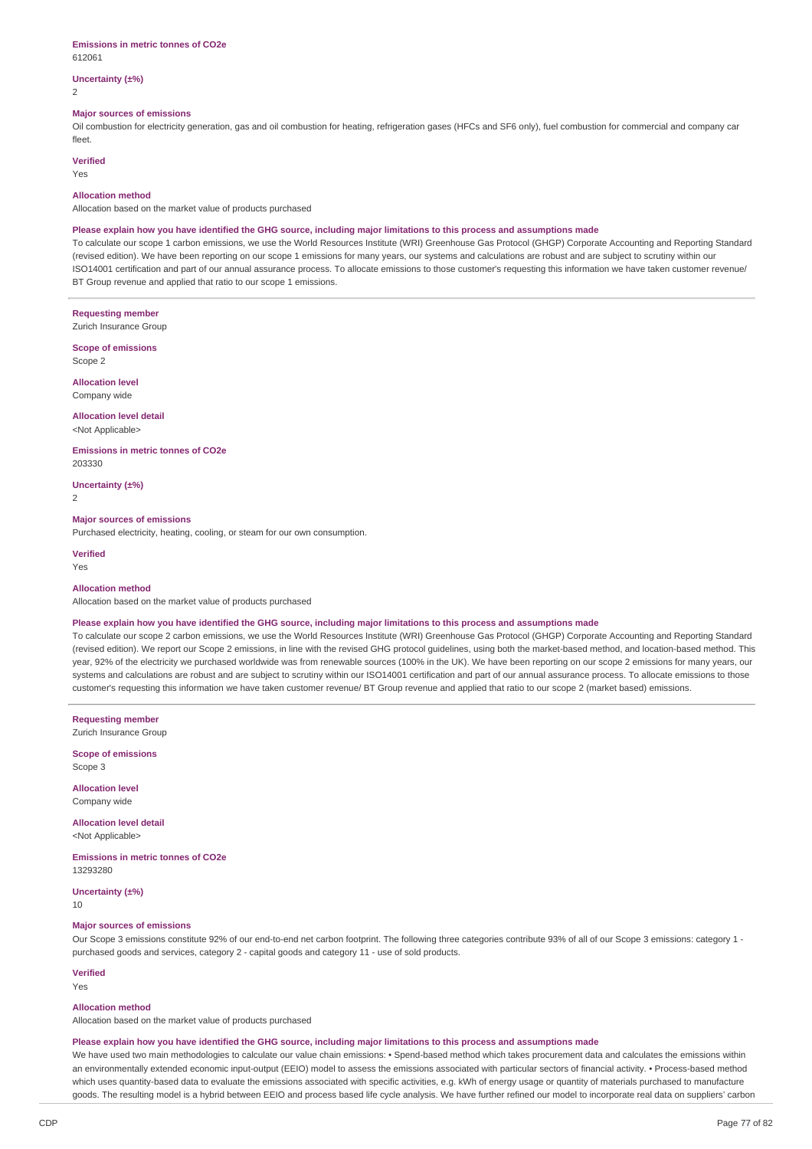#### **Emissions in metric tonnes of CO2e** 612061

# **Uncertainty (±%)**

2

# **Major sources of emissions**

Oil combustion for electricity generation, gas and oil combustion for heating, refrigeration gases (HFCs and SF6 only), fuel combustion for commercial and company car fleet.

# **Verified**

Yes

### **Allocation method**

Allocation based on the market value of products purchased

## Please explain how you have identified the GHG source, including major limitations to this process and assumptions made

To calculate our scope 1 carbon emissions, we use the World Resources Institute (WRI) Greenhouse Gas Protocol (GHGP) Corporate Accounting and Reporting Standard (revised edition). We have been reporting on our scope 1 emissions for many years, our systems and calculations are robust and are subject to scrutiny within our ISO14001 certification and part of our annual assurance process. To allocate emissions to those customer's requesting this information we have taken customer revenue/ BT Group revenue and applied that ratio to our scope 1 emissions.

## **Requesting member**

Zurich Insurance Group

**Scope of emissions** Scope 2

**Allocation level** Company wide

# **Allocation level detail**

<Not Applicable>

#### **Emissions in metric tonnes of CO2e** 203330

**Uncertainty (±%)**

 $\overline{2}$ 

## **Major sources of emissions**

Purchased electricity, heating, cooling, or steam for our own consumption.

**Verified** Yes

#### **Allocation method**

Allocation based on the market value of products purchased

#### Please explain how you have identified the GHG source, including major limitations to this process and assumptions made

To calculate our scope 2 carbon emissions, we use the World Resources Institute (WRI) Greenhouse Gas Protocol (GHGP) Corporate Accounting and Reporting Standard (revised edition). We report our Scope 2 emissions, in line with the revised GHG protocol guidelines, using both the market-based method, and location-based method. This year, 92% of the electricity we purchased worldwide was from renewable sources (100% in the UK). We have been reporting on our scope 2 emissions for many years, our systems and calculations are robust and are subject to scrutiny within our ISO14001 certification and part of our annual assurance process. To allocate emissions to those customer's requesting this information we have taken customer revenue/ BT Group revenue and applied that ratio to our scope 2 (market based) emissions.

**Requesting member** Zurich Insurance Group

**Scope of emissions** Scope 3

**Allocation level** Company wide

#### **Allocation level detail** <Not Applicable>

**Emissions in metric tonnes of CO2e** 13293280

**Uncertainty (±%)**

10

## **Major sources of emissions**

Our Scope 3 emissions constitute 92% of our end-to-end net carbon footprint. The following three categories contribute 93% of all of our Scope 3 emissions: category 1 purchased goods and services, category 2 - capital goods and category 11 - use of sold products.

## **Verified**

Yes

## **Allocation method**

Allocation based on the market value of products purchased

#### Please explain how you have identified the GHG source, including major limitations to this process and assumptions made

We have used two main methodologies to calculate our value chain emissions: • Spend-based method which takes procurement data and calculates the emissions within an environmentally extended economic input-output (EEIO) model to assess the emissions associated with particular sectors of financial activity. • Process-based method which uses quantity-based data to evaluate the emissions associated with specific activities, e.g. kWh of energy usage or quantity of materials purchased to manufacture goods. The resulting model is a hybrid between EEIO and process based life cycle analysis. We have further refined our model to incorporate real data on suppliers' carbon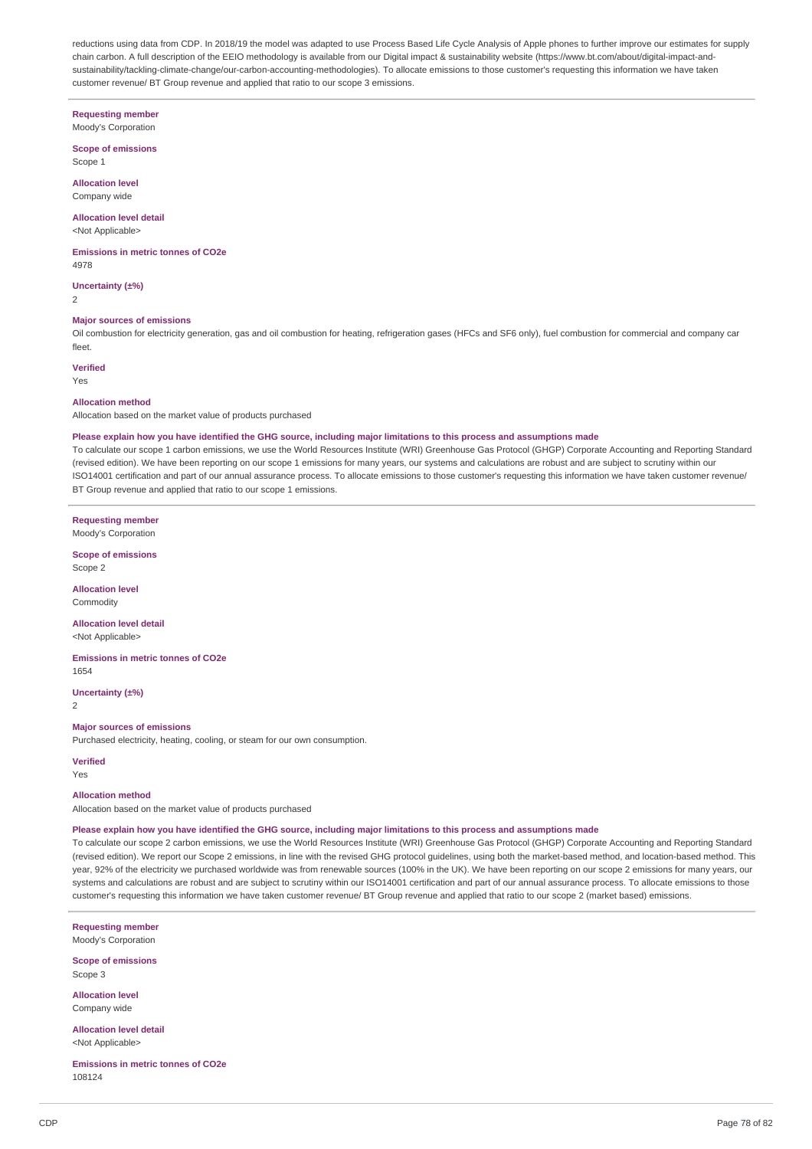reductions using data from CDP. In 2018/19 the model was adapted to use Process Based Life Cycle Analysis of Apple phones to further improve our estimates for supply chain carbon. A full description of the EEIO methodology is available from our Digital impact & sustainability website (https://www.bt.com/about/digital-impact-andsustainability/tackling-climate-change/our-carbon-accounting-methodologies). To allocate emissions to those customer's requesting this information we have taken customer revenue/ BT Group revenue and applied that ratio to our scope 3 emissions.

# **Requesting member**

Moody's Corporation

**Scope of emissions** Scope 1

**Allocation level** Company wide

#### **Allocation level detail** <Not Applicable>

**Emissions in metric tonnes of CO2e** 4978

**Uncertainty (±%)**

 $\overline{2}$ 

# **Major sources of emissions**

Oil combustion for electricity generation, gas and oil combustion for heating, refrigeration gases (HFCs and SF6 only), fuel combustion for commercial and company car fleet.

# **Verified**

Yes

## **Allocation method**

Allocation based on the market value of products purchased

#### Please explain how you have identified the GHG source, including major limitations to this process and assumptions made

To calculate our scope 1 carbon emissions, we use the World Resources Institute (WRI) Greenhouse Gas Protocol (GHGP) Corporate Accounting and Reporting Standard (revised edition). We have been reporting on our scope 1 emissions for many years, our systems and calculations are robust and are subject to scrutiny within our ISO14001 certification and part of our annual assurance process. To allocate emissions to those customer's requesting this information we have taken customer revenue/ BT Group revenue and applied that ratio to our scope 1 emissions.

**Requesting member** Moody's Corporation

**Scope of emissions** Scope 2

**Allocation level**

Commodity

#### **Allocation level detail** <Not Applicable>

**Emissions in metric tonnes of CO2e** 1654

**Uncertainty (±%)**

2

## **Major sources of emissions**

Purchased electricity, heating, cooling, or steam for our own consumption.

### **Verified**

Yes

#### **Allocation method**

Allocation based on the market value of products purchased

#### Please explain how you have identified the GHG source, including major limitations to this process and assumptions made

To calculate our scope 2 carbon emissions, we use the World Resources Institute (WRI) Greenhouse Gas Protocol (GHGP) Corporate Accounting and Reporting Standard (revised edition). We report our Scope 2 emissions, in line with the revised GHG protocol guidelines, using both the market-based method, and location-based method. This year, 92% of the electricity we purchased worldwide was from renewable sources (100% in the UK). We have been reporting on our scope 2 emissions for many years, our systems and calculations are robust and are subject to scrutiny within our ISO14001 certification and part of our annual assurance process. To allocate emissions to those customer's requesting this information we have taken customer revenue/ BT Group revenue and applied that ratio to our scope 2 (market based) emissions.

**Requesting member** Moody's Corporation

**Scope of emissions** Scope 3

**Allocation level** Company wide

**Allocation level detail** <Not Applicable>

**Emissions in metric tonnes of CO2e** 108124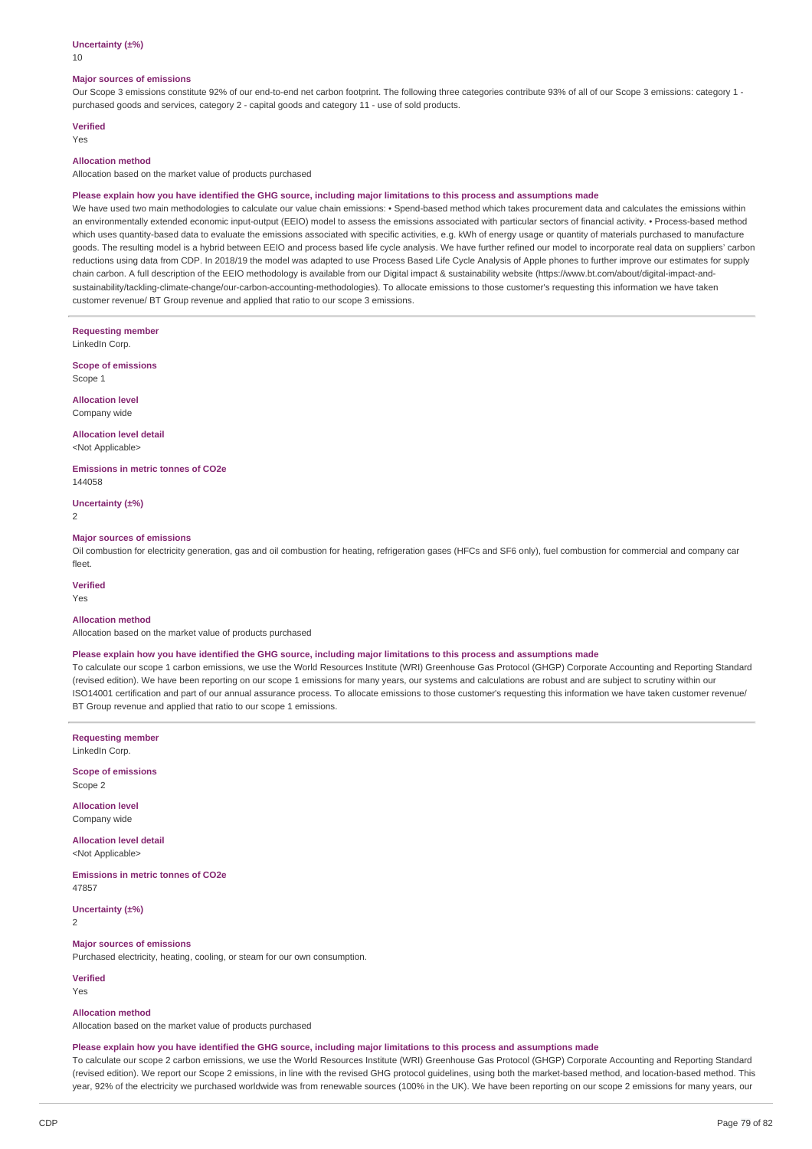## **Uncertainty (±%)**

10

#### **Major sources of emissions**

Our Scope 3 emissions constitute 92% of our end-to-end net carbon footprint. The following three categories contribute 93% of all of our Scope 3 emissions: category 1 purchased goods and services, category 2 - capital goods and category 11 - use of sold products.

# **Verified**

Yes

# **Allocation method**

Allocation based on the market value of products purchased

#### Please explain how you have identified the GHG source, including major limitations to this process and assumptions made

We have used two main methodologies to calculate our value chain emissions: • Spend-based method which takes procurement data and calculates the emissions within an environmentally extended economic input-output (EEIO) model to assess the emissions associated with particular sectors of financial activity. • Process-based method which uses quantity-based data to evaluate the emissions associated with specific activities, e.g. kWh of energy usage or quantity of materials purchased to manufacture goods. The resulting model is a hybrid between EEIO and process based life cycle analysis. We have further refined our model to incorporate real data on suppliers' carbon reductions using data from CDP. In 2018/19 the model was adapted to use Process Based Life Cycle Analysis of Apple phones to further improve our estimates for supply chain carbon. A full description of the EEIO methodology is available from our Digital impact & sustainability website (https://www.bt.com/about/digital-impact-andsustainability/tackling-climate-change/our-carbon-accounting-methodologies). To allocate emissions to those customer's requesting this information we have taken customer revenue/ BT Group revenue and applied that ratio to our scope 3 emissions.

**Requesting member** LinkedIn Corp.

**Scope of emissions** Scope 1

**Allocation level** Company wide

**Allocation level detail**

<Not Applicable>

**Emissions in metric tonnes of CO2e** 144058

**Uncertainty (±%)**

2

#### **Major sources of emissions**

Oil combustion for electricity generation, gas and oil combustion for heating, refrigeration gases (HFCs and SF6 only), fuel combustion for commercial and company car fleet.

**Verified**

Yes

# **Allocation method**

Allocation based on the market value of products purchased

#### Please explain how you have identified the GHG source, including major limitations to this process and assumptions made

To calculate our scope 1 carbon emissions, we use the World Resources Institute (WRI) Greenhouse Gas Protocol (GHGP) Corporate Accounting and Reporting Standard (revised edition). We have been reporting on our scope 1 emissions for many years, our systems and calculations are robust and are subject to scrutiny within our ISO14001 certification and part of our annual assurance process. To allocate emissions to those customer's requesting this information we have taken customer revenue/ BT Group revenue and applied that ratio to our scope 1 emissions.

**Requesting member** LinkedIn Corp.

**Scope of emissions** Scope 2

**Allocation level** Company wide

**Allocation level detail** <Not Applicable>

**Emissions in metric tonnes of CO2e** 47857

**Uncertainty (±%)**  $\overline{2}$ 

# **Major sources of emissions**

Purchased electricity, heating, cooling, or steam for our own consumption.

**Verified** Yes

# **Allocation method**

Allocation based on the market value of products purchased

#### Please explain how you have identified the GHG source, including major limitations to this process and assumptions made

To calculate our scope 2 carbon emissions, we use the World Resources Institute (WRI) Greenhouse Gas Protocol (GHGP) Corporate Accounting and Reporting Standard (revised edition). We report our Scope 2 emissions, in line with the revised GHG protocol guidelines, using both the market-based method, and location-based method. This year, 92% of the electricity we purchased worldwide was from renewable sources (100% in the UK). We have been reporting on our scope 2 emissions for many years, our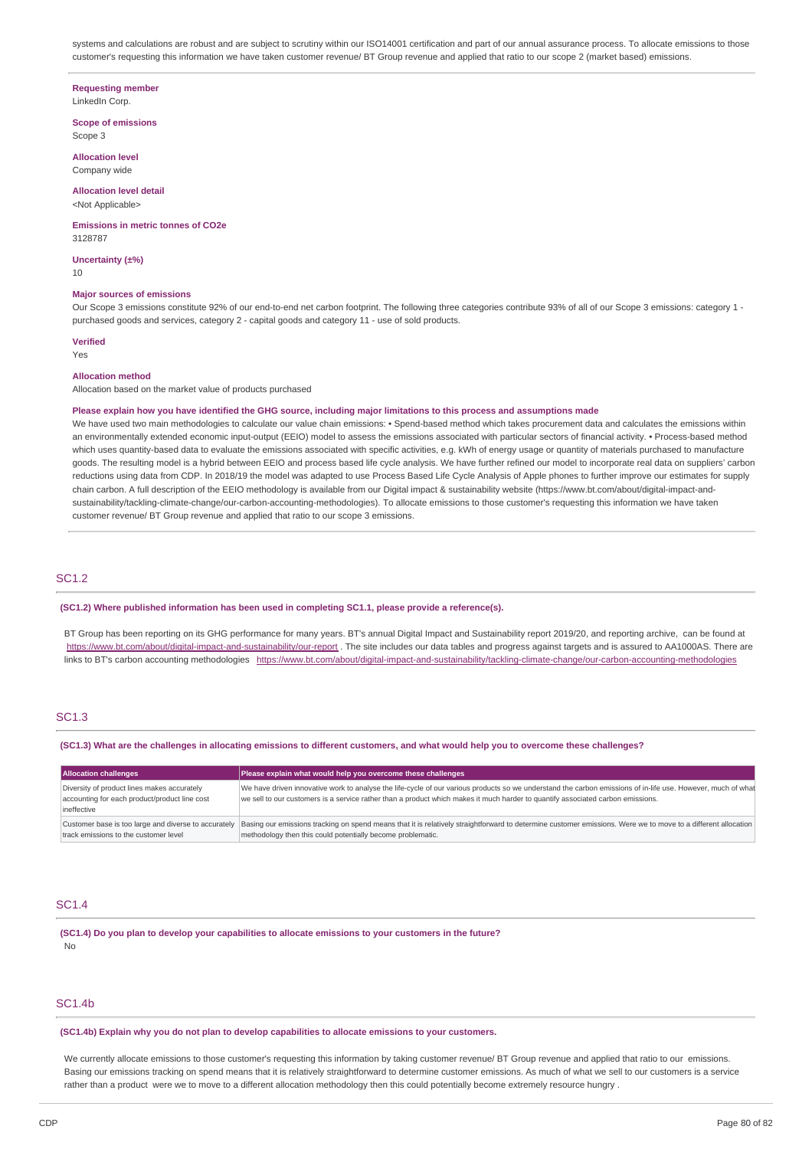systems and calculations are robust and are subject to scrutiny within our ISO14001 certification and part of our annual assurance process. To allocate emissions to those customer's requesting this information we have taken customer revenue/ BT Group revenue and applied that ratio to our scope 2 (market based) emissions.

#### **Requesting member**

LinkedIn Corp.

**Scope of emissions** Scope 3

**Allocation level** Company wide

# **Allocation level detail**

<Not Applicable>

#### **Emissions in metric tonnes of CO2e** 3128787

**Uncertainty (±%)** 10

#### **Major sources of emissions**

Our Scope 3 emissions constitute 92% of our end-to-end net carbon footprint. The following three categories contribute 93% of all of our Scope 3 emissions: category 1 purchased goods and services, category 2 - capital goods and category 11 - use of sold products.

# **Verified**

Yes

#### **Allocation method**

Allocation based on the market value of products purchased

## Please explain how you have identified the GHG source, including major limitations to this process and assumptions made

We have used two main methodologies to calculate our value chain emissions: • Spend-based method which takes procurement data and calculates the emissions within an environmentally extended economic input-output (EEIO) model to assess the emissions associated with particular sectors of financial activity. • Process-based method which uses quantity-based data to evaluate the emissions associated with specific activities, e.g. kWh of energy usage or quantity of materials purchased to manufacture goods. The resulting model is a hybrid between EEIO and process based life cycle analysis. We have further refined our model to incorporate real data on suppliers' carbon reductions using data from CDP. In 2018/19 the model was adapted to use Process Based Life Cycle Analysis of Apple phones to further improve our estimates for supply chain carbon. A full description of the EEIO methodology is available from our Digital impact & sustainability website (https://www.bt.com/about/digital-impact-andsustainability/tackling-climate-change/our-carbon-accounting-methodologies). To allocate emissions to those customer's requesting this information we have taken customer revenue/ BT Group revenue and applied that ratio to our scope 3 emissions.

# SC1.2

#### **(SC1.2) Where published information has been used in completing SC1.1, please provide a reference(s).**

BT Group has been reporting on its GHG performance for many years. BT's annual Digital Impact and Sustainability report 2019/20, and reporting archive, can be found at <https://www.bt.com/about/digital-impact-and-sustainability/our-report> . The site includes our data tables and progress against targets and is assured to AA1000AS. There are links to BT's carbon accounting methodologies <https://www.bt.com/about/digital-impact-and-sustainability/tackling-climate-change/our-carbon-accounting-methodologies>

# SC1.3

#### (SC1.3) What are the challenges in allocating emissions to different customers, and what would help you to overcome these challenges?

| <b>Allocation challenges</b>                                                                                | Please explain what would help you overcome these challenges                                                                                                                                                                                                                                    |  |
|-------------------------------------------------------------------------------------------------------------|-------------------------------------------------------------------------------------------------------------------------------------------------------------------------------------------------------------------------------------------------------------------------------------------------|--|
| Diversity of product lines makes accurately<br>accounting for each product/product line cost<br>ineffective | We have driven innovative work to analyse the life-cycle of our various products so we understand the carbon emissions of in-life use. However, much of what<br>we sell to our customers is a service rather than a product which makes it much harder to quantify associated carbon emissions. |  |
| track emissions to the customer level                                                                       | Customer base is too large and diverse to accurately Basing our emissions tracking on spend means that it is relatively straightforward to determine customer emissions. Were we to move to a different allocation<br>methodology then this could potentially become problematic.               |  |

## SC1.4

**(SC1.4) Do you plan to develop your capabilities to allocate emissions to your customers in the future?** No

## SC1.4b

**(SC1.4b) Explain why you do not plan to develop capabilities to allocate emissions to your customers.**

We currently allocate emissions to those customer's requesting this information by taking customer revenue/ BT Group revenue and applied that ratio to our emissions. Basing our emissions tracking on spend means that it is relatively straightforward to determine customer emissions. As much of what we sell to our customers is a service rather than a product were we to move to a different allocation methodology then this could potentially become extremely resource hungry .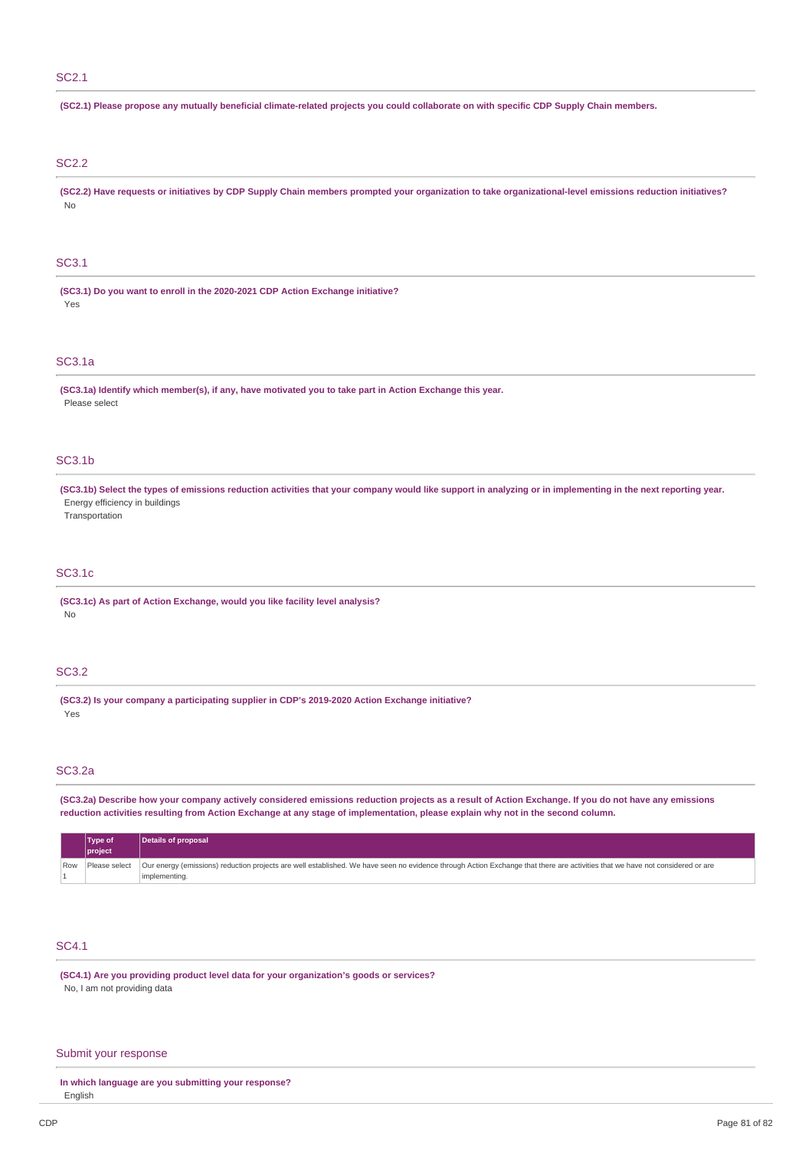# SC2.1

| (SC2.1) Please propose any mutually beneficial climate-related projects you could collaborate on with specific CDP Supply Chain members.                                                                         |  |  |  |  |
|------------------------------------------------------------------------------------------------------------------------------------------------------------------------------------------------------------------|--|--|--|--|
| <b>SC2.2</b>                                                                                                                                                                                                     |  |  |  |  |
| (SC2.2) Have requests or initiatives by CDP Supply Chain members prompted your organization to take organizational-level emissions reduction initiatives?<br>No                                                  |  |  |  |  |
| <b>SC3.1</b>                                                                                                                                                                                                     |  |  |  |  |
| (SC3.1) Do you want to enroll in the 2020-2021 CDP Action Exchange initiative?<br>Yes                                                                                                                            |  |  |  |  |
| <b>SC3.1a</b>                                                                                                                                                                                                    |  |  |  |  |
| (SC3.1a) Identify which member(s), if any, have motivated you to take part in Action Exchange this year.<br>Please select                                                                                        |  |  |  |  |
| <b>SC3.1b</b>                                                                                                                                                                                                    |  |  |  |  |
| (SC3.1b) Select the types of emissions reduction activities that your company would like support in analyzing or in implementing in the next reporting year.<br>Energy efficiency in buildings<br>Transportation |  |  |  |  |
| <b>SC3.1c</b>                                                                                                                                                                                                    |  |  |  |  |
| (SC3.1c) As part of Action Exchange, would you like facility level analysis?<br>No                                                                                                                               |  |  |  |  |
| <b>SC3.2</b>                                                                                                                                                                                                     |  |  |  |  |
| (SC3.2) Is your company a participating supplier in CDP's 2019-2020 Action Exchange initiative?<br>Yes                                                                                                           |  |  |  |  |

# SC3.2a

(SC3.2a) Describe how your company actively considered emissions reduction projects as a result of Action Exchange. If you do not have any emissions reduction activities resulting from Action Exchange at any stage of implementation, please explain why not in the second column.

|  | <b>Type of</b><br>project | Details of proposal                                                                                                                                                                               |
|--|---------------------------|---------------------------------------------------------------------------------------------------------------------------------------------------------------------------------------------------|
|  |                           | Row Please select   Our energy (emissions) reduction projects are well established. We have seen no evidence through Action Exchange that there are activities that we have not considered or are |
|  |                           | implementing.                                                                                                                                                                                     |

# SC4.1

**(SC4.1) Are you providing product level data for your organization's goods or services?** No, I am not providing data

# Submit your response

**In which language are you submitting your response?** English